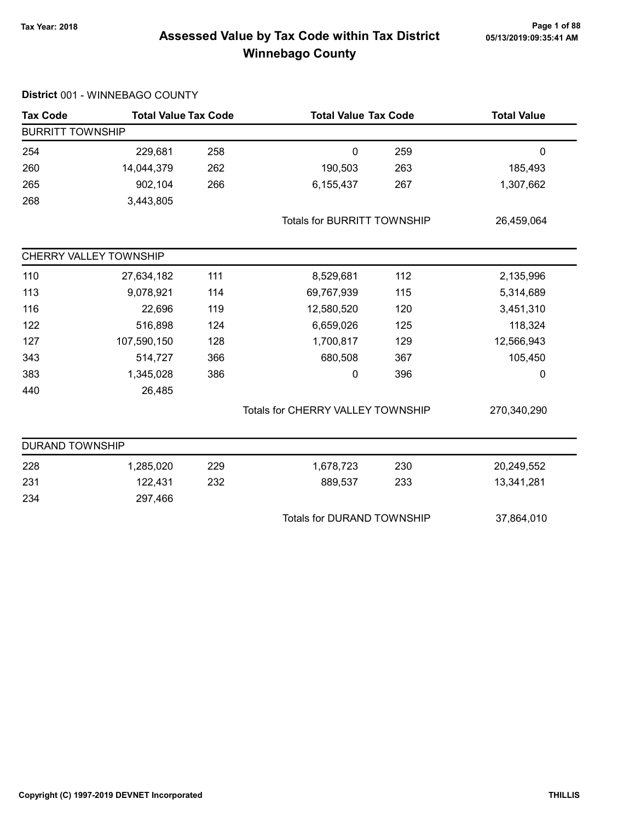# Page 1 of 88<br>Assessed Value by Tax Code within Tax District <sub>05/13/2019:09:35:41</sub> Am Winnebago County

| <b>Tax Code</b>         | <b>Total Value Tax Code</b> |     | <b>Total Value Tax Code</b>        |     | <b>Total Value</b> |
|-------------------------|-----------------------------|-----|------------------------------------|-----|--------------------|
| <b>BURRITT TOWNSHIP</b> |                             |     |                                    |     |                    |
| 254                     | 229,681                     | 258 | $\boldsymbol{0}$                   | 259 | $\pmb{0}$          |
| 260                     | 14,044,379                  | 262 | 190,503                            | 263 | 185,493            |
| 265                     | 902,104                     | 266 | 6,155,437                          | 267 | 1,307,662          |
| 268                     | 3,443,805                   |     |                                    |     |                    |
|                         |                             |     | <b>Totals for BURRITT TOWNSHIP</b> |     | 26,459,064         |
|                         | CHERRY VALLEY TOWNSHIP      |     |                                    |     |                    |
| 110                     | 27,634,182                  | 111 | 8,529,681                          | 112 | 2,135,996          |
| 113                     | 9,078,921                   | 114 | 69,767,939                         | 115 | 5,314,689          |
| 116                     | 22,696                      | 119 | 12,580,520                         | 120 | 3,451,310          |
| 122                     | 516,898                     | 124 | 6,659,026                          | 125 | 118,324            |
| 127                     | 107,590,150                 | 128 | 1,700,817                          | 129 | 12,566,943         |
| 343                     | 514,727                     | 366 | 680,508                            | 367 | 105,450            |
| 383                     | 1,345,028                   | 386 | 0                                  | 396 | 0                  |
| 440                     | 26,485                      |     |                                    |     |                    |
|                         |                             |     | Totals for CHERRY VALLEY TOWNSHIP  |     | 270,340,290        |
| <b>DURAND TOWNSHIP</b>  |                             |     |                                    |     |                    |
| 228                     | 1,285,020                   | 229 | 1,678,723                          | 230 | 20,249,552         |
| 231                     | 122,431                     | 232 | 889,537                            | 233 | 13,341,281         |
| 234                     | 297,466                     |     |                                    |     |                    |
|                         |                             |     | Totals for DURAND TOWNSHIP         |     | 37,864,010         |

#### District 001 - WINNEBAGO COUNTY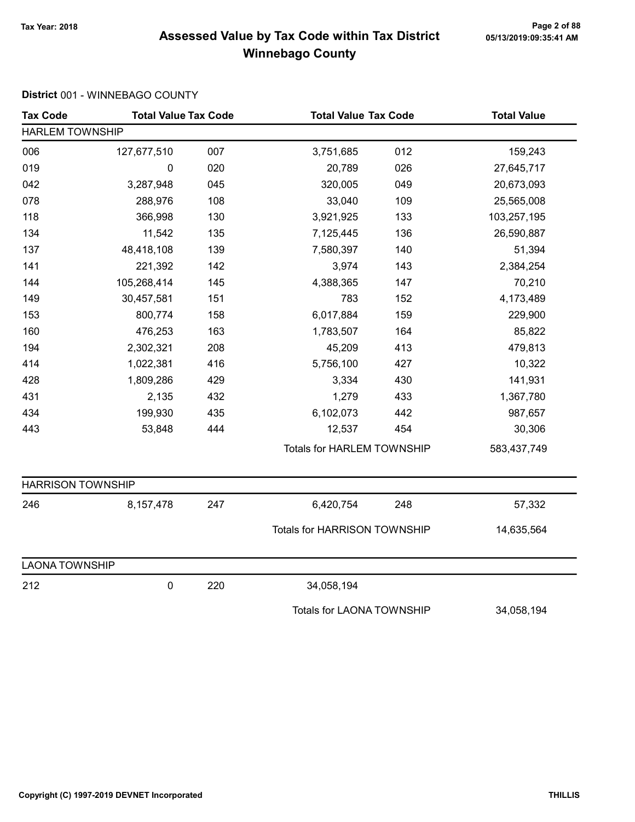# Page 2 of 88<br>Assessed Value by Tax Code within Tax District <sub>05/13/2019:09:35:41</sub> Am Winnebago County

#### District 001 - WINNEBAGO COUNTY

| <b>Tax Code</b>          | <b>Total Value Tax Code</b> |     | <b>Total Value Tax Code</b>       |     | <b>Total Value</b> |
|--------------------------|-----------------------------|-----|-----------------------------------|-----|--------------------|
| <b>HARLEM TOWNSHIP</b>   |                             |     |                                   |     |                    |
| 006                      | 127,677,510                 | 007 | 3,751,685                         | 012 | 159,243            |
| 019                      | 0                           | 020 | 20,789                            | 026 | 27,645,717         |
| 042                      | 3,287,948                   | 045 | 320,005                           | 049 | 20,673,093         |
| 078                      | 288,976                     | 108 | 33,040                            | 109 | 25,565,008         |
| 118                      | 366,998                     | 130 | 3,921,925                         | 133 | 103,257,195        |
| 134                      | 11,542                      | 135 | 7,125,445                         | 136 | 26,590,887         |
| 137                      | 48,418,108                  | 139 | 7,580,397                         | 140 | 51,394             |
| 141                      | 221,392                     | 142 | 3,974                             | 143 | 2,384,254          |
| 144                      | 105,268,414                 | 145 | 4,388,365                         | 147 | 70,210             |
| 149                      | 30,457,581                  | 151 | 783                               | 152 | 4,173,489          |
| 153                      | 800,774                     | 158 | 6,017,884                         | 159 | 229,900            |
| 160                      | 476,253                     | 163 | 1,783,507                         | 164 | 85,822             |
| 194                      | 2,302,321                   | 208 | 45,209                            | 413 | 479,813            |
| 414                      | 1,022,381                   | 416 | 5,756,100                         | 427 | 10,322             |
| 428                      | 1,809,286                   | 429 | 3,334                             | 430 | 141,931            |
| 431                      | 2,135                       | 432 | 1,279                             | 433 | 1,367,780          |
| 434                      | 199,930                     | 435 | 6,102,073                         | 442 | 987,657            |
| 443                      | 53,848                      | 444 | 12,537                            | 454 | 30,306             |
|                          |                             |     | <b>Totals for HARLEM TOWNSHIP</b> |     | 583,437,749        |
| <b>HARRISON TOWNSHIP</b> |                             |     |                                   |     |                    |
| 246                      | 8,157,478                   | 247 | 6,420,754                         | 248 | 57,332             |
|                          |                             |     | Totals for HARRISON TOWNSHIP      |     | 14,635,564         |
| <b>LAONA TOWNSHIP</b>    |                             |     |                                   |     |                    |
| 212                      | $\mathbf 0$                 | 220 | 34,058,194                        |     |                    |
|                          |                             |     | <b>Totals for LAONA TOWNSHIP</b>  |     | 34,058,194         |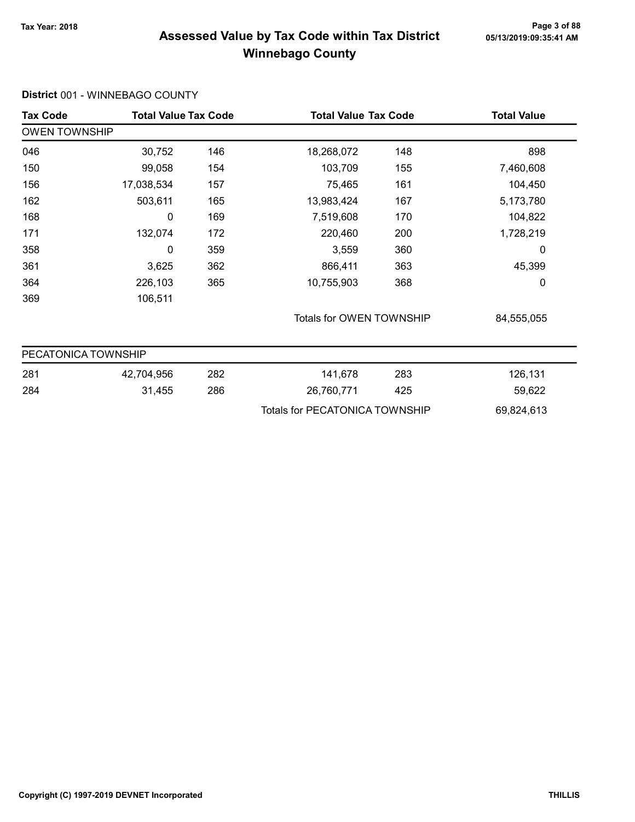# Tax Year: 2018 Page 3 of 88 Assessed Value by Tax Code within Tax District Winnebago County

#### District 001 - WINNEBAGO COUNTY

| Tax Code             | <b>Total Value Tax Code</b> |     | <b>Total Value Tax Code</b>           |     | <b>Total Value</b> |
|----------------------|-----------------------------|-----|---------------------------------------|-----|--------------------|
| <b>OWEN TOWNSHIP</b> |                             |     |                                       |     |                    |
| 046                  | 30,752                      | 146 | 18,268,072                            | 148 | 898                |
| 150                  | 99,058                      | 154 | 103,709                               | 155 | 7,460,608          |
| 156                  | 17,038,534                  | 157 | 75,465                                | 161 | 104,450            |
| 162                  | 503,611                     | 165 | 13,983,424                            | 167 | 5,173,780          |
| 168                  | 0                           | 169 | 7,519,608                             | 170 | 104,822            |
| 171                  | 132,074                     | 172 | 220,460                               | 200 | 1,728,219          |
| 358                  | 0                           | 359 | 3,559                                 | 360 | 0                  |
| 361                  | 3,625                       | 362 | 866,411                               | 363 | 45,399             |
| 364                  | 226,103                     | 365 | 10,755,903                            | 368 | 0                  |
| 369                  | 106,511                     |     |                                       |     |                    |
|                      |                             |     | Totals for OWEN TOWNSHIP              |     | 84,555,055         |
| PECATONICA TOWNSHIP  |                             |     |                                       |     |                    |
| 281                  | 42,704,956                  | 282 | 141,678                               | 283 | 126,131            |
| 284                  | 31,455                      | 286 | 26,760,771                            | 425 | 59,622             |
|                      |                             |     | <b>Totals for PECATONICA TOWNSHIP</b> |     | 69,824,613         |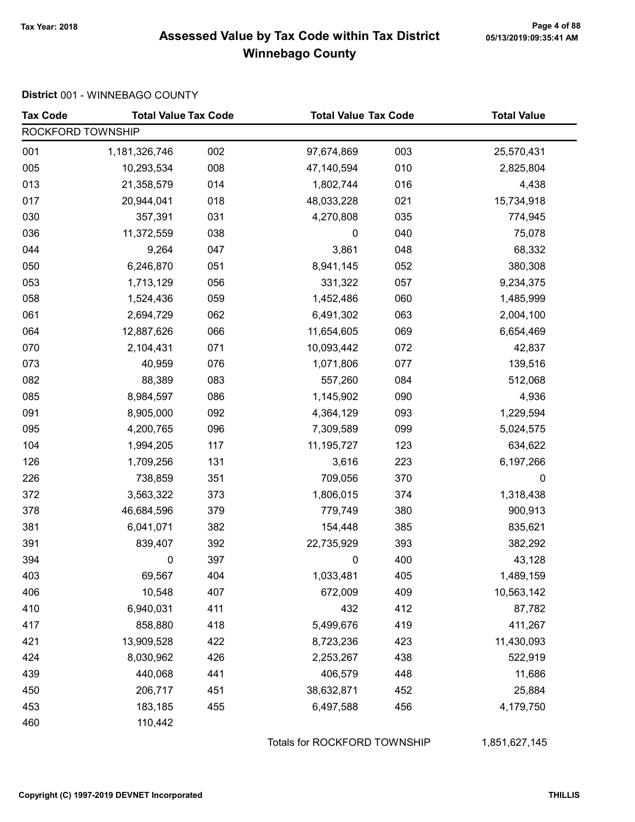# Page 4 of 88<br>Assessed Value by Tax Code within Tax District <sub>05/13/2019:09:35:41</sub> Am Winnebago County

#### District 001 - WINNEBAGO COUNTY

| <b>Tax Code</b>   | <b>Total Value Tax Code</b> |     | <b>Total Value Tax Code</b> |     | <b>Total Value</b> |
|-------------------|-----------------------------|-----|-----------------------------|-----|--------------------|
| ROCKFORD TOWNSHIP |                             |     |                             |     |                    |
| 001               | 1,181,326,746               | 002 | 97,674,869                  | 003 | 25,570,431         |
| 005               | 10,293,534                  | 008 | 47,140,594                  | 010 | 2,825,804          |
| 013               | 21,358,579                  | 014 | 1,802,744                   | 016 | 4,438              |
| 017               | 20,944,041                  | 018 | 48,033,228                  | 021 | 15,734,918         |
| 030               | 357,391                     | 031 | 4,270,808                   | 035 | 774,945            |
| 036               | 11,372,559                  | 038 | 0                           | 040 | 75,078             |
| 044               | 9,264                       | 047 | 3,861                       | 048 | 68,332             |
| 050               | 6,246,870                   | 051 | 8,941,145                   | 052 | 380,308            |
| 053               | 1,713,129                   | 056 | 331,322                     | 057 | 9,234,375          |
| 058               | 1,524,436                   | 059 | 1,452,486                   | 060 | 1,485,999          |
| 061               | 2,694,729                   | 062 | 6,491,302                   | 063 | 2,004,100          |
| 064               | 12,887,626                  | 066 | 11,654,605                  | 069 | 6,654,469          |
| 070               | 2,104,431                   | 071 | 10,093,442                  | 072 | 42,837             |
| 073               | 40,959                      | 076 | 1,071,806                   | 077 | 139,516            |
| 082               | 88,389                      | 083 | 557,260                     | 084 | 512,068            |
| 085               | 8,984,597                   | 086 | 1,145,902                   | 090 | 4,936              |
| 091               | 8,905,000                   | 092 | 4,364,129                   | 093 | 1,229,594          |
| 095               | 4,200,765                   | 096 | 7,309,589                   | 099 | 5,024,575          |
| 104               | 1,994,205                   | 117 | 11,195,727                  | 123 | 634,622            |
| 126               | 1,709,256                   | 131 | 3,616                       | 223 | 6,197,266          |
| 226               | 738,859                     | 351 | 709,056                     | 370 | 0                  |
| 372               | 3,563,322                   | 373 | 1,806,015                   | 374 | 1,318,438          |
| 378               | 46,684,596                  | 379 | 779,749                     | 380 | 900,913            |
| 381               | 6,041,071                   | 382 | 154,448                     | 385 | 835,621            |
| 391               | 839,407                     | 392 | 22,735,929                  | 393 | 382,292            |
| 394               | 0                           | 397 | 0                           | 400 | 43,128             |
| 403               | 69,567                      | 404 | 1,033,481                   | 405 | 1,489,159          |
| 406               | 10,548                      | 407 | 672,009                     | 409 | 10,563,142         |
| 410               | 6,940,031                   | 411 | 432                         | 412 | 87,782             |
| 417               | 858,880                     | 418 | 5,499,676                   | 419 | 411,267            |
| 421               | 13,909,528                  | 422 | 8,723,236                   | 423 | 11,430,093         |
| 424               | 8,030,962                   | 426 | 2,253,267                   | 438 | 522,919            |
| 439               | 440,068                     | 441 | 406,579                     | 448 | 11,686             |
| 450               | 206,717                     | 451 | 38,632,871                  | 452 | 25,884             |
| 453               | 183,185                     | 455 | 6,497,588                   | 456 | 4,179,750          |
| 460               | 110,442                     |     |                             |     |                    |

Totals for ROCKFORD TOWNSHIP 1,851,627,145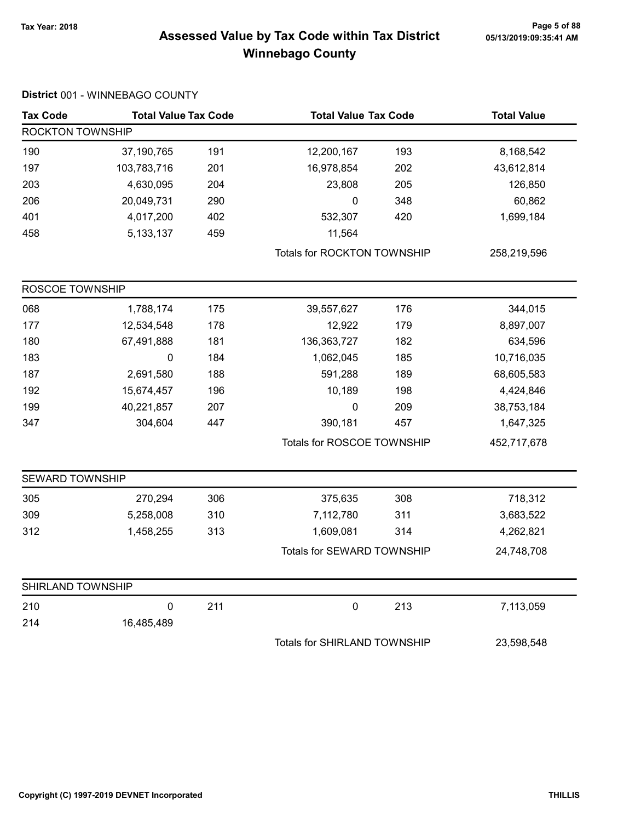# Tax Year: 2018 Page 5 of 88 Assessed Value by Tax Code within Tax District Winnebago County

|  | District 001 - WINNEBAGO COUNTY |  |
|--|---------------------------------|--|
|--|---------------------------------|--|

| <b>Tax Code</b>         | <b>Total Value Tax Code</b> |     | <b>Total Value Tax Code</b>        |     | <b>Total Value</b> |
|-------------------------|-----------------------------|-----|------------------------------------|-----|--------------------|
| <b>ROCKTON TOWNSHIP</b> |                             |     |                                    |     |                    |
| 190                     | 37,190,765                  | 191 | 12,200,167                         | 193 | 8,168,542          |
| 197                     | 103,783,716                 | 201 | 16,978,854                         | 202 | 43,612,814         |
| 203                     | 4,630,095                   | 204 | 23,808                             | 205 | 126,850            |
| 206                     | 20,049,731                  | 290 | $\pmb{0}$                          | 348 | 60,862             |
| 401                     | 4,017,200                   | 402 | 532,307                            | 420 | 1,699,184          |
| 458                     | 5, 133, 137                 | 459 | 11,564                             |     |                    |
|                         |                             |     | <b>Totals for ROCKTON TOWNSHIP</b> |     | 258,219,596        |
| ROSCOE TOWNSHIP         |                             |     |                                    |     |                    |
| 068                     | 1,788,174                   | 175 | 39,557,627                         | 176 | 344,015            |
| 177                     | 12,534,548                  | 178 | 12,922                             | 179 | 8,897,007          |
| 180                     | 67,491,888                  | 181 | 136,363,727                        | 182 | 634,596            |
| 183                     | 0                           | 184 | 1,062,045                          | 185 | 10,716,035         |
| 187                     | 2,691,580                   | 188 | 591,288                            | 189 | 68,605,583         |
| 192                     | 15,674,457                  | 196 | 10,189                             | 198 | 4,424,846          |
| 199                     | 40,221,857                  | 207 | $\mathbf 0$                        | 209 | 38,753,184         |
| 347                     | 304,604                     | 447 | 390,181                            | 457 | 1,647,325          |
|                         |                             |     | Totals for ROSCOE TOWNSHIP         |     | 452,717,678        |
| SEWARD TOWNSHIP         |                             |     |                                    |     |                    |
| 305                     | 270,294                     | 306 | 375,635                            | 308 | 718,312            |
| 309                     | 5,258,008                   | 310 | 7,112,780                          | 311 | 3,683,522          |
| 312                     | 1,458,255                   | 313 | 1,609,081                          | 314 | 4,262,821          |
|                         |                             |     | Totals for SEWARD TOWNSHIP         |     | 24,748,708         |
| SHIRLAND TOWNSHIP       |                             |     |                                    |     |                    |
| 210                     | $\pmb{0}$                   | 211 | $\pmb{0}$                          | 213 | 7,113,059          |
| 214                     | 16,485,489                  |     |                                    |     |                    |
|                         |                             |     | Totals for SHIRLAND TOWNSHIP       |     | 23,598,548         |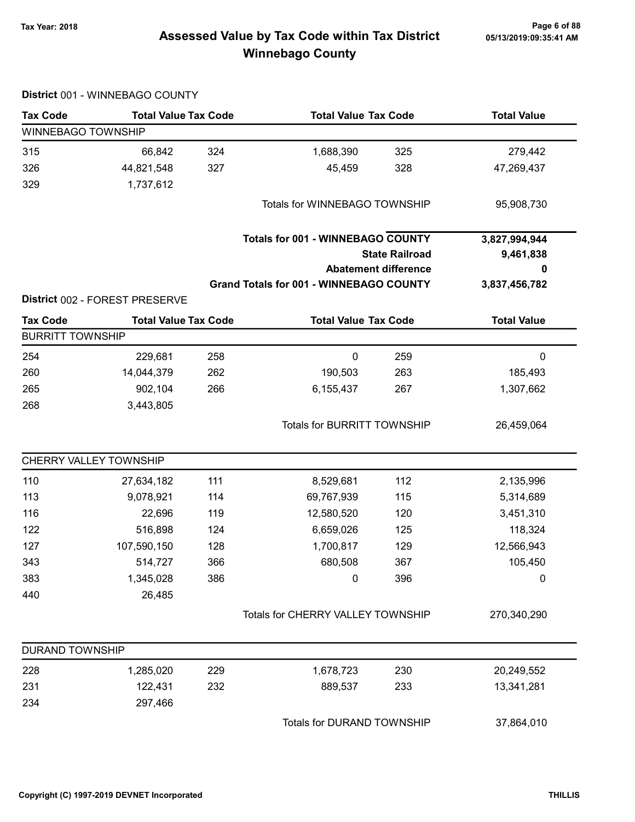# Tax Year: 2018 Page 6 of 88 Assessed Value by Tax Code within Tax District Winnebago County

|                         | District 001 - WINNEBAGO COUNTY |     |                                                |                             |                    |
|-------------------------|---------------------------------|-----|------------------------------------------------|-----------------------------|--------------------|
| <b>Tax Code</b>         | <b>Total Value Tax Code</b>     |     | <b>Total Value Tax Code</b>                    |                             | <b>Total Value</b> |
| WINNEBAGO TOWNSHIP      |                                 |     |                                                |                             |                    |
| 315                     | 66,842                          | 324 | 1,688,390                                      | 325                         | 279,442            |
| 326                     | 44,821,548                      | 327 | 45,459                                         | 328                         | 47,269,437         |
| 329                     | 1,737,612                       |     |                                                |                             |                    |
|                         |                                 |     | Totals for WINNEBAGO TOWNSHIP                  |                             | 95,908,730         |
|                         |                                 |     | <b>Totals for 001 - WINNEBAGO COUNTY</b>       |                             | 3,827,994,944      |
|                         |                                 |     |                                                | <b>State Railroad</b>       | 9,461,838          |
|                         |                                 |     |                                                | <b>Abatement difference</b> | 0                  |
|                         |                                 |     | <b>Grand Totals for 001 - WINNEBAGO COUNTY</b> |                             | 3,837,456,782      |
|                         | District 002 - FOREST PRESERVE  |     |                                                |                             |                    |
| <b>Tax Code</b>         | <b>Total Value Tax Code</b>     |     | <b>Total Value Tax Code</b>                    |                             | <b>Total Value</b> |
| <b>BURRITT TOWNSHIP</b> |                                 |     |                                                |                             |                    |
| 254                     | 229,681                         | 258 | $\pmb{0}$                                      | 259                         | $\pmb{0}$          |
| 260                     | 14,044,379                      | 262 | 190,503                                        | 263                         | 185,493            |
| 265                     | 902,104                         | 266 | 6,155,437                                      | 267                         | 1,307,662          |
| 268                     | 3,443,805                       |     |                                                |                             |                    |
|                         |                                 |     | <b>Totals for BURRITT TOWNSHIP</b>             |                             | 26,459,064         |
|                         | CHERRY VALLEY TOWNSHIP          |     |                                                |                             |                    |
| 110                     | 27,634,182                      | 111 | 8,529,681                                      | 112                         | 2,135,996          |
| 113                     | 9,078,921                       | 114 | 69,767,939                                     | 115                         | 5,314,689          |
| 116                     | 22,696                          | 119 | 12,580,520                                     | 120                         | 3,451,310          |
| 122                     | 516,898                         | 124 | 6,659,026                                      | 125                         | 118,324            |
| 127                     | 107,590,150                     | 128 | 1,700,817                                      | 129                         | 12,566,943         |
| 343                     | 514,727                         | 366 | 680,508                                        | 367                         | 105,450            |
| 383                     | 1,345,028                       | 386 | 0                                              | 396                         | $\mathbf 0$        |
| 440                     | 26,485                          |     |                                                |                             |                    |
|                         |                                 |     | Totals for CHERRY VALLEY TOWNSHIP              |                             | 270,340,290        |
| <b>DURAND TOWNSHIP</b>  |                                 |     |                                                |                             |                    |
| 228                     | 1,285,020                       | 229 | 1,678,723                                      | 230                         | 20,249,552         |
| 231                     | 122,431                         | 232 | 889,537                                        | 233                         | 13,341,281         |
| 234                     | 297,466                         |     |                                                |                             |                    |
|                         |                                 |     | Totals for DURAND TOWNSHIP                     |                             | 37,864,010         |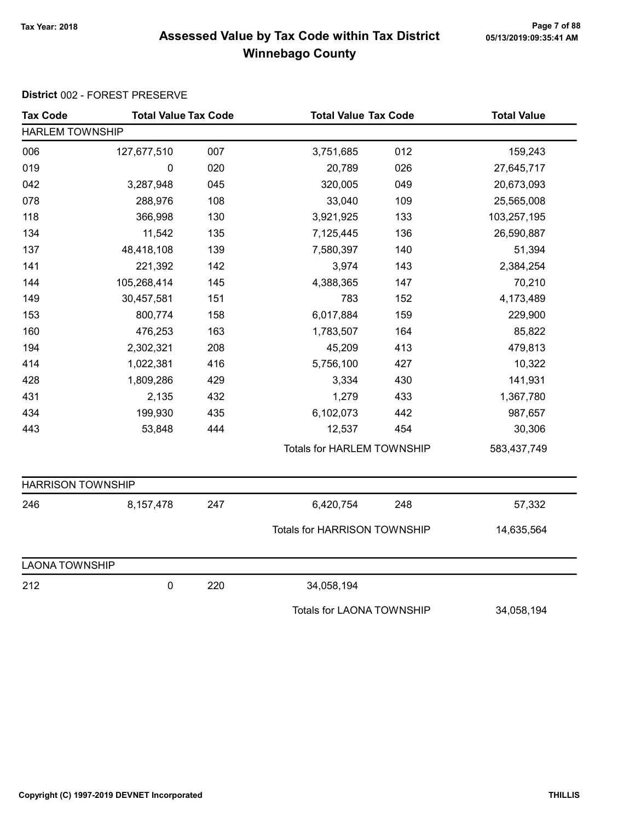# Tax Year: 2018 Page 7 of 88 Assessed Value by Tax Code within Tax District Winnebago County

#### District 002 - FOREST PRESERVE

| <b>Tax Code</b>          | <b>Total Value Tax Code</b> |     | <b>Total Value Tax Code</b>         |     | <b>Total Value</b> |
|--------------------------|-----------------------------|-----|-------------------------------------|-----|--------------------|
| <b>HARLEM TOWNSHIP</b>   |                             |     |                                     |     |                    |
| 006                      | 127,677,510                 | 007 | 3,751,685                           | 012 | 159,243            |
| 019                      | 0                           | 020 | 20,789                              | 026 | 27,645,717         |
| 042                      | 3,287,948                   | 045 | 320,005                             | 049 | 20,673,093         |
| 078                      | 288,976                     | 108 | 33,040                              | 109 | 25,565,008         |
| 118                      | 366,998                     | 130 | 3,921,925                           | 133 | 103,257,195        |
| 134                      | 11,542                      | 135 | 7,125,445                           | 136 | 26,590,887         |
| 137                      | 48,418,108                  | 139 | 7,580,397                           | 140 | 51,394             |
| 141                      | 221,392                     | 142 | 3,974                               | 143 | 2,384,254          |
| 144                      | 105,268,414                 | 145 | 4,388,365                           | 147 | 70,210             |
| 149                      | 30,457,581                  | 151 | 783                                 | 152 | 4,173,489          |
| 153                      | 800,774                     | 158 | 6,017,884                           | 159 | 229,900            |
| 160                      | 476,253                     | 163 | 1,783,507                           | 164 | 85,822             |
| 194                      | 2,302,321                   | 208 | 45,209                              | 413 | 479,813            |
| 414                      | 1,022,381                   | 416 | 5,756,100                           | 427 | 10,322             |
| 428                      | 1,809,286                   | 429 | 3,334                               | 430 | 141,931            |
| 431                      | 2,135                       | 432 | 1,279                               | 433 | 1,367,780          |
| 434                      | 199,930                     | 435 | 6,102,073                           | 442 | 987,657            |
| 443                      | 53,848                      | 444 | 12,537                              | 454 | 30,306             |
|                          |                             |     | <b>Totals for HARLEM TOWNSHIP</b>   |     | 583,437,749        |
| <b>HARRISON TOWNSHIP</b> |                             |     |                                     |     |                    |
| 246                      | 8,157,478                   | 247 | 6,420,754                           | 248 | 57,332             |
|                          |                             |     | <b>Totals for HARRISON TOWNSHIP</b> |     | 14,635,564         |
| <b>LAONA TOWNSHIP</b>    |                             |     |                                     |     |                    |
| 212                      | 0                           | 220 | 34,058,194                          |     |                    |
|                          |                             |     | <b>Totals for LAONA TOWNSHIP</b>    |     | 34,058,194         |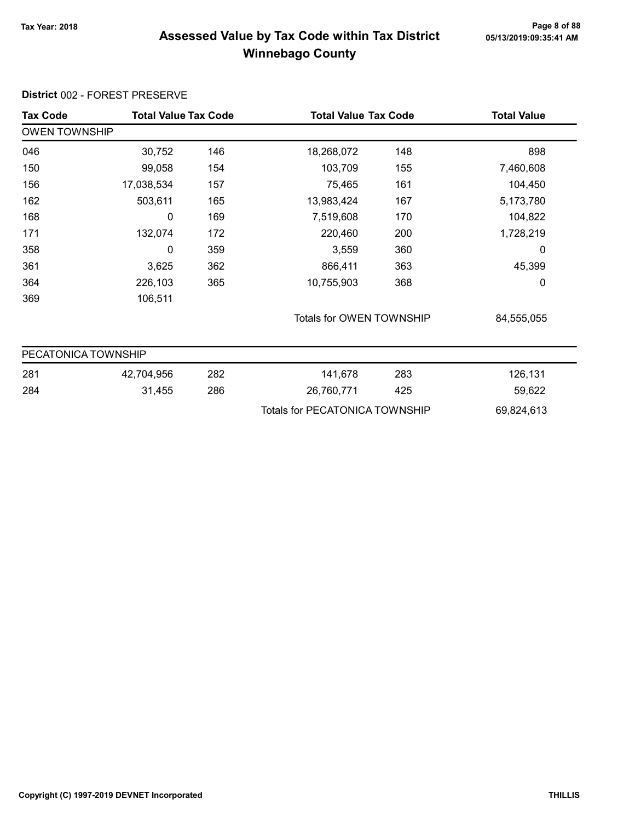#### Tax Year: 2018 Page 8 of 88 Assessed Value by Tax Code within Tax District Winnebago County

#### Tax Code Total Value Tax Code Total Value Tax Code Total Value Tax Code OWEN TOWNSHIP 046 30,752 18,268,072 146 148 898 150 99,058 103,709 154 155 7,460,608 156 17,038,534 75,465 157 161 104,450 162 503,611 13,983,424 165 167 5,173,780 168 0 169 7,519,608 170 104,822 171 132,074 220,460 172 200 1,728,219 358 0 3,559 359 360 0 361 3,625 866,411 362 363 45,399 364 226,103 365 10,755,903 368 368 0 369 106,511 Totals for OWEN TOWNSHIP 84,555,055 PECATONICA TOWNSHIP 281 42,704,956 141,678 282 283 126,131 284 31,455 286 26,760,771 425 59,622 Totals for PECATONICA TOWNSHIP 69,824,613

#### District 002 - FOREST PRESERVE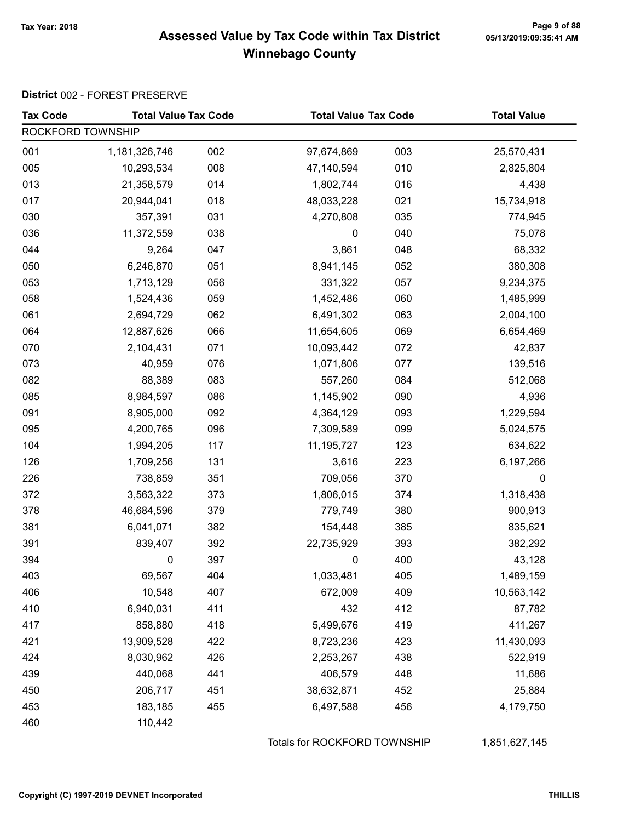# Page 9 of 88<br>Assessed Value by Tax Code within Tax District <sub>05/13/2019:09:35:41</sub> Am Winnebago County

#### District 002 - FOREST PRESERVE

| <b>Tax Code</b>   | <b>Total Value Tax Code</b> |     | <b>Total Value Tax Code</b> |     | <b>Total Value</b> |
|-------------------|-----------------------------|-----|-----------------------------|-----|--------------------|
| ROCKFORD TOWNSHIP |                             |     |                             |     |                    |
| 001               | 1,181,326,746               | 002 | 97,674,869                  | 003 | 25,570,431         |
| 005               | 10,293,534                  | 008 | 47,140,594                  | 010 | 2,825,804          |
| 013               | 21,358,579                  | 014 | 1,802,744                   | 016 | 4,438              |
| 017               | 20,944,041                  | 018 | 48,033,228                  | 021 | 15,734,918         |
| 030               | 357,391                     | 031 | 4,270,808                   | 035 | 774,945            |
| 036               | 11,372,559                  | 038 | 0                           | 040 | 75,078             |
| 044               | 9,264                       | 047 | 3,861                       | 048 | 68,332             |
| 050               | 6,246,870                   | 051 | 8,941,145                   | 052 | 380,308            |
| 053               | 1,713,129                   | 056 | 331,322                     | 057 | 9,234,375          |
| 058               | 1,524,436                   | 059 | 1,452,486                   | 060 | 1,485,999          |
| 061               | 2,694,729                   | 062 | 6,491,302                   | 063 | 2,004,100          |
| 064               | 12,887,626                  | 066 | 11,654,605                  | 069 | 6,654,469          |
| 070               | 2,104,431                   | 071 | 10,093,442                  | 072 | 42,837             |
| 073               | 40,959                      | 076 | 1,071,806                   | 077 | 139,516            |
| 082               | 88,389                      | 083 | 557,260                     | 084 | 512,068            |
| 085               | 8,984,597                   | 086 | 1,145,902                   | 090 | 4,936              |
| 091               | 8,905,000                   | 092 | 4,364,129                   | 093 | 1,229,594          |
| 095               | 4,200,765                   | 096 | 7,309,589                   | 099 | 5,024,575          |
| 104               | 1,994,205                   | 117 | 11,195,727                  | 123 | 634,622            |
| 126               | 1,709,256                   | 131 | 3,616                       | 223 | 6,197,266          |
| 226               | 738,859                     | 351 | 709,056                     | 370 | $\mathbf 0$        |
| 372               | 3,563,322                   | 373 | 1,806,015                   | 374 | 1,318,438          |
| 378               | 46,684,596                  | 379 | 779,749                     | 380 | 900,913            |
| 381               | 6,041,071                   | 382 | 154,448                     | 385 | 835,621            |
| 391               | 839,407                     | 392 | 22,735,929                  | 393 | 382,292            |
| 394               | 0                           | 397 | 0                           | 400 | 43,128             |
| 403               | 69,567                      | 404 | 1,033,481                   | 405 | 1,489,159          |
| 406               | 10,548                      | 407 | 672,009                     | 409 | 10,563,142         |
| 410               | 6,940,031                   | 411 | 432                         | 412 | 87,782             |
| 417               | 858,880                     | 418 | 5,499,676                   | 419 | 411,267            |
| 421               | 13,909,528                  | 422 | 8,723,236                   | 423 | 11,430,093         |
| 424               | 8,030,962                   | 426 | 2,253,267                   | 438 | 522,919            |
| 439               | 440,068                     | 441 | 406,579                     | 448 | 11,686             |
| 450               | 206,717                     | 451 | 38,632,871                  | 452 | 25,884             |
| 453               | 183,185                     | 455 | 6,497,588                   | 456 | 4,179,750          |
| 460               | 110,442                     |     |                             |     |                    |

Totals for ROCKFORD TOWNSHIP 1,851,627,145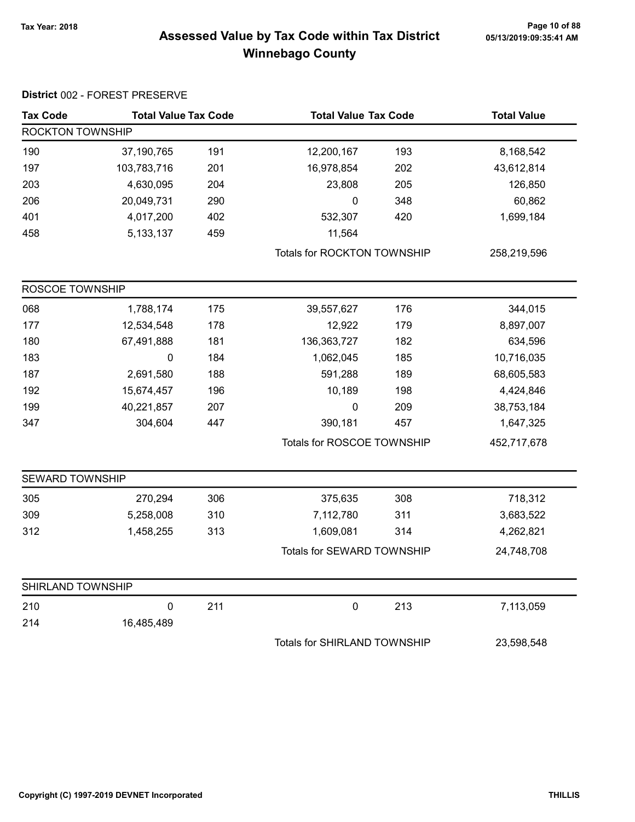# Page 10 of 88 Page 10 of 88<br>Assessed Value by Tax Code within Tax District 05/13/2019:09:35:41 AM Winnebago County

| <b>Tax Code</b>         | <b>Total Value Tax Code</b> |     | <b>Total Value Tax Code</b>  |     | <b>Total Value</b> |
|-------------------------|-----------------------------|-----|------------------------------|-----|--------------------|
| <b>ROCKTON TOWNSHIP</b> |                             |     |                              |     |                    |
| 190                     | 37,190,765                  | 191 | 12,200,167                   | 193 | 8,168,542          |
| 197                     | 103,783,716                 | 201 | 16,978,854                   | 202 | 43,612,814         |
| 203                     | 4,630,095                   | 204 | 23,808                       | 205 | 126,850            |
| 206                     | 20,049,731                  | 290 | $\pmb{0}$                    | 348 | 60,862             |
| 401                     | 4,017,200                   | 402 | 532,307                      | 420 | 1,699,184          |
| 458                     | 5, 133, 137                 | 459 | 11,564                       |     |                    |
|                         |                             |     | Totals for ROCKTON TOWNSHIP  |     | 258,219,596        |
| ROSCOE TOWNSHIP         |                             |     |                              |     |                    |
| 068                     | 1,788,174                   | 175 | 39,557,627                   | 176 | 344,015            |
| 177                     | 12,534,548                  | 178 | 12,922                       | 179 | 8,897,007          |
| 180                     | 67,491,888                  | 181 | 136, 363, 727                | 182 | 634,596            |
| 183                     | $\pmb{0}$                   | 184 | 1,062,045                    | 185 | 10,716,035         |
| 187                     | 2,691,580                   | 188 | 591,288                      | 189 | 68,605,583         |
| 192                     | 15,674,457                  | 196 | 10,189                       | 198 | 4,424,846          |
| 199                     | 40,221,857                  | 207 | 0                            | 209 | 38,753,184         |
| 347                     | 304,604                     | 447 | 390,181                      | 457 | 1,647,325          |
|                         |                             |     | Totals for ROSCOE TOWNSHIP   |     | 452,717,678        |
| <b>SEWARD TOWNSHIP</b>  |                             |     |                              |     |                    |
| 305                     | 270,294                     | 306 | 375,635                      | 308 | 718,312            |
| 309                     | 5,258,008                   | 310 | 7,112,780                    | 311 | 3,683,522          |
| 312                     | 1,458,255                   | 313 | 1,609,081                    | 314 | 4,262,821          |
|                         |                             |     | Totals for SEWARD TOWNSHIP   |     | 24,748,708         |
| SHIRLAND TOWNSHIP       |                             |     |                              |     |                    |
| 210                     | $\pmb{0}$                   | 211 | $\pmb{0}$                    | 213 | 7,113,059          |
| 214                     | 16,485,489                  |     |                              |     |                    |
|                         |                             |     | Totals for SHIRLAND TOWNSHIP |     | 23,598,548         |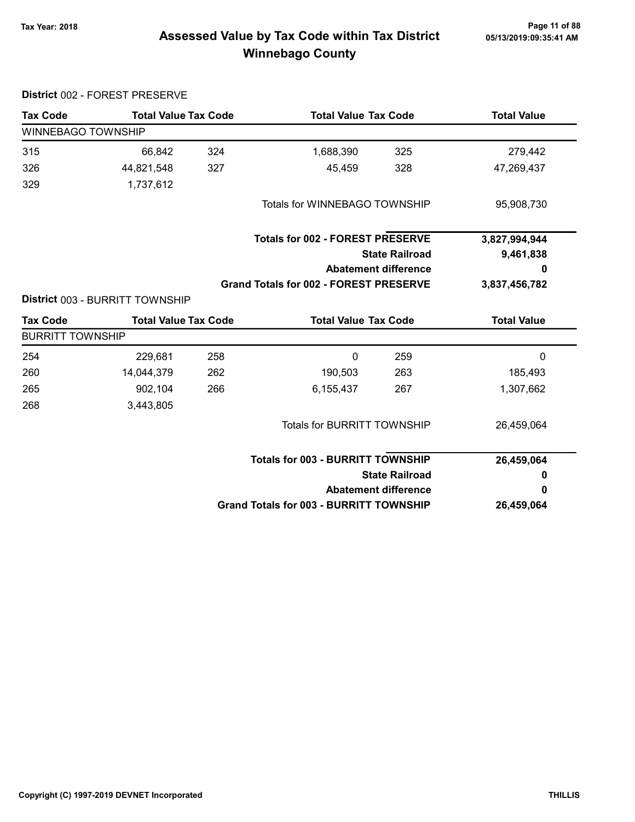District 002 - FOREST PRESERVE

# Page 11 of 88 Page 11 of 88<br>Assessed Value by Tax Code within Tax District [15/13/2019:09:35:41 AM] Tax Winnebago County

| <b>Tax Code</b>         | <b>Total Value Tax Code</b>     |     | <b>Total Value Tax Code</b>                    |                             | <b>Total Value</b> |
|-------------------------|---------------------------------|-----|------------------------------------------------|-----------------------------|--------------------|
| WINNEBAGO TOWNSHIP      |                                 |     |                                                |                             |                    |
| 315                     | 66,842                          | 324 | 1,688,390                                      | 325                         | 279,442            |
| 326                     | 44,821,548                      | 327 | 45,459                                         | 328                         | 47,269,437         |
| 329                     | 1,737,612                       |     |                                                |                             |                    |
|                         |                                 |     | Totals for WINNEBAGO TOWNSHIP                  |                             | 95,908,730         |
|                         |                                 |     | <b>Totals for 002 - FOREST PRESERVE</b>        |                             | 3,827,994,944      |
|                         |                                 |     |                                                | <b>State Railroad</b>       | 9,461,838          |
|                         |                                 |     |                                                | <b>Abatement difference</b> | 0                  |
|                         |                                 |     | <b>Grand Totals for 002 - FOREST PRESERVE</b>  |                             | 3,837,456,782      |
|                         | District 003 - BURRITT TOWNSHIP |     |                                                |                             |                    |
| <b>Tax Code</b>         | <b>Total Value Tax Code</b>     |     | <b>Total Value Tax Code</b>                    |                             | <b>Total Value</b> |
| <b>BURRITT TOWNSHIP</b> |                                 |     |                                                |                             |                    |
| 254                     | 229,681                         | 258 | $\mathbf{0}$                                   | 259                         | $\mathbf{0}$       |
| 260                     | 14,044,379                      | 262 | 190,503                                        | 263                         | 185,493            |
| 265                     | 902,104                         | 266 | 6,155,437                                      | 267                         | 1,307,662          |
| 268                     | 3,443,805                       |     |                                                |                             |                    |
|                         |                                 |     | <b>Totals for BURRITT TOWNSHIP</b>             |                             | 26,459,064         |
|                         |                                 |     | <b>Totals for 003 - BURRITT TOWNSHIP</b>       |                             | 26,459,064         |
|                         |                                 |     |                                                | <b>State Railroad</b>       | 0                  |
|                         |                                 |     |                                                | <b>Abatement difference</b> | 0                  |
|                         |                                 |     | <b>Grand Totals for 003 - BURRITT TOWNSHIP</b> |                             | 26,459,064         |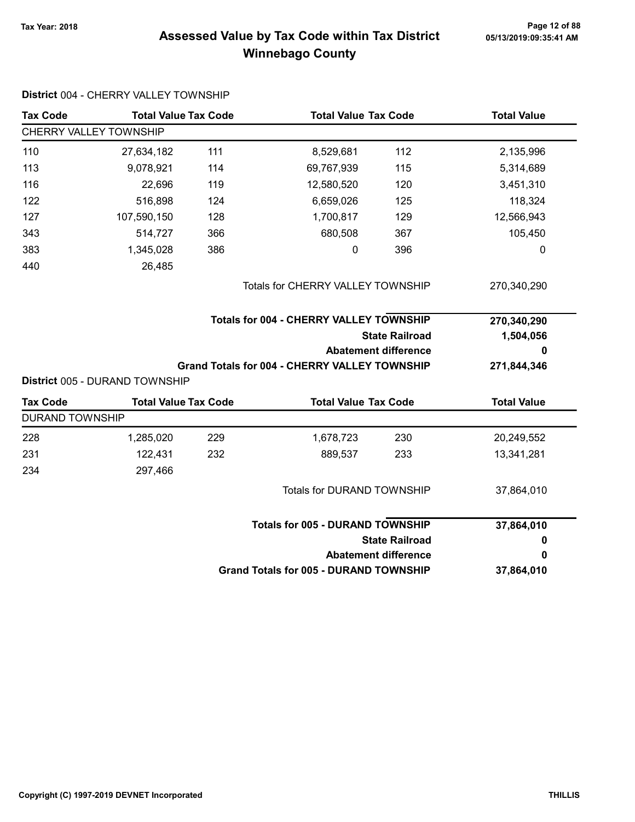# Page 12 of 88 Page 12 of 88<br>Assessed Value by Tax Code within Tax District 05/13/2019:09:35:41 AM Winnebago County

| <b>Tax Code</b>        | <b>Total Value Tax Code</b>    |                                   | <b>Total Value Tax Code</b>                          |                             | <b>Total Value</b> |  |
|------------------------|--------------------------------|-----------------------------------|------------------------------------------------------|-----------------------------|--------------------|--|
|                        | CHERRY VALLEY TOWNSHIP         |                                   |                                                      |                             |                    |  |
| 110                    | 27,634,182                     | 111                               | 8,529,681                                            | 112                         | 2,135,996          |  |
| 113                    | 9,078,921                      | 114                               | 69,767,939                                           | 115                         | 5,314,689          |  |
| 116                    | 22,696                         | 119                               | 12,580,520                                           | 120                         | 3,451,310          |  |
| 122                    | 516,898                        | 124                               | 6,659,026                                            | 125                         | 118,324            |  |
| 127                    | 107,590,150                    | 128                               | 1,700,817                                            | 129                         | 12,566,943         |  |
| 343                    | 514,727                        | 366                               | 680,508                                              | 367                         | 105,450            |  |
| 383                    | 1,345,028                      | 386                               | 0                                                    | 396                         | 0                  |  |
| 440                    | 26,485                         |                                   |                                                      |                             |                    |  |
|                        |                                | Totals for CHERRY VALLEY TOWNSHIP |                                                      |                             | 270,340,290        |  |
|                        |                                |                                   | <b>Totals for 004 - CHERRY VALLEY TOWNSHIP</b>       |                             | 270,340,290        |  |
|                        |                                |                                   |                                                      | <b>State Railroad</b>       | 1,504,056          |  |
|                        |                                |                                   |                                                      | <b>Abatement difference</b> | 0                  |  |
|                        |                                |                                   |                                                      |                             |                    |  |
|                        |                                |                                   | <b>Grand Totals for 004 - CHERRY VALLEY TOWNSHIP</b> |                             | 271,844,346        |  |
|                        | District 005 - DURAND TOWNSHIP |                                   |                                                      |                             |                    |  |
| <b>Tax Code</b>        | <b>Total Value Tax Code</b>    |                                   | <b>Total Value Tax Code</b>                          |                             | <b>Total Value</b> |  |
| <b>DURAND TOWNSHIP</b> |                                |                                   |                                                      |                             |                    |  |
| 228                    | 1,285,020                      | 229                               | 1,678,723                                            | 230                         | 20,249,552         |  |
| 231                    | 122,431                        | 232                               | 889,537                                              | 233                         | 13,341,281         |  |
| 234                    | 297,466                        |                                   |                                                      |                             |                    |  |
|                        |                                |                                   | Totals for DURAND TOWNSHIP                           |                             | 37,864,010         |  |
|                        |                                |                                   | <b>Totals for 005 - DURAND TOWNSHIP</b>              |                             |                    |  |
|                        |                                |                                   |                                                      | <b>State Railroad</b>       | 0                  |  |
|                        |                                |                                   |                                                      | <b>Abatement difference</b> | 37,864,010<br>0    |  |

#### District 004 - CHERRY VALLEY TOWNSHIP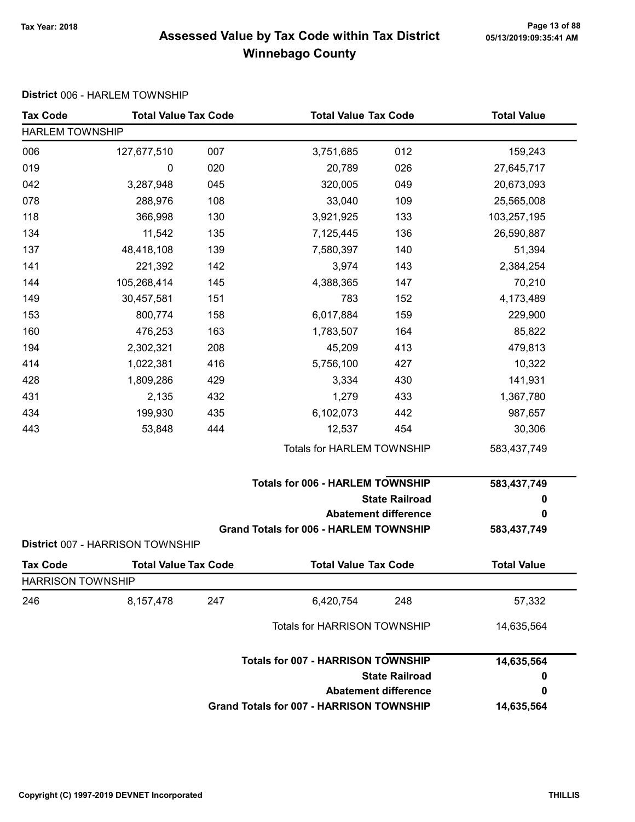# Page 13 of 88 مسلم Page 13 of 88<br>Assessed Value by Tax Code within Tax District مسلم Assessed Value by Tax Code within Tax District Winnebago County

#### District 006 - HARLEM TOWNSHIP

| <b>Tax Code</b>          | <b>Total Value Tax Code</b>      |     | <b>Total Value Tax Code</b>                     |                             | <b>Total Value</b> |  |  |
|--------------------------|----------------------------------|-----|-------------------------------------------------|-----------------------------|--------------------|--|--|
| <b>HARLEM TOWNSHIP</b>   |                                  |     |                                                 |                             |                    |  |  |
| 006                      | 127,677,510                      | 007 | 3,751,685                                       | 012                         | 159,243            |  |  |
| 019                      | 0                                | 020 | 20,789                                          | 026                         | 27,645,717         |  |  |
| 042                      | 3,287,948                        | 045 | 320,005                                         | 049                         | 20,673,093         |  |  |
| 078                      | 288,976                          | 108 | 33,040                                          | 109                         | 25,565,008         |  |  |
| 118                      | 366,998                          | 130 | 3,921,925                                       | 133                         | 103,257,195        |  |  |
| 134                      | 11,542                           | 135 | 7,125,445                                       | 136                         | 26,590,887         |  |  |
| 137                      | 48,418,108                       | 139 | 7,580,397                                       | 140                         | 51,394             |  |  |
| 141                      | 221,392                          | 142 | 3,974                                           | 143                         | 2,384,254          |  |  |
| 144                      | 105,268,414                      | 145 | 4,388,365                                       | 147                         | 70,210             |  |  |
| 149                      | 30,457,581                       | 151 | 783                                             | 152                         | 4,173,489          |  |  |
| 153                      | 800,774                          | 158 | 6,017,884                                       | 159                         | 229,900            |  |  |
| 160                      | 476,253                          | 163 | 1,783,507                                       | 164                         | 85,822             |  |  |
| 194                      | 2,302,321                        | 208 | 45,209                                          | 413                         | 479,813            |  |  |
| 414                      | 1,022,381                        | 416 | 5,756,100                                       | 427                         | 10,322             |  |  |
| 428                      | 1,809,286                        | 429 | 3,334                                           | 430                         | 141,931            |  |  |
| 431                      | 2,135                            | 432 | 1,279                                           | 433                         | 1,367,780          |  |  |
| 434                      | 199,930                          | 435 | 6,102,073                                       | 442                         | 987,657            |  |  |
| 443                      | 53,848                           | 444 | 12,537                                          | 454                         | 30,306             |  |  |
|                          |                                  |     | Totals for HARLEM TOWNSHIP                      |                             | 583,437,749        |  |  |
|                          |                                  |     | <b>Totals for 006 - HARLEM TOWNSHIP</b>         |                             | 583,437,749        |  |  |
|                          |                                  |     |                                                 | <b>State Railroad</b>       | 0                  |  |  |
|                          |                                  |     |                                                 | <b>Abatement difference</b> | 0                  |  |  |
|                          | District 007 - HARRISON TOWNSHIP |     | <b>Grand Totals for 006 - HARLEM TOWNSHIP</b>   |                             | 583,437,749        |  |  |
| <b>Tax Code</b>          | <b>Total Value Tax Code</b>      |     | <b>Total Value Tax Code</b>                     |                             | <b>Total Value</b> |  |  |
| <b>HARRISON TOWNSHIP</b> |                                  |     |                                                 |                             |                    |  |  |
| 246                      | 8,157,478                        | 247 | 6,420,754                                       | 248                         | 57,332             |  |  |
|                          |                                  |     | Totals for HARRISON TOWNSHIP                    |                             | 14,635,564         |  |  |
|                          |                                  |     | <b>Totals for 007 - HARRISON TOWNSHIP</b>       |                             | 14,635,564         |  |  |
|                          |                                  |     |                                                 | <b>State Railroad</b>       | 0                  |  |  |
|                          |                                  |     |                                                 | <b>Abatement difference</b> | 0                  |  |  |
|                          |                                  |     | <b>Grand Totals for 007 - HARRISON TOWNSHIP</b> |                             | 14,635,564         |  |  |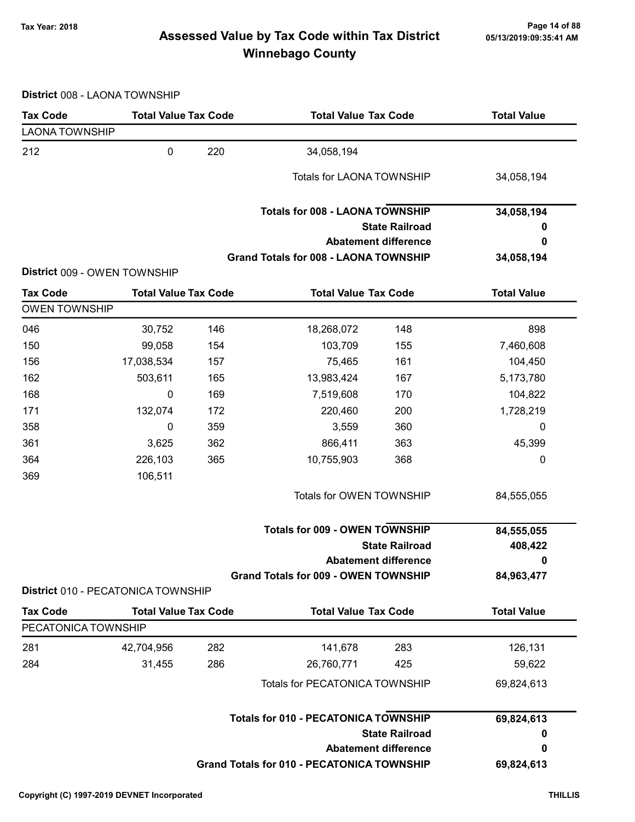# Page 14 of 88 مع Page 14 of 88<br>Assessed Value by Tax Code within Tax District مع Assessed Value by Tax Code Winnebago County

District 008 - LAONA TOWNSHIP

| <b>Tax Code</b>       | <b>Total Value Tax Code</b>        |     | <b>Total Value Tax Code</b>                       |                             | <b>Total Value</b> |  |
|-----------------------|------------------------------------|-----|---------------------------------------------------|-----------------------------|--------------------|--|
| <b>LAONA TOWNSHIP</b> |                                    |     |                                                   |                             |                    |  |
| 212                   | $\pmb{0}$                          | 220 | 34,058,194                                        |                             |                    |  |
|                       |                                    |     | <b>Totals for LAONA TOWNSHIP</b>                  |                             | 34,058,194         |  |
|                       |                                    |     | <b>Totals for 008 - LAONA TOWNSHIP</b>            |                             | 34,058,194         |  |
|                       |                                    |     |                                                   | <b>State Railroad</b>       | 0                  |  |
|                       |                                    |     |                                                   | <b>Abatement difference</b> | 0                  |  |
|                       |                                    |     | Grand Totals for 008 - LAONA TOWNSHIP             |                             | 34,058,194         |  |
|                       | District 009 - OWEN TOWNSHIP       |     |                                                   |                             |                    |  |
| <b>Tax Code</b>       | <b>Total Value Tax Code</b>        |     | <b>Total Value Tax Code</b>                       |                             | <b>Total Value</b> |  |
| <b>OWEN TOWNSHIP</b>  |                                    |     |                                                   |                             |                    |  |
| 046                   | 30,752                             | 146 | 18,268,072                                        | 148                         | 898                |  |
| 150                   | 99,058                             | 154 | 103,709                                           | 155                         | 7,460,608          |  |
| 156                   | 17,038,534                         | 157 | 75,465                                            | 161                         | 104,450            |  |
| 162                   | 503,611                            | 165 | 13,983,424                                        | 167                         | 5,173,780          |  |
| 168                   | 0                                  | 169 | 7,519,608                                         | 170                         | 104,822            |  |
| 171                   | 132,074                            | 172 | 220,460                                           | 200                         | 1,728,219          |  |
| 358                   | 0                                  | 359 | 3,559                                             | 360                         | 0                  |  |
| 361                   | 3,625                              | 362 | 866,411                                           | 363                         | 45,399             |  |
| 364                   | 226,103                            | 365 | 10,755,903                                        | 368                         | 0                  |  |
| 369                   | 106,511                            |     |                                                   |                             |                    |  |
|                       |                                    |     | Totals for OWEN TOWNSHIP                          |                             | 84,555,055         |  |
|                       |                                    |     | <b>Totals for 009 - OWEN TOWNSHIP</b>             |                             | 84,555,055         |  |
|                       |                                    |     |                                                   | <b>State Railroad</b>       | 408,422            |  |
|                       |                                    |     |                                                   | <b>Abatement difference</b> | 0                  |  |
|                       | District 010 - PECATONICA TOWNSHIP |     | Grand Totals for 009 - OWEN TOWNSHIP              |                             | 84,963,477         |  |
| <b>Tax Code</b>       | <b>Total Value Tax Code</b>        |     | <b>Total Value Tax Code</b>                       |                             | <b>Total Value</b> |  |
| PECATONICA TOWNSHIP   |                                    |     |                                                   |                             |                    |  |
| 281                   | 42,704,956                         | 282 | 141,678                                           | 283                         | 126,131            |  |
| 284                   | 31,455                             | 286 | 26,760,771                                        | 425                         | 59,622             |  |
|                       |                                    |     | Totals for PECATONICA TOWNSHIP                    |                             | 69,824,613         |  |
|                       |                                    |     |                                                   |                             |                    |  |
|                       |                                    |     | <b>Totals for 010 - PECATONICA TOWNSHIP</b>       |                             | 69,824,613         |  |
|                       |                                    |     |                                                   | <b>State Railroad</b>       | 0                  |  |
|                       |                                    |     |                                                   | <b>Abatement difference</b> | 0                  |  |
|                       |                                    |     | <b>Grand Totals for 010 - PECATONICA TOWNSHIP</b> |                             | 69,824,613         |  |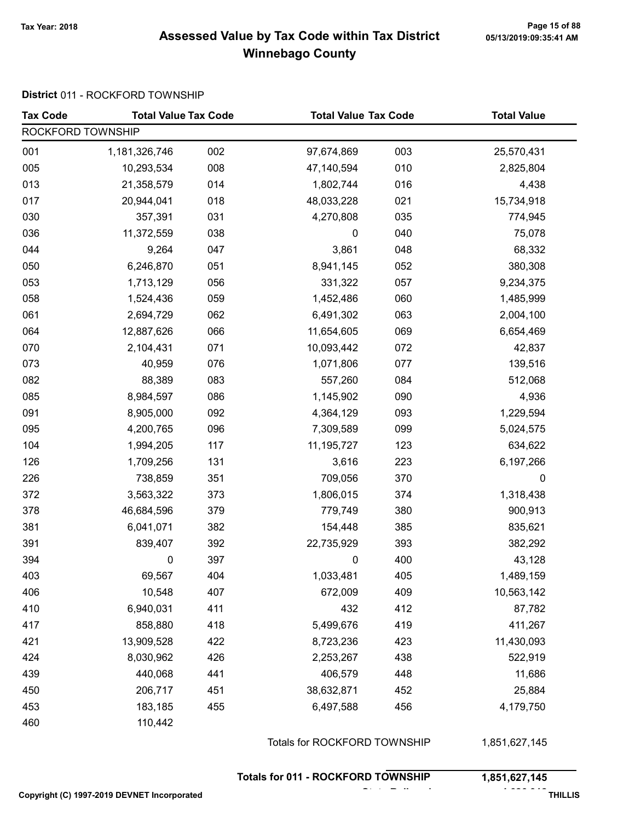#### Page 15 of 88 Page 15 of 88<br>Assessed Value by Tax Code within Tax District [15/13/2019:09:35:41 AM] Tax Winnebago County

#### District 011 - ROCKFORD TOWNSHIP

| <b>Tax Code</b>   | <b>Total Value Tax Code</b> |     | <b>Total Value Tax Code</b>  |     | <b>Total Value</b> |  |
|-------------------|-----------------------------|-----|------------------------------|-----|--------------------|--|
| ROCKFORD TOWNSHIP |                             |     |                              |     |                    |  |
| 001               | 1,181,326,746               | 002 | 97,674,869                   | 003 | 25,570,431         |  |
| 005               | 10,293,534                  | 008 | 47,140,594                   | 010 | 2,825,804          |  |
| 013               | 21,358,579                  | 014 | 1,802,744                    | 016 | 4,438              |  |
| 017               | 20,944,041                  | 018 | 48,033,228                   | 021 | 15,734,918         |  |
| 030               | 357,391                     | 031 | 4,270,808                    | 035 | 774,945            |  |
| 036               | 11,372,559                  | 038 | $\pmb{0}$                    | 040 | 75,078             |  |
| 044               | 9,264                       | 047 | 3,861                        | 048 | 68,332             |  |
| 050               | 6,246,870                   | 051 | 8,941,145                    | 052 | 380,308            |  |
| 053               | 1,713,129                   | 056 | 331,322                      | 057 | 9,234,375          |  |
| 058               | 1,524,436                   | 059 | 1,452,486                    | 060 | 1,485,999          |  |
| 061               | 2,694,729                   | 062 | 6,491,302                    | 063 | 2,004,100          |  |
| 064               | 12,887,626                  | 066 | 11,654,605                   | 069 | 6,654,469          |  |
| 070               | 2,104,431                   | 071 | 10,093,442                   | 072 | 42,837             |  |
| 073               | 40,959                      | 076 | 1,071,806                    | 077 | 139,516            |  |
| 082               | 88,389                      | 083 | 557,260                      | 084 | 512,068            |  |
| 085               | 8,984,597                   | 086 | 1,145,902                    | 090 | 4,936              |  |
| 091               | 8,905,000                   | 092 | 4,364,129                    | 093 | 1,229,594          |  |
| 095               | 4,200,765                   | 096 | 7,309,589                    | 099 | 5,024,575          |  |
| 104               | 1,994,205                   | 117 | 11,195,727                   | 123 | 634,622            |  |
| 126               | 1,709,256                   | 131 | 3,616                        | 223 | 6,197,266          |  |
| 226               | 738,859                     | 351 | 709,056                      | 370 | 0                  |  |
| 372               | 3,563,322                   | 373 | 1,806,015                    | 374 | 1,318,438          |  |
| 378               | 46,684,596                  | 379 | 779,749                      | 380 | 900,913            |  |
| 381               | 6,041,071                   | 382 | 154,448                      | 385 | 835,621            |  |
| 391               | 839,407                     | 392 | 22,735,929                   | 393 | 382,292            |  |
| 394               | 0                           | 397 | 0                            | 400 | 43,128             |  |
| 403               | 69,567                      | 404 | 1,033,481                    | 405 | 1,489,159          |  |
| 406               | 10,548                      | 407 | 672,009                      | 409 | 10,563,142         |  |
| 410               | 6,940,031                   | 411 | 432                          | 412 | 87,782             |  |
| 417               | 858,880                     | 418 | 5,499,676                    | 419 | 411,267            |  |
| 421               | 13,909,528                  | 422 | 8,723,236                    | 423 | 11,430,093         |  |
| 424               | 8,030,962                   | 426 | 2,253,267                    | 438 | 522,919            |  |
| 439               | 440,068                     | 441 | 406,579                      | 448 | 11,686             |  |
| 450               | 206,717                     | 451 | 38,632,871                   | 452 | 25,884             |  |
| 453               | 183,185                     | 455 | 6,497,588                    | 456 | 4,179,750          |  |
| 460               | 110,442                     |     |                              |     |                    |  |
|                   |                             |     | Totals for ROCKFORD TOWNSHIP |     | 1,851,627,145      |  |

Totals for 011 - ROCKFORD TOWNSHIP 1,851,627,145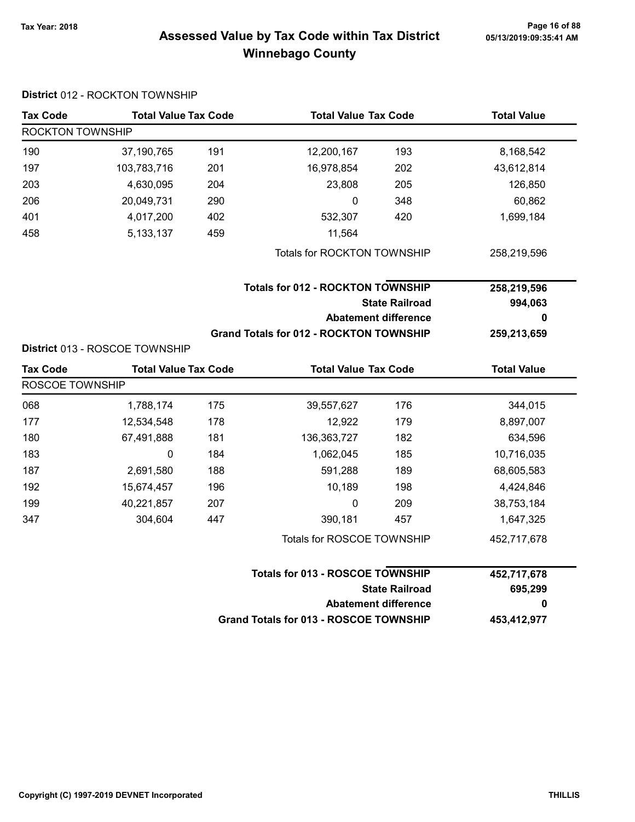# Page 16 of 88 مع Page 16 of 88<br>Assessed Value by Tax Code within Tax District مع Assessed Value by Tax Code Winnebago County

| <b>Tax Code</b>  | <b>Total Value Tax Code</b>    |     |                                                | <b>Total Value Tax Code</b> |                    |
|------------------|--------------------------------|-----|------------------------------------------------|-----------------------------|--------------------|
| ROCKTON TOWNSHIP |                                |     |                                                |                             |                    |
| 190              | 37,190,765                     | 191 | 12,200,167                                     | 193                         | 8,168,542          |
| 197              | 103,783,716                    | 201 | 16,978,854                                     | 202                         | 43,612,814         |
| 203              | 4,630,095                      | 204 | 23,808                                         | 205                         | 126,850            |
| 206              | 20,049,731                     | 290 | $\mathbf 0$                                    | 348                         | 60,862             |
| 401              | 4,017,200                      | 402 | 532,307                                        | 420                         | 1,699,184          |
| 458              | 5, 133, 137                    | 459 | 11,564                                         |                             |                    |
|                  |                                |     | Totals for ROCKTON TOWNSHIP                    |                             | 258,219,596        |
|                  |                                |     | <b>Totals for 012 - ROCKTON TOWNSHIP</b>       |                             | 258,219,596        |
|                  |                                |     | <b>State Railroad</b>                          |                             | 994,063            |
|                  |                                |     |                                                | <b>Abatement difference</b> | 0                  |
|                  |                                |     | <b>Grand Totals for 012 - ROCKTON TOWNSHIP</b> |                             | 259,213,659        |
|                  | District 013 - ROSCOE TOWNSHIP |     |                                                |                             |                    |
| <b>Tax Code</b>  | <b>Total Value Tax Code</b>    |     | <b>Total Value Tax Code</b>                    |                             | <b>Total Value</b> |
| ROSCOE TOWNSHIP  |                                |     |                                                |                             |                    |
| 068              | 1,788,174                      | 175 | 39,557,627                                     | 176                         | 344,015            |
| 177              | 12,534,548                     | 178 | 12,922                                         | 179                         | 8,897,007          |
| 180              | 67,491,888                     | 181 | 136, 363, 727                                  | 182                         | 634,596            |
| 183              | 0                              | 184 | 1,062,045                                      | 185                         | 10,716,035         |
| 187              | 2,691,580                      | 188 | 591,288                                        | 189                         | 68,605,583         |
| 192              | 15,674,457                     | 196 | 10,189                                         | 198                         | 4,424,846          |
| 199              | 40,221,857                     | 207 | 0                                              | 209                         | 38,753,184         |
| 347              | 304,604                        | 447 | 390,181                                        | 457                         | 1,647,325          |
|                  |                                |     | Totals for ROSCOE TOWNSHIP                     |                             | 452,717,678        |
|                  |                                |     | <b>Totals for 013 - ROSCOE TOWNSHIP</b>        |                             | 452,717,678        |
|                  |                                |     |                                                | <b>State Railroad</b>       | 695,299            |
|                  |                                |     |                                                | <b>Abatement difference</b> | 0                  |
|                  |                                |     | <b>Grand Totals for 013 - ROSCOE TOWNSHIP</b>  |                             | 453,412,977        |

#### District 012 - ROCKTON TOWNSHIP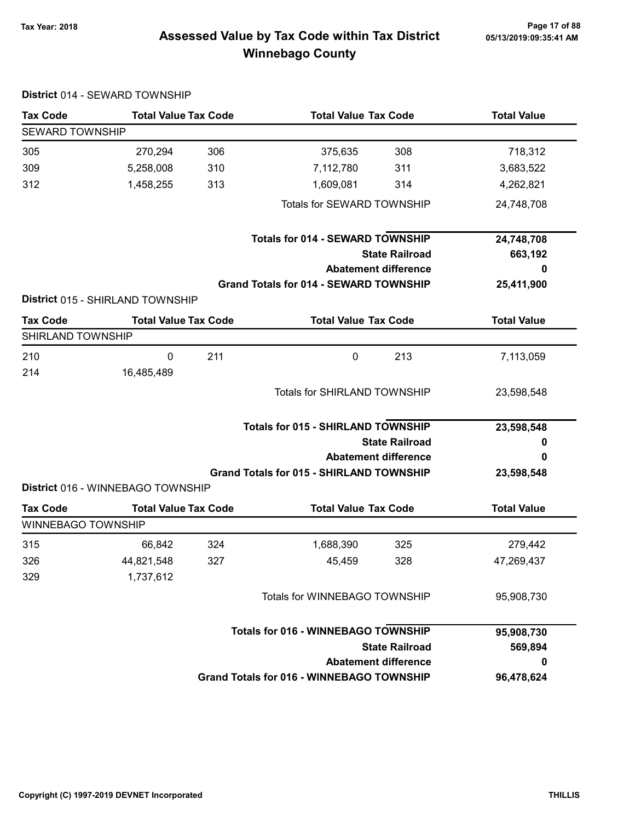District 014 - SEWARD TOWNSHIP

# Page 17 of 88 مسمح Page 17 of 88<br>Assessed Value by Tax Code within Tax District مسمع Assessed Value by Tax Code within Tax District Winnebago County

| <b>Tax Code</b>           | <b>Total Value Tax Code</b>       |     | <b>Total Value Tax Code</b>                      | <b>Total Value</b> |
|---------------------------|-----------------------------------|-----|--------------------------------------------------|--------------------|
| <b>SEWARD TOWNSHIP</b>    |                                   |     |                                                  |                    |
| 305                       | 270,294                           | 306 | 308<br>375,635                                   | 718,312            |
| 309                       | 5,258,008                         | 310 | 7,112,780<br>311                                 | 3,683,522          |
| 312                       | 1,458,255                         | 313 | 1,609,081<br>314                                 | 4,262,821          |
|                           |                                   |     | Totals for SEWARD TOWNSHIP                       | 24,748,708         |
|                           |                                   |     | <b>Totals for 014 - SEWARD TOWNSHIP</b>          | 24,748,708         |
|                           |                                   |     | <b>State Railroad</b>                            | 663,192            |
|                           |                                   |     | <b>Abatement difference</b>                      | 0                  |
|                           |                                   |     | <b>Grand Totals for 014 - SEWARD TOWNSHIP</b>    | 25,411,900         |
|                           | District 015 - SHIRLAND TOWNSHIP  |     |                                                  |                    |
| <b>Tax Code</b>           | <b>Total Value Tax Code</b>       |     | <b>Total Value Tax Code</b>                      | <b>Total Value</b> |
| SHIRLAND TOWNSHIP         |                                   |     |                                                  |                    |
| 210                       | 0                                 | 211 | $\mathbf 0$<br>213                               | 7,113,059          |
| 214                       | 16,485,489                        |     |                                                  |                    |
|                           |                                   |     | <b>Totals for SHIRLAND TOWNSHIP</b>              | 23,598,548         |
|                           |                                   |     | <b>Totals for 015 - SHIRLAND TOWNSHIP</b>        | 23,598,548         |
|                           |                                   |     | <b>State Railroad</b>                            | 0                  |
|                           |                                   |     | <b>Abatement difference</b>                      | 0                  |
|                           |                                   |     | <b>Grand Totals for 015 - SHIRLAND TOWNSHIP</b>  | 23,598,548         |
|                           | District 016 - WINNEBAGO TOWNSHIP |     |                                                  |                    |
| <b>Tax Code</b>           | <b>Total Value Tax Code</b>       |     | <b>Total Value Tax Code</b>                      | <b>Total Value</b> |
| <b>WINNEBAGO TOWNSHIP</b> |                                   |     |                                                  |                    |
| 315                       | 66,842                            | 324 | 1,688,390<br>325                                 | 279,442            |
| 326                       | 44,821,548                        | 327 | 328<br>45,459                                    | 47,269,437         |
| 329                       | 1,737,612                         |     |                                                  |                    |
|                           |                                   |     | <b>Totals for WINNEBAGO TOWNSHIP</b>             | 95,908,730         |
|                           |                                   |     | <b>Totals for 016 - WINNEBAGO TOWNSHIP</b>       | 95,908,730         |
|                           |                                   |     | <b>State Railroad</b>                            | 569,894            |
|                           |                                   |     | <b>Abatement difference</b>                      | 0                  |
|                           |                                   |     | <b>Grand Totals for 016 - WINNEBAGO TOWNSHIP</b> | 96,478,624         |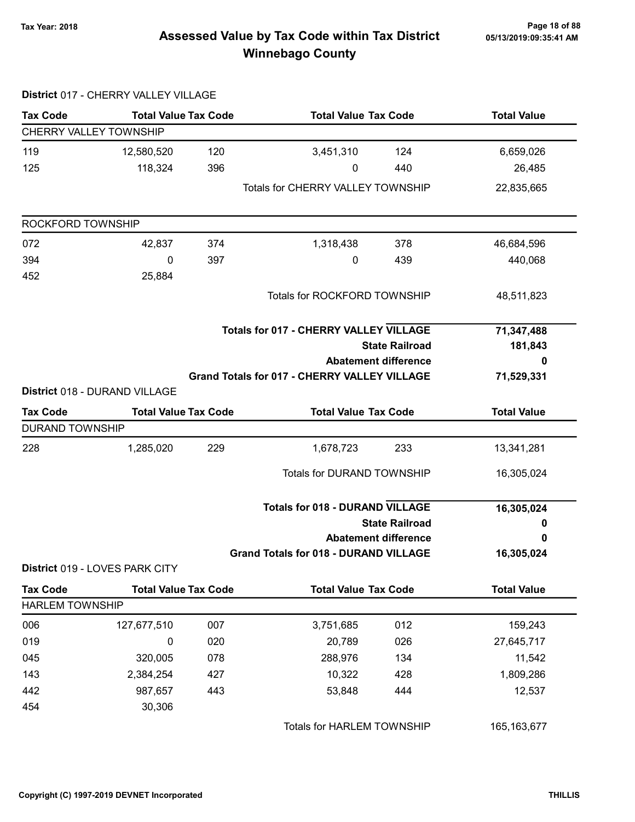# Page 18 of 88 مع Page 18 of 88<br>Assessed Value by Tax Code within Tax District مع Assessed Value by Tax Code Winnebago County

|                               | District 017 - CHERRY VALLEY VILLAGE |     |                                                     |                             |                    |
|-------------------------------|--------------------------------------|-----|-----------------------------------------------------|-----------------------------|--------------------|
| <b>Tax Code</b>               | <b>Total Value Tax Code</b>          |     | <b>Total Value Tax Code</b>                         |                             | <b>Total Value</b> |
| <b>CHERRY VALLEY TOWNSHIP</b> |                                      |     |                                                     |                             |                    |
| 119                           | 12,580,520                           | 120 | 3,451,310                                           | 124                         | 6,659,026          |
| 125                           | 118,324                              | 396 | 0                                                   | 440                         | 26,485             |
|                               |                                      |     | <b>Totals for CHERRY VALLEY TOWNSHIP</b>            |                             | 22,835,665         |
| ROCKFORD TOWNSHIP             |                                      |     |                                                     |                             |                    |
| 072                           | 42,837                               | 374 | 1,318,438                                           | 378                         | 46,684,596         |
| 394                           | 0                                    | 397 | 0                                                   | 439                         | 440,068            |
| 452                           | 25,884                               |     |                                                     |                             |                    |
|                               |                                      |     | Totals for ROCKFORD TOWNSHIP                        |                             | 48,511,823         |
|                               |                                      |     | <b>Totals for 017 - CHERRY VALLEY VILLAGE</b>       |                             | 71,347,488         |
|                               |                                      |     | <b>State Railroad</b>                               | 181,843                     |                    |
|                               |                                      |     |                                                     | <b>Abatement difference</b> | 0                  |
|                               |                                      |     | <b>Grand Totals for 017 - CHERRY VALLEY VILLAGE</b> |                             | 71,529,331         |
|                               | District 018 - DURAND VILLAGE        |     |                                                     |                             |                    |
| <b>Tax Code</b>               | <b>Total Value Tax Code</b>          |     | <b>Total Value Tax Code</b>                         |                             | <b>Total Value</b> |
| <b>DURAND TOWNSHIP</b>        |                                      |     |                                                     |                             |                    |
| 228                           | 1,285,020                            | 229 | 1,678,723                                           | 233                         | 13,341,281         |
|                               |                                      |     | <b>Totals for DURAND TOWNSHIP</b>                   |                             | 16,305,024         |
|                               |                                      |     | <b>Totals for 018 - DURAND VILLAGE</b>              |                             | 16,305,024         |
|                               |                                      |     |                                                     | <b>State Railroad</b>       | 0                  |
|                               |                                      |     |                                                     | <b>Abatement difference</b> | 0                  |
|                               | District 019 - LOVES PARK CITY       |     | <b>Grand Totals for 018 - DURAND VILLAGE</b>        |                             | 16,305,024         |
| <b>Tax Code</b>               | <b>Total Value Tax Code</b>          |     | <b>Total Value Tax Code</b>                         |                             | <b>Total Value</b> |
| <b>HARLEM TOWNSHIP</b>        |                                      |     |                                                     |                             |                    |
| 006                           | 127,677,510                          | 007 | 3,751,685                                           | 012                         | 159,243            |
| 019                           | 0                                    | 020 | 20,789                                              | 026                         | 27,645,717         |
| 045                           | 320,005                              | 078 | 288,976                                             | 134                         | 11,542             |
| 143                           | 2,384,254                            | 427 | 10,322                                              | 428                         | 1,809,286          |
| 442                           | 987,657                              | 443 | 53,848                                              | 444                         | 12,537             |
| 454                           | 30,306                               |     |                                                     |                             |                    |
|                               |                                      |     | Totals for HARLEM TOWNSHIP                          |                             | 165, 163, 677      |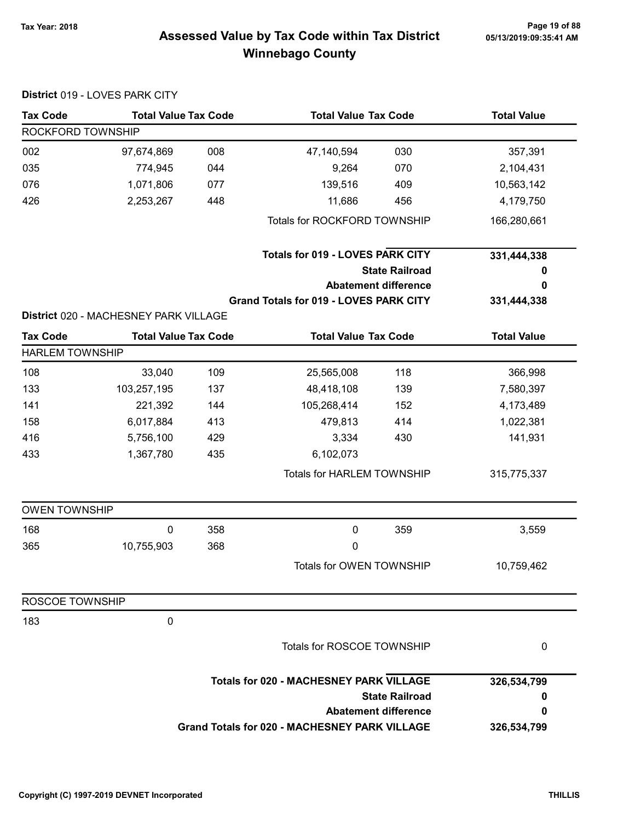# 05/13/2019:09:35:41 AM

# Page 19 of 88 مع Page 19 of 88<br>Assessed Value by Tax Code within Tax District مع Assessed Value by Tax Code Winnebago County

| <b>Tax Code</b>        | <b>Total Value Tax Code</b>           |     | <b>Total Value Tax Code</b>                          |                             | <b>Total Value</b> |
|------------------------|---------------------------------------|-----|------------------------------------------------------|-----------------------------|--------------------|
| ROCKFORD TOWNSHIP      |                                       |     |                                                      |                             |                    |
| 002                    | 97,674,869                            | 008 | 47,140,594                                           | 030                         | 357,391            |
| 035                    | 774,945                               | 044 | 9,264                                                | 070                         | 2,104,431          |
| 076                    | 1,071,806                             | 077 | 139,516                                              | 409                         | 10,563,142         |
| 426                    | 2,253,267                             | 448 | 11,686                                               | 456                         | 4,179,750          |
|                        |                                       |     | Totals for ROCKFORD TOWNSHIP                         |                             | 166,280,661        |
|                        |                                       |     | <b>Totals for 019 - LOVES PARK CITY</b>              |                             | 331,444,338        |
|                        |                                       |     |                                                      | <b>State Railroad</b>       | 0                  |
|                        |                                       |     |                                                      | <b>Abatement difference</b> | 0                  |
|                        |                                       |     | <b>Grand Totals for 019 - LOVES PARK CITY</b>        |                             | 331,444,338        |
|                        | District 020 - MACHESNEY PARK VILLAGE |     |                                                      |                             |                    |
| <b>Tax Code</b>        | <b>Total Value Tax Code</b>           |     | <b>Total Value Tax Code</b>                          |                             | <b>Total Value</b> |
| <b>HARLEM TOWNSHIP</b> |                                       |     |                                                      |                             |                    |
| 108                    | 33,040                                | 109 | 25,565,008                                           | 118                         | 366,998            |
| 133                    | 103,257,195                           | 137 | 48,418,108                                           | 139                         | 7,580,397          |
| 141                    | 221,392                               | 144 | 105,268,414                                          | 152                         | 4,173,489          |
| 158                    | 6,017,884                             | 413 | 479,813                                              | 414                         | 1,022,381          |
| 416                    | 5,756,100                             | 429 | 3,334                                                | 430                         | 141,931            |
| 433                    | 1,367,780                             | 435 | 6,102,073                                            |                             |                    |
|                        |                                       |     | <b>Totals for HARLEM TOWNSHIP</b>                    |                             | 315,775,337        |
| <b>OWEN TOWNSHIP</b>   |                                       |     |                                                      |                             |                    |
| 168                    | 0                                     | 358 | $\pmb{0}$                                            | 359                         | 3,559              |
| 365                    | 10,755,903                            | 368 | 0                                                    |                             |                    |
|                        |                                       |     | Totals for OWEN TOWNSHIP                             |                             | 10,759,462         |
| ROSCOE TOWNSHIP        |                                       |     |                                                      |                             |                    |
| 183                    | 0                                     |     |                                                      |                             |                    |
|                        |                                       |     | <b>Totals for ROSCOE TOWNSHIP</b>                    |                             | 0                  |
|                        |                                       |     | <b>Totals for 020 - MACHESNEY PARK VILLAGE</b>       |                             | 326,534,799        |
|                        |                                       |     |                                                      | <b>State Railroad</b>       | 0                  |
|                        |                                       |     |                                                      |                             | 0                  |
|                        |                                       |     | <b>Grand Totals for 020 - MACHESNEY PARK VILLAGE</b> | <b>Abatement difference</b> | 326,534,799        |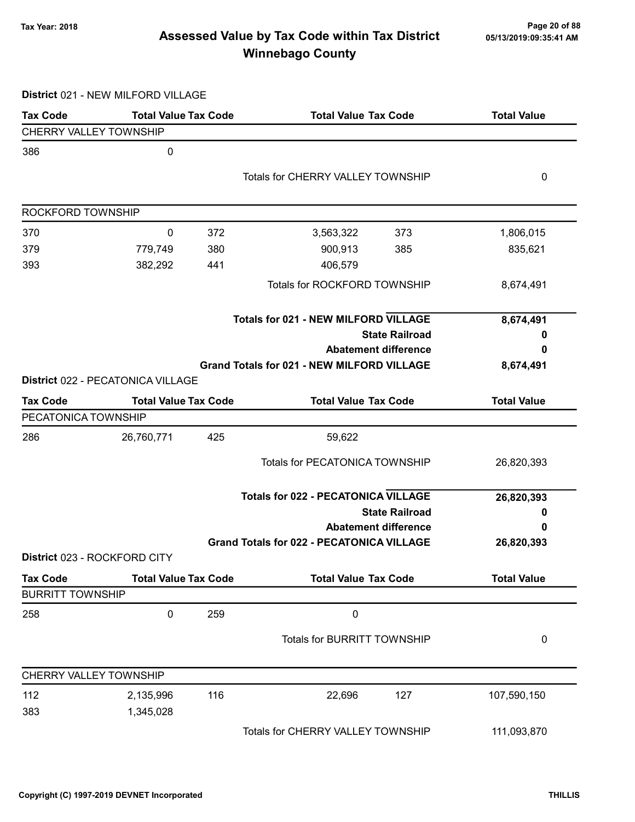# Page 20 of 88 Page 20 of 88<br>Assessed Value by Tax Code within Tax District 05/13/2019:09:35:41 AM Winnebago County

District 021 - NEW MILFORD VILLAGE

| <b>Tax Code</b>         | <b>Total Value Tax Code</b>       |     | <b>Total Value Tax Code</b>                       | <b>Total Value</b> |
|-------------------------|-----------------------------------|-----|---------------------------------------------------|--------------------|
| CHERRY VALLEY TOWNSHIP  |                                   |     |                                                   |                    |
| 386                     | 0                                 |     |                                                   |                    |
|                         |                                   |     | <b>Totals for CHERRY VALLEY TOWNSHIP</b>          | 0                  |
|                         |                                   |     |                                                   |                    |
| ROCKFORD TOWNSHIP       |                                   |     |                                                   |                    |
| 370                     | 0                                 | 372 | 373<br>3,563,322                                  | 1,806,015          |
| 379                     | 779,749                           | 380 | 900,913<br>385                                    | 835,621            |
| 393                     | 382,292                           | 441 | 406,579                                           |                    |
|                         |                                   |     | Totals for ROCKFORD TOWNSHIP                      | 8,674,491          |
|                         |                                   |     | <b>Totals for 021 - NEW MILFORD VILLAGE</b>       | 8,674,491          |
|                         |                                   |     | <b>State Railroad</b>                             | o                  |
|                         |                                   |     | <b>Abatement difference</b>                       | 0                  |
|                         |                                   |     | <b>Grand Totals for 021 - NEW MILFORD VILLAGE</b> | 8,674,491          |
|                         | District 022 - PECATONICA VILLAGE |     |                                                   |                    |
| <b>Tax Code</b>         | <b>Total Value Tax Code</b>       |     | <b>Total Value Tax Code</b>                       | <b>Total Value</b> |
| PECATONICA TOWNSHIP     |                                   |     |                                                   |                    |
| 286                     | 26,760,771                        | 425 | 59,622                                            |                    |
|                         |                                   |     | <b>Totals for PECATONICA TOWNSHIP</b>             | 26,820,393         |
|                         |                                   |     | <b>Totals for 022 - PECATONICA VILLAGE</b>        | 26,820,393         |
|                         |                                   |     | <b>State Railroad</b>                             | 0                  |
|                         |                                   |     | <b>Abatement difference</b>                       | 0                  |
|                         |                                   |     | <b>Grand Totals for 022 - PECATONICA VILLAGE</b>  | 26,820,393         |
|                         | District 023 - ROCKFORD CITY      |     |                                                   |                    |
| <b>Tax Code</b>         | <b>Total Value Tax Code</b>       |     | <b>Total Value Tax Code</b>                       | <b>Total Value</b> |
| <b>BURRITT TOWNSHIP</b> |                                   |     |                                                   |                    |
| 258                     | 0                                 | 259 | $\pmb{0}$                                         |                    |
|                         |                                   |     | Totals for BURRITT TOWNSHIP                       | 0                  |
| CHERRY VALLEY TOWNSHIP  |                                   |     |                                                   |                    |
| 112                     | 2,135,996                         | 116 | 22,696<br>127                                     | 107,590,150        |
| 383                     | 1,345,028                         |     |                                                   |                    |
|                         |                                   |     | Totals for CHERRY VALLEY TOWNSHIP                 | 111,093,870        |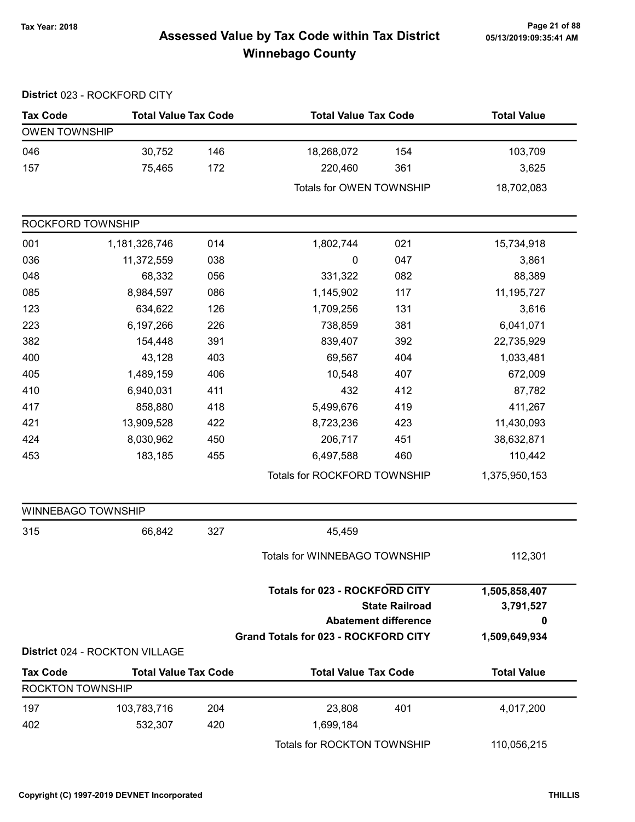# Page 21 of 88 Page 21 of 88<br>Assessed Value by Tax Code within Tax District [15/13/2019:09:35:41 AM] Tax Winnebago County

|                           | District 023 - ROCKFORD CITY   |     |                                             |                             |                    |
|---------------------------|--------------------------------|-----|---------------------------------------------|-----------------------------|--------------------|
| <b>Tax Code</b>           | <b>Total Value Tax Code</b>    |     | <b>Total Value Tax Code</b>                 |                             | <b>Total Value</b> |
| <b>OWEN TOWNSHIP</b>      |                                |     |                                             |                             |                    |
| 046                       | 30,752                         | 146 | 18,268,072                                  | 154                         | 103,709            |
| 157                       | 75,465                         | 172 | 220,460                                     | 361                         | 3,625              |
|                           |                                |     | Totals for OWEN TOWNSHIP                    |                             | 18,702,083         |
| ROCKFORD TOWNSHIP         |                                |     |                                             |                             |                    |
| 001                       | 1,181,326,746                  | 014 | 1,802,744                                   | 021                         | 15,734,918         |
| 036                       | 11,372,559                     | 038 | 0                                           | 047                         | 3,861              |
| 048                       | 68,332                         | 056 | 331,322                                     | 082                         | 88,389             |
| 085                       | 8,984,597                      | 086 | 1,145,902                                   | 117                         | 11,195,727         |
| 123                       | 634,622                        | 126 | 1,709,256                                   | 131                         | 3,616              |
| 223                       | 6,197,266                      | 226 | 738,859                                     | 381                         | 6,041,071          |
| 382                       | 154,448                        | 391 | 839,407                                     | 392                         | 22,735,929         |
| 400                       | 43,128                         | 403 | 69,567                                      | 404                         | 1,033,481          |
| 405                       | 1,489,159                      | 406 | 10,548                                      | 407                         | 672,009            |
| 410                       | 6,940,031                      | 411 | 432                                         | 412                         | 87,782             |
| 417                       | 858,880                        | 418 | 5,499,676                                   | 419                         | 411,267            |
| 421                       | 13,909,528                     | 422 | 8,723,236                                   | 423                         | 11,430,093         |
| 424                       | 8,030,962                      | 450 | 206,717                                     | 451                         | 38,632,871         |
| 453                       | 183,185                        | 455 | 6,497,588                                   | 460                         | 110,442            |
|                           |                                |     | Totals for ROCKFORD TOWNSHIP                |                             | 1,375,950,153      |
| <b>WINNEBAGO TOWNSHIP</b> |                                |     |                                             |                             |                    |
| 315                       | 66,842                         | 327 | 45,459                                      |                             |                    |
|                           |                                |     | Totals for WINNEBAGO TOWNSHIP               |                             | 112,301            |
|                           |                                |     | <b>Totals for 023 - ROCKFORD CITY</b>       |                             | 1,505,858,407      |
|                           |                                |     |                                             | <b>State Railroad</b>       | 3,791,527          |
|                           |                                |     |                                             | <b>Abatement difference</b> | 0                  |
|                           | District 024 - ROCKTON VILLAGE |     | <b>Grand Totals for 023 - ROCKFORD CITY</b> |                             | 1,509,649,934      |
| <b>Tax Code</b>           | <b>Total Value Tax Code</b>    |     | <b>Total Value Tax Code</b>                 |                             | <b>Total Value</b> |
| <b>ROCKTON TOWNSHIP</b>   |                                |     |                                             |                             |                    |
| 197                       | 103,783,716                    | 204 | 23,808                                      | 401                         | 4,017,200          |
| 402                       | 532,307                        | 420 | 1,699,184                                   |                             |                    |
|                           |                                |     | Totals for ROCKTON TOWNSHIP                 |                             | 110,056,215        |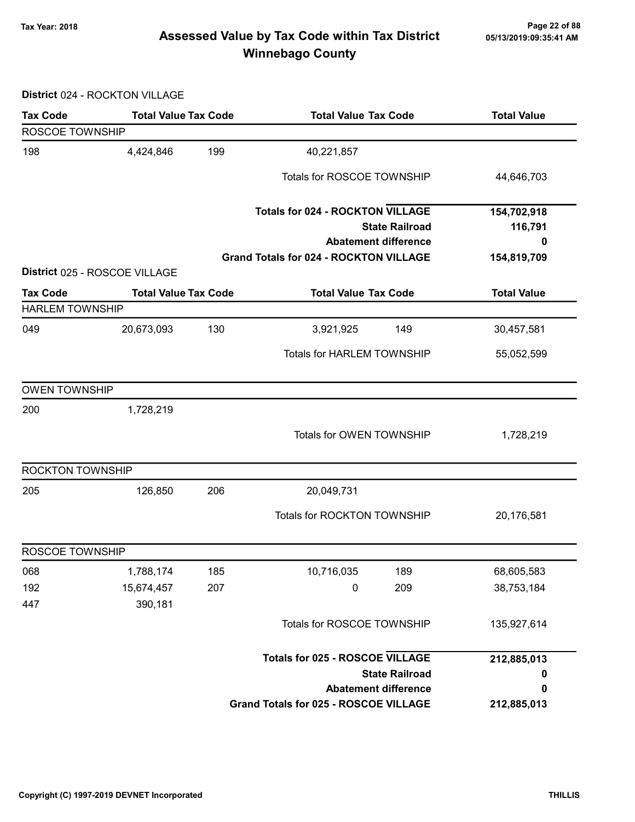# Page 22 of 88 مسمح Page 22 of 88<br>Assessed Value by Tax Code within Tax District مسمد Assessed Value by Tax Code within Tax District Winnebago County

District 024 - ROCKTON VILLAGE

| <b>Tax Code</b>        | <b>Total Value Tax Code</b>   |     | <b>Total Value Tax Code</b>                   |                                                      | <b>Total Value</b> |
|------------------------|-------------------------------|-----|-----------------------------------------------|------------------------------------------------------|--------------------|
| ROSCOE TOWNSHIP        |                               |     |                                               |                                                      |                    |
| 198                    | 4,424,846                     | 199 | 40,221,857                                    |                                                      |                    |
|                        |                               |     | Totals for ROSCOE TOWNSHIP                    |                                                      | 44,646,703         |
|                        |                               |     | <b>Totals for 024 - ROCKTON VILLAGE</b>       |                                                      | 154,702,918        |
|                        |                               |     |                                               | <b>State Railroad</b><br><b>Abatement difference</b> | 116,791<br>0       |
|                        |                               |     | <b>Grand Totals for 024 - ROCKTON VILLAGE</b> |                                                      | 154,819,709        |
|                        | District 025 - ROSCOE VILLAGE |     |                                               |                                                      |                    |
| <b>Tax Code</b>        | <b>Total Value Tax Code</b>   |     | <b>Total Value Tax Code</b>                   |                                                      | <b>Total Value</b> |
| <b>HARLEM TOWNSHIP</b> |                               |     |                                               |                                                      |                    |
| 049                    | 20,673,093                    | 130 | 3,921,925                                     | 149                                                  | 30,457,581         |
|                        |                               |     | <b>Totals for HARLEM TOWNSHIP</b>             |                                                      | 55,052,599         |
| <b>OWEN TOWNSHIP</b>   |                               |     |                                               |                                                      |                    |
| 200                    | 1,728,219                     |     |                                               |                                                      |                    |
|                        |                               |     | Totals for OWEN TOWNSHIP                      |                                                      | 1,728,219          |
| ROCKTON TOWNSHIP       |                               |     |                                               |                                                      |                    |
| 205                    | 126,850                       | 206 | 20,049,731                                    |                                                      |                    |
|                        |                               |     | Totals for ROCKTON TOWNSHIP                   |                                                      | 20,176,581         |
| ROSCOE TOWNSHIP        |                               |     |                                               |                                                      |                    |
| 068                    | 1,788,174                     | 185 | 10,716,035                                    | 189                                                  | 68,605,583         |
| 192                    | 15,674,457                    | 207 | 0                                             | 209                                                  | 38,753,184         |
| 447                    | 390,181                       |     |                                               |                                                      |                    |
|                        |                               |     | Totals for ROSCOE TOWNSHIP                    |                                                      | 135,927,614        |
|                        |                               |     | <b>Totals for 025 - ROSCOE VILLAGE</b>        |                                                      | 212,885,013        |
|                        |                               |     |                                               | <b>State Railroad</b>                                | 0                  |
|                        |                               |     |                                               | <b>Abatement difference</b>                          | 0                  |
|                        |                               |     | <b>Grand Totals for 025 - ROSCOE VILLAGE</b>  |                                                      | 212,885,013        |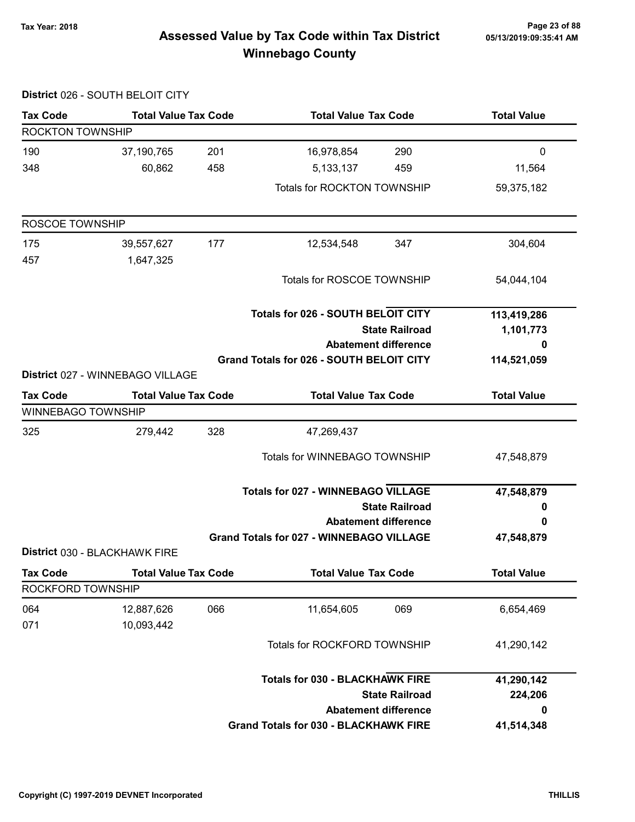District 026 - SOUTH BELOIT CITY

# Page 23 of 88 مسمح Page 23 of 88<br>Assessed Value by Tax Code within Tax District مسمد Assessed Value by Tax Code within Tax District Winnebago County

| <b>Tax Code</b>           | <b>Total Value Tax Code</b>      |     | <b>Total Value Tax Code</b>                     |                             | <b>Total Value</b> |
|---------------------------|----------------------------------|-----|-------------------------------------------------|-----------------------------|--------------------|
| <b>ROCKTON TOWNSHIP</b>   |                                  |     |                                                 |                             |                    |
| 190                       | 37,190,765                       | 201 | 16,978,854                                      | 290                         | $\mathbf 0$        |
| 348                       | 60,862                           | 458 | 5, 133, 137                                     | 459                         | 11,564             |
|                           |                                  |     | Totals for ROCKTON TOWNSHIP                     |                             | 59,375,182         |
| ROSCOE TOWNSHIP           |                                  |     |                                                 |                             |                    |
| 175                       | 39,557,627                       | 177 | 12,534,548                                      | 347                         | 304,604            |
| 457                       | 1,647,325                        |     | Totals for ROSCOE TOWNSHIP                      |                             | 54,044,104         |
|                           |                                  |     |                                                 |                             |                    |
|                           |                                  |     | <b>Totals for 026 - SOUTH BELOIT CITY</b>       |                             | 113,419,286        |
|                           |                                  |     | <b>State Railroad</b>                           |                             | 1,101,773          |
|                           |                                  |     |                                                 | <b>Abatement difference</b> | 0                  |
|                           |                                  |     | Grand Totals for 026 - SOUTH BELOIT CITY        |                             | 114,521,059        |
|                           | District 027 - WINNEBAGO VILLAGE |     |                                                 |                             |                    |
| <b>Tax Code</b>           | <b>Total Value Tax Code</b>      |     | <b>Total Value Tax Code</b>                     |                             | <b>Total Value</b> |
| <b>WINNEBAGO TOWNSHIP</b> |                                  |     |                                                 |                             |                    |
| 325                       | 279,442                          | 328 | 47,269,437                                      |                             |                    |
|                           |                                  |     | Totals for WINNEBAGO TOWNSHIP                   |                             | 47,548,879         |
|                           |                                  |     | <b>Totals for 027 - WINNEBAGO VILLAGE</b>       |                             | 47,548,879         |
|                           |                                  |     |                                                 | <b>State Railroad</b>       | 0                  |
|                           |                                  |     |                                                 | <b>Abatement difference</b> | 0                  |
|                           |                                  |     | <b>Grand Totals for 027 - WINNEBAGO VILLAGE</b> |                             | 47,548,879         |
|                           | District 030 - BLACKHAWK FIRE    |     |                                                 |                             |                    |
| <b>Tax Code</b>           | <b>Total Value Tax Code</b>      |     | <b>Total Value Tax Code</b>                     |                             | <b>Total Value</b> |
| ROCKFORD TOWNSHIP         |                                  |     |                                                 |                             |                    |
| 064<br>071                | 12,887,626<br>10,093,442         | 066 | 11,654,605                                      | 069                         | 6,654,469          |
|                           |                                  |     | Totals for ROCKFORD TOWNSHIP                    |                             | 41,290,142         |
|                           |                                  |     |                                                 |                             |                    |
|                           |                                  |     | <b>Totals for 030 - BLACKHAWK FIRE</b>          |                             | 41,290,142         |
|                           |                                  |     |                                                 | <b>State Railroad</b>       | 224,206            |
|                           |                                  |     |                                                 | <b>Abatement difference</b> | 0                  |
|                           |                                  |     | <b>Grand Totals for 030 - BLACKHAWK FIRE</b>    |                             | 41,514,348         |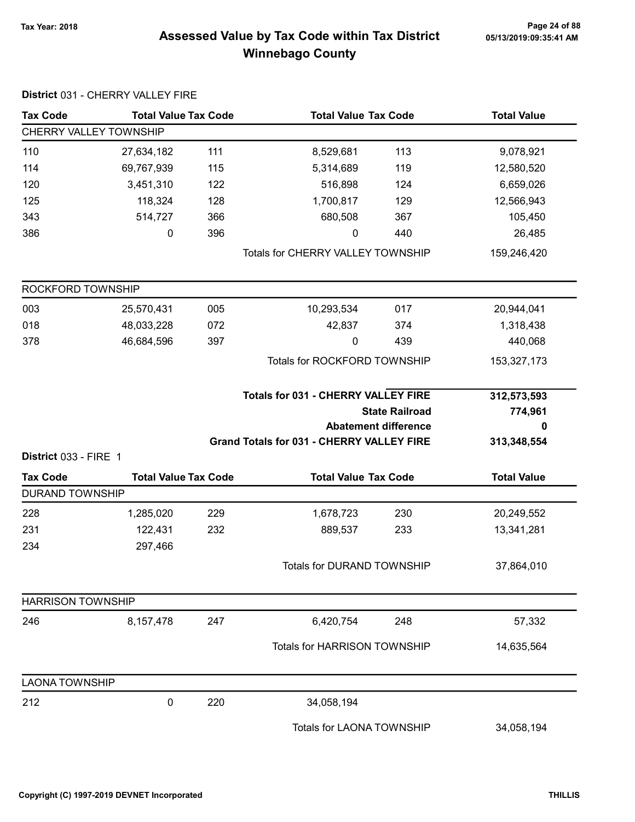# Page 24 of 88 مع Page 24 of 88<br>Assessed Value by Tax Code within Tax District مع Assessed Value by Tax Code Winnebago County

| <b>Tax Code</b>                           | <b>Total Value Tax Code</b> |     |                                                  | <b>Total Value Tax Code</b> |                    |  |  |  |
|-------------------------------------------|-----------------------------|-----|--------------------------------------------------|-----------------------------|--------------------|--|--|--|
| CHERRY VALLEY TOWNSHIP                    |                             |     |                                                  |                             |                    |  |  |  |
| 110                                       | 27,634,182                  | 111 | 8,529,681                                        | 113                         | 9,078,921          |  |  |  |
| 114                                       | 69,767,939                  | 115 | 5,314,689                                        | 119                         | 12,580,520         |  |  |  |
| 120                                       | 3,451,310                   | 122 | 516,898                                          | 124                         | 6,659,026          |  |  |  |
| 125                                       | 118,324                     | 128 | 1,700,817                                        | 129                         | 12,566,943         |  |  |  |
| 343                                       | 514,727                     | 366 | 680,508                                          | 367                         | 105,450            |  |  |  |
| 386                                       | 0                           | 396 | 0                                                | 440                         | 26,485             |  |  |  |
|                                           |                             |     | <b>Totals for CHERRY VALLEY TOWNSHIP</b>         |                             | 159,246,420        |  |  |  |
| ROCKFORD TOWNSHIP                         |                             |     |                                                  |                             |                    |  |  |  |
| 003                                       | 25,570,431                  | 005 | 10,293,534                                       | 017                         | 20,944,041         |  |  |  |
| 018                                       | 48,033,228                  | 072 | 42,837                                           | 374                         | 1,318,438          |  |  |  |
| 378                                       | 46,684,596                  | 397 | 0                                                | 439                         | 440,068            |  |  |  |
|                                           |                             |     | Totals for ROCKFORD TOWNSHIP                     |                             | 153,327,173        |  |  |  |
|                                           |                             |     | <b>Totals for 031 - CHERRY VALLEY FIRE</b>       |                             | 312,573,593        |  |  |  |
|                                           |                             |     |                                                  | <b>State Railroad</b>       | 774,961            |  |  |  |
|                                           |                             |     |                                                  | <b>Abatement difference</b> | 0                  |  |  |  |
|                                           |                             |     | <b>Grand Totals for 031 - CHERRY VALLEY FIRE</b> |                             | 313,348,554        |  |  |  |
| District 033 - FIRE 1                     |                             |     |                                                  |                             |                    |  |  |  |
| <b>Tax Code</b><br><b>DURAND TOWNSHIP</b> | <b>Total Value Tax Code</b> |     | <b>Total Value Tax Code</b>                      |                             | <b>Total Value</b> |  |  |  |
| 228                                       | 1,285,020                   | 229 | 1,678,723                                        | 230                         | 20,249,552         |  |  |  |
| 231                                       | 122,431                     | 232 | 889,537                                          | 233                         | 13,341,281         |  |  |  |
| 234                                       | 297,466                     |     |                                                  |                             |                    |  |  |  |
|                                           |                             |     | Totals for DURAND TOWNSHIP                       |                             | 37,864,010         |  |  |  |
| <b>HARRISON TOWNSHIP</b>                  |                             |     |                                                  |                             |                    |  |  |  |
| 246                                       | 8,157,478                   | 247 | 6,420,754                                        | 248                         | 57,332             |  |  |  |
|                                           |                             |     | Totals for HARRISON TOWNSHIP                     |                             | 14,635,564         |  |  |  |
| <b>LAONA TOWNSHIP</b>                     |                             |     |                                                  |                             |                    |  |  |  |
| 212                                       | 0                           | 220 | 34,058,194                                       |                             |                    |  |  |  |
|                                           |                             |     | Totals for LAONA TOWNSHIP                        |                             | 34,058,194         |  |  |  |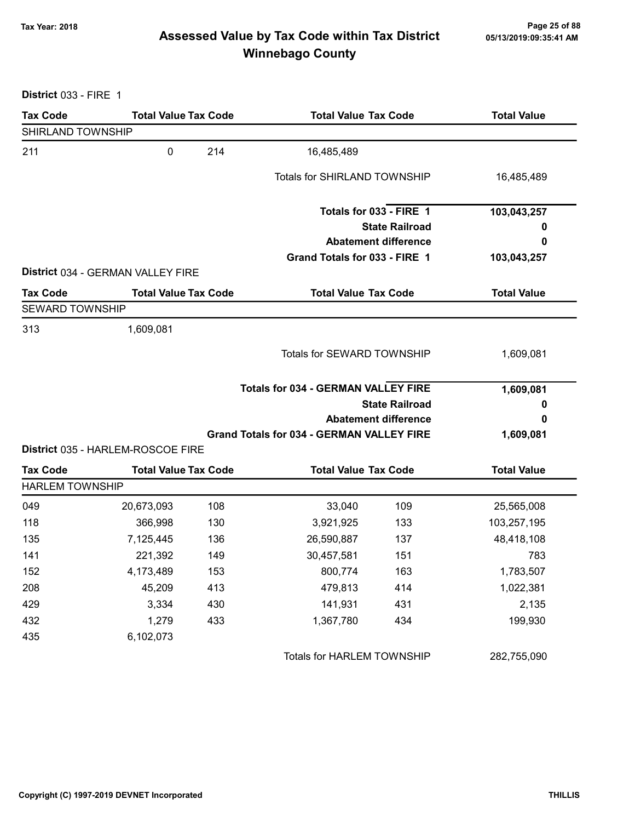# Page 25 of 88 مع Page 25 of 88<br>Assessed Value by Tax Code within Tax District مال Assessed Value by Tax Code within Tax District Winnebago County

District 033 - FIRE 1

| <b>Tax Code</b>        | <b>Total Value Tax Code</b>                                      |     | <b>Total Value Tax Code</b>                          |                             | <b>Total Value</b> |
|------------------------|------------------------------------------------------------------|-----|------------------------------------------------------|-----------------------------|--------------------|
| SHIRLAND TOWNSHIP      |                                                                  |     |                                                      |                             |                    |
| 211                    | $\mathbf 0$                                                      | 214 | 16,485,489                                           |                             |                    |
|                        |                                                                  |     | <b>Totals for SHIRLAND TOWNSHIP</b>                  |                             | 16,485,489         |
|                        |                                                                  |     | Totals for 033 - FIRE 1                              |                             | 103,043,257        |
|                        |                                                                  |     |                                                      | <b>State Railroad</b>       | o                  |
|                        |                                                                  |     |                                                      | <b>Abatement difference</b> | 0                  |
|                        |                                                                  |     | Grand Totals for 033 - FIRE 1                        |                             | 103,043,257        |
| <b>Tax Code</b>        | District 034 - GERMAN VALLEY FIRE<br><b>Total Value Tax Code</b> |     | <b>Total Value Tax Code</b>                          |                             | <b>Total Value</b> |
| <b>SEWARD TOWNSHIP</b> |                                                                  |     |                                                      |                             |                    |
| 313                    | 1,609,081                                                        |     |                                                      |                             |                    |
|                        |                                                                  |     | Totals for SEWARD TOWNSHIP                           |                             | 1,609,081          |
|                        |                                                                  |     | <b>Totals for 034 - GERMAN VALLEY FIRE</b>           |                             | 1,609,081          |
|                        |                                                                  |     | <b>State Railroad</b><br><b>Abatement difference</b> |                             | 0                  |
|                        |                                                                  |     |                                                      |                             | 0                  |
|                        |                                                                  |     | <b>Grand Totals for 034 - GERMAN VALLEY FIRE</b>     |                             | 1,609,081          |
|                        | District 035 - HARLEM-ROSCOE FIRE                                |     |                                                      |                             |                    |
| <b>Tax Code</b>        | <b>Total Value Tax Code</b>                                      |     | <b>Total Value Tax Code</b>                          |                             | <b>Total Value</b> |
| <b>HARLEM TOWNSHIP</b> |                                                                  |     |                                                      |                             |                    |
| 049                    | 20,673,093                                                       | 108 | 33,040                                               | 109                         | 25,565,008         |
| 118                    | 366,998                                                          | 130 | 3,921,925                                            | 133                         | 103,257,195        |
| 135                    | 7,125,445                                                        | 136 | 26,590,887                                           | 137                         | 48,418,108         |
| 141                    | 221,392                                                          | 149 | 30,457,581                                           | 151                         | 783                |
| 152                    | 4,173,489                                                        | 153 | 800,774                                              | 163                         | 1,783,507          |
| 208                    | 45,209                                                           | 413 | 479,813                                              | 414                         | 1,022,381          |
| 429                    | 3,334                                                            | 430 | 141,931                                              | 431                         | 2,135              |
| 432                    | 1,279                                                            | 433 | 1,367,780                                            | 434                         | 199,930            |
| 435                    | 6,102,073                                                        |     |                                                      |                             |                    |
|                        |                                                                  |     | Totals for HARLEM TOWNSHIP                           |                             | 282,755,090        |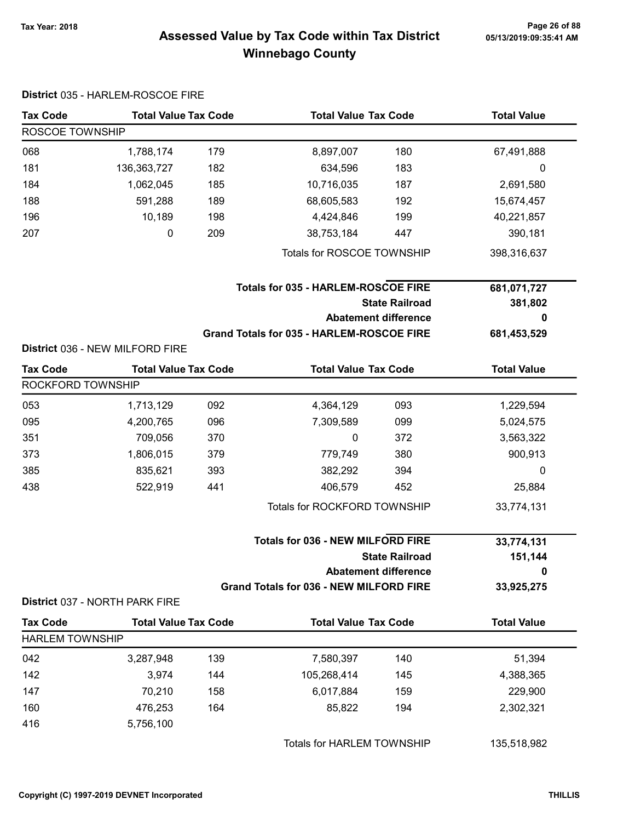# Page 26 of 88 مع Page 26 of 88<br>Assessed Value by Tax Code within Tax District مع Assessed Value by Tax Code Winnebago County

|                        | District 035 - HARLEM-ROSCOE FIRE |     |                                                |                                                                   |                    |
|------------------------|-----------------------------------|-----|------------------------------------------------|-------------------------------------------------------------------|--------------------|
| <b>Tax Code</b>        | <b>Total Value Tax Code</b>       |     | <b>Total Value Tax Code</b>                    |                                                                   | <b>Total Value</b> |
| ROSCOE TOWNSHIP        |                                   |     |                                                |                                                                   |                    |
| 068                    | 1,788,174                         | 179 | 8,897,007                                      | 180                                                               | 67,491,888         |
| 181                    | 136, 363, 727                     | 182 | 634,596                                        | 183                                                               | 0                  |
| 184                    | 1,062,045                         | 185 | 10,716,035                                     | 187                                                               | 2,691,580          |
| 188                    | 591,288                           | 189 | 68,605,583                                     | 192                                                               | 15,674,457         |
| 196                    | 10,189                            | 198 | 4,424,846                                      | 199                                                               | 40,221,857         |
| 207                    | 0                                 | 209 | 38,753,184                                     | 447                                                               | 390,181            |
|                        |                                   |     | Totals for ROSCOE TOWNSHIP                     |                                                                   | 398,316,637        |
|                        |                                   |     | <b>Totals for 035 - HARLEM-ROSCOE FIRE</b>     |                                                                   | 681,071,727        |
|                        |                                   |     |                                                | <b>State Railroad</b>                                             | 381,802            |
|                        |                                   |     | <b>Abatement difference</b>                    |                                                                   | 0                  |
|                        |                                   |     | Grand Totals for 035 - HARLEM-ROSCOE FIRE      |                                                                   | 681,453,529        |
|                        | District 036 - NEW MILFORD FIRE   |     |                                                |                                                                   |                    |
| <b>Tax Code</b>        | <b>Total Value Tax Code</b>       |     | <b>Total Value Tax Code</b>                    |                                                                   | <b>Total Value</b> |
| ROCKFORD TOWNSHIP      |                                   |     |                                                |                                                                   |                    |
| 053                    | 1,713,129                         | 092 | 4,364,129                                      | 093                                                               | 1,229,594          |
| 095                    | 4,200,765                         | 096 | 7,309,589                                      | 099                                                               | 5,024,575          |
| 351                    | 709,056                           | 370 | 0                                              | 372                                                               | 3,563,322          |
| 373                    | 1,806,015                         | 379 | 779,749                                        | 380                                                               | 900,913            |
| 385                    | 835,621                           | 393 | 382,292                                        | 394                                                               | 0                  |
| 438                    | 522,919                           | 441 | 406,579                                        | 452                                                               | 25,884             |
|                        |                                   |     | Totals for ROCKFORD TOWNSHIP                   |                                                                   | 33,774,131         |
|                        |                                   |     |                                                | <b>Totals for 036 - NEW MILFORD FIRE</b><br><b>State Railroad</b> |                    |
|                        |                                   |     |                                                | <b>Abatement difference</b>                                       | 0                  |
|                        |                                   |     | <b>Grand Totals for 036 - NEW MILFORD FIRE</b> |                                                                   | 33,925,275         |
|                        | District 037 - NORTH PARK FIRE    |     |                                                |                                                                   |                    |
| <b>Tax Code</b>        | <b>Total Value Tax Code</b>       |     | <b>Total Value Tax Code</b>                    |                                                                   | <b>Total Value</b> |
| <b>HARLEM TOWNSHIP</b> |                                   |     |                                                |                                                                   |                    |
| 042                    | 3,287,948                         | 139 | 7,580,397                                      | 140                                                               | 51,394             |
| 142                    | 3,974                             | 144 | 105,268,414                                    | 145                                                               | 4,388,365          |
| 147                    | 70,210                            | 158 | 6,017,884                                      | 159                                                               | 229,900            |
| 160                    | 476,253                           | 164 | 85,822                                         | 194                                                               | 2,302,321          |
| 416                    | 5,756,100                         |     |                                                |                                                                   |                    |
|                        |                                   |     | Totals for HARLEM TOWNSHIP                     |                                                                   | 135,518,982        |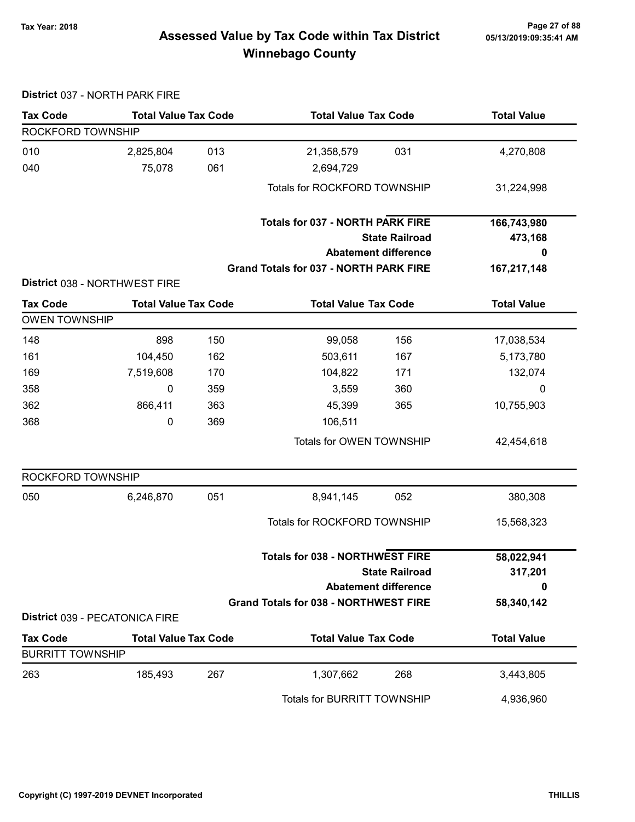#### Page 27 of 88 مسمح Page 27 of 88<br>Assessed Value by Tax Code within Tax District مسمد Assessed Value by Tax Code within Tax District Winnebago County

#### Tax Code Total Value Tax Code Total Value Tax Code Total Value ROCKFORD TOWNSHIP 010 2,825,804 013 21,358,579 031 4,270,808 040 75,078 2,694,729 061 Totals for ROCKFORD TOWNSHIP 31,224,998 State Railroad Totals for 037 - NORTH PARK FIRE Abatement difference Grand Totals for 037 - NORTH PARK FIRE 166,743,980 473,168 0 167,217,148 District 038 - NORTHWEST FIRE Tax Code Total Value Tax Code Total Value Tax Code Total Value Tax Code OWEN TOWNSHIP 148 898 150 99,058 156 17,038,534 161 104,450 162 503,611 167 5,173,780 169 7,519,608 104,822 170 171 132,074 358 0 3,559 359 360 0 362 866,411 45,399 363 365 10,755,903 368 0 106,511 369 Totals for OWEN TOWNSHIP 42,454,618 ROCKFORD TOWNSHIP 050 6,246,870 8,941,145 051 052 380,308 Totals for ROCKFORD TOWNSHIP 15,568,323 State Railroad Totals for 038 - NORTHWEST FIRE Abatement difference Grand Totals for 038 - NORTHWEST FIRE 58,022,941 317,201  $\Omega$ 58,340,142 District 039 - PECATONICA FIRE Tax Code Total Value Tax Code Total Value Tax Code Total Value Tax Code BURRITT TOWNSHIP 263 185,493 1,307,662 267 268 3,443,805 Totals for BURRITT TOWNSHIP 4,936,960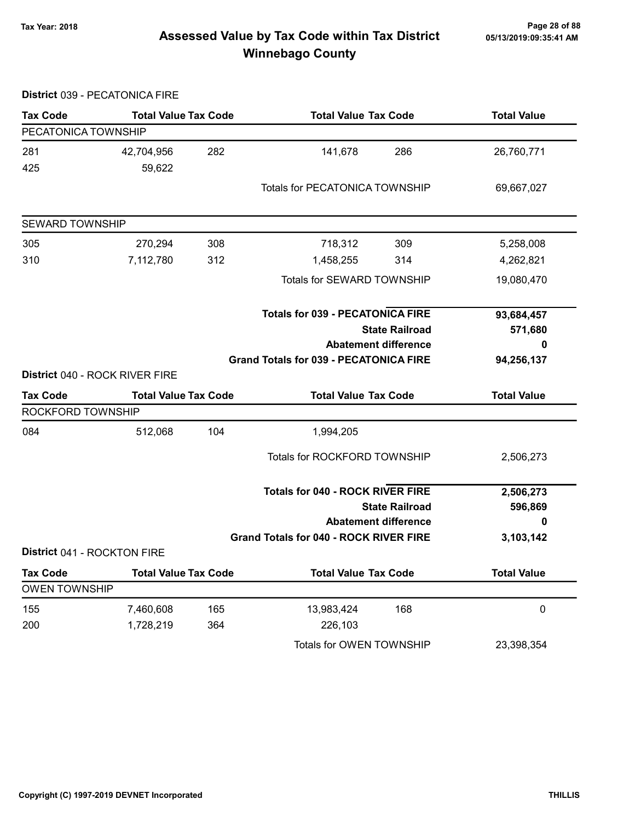District 039 - PECATONICA FIRE

# Page 28 of 88 مع Page 28 of 88<br>Assessed Value by Tax Code within Tax District مال Assessed Value by Tax Code within Tax District Winnebago County

| <b>Tax Code</b>                | <b>Total Value Tax Code</b> |     | <b>Total Value Tax Code</b>                   |                             | <b>Total Value</b> |
|--------------------------------|-----------------------------|-----|-----------------------------------------------|-----------------------------|--------------------|
| PECATONICA TOWNSHIP            |                             |     |                                               |                             |                    |
| 281                            | 42,704,956                  | 282 | 141,678                                       | 286                         | 26,760,771         |
| 425                            | 59,622                      |     |                                               |                             |                    |
|                                |                             |     | Totals for PECATONICA TOWNSHIP                |                             | 69,667,027         |
| <b>SEWARD TOWNSHIP</b>         |                             |     |                                               |                             |                    |
|                                |                             |     |                                               |                             |                    |
| 305                            | 270,294                     | 308 | 718,312                                       | 309                         | 5,258,008          |
| 310                            | 7,112,780                   | 312 | 1,458,255                                     | 314                         | 4,262,821          |
|                                |                             |     | Totals for SEWARD TOWNSHIP                    |                             | 19,080,470         |
|                                |                             |     | <b>Totals for 039 - PECATONICA FIRE</b>       |                             | 93,684,457         |
|                                |                             |     | <b>State Railroad</b>                         |                             | 571,680            |
|                                |                             |     | <b>Abatement difference</b>                   |                             | 0                  |
|                                |                             |     | <b>Grand Totals for 039 - PECATONICA FIRE</b> |                             | 94,256,137         |
| District 040 - ROCK RIVER FIRE |                             |     |                                               |                             |                    |
| <b>Tax Code</b>                | <b>Total Value Tax Code</b> |     | <b>Total Value Tax Code</b>                   |                             | <b>Total Value</b> |
| ROCKFORD TOWNSHIP              |                             |     |                                               |                             |                    |
| 084                            | 512,068                     | 104 | 1,994,205                                     |                             |                    |
|                                |                             |     | Totals for ROCKFORD TOWNSHIP                  |                             | 2,506,273          |
|                                |                             |     | <b>Totals for 040 - ROCK RIVER FIRE</b>       |                             | 2,506,273          |
|                                |                             |     | <b>State Railroad</b>                         |                             | 596,869            |
|                                |                             |     |                                               | <b>Abatement difference</b> | 0                  |
|                                |                             |     | <b>Grand Totals for 040 - ROCK RIVER FIRE</b> |                             | 3,103,142          |
| District 041 - ROCKTON FIRE    |                             |     |                                               |                             |                    |
| <b>Tax Code</b>                | <b>Total Value Tax Code</b> |     | <b>Total Value Tax Code</b>                   |                             | <b>Total Value</b> |
| <b>OWEN TOWNSHIP</b>           |                             |     |                                               |                             |                    |
| 155                            | 7,460,608                   | 165 | 13,983,424                                    | 168                         | $\pmb{0}$          |
| 200                            | 1,728,219                   | 364 | 226,103                                       |                             |                    |
|                                |                             |     | Totals for OWEN TOWNSHIP                      |                             | 23,398,354         |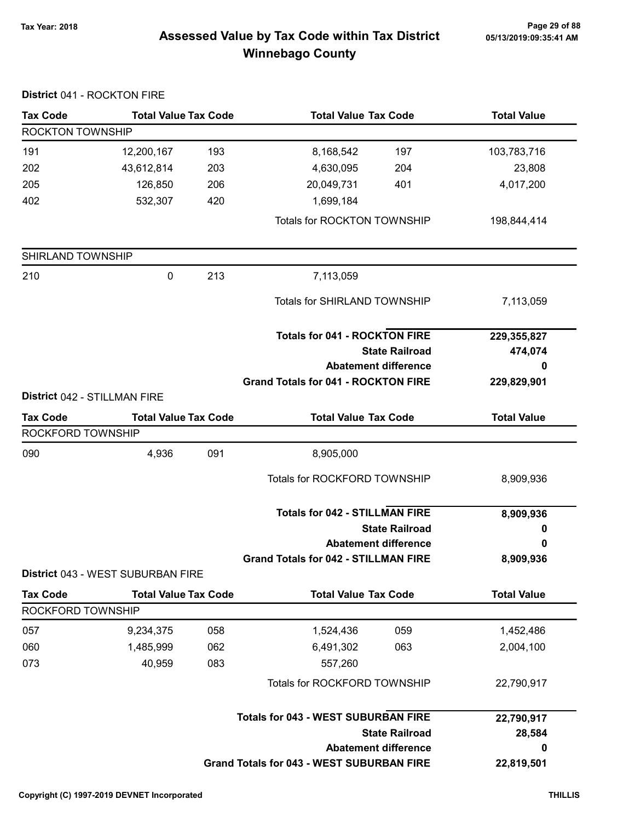# Page 29 of 88 مسمع Page 29 of 88<br>Assessed Value by Tax Code within Tax District مسمع Assessed Value by Tax Code within Tax District Winnebago County

| <b>Tax Code</b>              |                                   | <b>Total Value Tax Code</b><br><b>Total Value Tax Code</b> |                                                               | <b>Total Value</b>     |
|------------------------------|-----------------------------------|------------------------------------------------------------|---------------------------------------------------------------|------------------------|
| ROCKTON TOWNSHIP             |                                   |                                                            |                                                               |                        |
| 191                          | 12,200,167                        | 193                                                        | 8,168,542<br>197                                              | 103,783,716            |
| 202                          | 43,612,814                        | 203                                                        | 4,630,095<br>204                                              | 23,808                 |
| 205                          | 126,850                           | 206                                                        | 20,049,731<br>401                                             | 4,017,200              |
| 402                          | 532,307                           | 420                                                        | 1,699,184                                                     |                        |
|                              |                                   |                                                            | Totals for ROCKTON TOWNSHIP                                   | 198,844,414            |
| SHIRLAND TOWNSHIP            |                                   |                                                            |                                                               |                        |
| 210                          | $\pmb{0}$                         | 213                                                        | 7,113,059                                                     |                        |
|                              |                                   |                                                            | <b>Totals for SHIRLAND TOWNSHIP</b>                           | 7,113,059              |
|                              |                                   |                                                            | <b>Totals for 041 - ROCKTON FIRE</b><br><b>State Railroad</b> | 229,355,827<br>474,074 |
|                              |                                   |                                                            | <b>Abatement difference</b>                                   | 0                      |
| District 042 - STILLMAN FIRE |                                   |                                                            | <b>Grand Totals for 041 - ROCKTON FIRE</b>                    | 229,829,901            |
| <b>Tax Code</b>              | <b>Total Value Tax Code</b>       |                                                            | <b>Total Value Tax Code</b>                                   | <b>Total Value</b>     |
| ROCKFORD TOWNSHIP            |                                   |                                                            |                                                               |                        |
| 090                          | 4,936                             | 091                                                        | 8,905,000                                                     |                        |
|                              |                                   |                                                            | <b>Totals for ROCKFORD TOWNSHIP</b>                           | 8,909,936              |
|                              |                                   |                                                            | <b>Totals for 042 - STILLMAN FIRE</b>                         | 8,909,936              |
|                              |                                   |                                                            | <b>State Railroad</b>                                         | 0                      |
|                              |                                   |                                                            | <b>Abatement difference</b>                                   | 0                      |
|                              | District 043 - WEST SUBURBAN FIRE |                                                            | <b>Grand Totals for 042 - STILLMAN FIRE</b>                   | 8,909,936              |
| <b>Tax Code</b>              | <b>Total Value Tax Code</b>       |                                                            | <b>Total Value Tax Code</b>                                   | <b>Total Value</b>     |
| ROCKFORD TOWNSHIP            |                                   |                                                            |                                                               |                        |
| 057                          | 9,234,375                         | 058                                                        | 1,524,436<br>059                                              | 1,452,486              |
| 060                          | 1,485,999                         | 062                                                        | 6,491,302<br>063                                              | 2,004,100              |
| 073                          | 40,959                            | 083                                                        | 557,260                                                       |                        |
|                              |                                   |                                                            | Totals for ROCKFORD TOWNSHIP                                  | 22,790,917             |
|                              |                                   |                                                            | <b>Totals for 043 - WEST SUBURBAN FIRE</b>                    | 22,790,917             |
|                              |                                   |                                                            | <b>State Railroad</b>                                         | 28,584                 |
|                              |                                   |                                                            | <b>Abatement difference</b>                                   | 0                      |
|                              |                                   |                                                            | <b>Grand Totals for 043 - WEST SUBURBAN FIRE</b>              | 22,819,501             |

#### District 041 - ROCKTON FIRE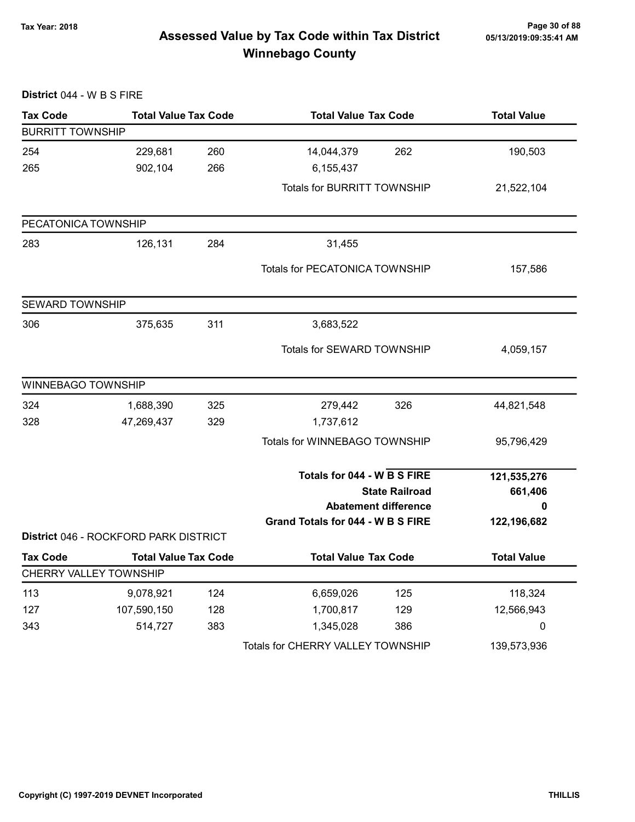# Page 30 of 88 وTax Year: 2018 Page 30 of 88<br>Assessed Value by Tax Code within Tax District ه 65/13/2019:09:35:41 Winnebago County

| District 044 - W B S FIRE |                                       |     |                                    |                             |                    |
|---------------------------|---------------------------------------|-----|------------------------------------|-----------------------------|--------------------|
| <b>Tax Code</b>           | <b>Total Value Tax Code</b>           |     | <b>Total Value Tax Code</b>        |                             | <b>Total Value</b> |
| <b>BURRITT TOWNSHIP</b>   |                                       |     |                                    |                             |                    |
| 254                       | 229,681                               | 260 | 14,044,379                         | 262                         | 190,503            |
| 265                       | 902,104                               | 266 | 6,155,437                          |                             |                    |
|                           |                                       |     | <b>Totals for BURRITT TOWNSHIP</b> |                             | 21,522,104         |
| PECATONICA TOWNSHIP       |                                       |     |                                    |                             |                    |
| 283                       | 126,131                               | 284 | 31,455                             |                             |                    |
|                           |                                       |     | Totals for PECATONICA TOWNSHIP     |                             | 157,586            |
| <b>SEWARD TOWNSHIP</b>    |                                       |     |                                    |                             |                    |
| 306                       | 375,635                               | 311 | 3,683,522                          |                             |                    |
|                           |                                       |     | Totals for SEWARD TOWNSHIP         |                             | 4,059,157          |
| <b>WINNEBAGO TOWNSHIP</b> |                                       |     |                                    |                             |                    |
| 324                       | 1,688,390                             | 325 | 279,442                            | 326                         | 44,821,548         |
| 328                       | 47,269,437                            | 329 | 1,737,612                          |                             |                    |
|                           |                                       |     | Totals for WINNEBAGO TOWNSHIP      |                             | 95,796,429         |
|                           |                                       |     | Totals for 044 - W B S FIRE        |                             | 121,535,276        |
|                           |                                       |     |                                    | <b>State Railroad</b>       | 661,406            |
|                           |                                       |     |                                    | <b>Abatement difference</b> | 0                  |
|                           | District 046 - ROCKFORD PARK DISTRICT |     | Grand Totals for 044 - W B S FIRE  |                             | 122,196,682        |
| <b>Tax Code</b>           | <b>Total Value Tax Code</b>           |     | <b>Total Value Tax Code</b>        |                             | <b>Total Value</b> |
|                           | CHERRY VALLEY TOWNSHIP                |     |                                    |                             |                    |
| 113                       | 9,078,921                             | 124 | 6,659,026                          | 125                         | 118,324            |
| 127                       | 107,590,150                           | 128 | 1,700,817                          | 129                         | 12,566,943         |
| 343                       | 514,727                               | 383 | 1,345,028                          | 386                         | 0                  |
|                           |                                       |     | Totals for CHERRY VALLEY TOWNSHIP  |                             | 139,573,936        |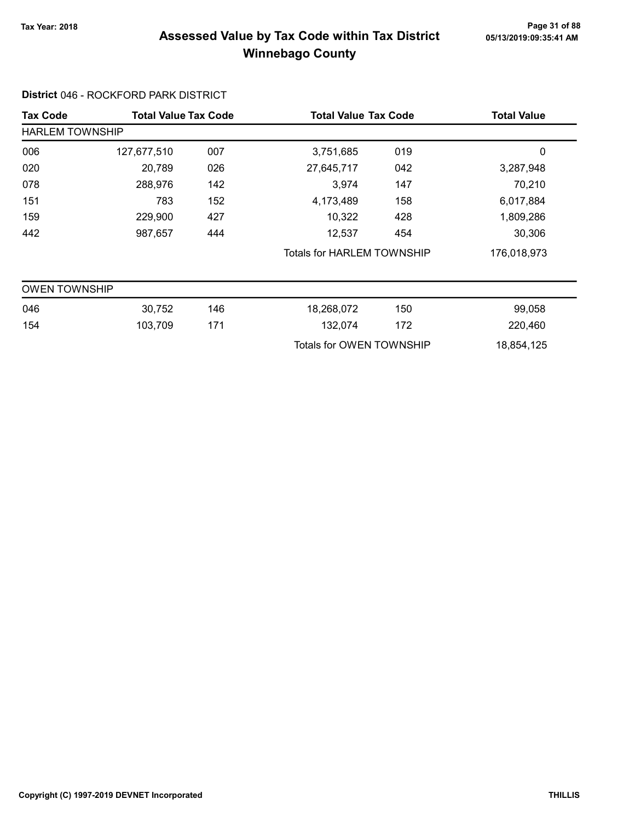# Page 31 of 88 وTax Year: 2018 Page 31 of 88<br>Assessed Value by Tax Code within Tax District ه 65/13/2019:09:35:41 AM Winnebago County

#### District 046 - ROCKFORD PARK DISTRICT

| <b>Tax Code</b>        | <b>Total Value Tax Code</b> |     | <b>Total Value Tax Code</b>       |     | <b>Total Value</b> |
|------------------------|-----------------------------|-----|-----------------------------------|-----|--------------------|
| <b>HARLEM TOWNSHIP</b> |                             |     |                                   |     |                    |
| 006                    | 127,677,510                 | 007 | 3,751,685                         | 019 | 0                  |
| 020                    | 20,789                      | 026 | 27,645,717                        | 042 | 3,287,948          |
| 078                    | 288,976                     | 142 | 3,974                             | 147 | 70,210             |
| 151                    | 783                         | 152 | 4,173,489                         | 158 | 6,017,884          |
| 159                    | 229,900                     | 427 | 10,322                            | 428 | 1,809,286          |
| 442                    | 987,657                     | 444 | 12,537                            | 454 | 30,306             |
|                        |                             |     | <b>Totals for HARLEM TOWNSHIP</b> |     | 176,018,973        |
| <b>OWEN TOWNSHIP</b>   |                             |     |                                   |     |                    |
| 046                    | 30,752                      | 146 | 18,268,072                        | 150 | 99,058             |
| 154                    | 103,709                     | 171 | 132,074                           | 172 | 220,460            |
|                        |                             |     | Totals for OWEN TOWNSHIP          |     | 18,854,125         |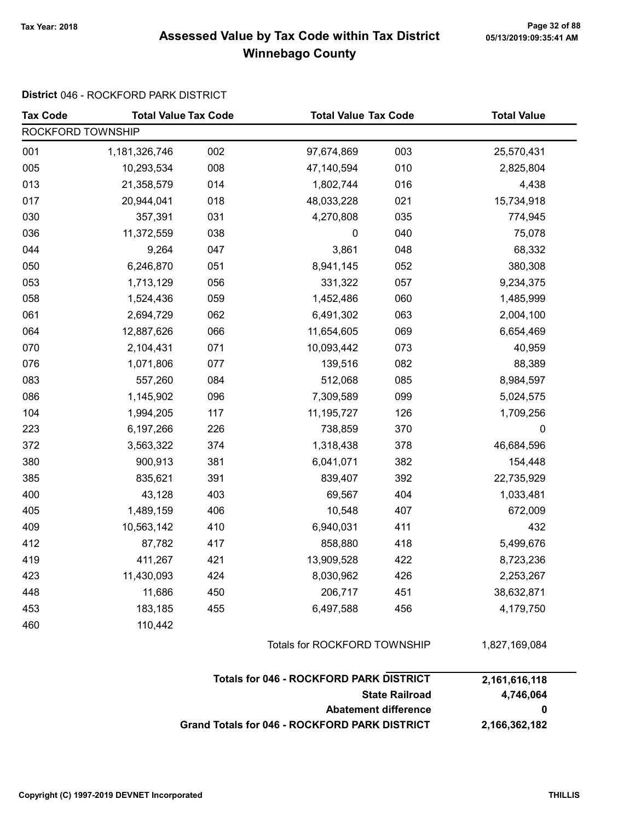# Page 32 of 88 مسمح Page 32 of 88<br>Assessed Value by Tax Code within Tax District مسمع Assessed Value by Tax Code within Tax District Winnebago County

#### District 046 - ROCKFORD PARK DISTRICT

| <b>Tax Code</b>   | <b>Total Value Tax Code</b> |                              | <b>Total Value Tax Code</b>                    |                             | <b>Total Value</b> |  |
|-------------------|-----------------------------|------------------------------|------------------------------------------------|-----------------------------|--------------------|--|
| ROCKFORD TOWNSHIP |                             |                              |                                                |                             |                    |  |
| 001               | 1,181,326,746               | 002                          | 97,674,869                                     | 003                         | 25,570,431         |  |
| 005               | 10,293,534                  | 008                          | 47,140,594                                     | 010                         | 2,825,804          |  |
| 013               | 21,358,579                  | 014                          | 1,802,744                                      | 016                         | 4,438              |  |
| 017               | 20,944,041                  | 018                          | 48,033,228                                     | 021                         | 15,734,918         |  |
| 030               | 357,391                     | 031                          | 4,270,808                                      | 035                         | 774,945            |  |
| 036               | 11,372,559                  | 038                          | 0                                              | 040                         | 75,078             |  |
| 044               | 9,264                       | 047                          | 3,861                                          | 048                         | 68,332             |  |
| 050               | 6,246,870                   | 051                          | 8,941,145                                      | 052                         | 380,308            |  |
| 053               | 1,713,129                   | 056                          | 331,322                                        | 057                         | 9,234,375          |  |
| 058               | 1,524,436                   | 059                          | 1,452,486                                      | 060                         | 1,485,999          |  |
| 061               | 2,694,729                   | 062                          | 6,491,302                                      | 063                         | 2,004,100          |  |
| 064               | 12,887,626                  | 066                          | 11,654,605                                     | 069                         | 6,654,469          |  |
| 070               | 2,104,431                   | 071                          | 10,093,442                                     | 073                         | 40,959             |  |
| 076               | 1,071,806                   | 077                          | 139,516                                        | 082                         | 88,389             |  |
| 083               | 557,260                     | 084                          | 512,068                                        | 085                         | 8,984,597          |  |
| 086               | 1,145,902                   | 096                          | 7,309,589                                      | 099                         | 5,024,575          |  |
| 104               | 1,994,205                   | 117                          | 11,195,727                                     | 126                         | 1,709,256          |  |
| 223               | 6,197,266                   | 226                          | 738,859                                        | 370                         | $\pmb{0}$          |  |
| 372               | 3,563,322                   | 374                          | 1,318,438                                      | 378                         | 46,684,596         |  |
| 380               | 900,913                     | 381                          | 6,041,071                                      | 382                         | 154,448            |  |
| 385               | 835,621                     | 391                          | 839,407                                        | 392                         | 22,735,929         |  |
| 400               | 43,128                      | 403                          | 69,567                                         | 404                         | 1,033,481          |  |
| 405               | 1,489,159                   | 406                          | 10,548                                         | 407                         | 672,009            |  |
| 409               | 10,563,142                  | 410                          | 6,940,031                                      | 411                         | 432                |  |
| 412               | 87,782                      | 417                          | 858,880                                        | 418                         | 5,499,676          |  |
| 419               | 411,267                     | 421                          | 13,909,528                                     | 422                         | 8,723,236          |  |
| 423               | 11,430,093                  | 424                          | 8,030,962                                      | 426                         | 2,253,267          |  |
| 448               | 11,686                      | 450                          | 206,717                                        | 451                         | 38,632,871         |  |
| 453               | 183,185                     | 455                          | 6,497,588                                      | 456                         | 4,179,750          |  |
| 460               | 110,442                     |                              |                                                |                             |                    |  |
|                   |                             | Totals for ROCKFORD TOWNSHIP |                                                |                             | 1,827,169,084      |  |
|                   |                             |                              | <b>Totals for 046 - ROCKFORD PARK DISTRICT</b> |                             | 2,161,616,118      |  |
|                   |                             |                              | <b>State Railroad</b>                          |                             |                    |  |
|                   |                             |                              |                                                | <b>Abatement difference</b> | 0                  |  |
|                   |                             |                              |                                                |                             |                    |  |

Grand Totals for 046 - ROCKFORD PARK DISTRICT 2,166,362,182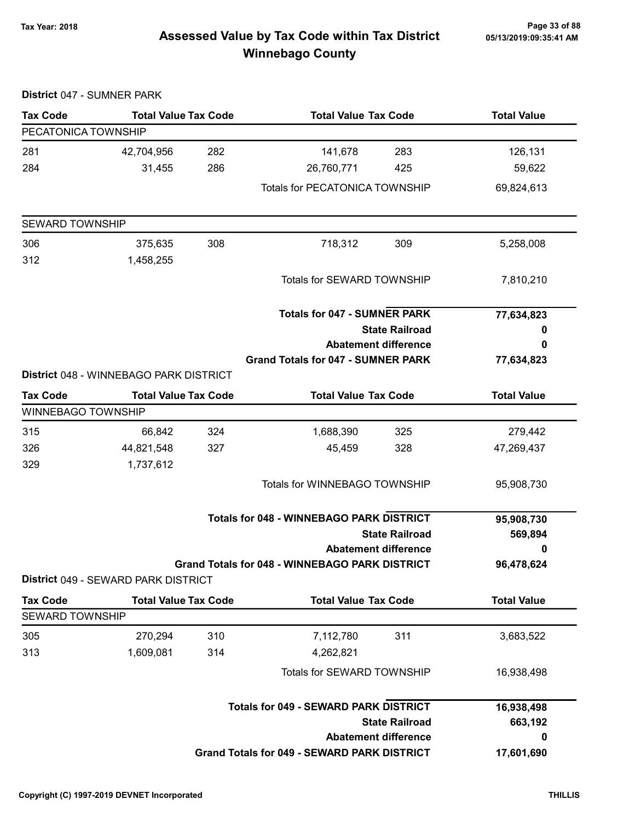# Page 33 of 88 مrage 33 of 88<br>Assessed Value by Tax Code within Tax District مas/13/2019:09:35:41 Am Winnebago County

|                           | District 047 - SUMNER PARK             |     |                                                       |                             |                    |
|---------------------------|----------------------------------------|-----|-------------------------------------------------------|-----------------------------|--------------------|
| <b>Tax Code</b>           | <b>Total Value Tax Code</b>            |     | <b>Total Value Tax Code</b>                           |                             | <b>Total Value</b> |
| PECATONICA TOWNSHIP       |                                        |     |                                                       |                             |                    |
| 281                       | 42,704,956                             | 282 | 141,678                                               | 283                         | 126,131            |
| 284                       | 31,455                                 | 286 | 26,760,771                                            | 425                         | 59,622             |
|                           |                                        |     | <b>Totals for PECATONICA TOWNSHIP</b>                 |                             | 69,824,613         |
| <b>SEWARD TOWNSHIP</b>    |                                        |     |                                                       |                             |                    |
| 306                       | 375,635                                | 308 | 718,312                                               | 309                         | 5,258,008          |
| 312                       | 1,458,255                              |     |                                                       |                             |                    |
|                           |                                        |     | Totals for SEWARD TOWNSHIP                            |                             | 7,810,210          |
|                           |                                        |     | <b>Totals for 047 - SUMNER PARK</b>                   |                             | 77,634,823         |
|                           |                                        |     | <b>State Railroad</b>                                 |                             | 0                  |
|                           |                                        |     | <b>Abatement difference</b>                           |                             | 0                  |
|                           | District 048 - WINNEBAGO PARK DISTRICT |     | <b>Grand Totals for 047 - SUMNER PARK</b>             |                             | 77,634,823         |
| <b>Tax Code</b>           | <b>Total Value Tax Code</b>            |     | <b>Total Value Tax Code</b>                           |                             | <b>Total Value</b> |
| <b>WINNEBAGO TOWNSHIP</b> |                                        |     |                                                       |                             |                    |
| 315                       | 66,842                                 | 324 | 1,688,390                                             | 325                         | 279,442            |
| 326                       | 44,821,548                             | 327 | 45,459                                                | 328                         | 47,269,437         |
| 329                       | 1,737,612                              |     |                                                       |                             |                    |
|                           |                                        |     | Totals for WINNEBAGO TOWNSHIP                         |                             | 95,908,730         |
|                           |                                        |     | <b>Totals for 048 - WINNEBAGO PARK DISTRICT</b>       |                             | 95,908,730         |
|                           |                                        |     |                                                       | <b>State Railroad</b>       | 569,894            |
|                           |                                        |     |                                                       | <b>Abatement difference</b> | 0                  |
|                           |                                        |     | <b>Grand Totals for 048 - WINNEBAGO PARK DISTRICT</b> |                             | 96,478,624         |
|                           | District 049 - SEWARD PARK DISTRICT    |     |                                                       |                             |                    |
| <b>Tax Code</b>           | <b>Total Value Tax Code</b>            |     | <b>Total Value Tax Code</b>                           |                             | <b>Total Value</b> |
| <b>SEWARD TOWNSHIP</b>    |                                        |     |                                                       |                             |                    |
| 305                       | 270,294                                | 310 | 7,112,780                                             | 311                         | 3,683,522          |
| 313                       | 1,609,081                              | 314 | 4,262,821                                             |                             |                    |
|                           |                                        |     | Totals for SEWARD TOWNSHIP                            |                             | 16,938,498         |
|                           |                                        |     | <b>Totals for 049 - SEWARD PARK DISTRICT</b>          |                             | 16,938,498         |
|                           |                                        |     |                                                       | <b>State Railroad</b>       | 663,192            |
|                           |                                        |     |                                                       | <b>Abatement difference</b> | 0                  |
|                           |                                        |     | <b>Grand Totals for 049 - SEWARD PARK DISTRICT</b>    |                             | 17,601,690         |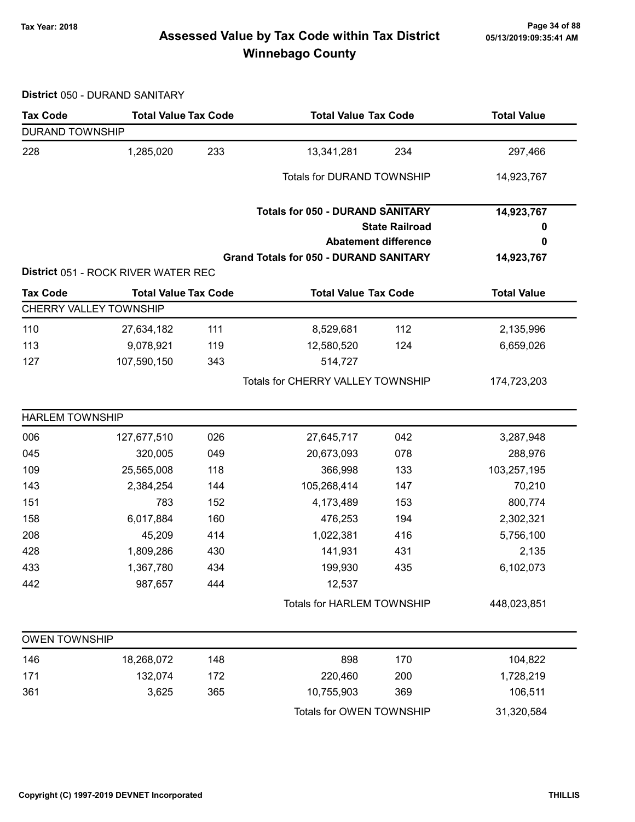# Page 34 of 88 مع Page 34 of 88<br>Assessed Value by Tax Code within Tax District مال Assessed Value by Tax Code within Tax District Winnebago County

District 050 - DURAND SANITARY

| <b>Tax Code</b>        | <b>Total Value Tax Code</b>                           |     | <b>Total Value Tax Code</b>                   |                             | <b>Total Value</b> |  |
|------------------------|-------------------------------------------------------|-----|-----------------------------------------------|-----------------------------|--------------------|--|
| <b>DURAND TOWNSHIP</b> |                                                       |     |                                               |                             |                    |  |
| 228                    | 1,285,020                                             | 233 | 13,341,281                                    | 234                         | 297,466            |  |
|                        |                                                       |     | <b>Totals for DURAND TOWNSHIP</b>             |                             | 14,923,767         |  |
|                        |                                                       |     | <b>Totals for 050 - DURAND SANITARY</b>       |                             | 14,923,767         |  |
|                        |                                                       |     |                                               | <b>State Railroad</b>       | 0                  |  |
|                        |                                                       |     |                                               | <b>Abatement difference</b> | 0                  |  |
|                        | District 051 - ROCK RIVER WATER REC                   |     | <b>Grand Totals for 050 - DURAND SANITARY</b> |                             | 14,923,767         |  |
|                        |                                                       |     |                                               |                             |                    |  |
| <b>Tax Code</b>        | <b>Total Value Tax Code</b><br>CHERRY VALLEY TOWNSHIP |     | <b>Total Value Tax Code</b>                   |                             | <b>Total Value</b> |  |
| 110                    | 27,634,182                                            | 111 | 8,529,681                                     | 112                         | 2,135,996          |  |
| 113                    | 9,078,921                                             | 119 | 12,580,520                                    | 124                         | 6,659,026          |  |
| 127                    | 107,590,150                                           | 343 | 514,727                                       |                             |                    |  |
|                        |                                                       |     | Totals for CHERRY VALLEY TOWNSHIP             |                             | 174,723,203        |  |
| <b>HARLEM TOWNSHIP</b> |                                                       |     |                                               |                             |                    |  |
| 006                    | 127,677,510                                           | 026 | 27,645,717                                    | 042                         | 3,287,948          |  |
| 045                    | 320,005                                               | 049 | 20,673,093                                    | 078                         | 288,976            |  |
| 109                    | 25,565,008                                            | 118 | 366,998                                       | 133                         | 103,257,195        |  |
| 143                    | 2,384,254                                             | 144 | 105,268,414                                   | 147                         | 70,210             |  |
| 151                    | 783                                                   | 152 | 4,173,489                                     | 153                         | 800,774            |  |
| 158                    | 6,017,884                                             | 160 | 476,253                                       | 194                         | 2,302,321          |  |
| 208                    | 45,209                                                | 414 | 1,022,381                                     | 416                         | 5,756,100          |  |
| 428                    | 1,809,286                                             | 430 | 141,931                                       | 431                         | 2,135              |  |
| 433                    | 1,367,780                                             | 434 | 199,930                                       | 435                         | 6,102,073          |  |
| 442                    | 987,657                                               | 444 | 12,537                                        |                             |                    |  |
|                        |                                                       |     | Totals for HARLEM TOWNSHIP                    |                             | 448,023,851        |  |
| <b>OWEN TOWNSHIP</b>   |                                                       |     |                                               |                             |                    |  |
| 146                    | 18,268,072                                            | 148 | 898                                           | 170                         | 104,822            |  |
| 171                    | 132,074                                               | 172 | 220,460                                       | 200                         | 1,728,219          |  |
| 361                    | 3,625                                                 | 365 | 10,755,903                                    | 369                         | 106,511            |  |
|                        |                                                       |     | Totals for OWEN TOWNSHIP                      |                             | 31,320,584         |  |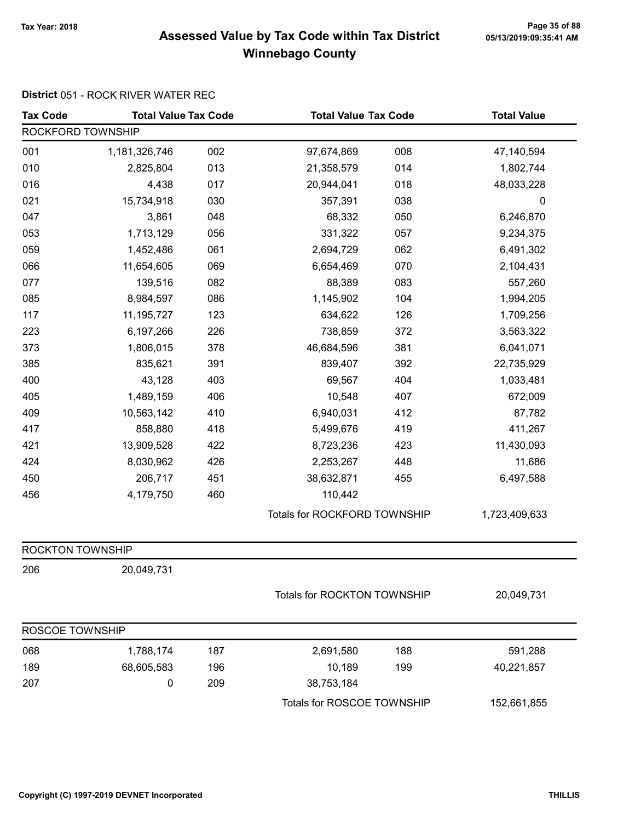# Page 35 of 88 وTax Year: 2018 Page 35 of 88<br>Assessed Value by Tax Code within Tax District ه 65/13/2019:09:35:41 Winnebago County

#### District 051 - ROCK RIVER WATER REC

| <b>Tax Code</b>   | <b>Total Value Tax Code</b> |     |                              | <b>Total Value Tax Code</b> |               |
|-------------------|-----------------------------|-----|------------------------------|-----------------------------|---------------|
| ROCKFORD TOWNSHIP |                             |     |                              |                             |               |
| 001               | 1,181,326,746               | 002 | 97,674,869                   | 008                         | 47,140,594    |
| 010               | 2,825,804                   | 013 | 21,358,579                   | 014                         | 1,802,744     |
| 016               | 4,438                       | 017 | 20,944,041                   | 018                         | 48,033,228    |
| 021               | 15,734,918                  | 030 | 357,391                      | 038                         | 0             |
| 047               | 3,861                       | 048 | 68,332                       | 050                         | 6,246,870     |
| 053               | 1,713,129                   | 056 | 331,322                      | 057                         | 9,234,375     |
| 059               | 1,452,486                   | 061 | 2,694,729                    | 062                         | 6,491,302     |
| 066               | 11,654,605                  | 069 | 6,654,469                    | 070                         | 2,104,431     |
| 077               | 139,516                     | 082 | 88,389                       | 083                         | 557,260       |
| 085               | 8,984,597                   | 086 | 1,145,902                    | 104                         | 1,994,205     |
| 117               | 11, 195, 727                | 123 | 634,622                      | 126                         | 1,709,256     |
| 223               | 6,197,266                   | 226 | 738,859                      | 372                         | 3,563,322     |
| 373               | 1,806,015                   | 378 | 46,684,596                   | 381                         | 6,041,071     |
| 385               | 835,621                     | 391 | 839,407                      | 392                         | 22,735,929    |
| 400               | 43,128                      | 403 | 69,567                       | 404                         | 1,033,481     |
| 405               | 1,489,159                   | 406 | 10,548                       | 407                         | 672,009       |
| 409               | 10,563,142                  | 410 | 6,940,031                    | 412                         | 87,782        |
| 417               | 858,880                     | 418 | 5,499,676                    | 419                         | 411,267       |
| 421               | 13,909,528                  | 422 | 8,723,236                    | 423                         | 11,430,093    |
| 424               | 8,030,962                   | 426 | 2,253,267                    | 448                         | 11,686        |
| 450               | 206,717                     | 451 | 38,632,871                   | 455                         | 6,497,588     |
| 456               | 4,179,750                   | 460 | 110,442                      |                             |               |
|                   |                             |     | Totals for ROCKFORD TOWNSHIP |                             | 1,723,409,633 |
| ROCKTON TOWNSHIP  |                             |     |                              |                             |               |
| 206               | 20,049,731                  |     |                              |                             |               |
|                   |                             |     |                              | Totals for ROCKTON TOWNSHIP |               |
| ROSCOE TOWNSHIP   |                             |     |                              |                             |               |
| 068               | 1,788,174                   | 187 | 2,691,580                    | 188                         | 591,288       |
| 189               | 68,605,583                  | 196 | 10,189                       | 199                         | 40,221,857    |
| 207               | 0                           | 209 | 38,753,184                   |                             |               |
|                   |                             |     | Totals for ROSCOE TOWNSHIP   |                             | 152,661,855   |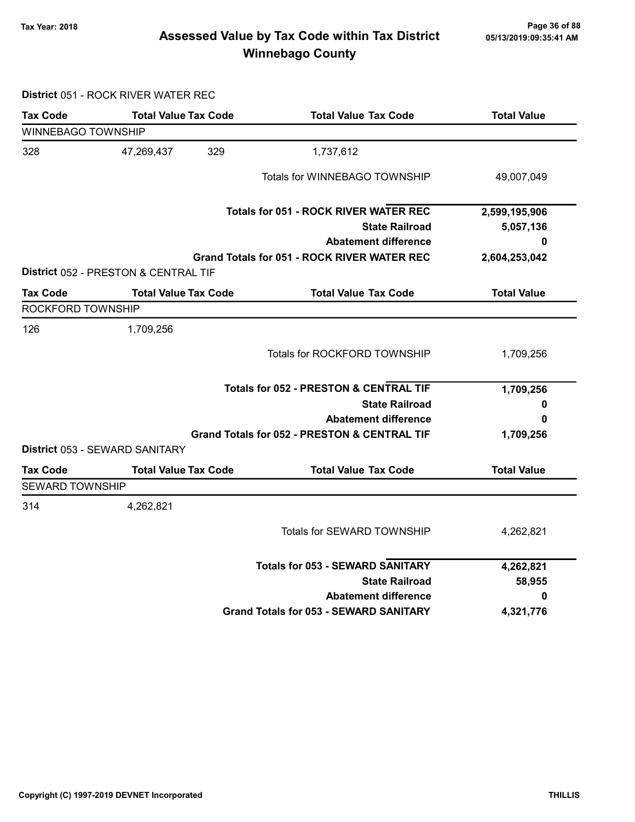# Page 36 of 88 وTax Year: 2018 Page 36 of 88<br>Assessed Value by Tax Code within Tax District ه 65/13/2019:09:35:41 AM Winnebago County

District 051 - ROCK RIVER WATER REC

| <b>Tax Code</b>           | <b>Total Value Tax Code</b>           | <b>Total Value Tax Code</b>                             | <b>Total Value</b> |
|---------------------------|---------------------------------------|---------------------------------------------------------|--------------------|
| <b>WINNEBAGO TOWNSHIP</b> |                                       |                                                         |                    |
| 328                       | 329<br>47,269,437                     | 1,737,612                                               |                    |
|                           |                                       | Totals for WINNEBAGO TOWNSHIP                           | 49,007,049         |
|                           |                                       | <b>Totals for 051 - ROCK RIVER WATER REC</b>            | 2,599,195,906      |
|                           |                                       | <b>State Railroad</b>                                   | 5,057,136          |
|                           |                                       | <b>Abatement difference</b>                             | 0                  |
|                           |                                       | <b>Grand Totals for 051 - ROCK RIVER WATER REC</b>      | 2,604,253,042      |
|                           | District 052 - PRESTON & CENTRAL TIF  |                                                         |                    |
| <b>Tax Code</b>           | <b>Total Value Tax Code</b>           | <b>Total Value Tax Code</b>                             | <b>Total Value</b> |
| ROCKFORD TOWNSHIP         |                                       |                                                         |                    |
| 126                       | 1,709,256                             |                                                         |                    |
|                           |                                       | Totals for ROCKFORD TOWNSHIP                            | 1,709,256          |
|                           |                                       | <b>Totals for 052 - PRESTON &amp; CENTRAL TIF</b>       | 1,709,256          |
|                           |                                       | <b>State Railroad</b>                                   | 0                  |
|                           |                                       | <b>Abatement difference</b>                             | 0                  |
|                           |                                       | <b>Grand Totals for 052 - PRESTON &amp; CENTRAL TIF</b> | 1,709,256          |
|                           | <b>District 053 - SEWARD SANITARY</b> |                                                         |                    |
| <b>Tax Code</b>           | <b>Total Value Tax Code</b>           | <b>Total Value Tax Code</b>                             | <b>Total Value</b> |
| <b>SEWARD TOWNSHIP</b>    |                                       |                                                         |                    |
| 314                       | 4,262,821                             |                                                         |                    |
|                           |                                       | Totals for SEWARD TOWNSHIP                              | 4,262,821          |
|                           |                                       | <b>Totals for 053 - SEWARD SANITARY</b>                 | 4,262,821          |
|                           |                                       | <b>State Railroad</b>                                   | 58,955             |
|                           |                                       | <b>Abatement difference</b>                             | 0                  |
|                           |                                       | <b>Grand Totals for 053 - SEWARD SANITARY</b>           | 4,321,776          |
|                           |                                       |                                                         |                    |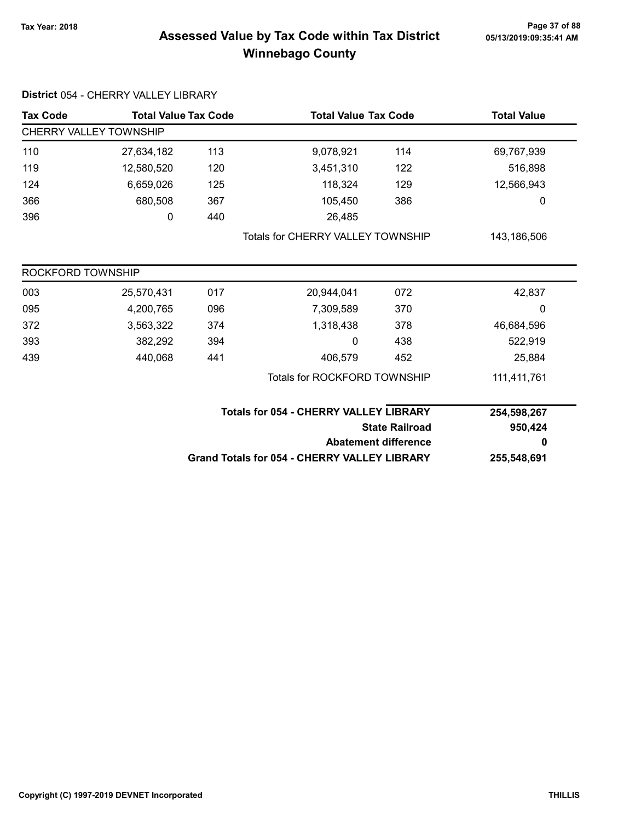## Page 37 of 88 وTax Year: 2018 Page 37 of 88<br>Assessed Value by Tax Code within Tax District ه 65/13/2019:09:35:41 AM Winnebago County

| <b>Tax Code</b>               | <b>Total Value Tax Code</b> |     | <b>Total Value Tax Code</b>                         |                       | <b>Total Value</b> |
|-------------------------------|-----------------------------|-----|-----------------------------------------------------|-----------------------|--------------------|
| <b>CHERRY VALLEY TOWNSHIP</b> |                             |     |                                                     |                       |                    |
| 110                           | 27,634,182                  | 113 | 9,078,921                                           | 114                   | 69,767,939         |
| 119                           | 12,580,520                  | 120 | 3,451,310                                           | 122                   | 516,898            |
| 124                           | 6,659,026                   | 125 | 118,324                                             | 129                   | 12,566,943         |
| 366                           | 680,508                     | 367 | 105,450                                             | 386                   | 0                  |
| 396                           | 0                           | 440 | 26,485                                              |                       |                    |
|                               |                             |     | <b>Totals for CHERRY VALLEY TOWNSHIP</b>            |                       | 143,186,506        |
| ROCKFORD TOWNSHIP             |                             |     |                                                     |                       |                    |
| 003                           | 25,570,431                  | 017 | 20,944,041                                          | 072                   | 42,837             |
| 095                           | 4,200,765                   | 096 | 7,309,589                                           | 370                   | 0                  |
| 372                           | 3,563,322                   | 374 | 1,318,438                                           | 378                   | 46,684,596         |
| 393                           | 382,292                     | 394 | 0                                                   | 438                   | 522,919            |
| 439                           | 440,068                     | 441 | 406,579                                             | 452                   | 25,884             |
|                               |                             |     | <b>Totals for ROCKFORD TOWNSHIP</b>                 |                       | 111,411,761        |
|                               |                             |     | <b>Totals for 054 - CHERRY VALLEY LIBRARY</b>       |                       | 254,598,267        |
|                               |                             |     |                                                     | <b>State Railroad</b> |                    |
|                               |                             |     | <b>Abatement difference</b>                         |                       | 0                  |
|                               |                             |     | <b>Grand Totals for 054 - CHERRY VALLEY LIBRARY</b> |                       | 255,548,691        |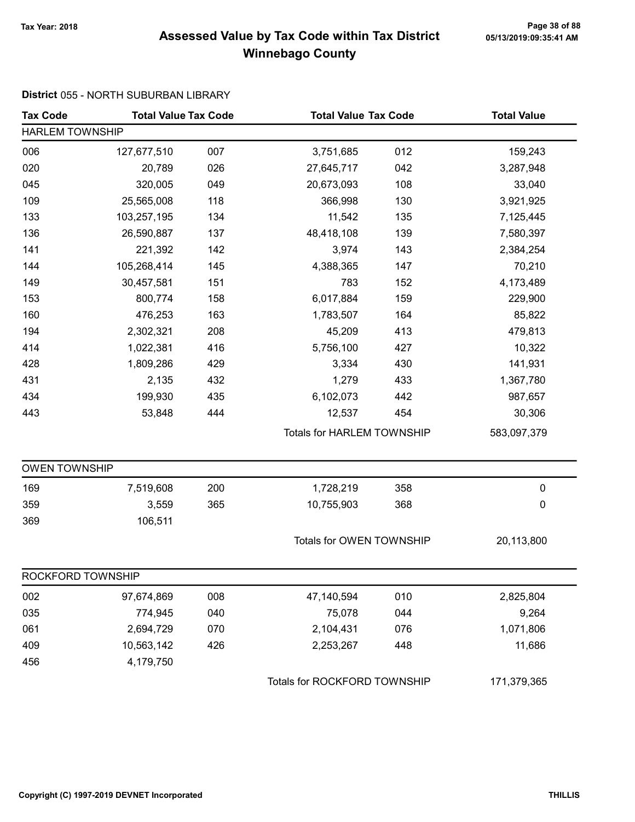## Page 38 of 88 مrace 2018 Page 38 of 88<br>Assessed Value by Tax Code within Tax District مas/13/2019:09:35:41 AM Winnebago County

### District 055 - NORTH SUBURBAN LIBRARY

| <b>Tax Code</b>        | <b>Total Value Tax Code</b> |     | <b>Total Value Tax Code</b>  |                                   | <b>Total Value</b> |
|------------------------|-----------------------------|-----|------------------------------|-----------------------------------|--------------------|
| <b>HARLEM TOWNSHIP</b> |                             |     |                              |                                   |                    |
| 006                    | 127,677,510                 | 007 | 3,751,685                    | 012                               | 159,243            |
| 020                    | 20,789                      | 026 | 27,645,717                   | 042                               | 3,287,948          |
| 045                    | 320,005                     | 049 | 20,673,093                   | 108                               | 33,040             |
| 109                    | 25,565,008                  | 118 | 366,998                      | 130                               | 3,921,925          |
| 133                    | 103,257,195                 | 134 | 11,542                       | 135                               | 7,125,445          |
| 136                    | 26,590,887                  | 137 | 48,418,108                   | 139                               | 7,580,397          |
| 141                    | 221,392                     | 142 | 3,974                        | 143                               | 2,384,254          |
| 144                    | 105,268,414                 | 145 | 4,388,365                    | 147                               | 70,210             |
| 149                    | 30,457,581                  | 151 | 783                          | 152                               | 4,173,489          |
| 153                    | 800,774                     | 158 | 6,017,884                    | 159                               | 229,900            |
| 160                    | 476,253                     | 163 | 1,783,507                    | 164                               | 85,822             |
| 194                    | 2,302,321                   | 208 | 45,209                       | 413                               | 479,813            |
| 414                    | 1,022,381                   | 416 | 5,756,100                    | 427                               | 10,322             |
| 428                    | 1,809,286                   | 429 | 3,334                        | 430                               | 141,931            |
| 431                    | 2,135                       | 432 | 1,279                        | 433                               | 1,367,780          |
| 434                    | 199,930                     | 435 | 6,102,073                    | 442                               | 987,657            |
| 443                    | 53,848                      | 444 | 12,537                       | 454                               | 30,306             |
|                        |                             |     |                              | <b>Totals for HARLEM TOWNSHIP</b> |                    |
| <b>OWEN TOWNSHIP</b>   |                             |     |                              |                                   |                    |
| 169                    | 7,519,608                   | 200 | 1,728,219                    | 358                               | $\pmb{0}$          |
| 359                    | 3,559                       | 365 | 10,755,903                   | 368                               | 0                  |
| 369                    | 106,511                     |     |                              |                                   |                    |
|                        |                             |     | Totals for OWEN TOWNSHIP     |                                   | 20,113,800         |
| ROCKFORD TOWNSHIP      |                             |     |                              |                                   |                    |
| 002                    | 97,674,869                  | 008 | 47,140,594                   | 010                               | 2,825,804          |
| 035                    | 774,945                     | 040 | 75,078                       | 044                               | 9,264              |
| 061                    | 2,694,729                   | 070 | 2,104,431                    | 076                               | 1,071,806          |
| 409                    | 10,563,142                  | 426 | 2,253,267                    | 448                               | 11,686             |
| 456                    | 4,179,750                   |     |                              |                                   |                    |
|                        |                             |     | Totals for ROCKFORD TOWNSHIP |                                   | 171,379,365        |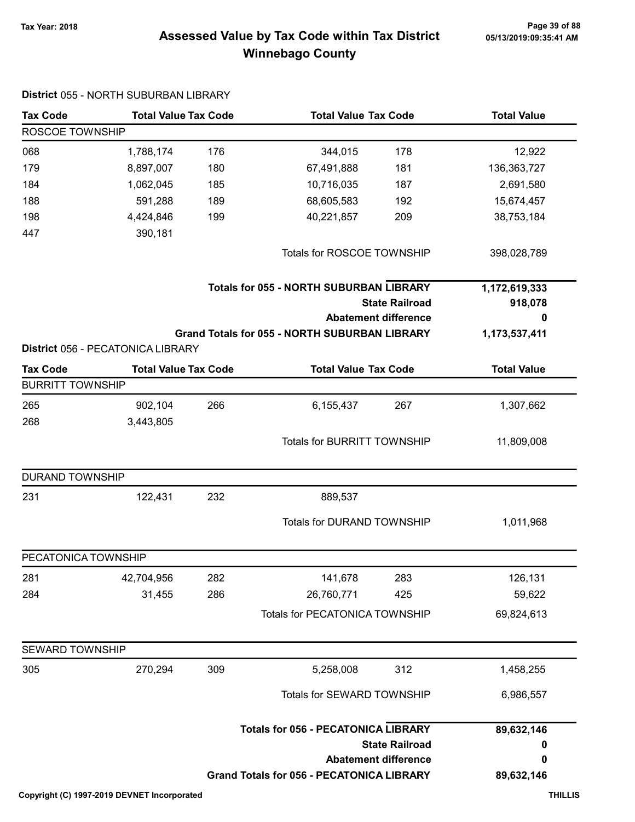## Page 39 of 88 وPage 39 of 88<br>Assessed Value by Tax Code within Tax District ه Assessed Value by Tax Code within Tax Winnebago County

| <b>Tax Code</b>         | <b>Total Value Tax Code</b>                                      |     |                                                                         | <b>Total Value Tax Code</b>                          |                          |
|-------------------------|------------------------------------------------------------------|-----|-------------------------------------------------------------------------|------------------------------------------------------|--------------------------|
| ROSCOE TOWNSHIP         |                                                                  |     |                                                                         |                                                      |                          |
| 068                     | 1,788,174                                                        | 176 | 344,015                                                                 | 178                                                  | 12,922                   |
| 179                     | 8,897,007                                                        | 180 | 67,491,888                                                              | 181                                                  | 136, 363, 727            |
| 184                     | 1,062,045                                                        | 185 | 10,716,035                                                              | 187                                                  | 2,691,580                |
| 188                     | 591,288                                                          | 189 | 68,605,583                                                              | 192                                                  | 15,674,457               |
| 198                     | 4,424,846                                                        | 199 | 40,221,857                                                              | 209                                                  | 38,753,184               |
| 447                     | 390,181                                                          |     |                                                                         |                                                      |                          |
|                         |                                                                  |     | Totals for ROSCOE TOWNSHIP                                              |                                                      | 398,028,789              |
|                         |                                                                  |     | <b>Totals for 055 - NORTH SUBURBAN LIBRARY</b><br><b>State Railroad</b> |                                                      | 1,172,619,333<br>918,078 |
|                         |                                                                  |     |                                                                         | <b>Abatement difference</b>                          | 0                        |
|                         |                                                                  |     | <b>Grand Totals for 055 - NORTH SUBURBAN LIBRARY</b>                    |                                                      | 1,173,537,411            |
| <b>Tax Code</b>         | District 056 - PECATONICA LIBRARY<br><b>Total Value Tax Code</b> |     | <b>Total Value Tax Code</b>                                             |                                                      | <b>Total Value</b>       |
| <b>BURRITT TOWNSHIP</b> |                                                                  |     |                                                                         |                                                      |                          |
| 265                     | 902,104                                                          | 266 | 6,155,437                                                               | 267                                                  | 1,307,662                |
| 268                     | 3,443,805                                                        |     |                                                                         |                                                      |                          |
|                         |                                                                  |     | Totals for BURRITT TOWNSHIP                                             |                                                      | 11,809,008               |
| <b>DURAND TOWNSHIP</b>  |                                                                  |     |                                                                         |                                                      |                          |
| 231                     | 122,431                                                          | 232 | 889,537                                                                 |                                                      |                          |
|                         |                                                                  |     | <b>Totals for DURAND TOWNSHIP</b>                                       |                                                      | 1,011,968                |
| PECATONICA TOWNSHIP     |                                                                  |     |                                                                         |                                                      |                          |
| 281                     | 42,704,956                                                       | 282 | 141,678                                                                 | 283                                                  | 126,131                  |
| 284                     | 31,455                                                           | 286 | 26,760,771                                                              | 425                                                  | 59,622                   |
|                         |                                                                  |     | Totals for PECATONICA TOWNSHIP                                          |                                                      | 69,824,613               |
| SEWARD TOWNSHIP         |                                                                  |     |                                                                         |                                                      |                          |
| 305                     | 270,294                                                          | 309 | 5,258,008                                                               | 312                                                  | 1,458,255                |
|                         |                                                                  |     | Totals for SEWARD TOWNSHIP                                              |                                                      | 6,986,557                |
|                         |                                                                  |     | <b>Totals for 056 - PECATONICA LIBRARY</b>                              | <b>State Railroad</b><br><b>Abatement difference</b> | 89,632,146<br>0<br>0     |
|                         |                                                                  |     | <b>Grand Totals for 056 - PECATONICA LIBRARY</b>                        |                                                      | 89,632,146               |

### District 055 - NORTH SUBURBAN LIBRARY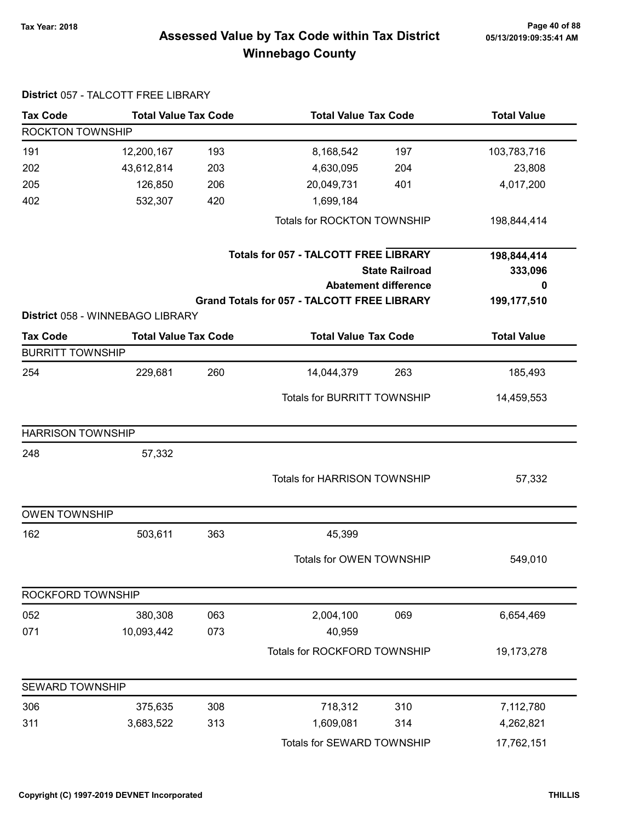## Page 40 of 88 Page 40 of 88<br>Assessed Value by Tax Code within Tax District 05/13/2019:09:35:41 AM Winnebago County

| <b>Tax Code</b>          | <b>Total Value Tax Code</b>      |     | <b>Total Value Tax Code</b>                        |                             | <b>Total Value</b> |
|--------------------------|----------------------------------|-----|----------------------------------------------------|-----------------------------|--------------------|
| <b>ROCKTON TOWNSHIP</b>  |                                  |     |                                                    |                             |                    |
| 191                      | 12,200,167                       | 193 | 8,168,542                                          | 197                         | 103,783,716        |
| 202                      | 43,612,814                       | 203 | 4,630,095                                          | 204                         | 23,808             |
| 205                      | 126,850                          | 206 | 20,049,731                                         | 401                         | 4,017,200          |
| 402                      | 532,307                          | 420 | 1,699,184                                          |                             |                    |
|                          |                                  |     | Totals for ROCKTON TOWNSHIP                        |                             | 198,844,414        |
|                          |                                  |     | <b>Totals for 057 - TALCOTT FREE LIBRARY</b>       |                             | 198,844,414        |
|                          |                                  |     |                                                    | <b>State Railroad</b>       | 333,096            |
|                          |                                  |     |                                                    | <b>Abatement difference</b> | 0                  |
|                          |                                  |     | <b>Grand Totals for 057 - TALCOTT FREE LIBRARY</b> |                             | 199,177,510        |
|                          | District 058 - WINNEBAGO LIBRARY |     |                                                    |                             |                    |
| <b>Tax Code</b>          | <b>Total Value Tax Code</b>      |     | <b>Total Value Tax Code</b>                        |                             | <b>Total Value</b> |
| <b>BURRITT TOWNSHIP</b>  |                                  |     |                                                    |                             |                    |
| 254                      | 229,681                          | 260 | 14,044,379                                         | 263                         | 185,493            |
|                          |                                  |     | Totals for BURRITT TOWNSHIP                        |                             | 14,459,553         |
| <b>HARRISON TOWNSHIP</b> |                                  |     |                                                    |                             |                    |
| 248                      | 57,332                           |     |                                                    |                             |                    |
|                          |                                  |     |                                                    |                             |                    |
|                          |                                  |     | <b>Totals for HARRISON TOWNSHIP</b>                |                             | 57,332             |
| <b>OWEN TOWNSHIP</b>     |                                  |     |                                                    |                             |                    |
| 162                      | 503,611                          | 363 | 45,399                                             |                             |                    |
|                          |                                  |     | Totals for OWEN TOWNSHIP                           |                             | 549,010            |
| ROCKFORD TOWNSHIP        |                                  |     |                                                    |                             |                    |
| 052                      | 380,308                          | 063 | 2,004,100                                          | 069                         | 6,654,469          |
| 071                      | 10,093,442                       | 073 | 40,959                                             |                             |                    |
|                          |                                  |     | Totals for ROCKFORD TOWNSHIP                       |                             | 19,173,278         |
| SEWARD TOWNSHIP          |                                  |     |                                                    |                             |                    |
| 306                      | 375,635                          | 308 | 718,312                                            | 310                         | 7,112,780          |
| 311                      | 3,683,522                        | 313 | 1,609,081                                          | 314                         | 4,262,821          |
|                          |                                  |     | Totals for SEWARD TOWNSHIP                         |                             | 17,762,151         |

### District 057 - TALCOTT FREE LIBRARY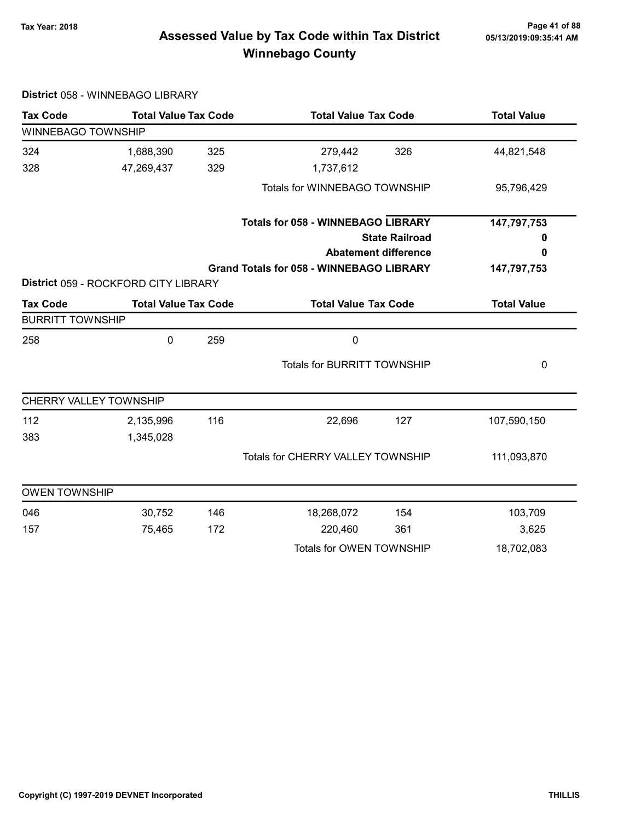## Page 41 of 88 Page 41 of 88<br>Assessed Value by Tax Code within Tax District 05/13/2019:09:35:41 AM Winnebago County

| <b>Tax Code</b>           | <b>Total Value Tax Code</b>          |     | <b>Total Value Tax Code</b>                     |                             | <b>Total Value</b> |  |
|---------------------------|--------------------------------------|-----|-------------------------------------------------|-----------------------------|--------------------|--|
| <b>WINNEBAGO TOWNSHIP</b> |                                      |     |                                                 |                             |                    |  |
| 324                       | 1,688,390                            | 325 | 279,442                                         | 326                         | 44,821,548         |  |
| 328                       | 47,269,437                           | 329 | 1,737,612                                       |                             |                    |  |
|                           |                                      |     | Totals for WINNEBAGO TOWNSHIP                   |                             | 95,796,429         |  |
|                           |                                      |     | <b>Totals for 058 - WINNEBAGO LIBRARY</b>       |                             | 147,797,753        |  |
|                           |                                      |     |                                                 | <b>State Railroad</b>       | 0                  |  |
|                           |                                      |     |                                                 | <b>Abatement difference</b> | 0                  |  |
|                           |                                      |     | <b>Grand Totals for 058 - WINNEBAGO LIBRARY</b> |                             | 147,797,753        |  |
|                           | District 059 - ROCKFORD CITY LIBRARY |     |                                                 |                             |                    |  |
| <b>Tax Code</b>           | <b>Total Value Tax Code</b>          |     | <b>Total Value Tax Code</b>                     |                             | <b>Total Value</b> |  |
| <b>BURRITT TOWNSHIP</b>   |                                      |     |                                                 |                             |                    |  |
| 258                       | 0                                    | 259 | $\mathbf 0$                                     |                             |                    |  |
|                           |                                      |     | <b>Totals for BURRITT TOWNSHIP</b>              |                             | 0                  |  |
| CHERRY VALLEY TOWNSHIP    |                                      |     |                                                 |                             |                    |  |
| 112                       | 2,135,996                            | 116 | 22,696                                          | 127                         | 107,590,150        |  |
| 383                       | 1,345,028                            |     |                                                 |                             |                    |  |
|                           |                                      |     | Totals for CHERRY VALLEY TOWNSHIP               |                             | 111,093,870        |  |
| <b>OWEN TOWNSHIP</b>      |                                      |     |                                                 |                             |                    |  |
| 046                       | 30,752                               | 146 | 18,268,072                                      | 154                         | 103,709            |  |
| 157                       | 75,465                               | 172 | 220,460                                         | 361                         | 3,625              |  |
|                           |                                      |     |                                                 |                             |                    |  |

#### District 058 - WINNEBAGO LIBRARY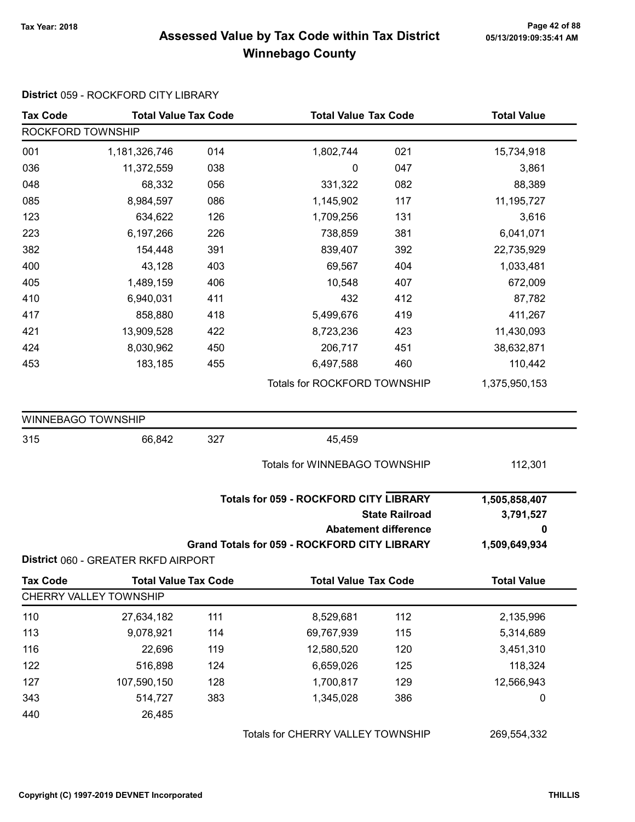### Page 42 of 88 مع Page 42 of 88<br>Assessed Value by Tax Code within Tax District مع Assessed Value by Tax Code Winnebago County

### Tax Code Total Value Tax Code Total Value Tax Code Total Value ROCKFORD TOWNSHIP 001 1,181,326,746 1,802,744 014 021 15,734,918 036 11,372,559 038 0 047 3,861 048 68,332 056 331,322 082 88,389 085 8,984,597 086 1,145,902 117 11,195,727 123 634,622 126 1,709,256 131 3,616 223 6,197,266 738,859 226 381 6,041,071 382 154,448 839,407 391 392 22,735,929 400 43,128 69,567 403 404 1,033,481 405 1,489,159 10,548 406 407 672,009 410 6,940,031 432 411 412 87,782 417 858,880 5,499,676 418 419 411,267 421 13,909,528 8,723,236 422 423 11,430,093 424 8,030,962 206,717 450 451 38,632,871 453 183,185 6,497,588 455 460 110,442 Totals for ROCKFORD TOWNSHIP 1,375,950,153 WINNEBAGO TOWNSHIP 315 66,842 45,459 327 Totals for WINNEBAGO TOWNSHIP 112,301 State Railroad Totals for 059 - ROCKFORD CITY LIBRARY Abatement difference Grand Totals for 059 - ROCKFORD CITY LIBRARY 1,505,858,407 3,791,527 0 1,509,649,934 District 060 - GREATER RKFD AIRPORT Tax Code Total Value Tax Code Total Value Tax Code Total Value CHERRY VALLEY TOWNSHIP 110 27,634,182 111 8,529,681 112 2,135,996 113 9,078,921 114 69,767,939 115 5,314,689 116 22,696 12,580,520 119 120 3,451,310 122 516,898 124 6,659,026 125 118,324 127 107,590,150 128 1,700,817 129 12,566,943 343 514,727 383 1,345,028 386 386 0 440 26,485 Totals for CHERRY VALLEY TOWNSHIP 269,554,332

#### District 059 - ROCKFORD CITY LIBRARY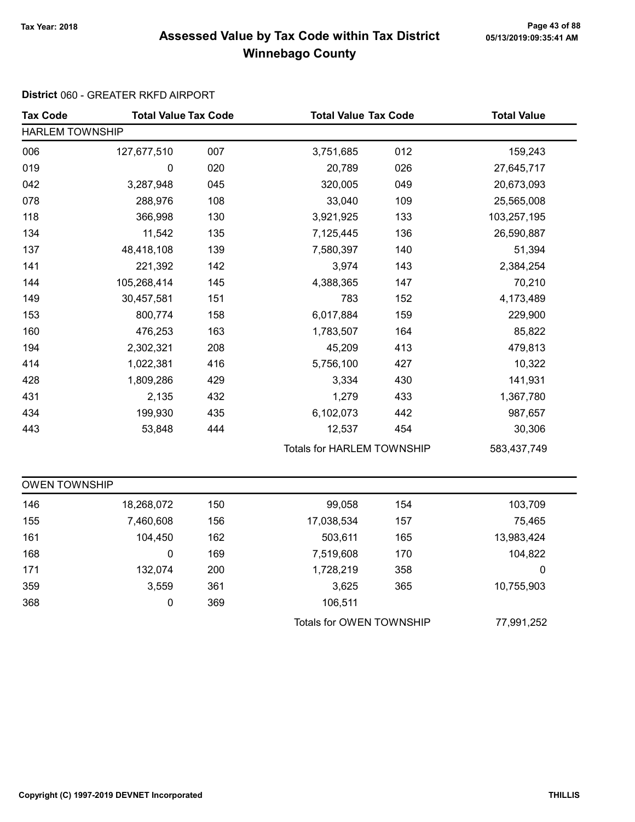## Page 43 of 88 مع Page 43 of 88<br>Assessed Value by Tax Code within Tax District مع Assessed Value by Tax Code Winnebago County

### District 060 - GREATER RKFD AIRPORT

| <b>Tax Code</b>        | <b>Total Value Tax Code</b> |     | <b>Total Value Tax Code</b>       |     | <b>Total Value</b> |  |
|------------------------|-----------------------------|-----|-----------------------------------|-----|--------------------|--|
| <b>HARLEM TOWNSHIP</b> |                             |     |                                   |     |                    |  |
| 006                    | 127,677,510                 | 007 | 3,751,685                         | 012 | 159,243            |  |
| 019                    | 0                           | 020 | 20,789                            | 026 | 27,645,717         |  |
| 042                    | 3,287,948                   | 045 | 320,005                           | 049 | 20,673,093         |  |
| 078                    | 288,976                     | 108 | 33,040                            | 109 | 25,565,008         |  |
| 118                    | 366,998                     | 130 | 3,921,925                         | 133 | 103,257,195        |  |
| 134                    | 11,542                      | 135 | 7,125,445                         | 136 | 26,590,887         |  |
| 137                    | 48,418,108                  | 139 | 7,580,397                         | 140 | 51,394             |  |
| 141                    | 221,392                     | 142 | 3,974                             | 143 | 2,384,254          |  |
| 144                    | 105,268,414                 | 145 | 4,388,365                         | 147 | 70,210             |  |
| 149                    | 30,457,581                  | 151 | 783                               | 152 | 4,173,489          |  |
| 153                    | 800,774                     | 158 | 6,017,884                         | 159 | 229,900            |  |
| 160                    | 476,253                     | 163 | 1,783,507                         | 164 | 85,822             |  |
| 194                    | 2,302,321                   | 208 | 45,209                            | 413 | 479,813            |  |
| 414                    | 1,022,381                   | 416 | 5,756,100                         | 427 | 10,322             |  |
| 428                    | 1,809,286                   | 429 | 3,334                             | 430 | 141,931            |  |
| 431                    | 2,135                       | 432 | 1,279                             | 433 | 1,367,780          |  |
| 434                    | 199,930                     | 435 | 6,102,073                         | 442 | 987,657            |  |
| 443                    | 53,848                      | 444 | 12,537                            | 454 | 30,306             |  |
|                        |                             |     | <b>Totals for HARLEM TOWNSHIP</b> |     | 583,437,749        |  |
| <b>OWEN TOWNSHIP</b>   |                             |     |                                   |     |                    |  |
| 146                    | 18,268,072                  | 150 | 99,058                            | 154 | 103,709            |  |
| 155                    | 7,460,608                   | 156 | 17,038,534                        | 157 | 75,465             |  |
| 161                    | 104,450                     | 162 | 503,611                           | 165 | 13,983,424         |  |
| 168                    | 0                           | 169 | 7,519,608                         | 170 | 104,822            |  |
| 171                    | 132,074                     | 200 | 1,728,219                         | 358 | 0                  |  |
| 359                    | 3,559                       | 361 | 3,625                             | 365 | 10,755,903         |  |
| 368                    | 0                           | 369 | 106,511                           |     |                    |  |
|                        |                             |     | Totals for OWEN TOWNSHIP          |     | 77,991,252         |  |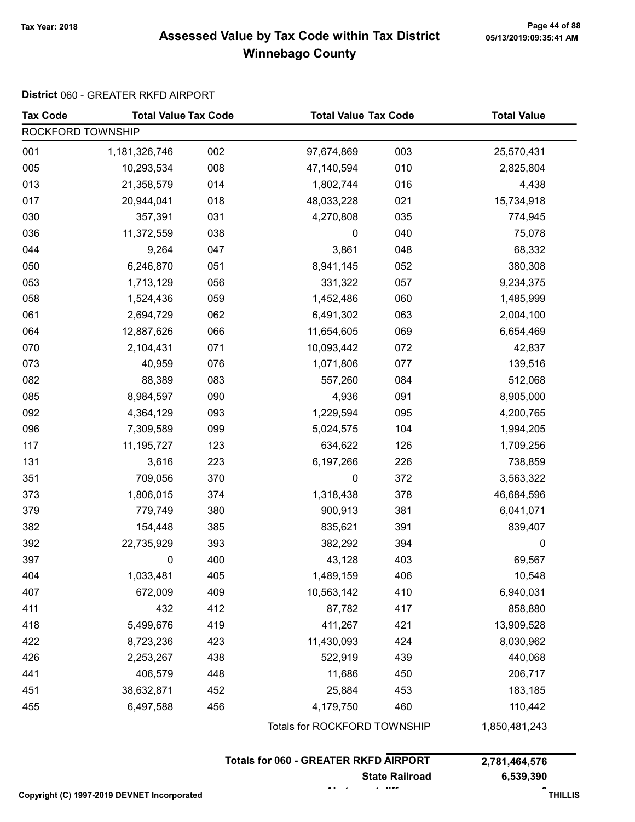## Page 44 of 88 مع Page 44 of 88<br>Assessed Value by Tax Code within Tax District مع Assessed Value by Tax Code Winnebago County

### District 060 - GREATER RKFD AIRPORT

| <b>Tax Code</b>   | <b>Total Value Tax Code</b> |     | <b>Total Value Tax Code</b>  |     | <b>Total Value</b> |  |
|-------------------|-----------------------------|-----|------------------------------|-----|--------------------|--|
| ROCKFORD TOWNSHIP |                             |     |                              |     |                    |  |
| 001               | 1,181,326,746               | 002 | 97,674,869                   | 003 | 25,570,431         |  |
| 005               | 10,293,534                  | 008 | 47,140,594                   | 010 | 2,825,804          |  |
| 013               | 21,358,579                  | 014 | 1,802,744                    | 016 | 4,438              |  |
| 017               | 20,944,041                  | 018 | 48,033,228                   | 021 | 15,734,918         |  |
| 030               | 357,391                     | 031 | 4,270,808                    | 035 | 774,945            |  |
| 036               | 11,372,559                  | 038 | 0                            | 040 | 75,078             |  |
| 044               | 9,264                       | 047 | 3,861                        | 048 | 68,332             |  |
| 050               | 6,246,870                   | 051 | 8,941,145                    | 052 | 380,308            |  |
| 053               | 1,713,129                   | 056 | 331,322                      | 057 | 9,234,375          |  |
| 058               | 1,524,436                   | 059 | 1,452,486                    | 060 | 1,485,999          |  |
| 061               | 2,694,729                   | 062 | 6,491,302                    | 063 | 2,004,100          |  |
| 064               | 12,887,626                  | 066 | 11,654,605                   | 069 | 6,654,469          |  |
| 070               | 2,104,431                   | 071 | 10,093,442                   | 072 | 42,837             |  |
| 073               | 40,959                      | 076 | 1,071,806                    | 077 | 139,516            |  |
| 082               | 88,389                      | 083 | 557,260                      | 084 | 512,068            |  |
| 085               | 8,984,597                   | 090 | 4,936                        | 091 | 8,905,000          |  |
| 092               | 4,364,129                   | 093 | 1,229,594                    | 095 | 4,200,765          |  |
| 096               | 7,309,589                   | 099 | 5,024,575                    | 104 | 1,994,205          |  |
| 117               | 11, 195, 727                | 123 | 634,622                      | 126 | 1,709,256          |  |
| 131               | 3,616                       | 223 | 6,197,266                    | 226 | 738,859            |  |
| 351               | 709,056                     | 370 | 0                            | 372 | 3,563,322          |  |
| 373               | 1,806,015                   | 374 | 1,318,438                    | 378 | 46,684,596         |  |
| 379               | 779,749                     | 380 | 900,913                      | 381 | 6,041,071          |  |
| 382               | 154,448                     | 385 | 835,621                      | 391 | 839,407            |  |
| 392               | 22,735,929                  | 393 | 382,292                      | 394 | $\boldsymbol{0}$   |  |
| 397               | 0                           | 400 | 43,128                       | 403 | 69,567             |  |
| 404               | 1,033,481                   | 405 | 1,489,159                    | 406 | 10,548             |  |
| 407               | 672,009                     | 409 | 10,563,142                   | 410 | 6,940,031          |  |
| 411               | 432                         | 412 | 87,782                       | 417 | 858,880            |  |
| 418               | 5,499,676                   | 419 | 411,267                      | 421 | 13,909,528         |  |
| 422               | 8,723,236                   | 423 | 11,430,093                   | 424 | 8,030,962          |  |
| 426               | 2,253,267                   | 438 | 522,919                      | 439 | 440,068            |  |
| 441               | 406,579                     | 448 | 11,686                       | 450 | 206,717            |  |
| 451               | 38,632,871                  | 452 | 25,884                       | 453 | 183,185            |  |
| 455               | 6,497,588                   | 456 | 4,179,750                    | 460 | 110,442            |  |
|                   |                             |     | Totals for ROCKFORD TOWNSHIP |     | 1,850,481,243      |  |

| <b>Totals for 060 - GREATER RKFD AIRPORT</b> |                       |               |
|----------------------------------------------|-----------------------|---------------|
|                                              |                       | 2,781,464,576 |
|                                              | <b>State Railroad</b> | 6.539.390     |
|                                              |                       |               |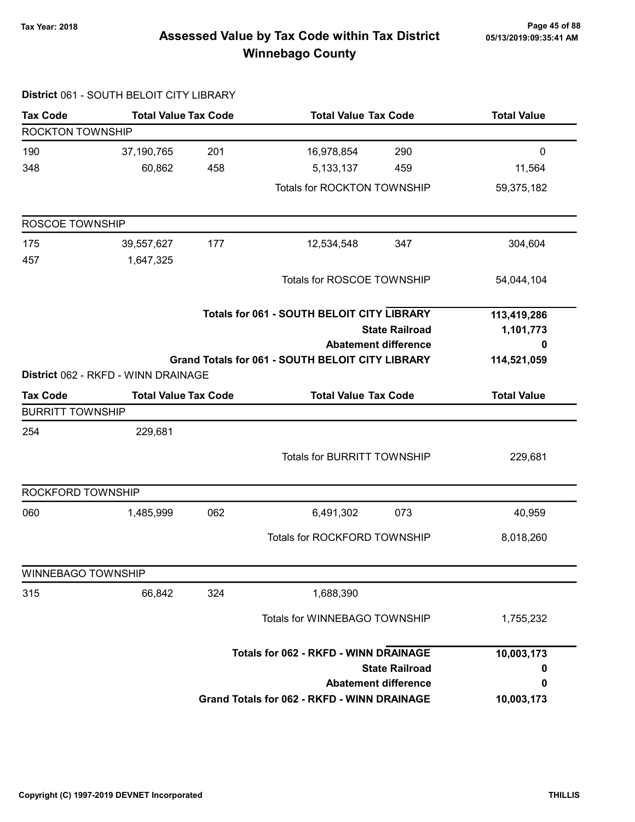## Page 45 of 88 Page 45 of 88<br>Assessed Value by Tax Code within Tax District ه Assessed Value by Tax Code within Tax Winnebago County

|                           | District 061 - SOUTH BELOIT CITY LIBRARY |                       |                                                         |                             |                    |
|---------------------------|------------------------------------------|-----------------------|---------------------------------------------------------|-----------------------------|--------------------|
| <b>Tax Code</b>           | <b>Total Value Tax Code</b>              |                       | <b>Total Value Tax Code</b>                             |                             | <b>Total Value</b> |
| ROCKTON TOWNSHIP          |                                          |                       |                                                         |                             |                    |
| 190                       | 37,190,765                               | 201                   | 16,978,854                                              | 290                         | $\mathbf 0$        |
| 348                       | 60,862                                   | 458                   | 5, 133, 137                                             | 459                         | 11,564             |
|                           |                                          |                       | Totals for ROCKTON TOWNSHIP                             |                             | 59,375,182         |
| ROSCOE TOWNSHIP           |                                          |                       |                                                         |                             |                    |
| 175<br>457                | 39,557,627<br>1,647,325                  | 177                   | 12,534,548                                              | 347                         | 304,604            |
|                           |                                          |                       | Totals for ROSCOE TOWNSHIP                              |                             | 54,044,104         |
|                           |                                          |                       | <b>Totals for 061 - SOUTH BELOIT CITY LIBRARY</b>       |                             | 113,419,286        |
|                           |                                          | <b>State Railroad</b> |                                                         |                             | 1,101,773          |
|                           |                                          |                       |                                                         | <b>Abatement difference</b> | 0                  |
|                           | District 062 - RKFD - WINN DRAINAGE      |                       | <b>Grand Totals for 061 - SOUTH BELOIT CITY LIBRARY</b> |                             | 114,521,059        |
| <b>Tax Code</b>           | <b>Total Value Tax Code</b>              |                       | <b>Total Value Tax Code</b>                             |                             | <b>Total Value</b> |
| <b>BURRITT TOWNSHIP</b>   |                                          |                       |                                                         |                             |                    |
| 254                       | 229,681                                  |                       |                                                         |                             |                    |
|                           |                                          |                       | <b>Totals for BURRITT TOWNSHIP</b>                      |                             | 229,681            |
| ROCKFORD TOWNSHIP         |                                          |                       |                                                         |                             |                    |
| 060                       | 1,485,999                                | 062                   | 6,491,302                                               | 073                         | 40,959             |
|                           |                                          |                       | Totals for ROCKFORD TOWNSHIP                            |                             | 8,018,260          |
| <b>WINNEBAGO TOWNSHIP</b> |                                          |                       |                                                         |                             |                    |
| 315                       | 66,842                                   | 324                   | 1,688,390                                               |                             |                    |
|                           |                                          |                       | Totals for WINNEBAGO TOWNSHIP                           |                             | 1,755,232          |
|                           |                                          |                       | <b>Totals for 062 - RKFD - WINN DRAINAGE</b>            |                             | 10,003,173         |
|                           |                                          |                       |                                                         | <b>State Railroad</b>       | 0                  |
|                           |                                          |                       |                                                         | <b>Abatement difference</b> | 0                  |
|                           |                                          |                       | <b>Grand Totals for 062 - RKFD - WINN DRAINAGE</b>      |                             | 10,003,173         |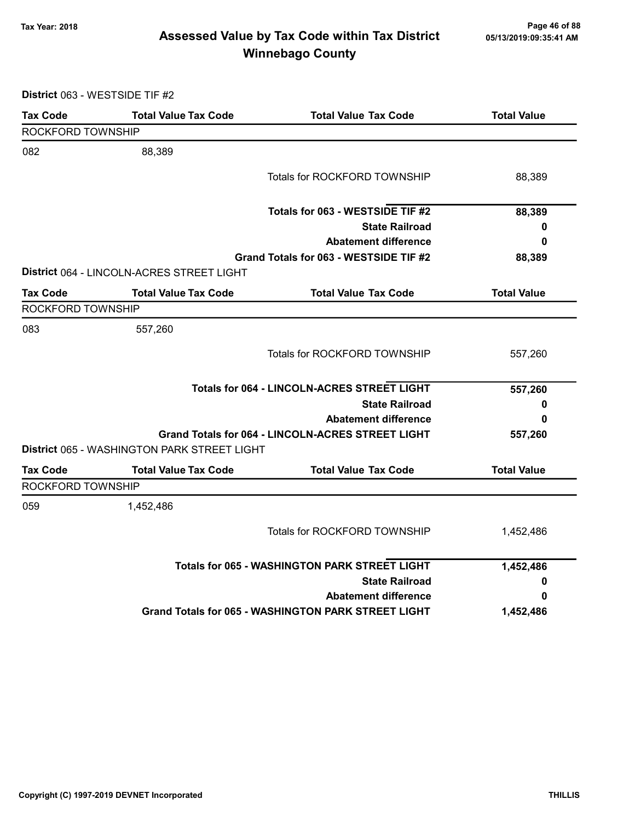## Page 46 of 88 مع Page 46 of 88<br>Assessed Value by Tax Code within Tax District مع Assessed Value by Tax Code Winnebago County

District 063 - WESTSIDE TIF #2

| <b>Tax Code</b>   | <b>Total Value Tax Code</b>                 | <b>Total Value Tax Code</b>                                | <b>Total Value</b> |
|-------------------|---------------------------------------------|------------------------------------------------------------|--------------------|
| ROCKFORD TOWNSHIP |                                             |                                                            |                    |
| 082               | 88,389                                      |                                                            |                    |
|                   |                                             | <b>Totals for ROCKFORD TOWNSHIP</b>                        | 88,389             |
|                   |                                             | Totals for 063 - WESTSIDE TIF #2                           | 88,389             |
|                   |                                             | <b>State Railroad</b>                                      | 0                  |
|                   |                                             | <b>Abatement difference</b>                                | 0                  |
|                   |                                             | Grand Totals for 063 - WESTSIDE TIF #2                     | 88,389             |
|                   | District 064 - LINCOLN-ACRES STREET LIGHT   |                                                            |                    |
| Tax Code          | <b>Total Value Tax Code</b>                 | <b>Total Value Tax Code</b>                                | <b>Total Value</b> |
| ROCKFORD TOWNSHIP |                                             |                                                            |                    |
| 083               | 557,260                                     |                                                            |                    |
|                   |                                             | Totals for ROCKFORD TOWNSHIP                               | 557,260            |
|                   |                                             | <b>Totals for 064 - LINCOLN-ACRES STREET LIGHT</b>         | 557,260            |
|                   |                                             | <b>State Railroad</b>                                      | 0                  |
|                   |                                             | <b>Abatement difference</b>                                | 0                  |
|                   |                                             | <b>Grand Totals for 064 - LINCOLN-ACRES STREET LIGHT</b>   | 557,260            |
|                   | District 065 - WASHINGTON PARK STREET LIGHT |                                                            |                    |
| <b>Tax Code</b>   | <b>Total Value Tax Code</b>                 | <b>Total Value Tax Code</b>                                | <b>Total Value</b> |
| ROCKFORD TOWNSHIP |                                             |                                                            |                    |
| 059               | 1,452,486                                   |                                                            |                    |
|                   |                                             | <b>Totals for ROCKFORD TOWNSHIP</b>                        | 1,452,486          |
|                   |                                             | <b>Totals for 065 - WASHINGTON PARK STREET LIGHT</b>       | 1,452,486          |
|                   |                                             | <b>State Railroad</b>                                      | 0                  |
|                   |                                             | <b>Abatement difference</b>                                | 0                  |
|                   |                                             | <b>Grand Totals for 065 - WASHINGTON PARK STREET LIGHT</b> | 1,452,486          |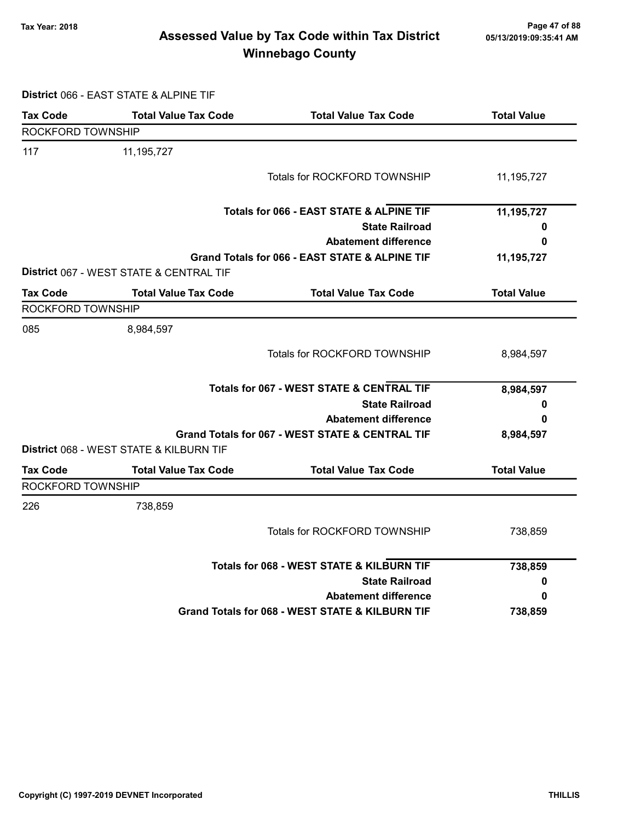## Page 47 of 88 Page 47 of 88<br>Assessed Value by Tax Code within Tax District [15/13/2019:09:35:41 AM] Tax Winnebago County

District 066 - EAST STATE & ALPINE TIF

| <b>Tax Code</b>   | <b>Total Value Tax Code</b>             | <b>Total Value Tax Code</b>                          | <b>Total Value</b> |
|-------------------|-----------------------------------------|------------------------------------------------------|--------------------|
| ROCKFORD TOWNSHIP |                                         |                                                      |                    |
| 117               | 11,195,727                              |                                                      |                    |
|                   |                                         | Totals for ROCKFORD TOWNSHIP                         | 11,195,727         |
|                   |                                         | Totals for 066 - EAST STATE & ALPINE TIF             | 11,195,727         |
|                   |                                         | <b>State Railroad</b>                                | 0                  |
|                   |                                         | <b>Abatement difference</b>                          | 0                  |
|                   | District 067 - WEST STATE & CENTRAL TIF | Grand Totals for 066 - EAST STATE & ALPINE TIF       | 11,195,727         |
| <b>Tax Code</b>   | <b>Total Value Tax Code</b>             | <b>Total Value Tax Code</b>                          | <b>Total Value</b> |
| ROCKFORD TOWNSHIP |                                         |                                                      |                    |
| 085               | 8,984,597                               |                                                      |                    |
|                   |                                         | Totals for ROCKFORD TOWNSHIP                         | 8,984,597          |
|                   |                                         | <b>Totals for 067 - WEST STATE &amp; CENTRAL TIF</b> | 8,984,597          |
|                   |                                         | <b>State Railroad</b>                                | 0                  |
|                   |                                         | <b>Abatement difference</b>                          | 0                  |
|                   |                                         | Grand Totals for 067 - WEST STATE & CENTRAL TIF      | 8,984,597          |
|                   | District 068 - WEST STATE & KILBURN TIF |                                                      |                    |
| <b>Tax Code</b>   | <b>Total Value Tax Code</b>             | <b>Total Value Tax Code</b>                          | <b>Total Value</b> |
| ROCKFORD TOWNSHIP |                                         |                                                      |                    |
| 226               | 738,859                                 |                                                      |                    |
|                   |                                         | Totals for ROCKFORD TOWNSHIP                         | 738,859            |
|                   |                                         | Totals for 068 - WEST STATE & KILBURN TIF            | 738,859            |
|                   |                                         | <b>State Railroad</b>                                | O                  |
|                   |                                         | <b>Abatement difference</b>                          | 0                  |
|                   |                                         | Grand Totals for 068 - WEST STATE & KILBURN TIF      | 738,859            |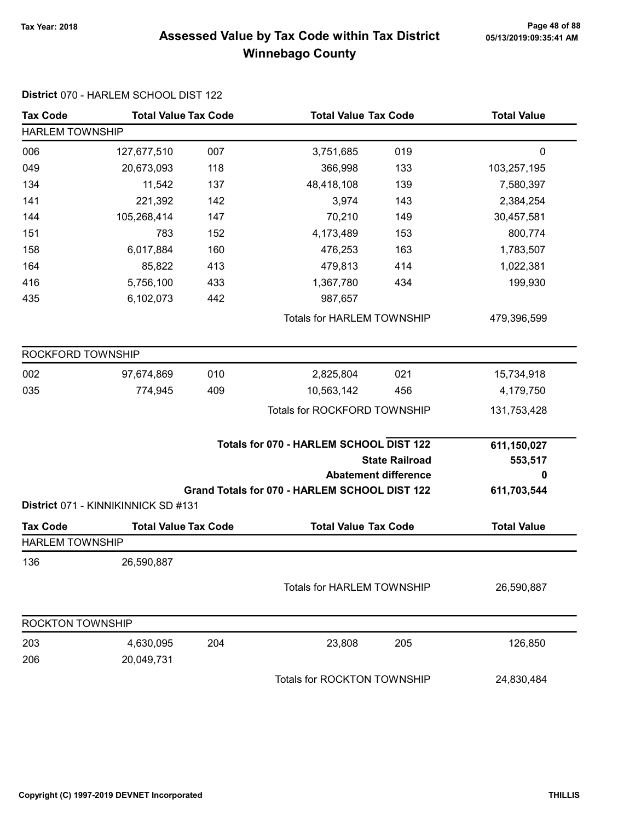## Page 48 of 88 مع Page 48 of 88<br>Assessed Value by Tax Code within Tax District مع Assessed Value by Tax Code Winnebago County

| <b>Tax Code</b>         | <b>Total Value Tax Code</b>         |     | <b>Total Value Tax Code</b>                                                                     |     | <b>Total Value</b>          |  |
|-------------------------|-------------------------------------|-----|-------------------------------------------------------------------------------------------------|-----|-----------------------------|--|
| <b>HARLEM TOWNSHIP</b>  |                                     |     |                                                                                                 |     |                             |  |
| 006                     | 127,677,510                         | 007 | 3,751,685                                                                                       | 019 | 0                           |  |
| 049                     | 20,673,093                          | 118 | 366,998                                                                                         | 133 | 103,257,195                 |  |
| 134                     | 11,542                              | 137 | 48,418,108                                                                                      | 139 | 7,580,397                   |  |
| 141                     | 221,392                             | 142 | 3,974                                                                                           | 143 | 2,384,254                   |  |
| 144                     | 105,268,414                         | 147 | 70,210                                                                                          | 149 | 30,457,581                  |  |
| 151                     | 783                                 | 152 | 4,173,489                                                                                       | 153 | 800,774                     |  |
| 158                     | 6,017,884                           | 160 | 476,253                                                                                         | 163 | 1,783,507                   |  |
| 164                     | 85,822                              | 413 | 479,813                                                                                         | 414 | 1,022,381                   |  |
| 416                     | 5,756,100                           | 433 | 1,367,780                                                                                       | 434 | 199,930                     |  |
| 435                     | 6,102,073                           | 442 | 987,657                                                                                         |     |                             |  |
|                         |                                     |     | <b>Totals for HARLEM TOWNSHIP</b>                                                               |     | 479,396,599                 |  |
| ROCKFORD TOWNSHIP       |                                     |     |                                                                                                 |     |                             |  |
| 002                     | 97,674,869                          | 010 | 2,825,804                                                                                       | 021 | 15,734,918                  |  |
| 035                     | 774,945                             | 409 | 10,563,142                                                                                      | 456 | 4,179,750                   |  |
|                         |                                     |     | Totals for ROCKFORD TOWNSHIP                                                                    |     | 131,753,428                 |  |
|                         |                                     |     | Totals for 070 - HARLEM SCHOOL DIST 122<br><b>State Railroad</b><br><b>Abatement difference</b> |     | 611,150,027<br>553,517<br>0 |  |
|                         | District 071 - KINNIKINNICK SD #131 |     | Grand Totals for 070 - HARLEM SCHOOL DIST 122                                                   |     | 611,703,544                 |  |
| <b>Tax Code</b>         | <b>Total Value Tax Code</b>         |     | <b>Total Value Tax Code</b>                                                                     |     | <b>Total Value</b>          |  |
| <b>HARLEM TOWNSHIP</b>  |                                     |     |                                                                                                 |     |                             |  |
| 136                     | 26,590,887                          |     |                                                                                                 |     |                             |  |
|                         |                                     |     | <b>Totals for HARLEM TOWNSHIP</b>                                                               |     | 26,590,887                  |  |
| <b>ROCKTON TOWNSHIP</b> |                                     |     |                                                                                                 |     |                             |  |
| 203                     | 4,630,095                           | 204 | 23,808                                                                                          | 205 | 126,850                     |  |
| 206                     | 20,049,731                          |     |                                                                                                 |     |                             |  |
|                         |                                     |     | Totals for ROCKTON TOWNSHIP                                                                     |     | 24,830,484                  |  |

District 070 - HARLEM SCHOOL DIST 122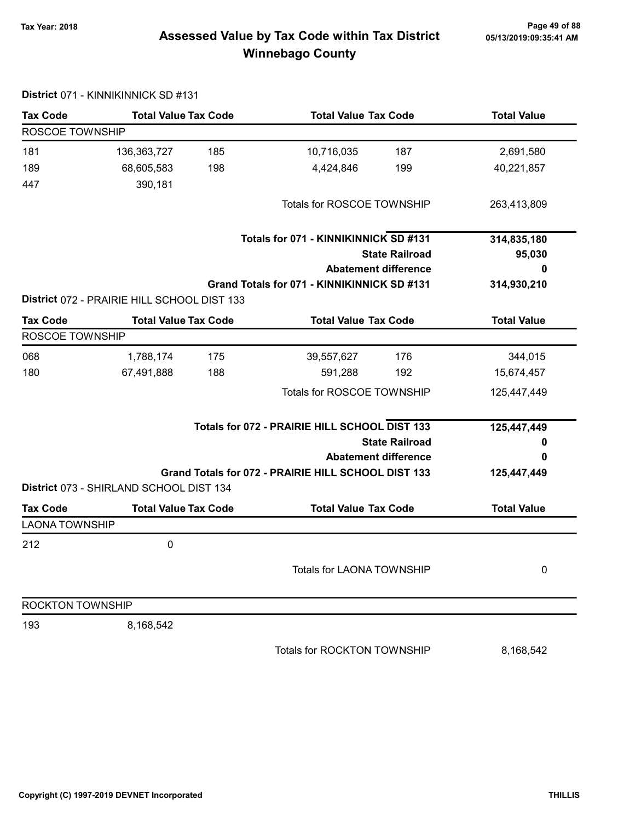## Page 49 of 88 مع Page 49 of 88<br>Assessed Value by Tax Code within Tax District مال Assessed Value by Tax Code within Tax District Winnebago County

| <b>Tax Code</b>         | <b>Total Value Tax Code</b>                 |     | <b>Total Value Tax Code</b>                         |                             | <b>Total Value</b> |
|-------------------------|---------------------------------------------|-----|-----------------------------------------------------|-----------------------------|--------------------|
| ROSCOE TOWNSHIP         |                                             |     |                                                     |                             |                    |
| 181                     | 136,363,727                                 | 185 | 10,716,035                                          | 187                         | 2,691,580          |
| 189                     | 68,605,583                                  | 198 | 4,424,846                                           | 199                         | 40,221,857         |
| 447                     | 390,181                                     |     |                                                     |                             |                    |
|                         |                                             |     | Totals for ROSCOE TOWNSHIP                          |                             | 263,413,809        |
|                         |                                             |     | Totals for 071 - KINNIKINNICK SD #131               |                             | 314,835,180        |
|                         |                                             |     |                                                     | <b>State Railroad</b>       | 95,030             |
|                         |                                             |     |                                                     | <b>Abatement difference</b> | 0                  |
|                         |                                             |     | Grand Totals for 071 - KINNIKINNICK SD #131         |                             | 314,930,210        |
|                         | District 072 - PRAIRIE HILL SCHOOL DIST 133 |     |                                                     |                             |                    |
| <b>Tax Code</b>         | <b>Total Value Tax Code</b>                 |     | <b>Total Value Tax Code</b>                         |                             | <b>Total Value</b> |
| ROSCOE TOWNSHIP         |                                             |     |                                                     |                             |                    |
| 068                     | 1,788,174                                   | 175 | 39,557,627                                          | 176                         | 344,015            |
| 180                     | 67,491,888                                  | 188 | 591,288                                             | 192                         | 15,674,457         |
|                         |                                             |     | Totals for ROSCOE TOWNSHIP                          |                             | 125,447,449        |
|                         |                                             |     | Totals for 072 - PRAIRIE HILL SCHOOL DIST 133       |                             | 125,447,449        |
|                         |                                             |     |                                                     | <b>State Railroad</b>       | o                  |
|                         |                                             |     |                                                     | <b>Abatement difference</b> | 0                  |
|                         |                                             |     | Grand Totals for 072 - PRAIRIE HILL SCHOOL DIST 133 |                             | 125,447,449        |
|                         | District 073 - SHIRLAND SCHOOL DIST 134     |     |                                                     |                             |                    |
| <b>Tax Code</b>         | <b>Total Value Tax Code</b>                 |     | <b>Total Value Tax Code</b>                         |                             | <b>Total Value</b> |
| <b>LAONA TOWNSHIP</b>   |                                             |     |                                                     |                             |                    |
| 212                     | $\pmb{0}$                                   |     |                                                     |                             |                    |
|                         |                                             |     | Totals for LAONA TOWNSHIP                           |                             | 0                  |
| <b>ROCKTON TOWNSHIP</b> |                                             |     |                                                     |                             |                    |
| 193                     | 8,168,542                                   |     |                                                     |                             |                    |
|                         |                                             |     | Totals for ROCKTON TOWNSHIP                         |                             | 8,168,542          |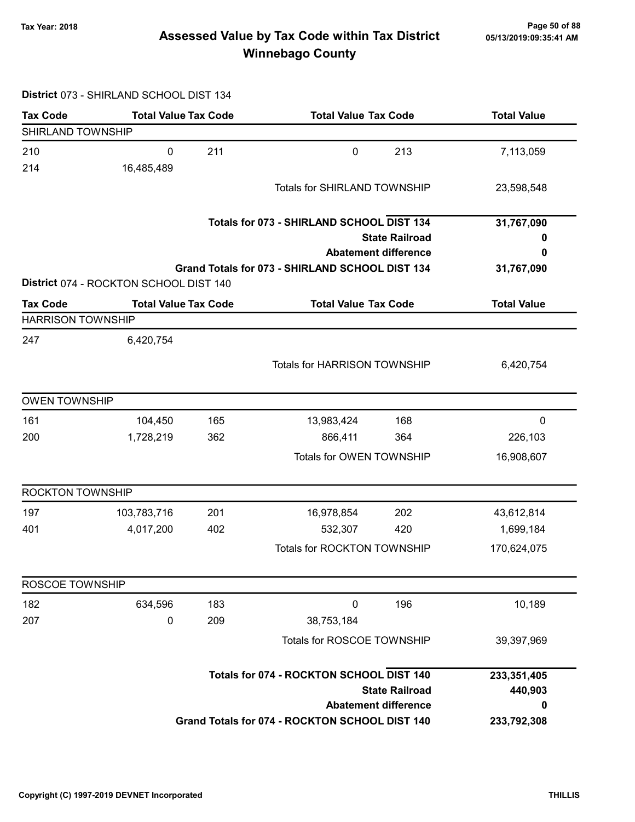## Page 50 of 88 وTax Year: 2018 Page 50 of 88<br>Assessed Value by Tax Code within Tax District ه 65/13/2019:09:35:41 Winnebago County

#### District 073 - SHIRLAND SCHOOL DIST 134

| <b>Tax Code</b>          | <b>Total Value Tax Code</b>            |     | <b>Total Value Tax Code</b>                     |                             | <b>Total Value</b> |
|--------------------------|----------------------------------------|-----|-------------------------------------------------|-----------------------------|--------------------|
| SHIRLAND TOWNSHIP        |                                        |     |                                                 |                             |                    |
| 210                      | 0                                      | 211 | $\mathbf 0$                                     | 213                         | 7,113,059          |
| 214                      | 16,485,489                             |     |                                                 |                             |                    |
|                          |                                        |     | Totals for SHIRLAND TOWNSHIP                    |                             | 23,598,548         |
|                          |                                        |     | Totals for 073 - SHIRLAND SCHOOL DIST 134       |                             | 31,767,090         |
|                          |                                        |     |                                                 | <b>State Railroad</b>       | o                  |
|                          |                                        |     |                                                 | <b>Abatement difference</b> | 0                  |
|                          | District 074 - ROCKTON SCHOOL DIST 140 |     | Grand Totals for 073 - SHIRLAND SCHOOL DIST 134 |                             | 31,767,090         |
| <b>Tax Code</b>          | <b>Total Value Tax Code</b>            |     | <b>Total Value Tax Code</b>                     |                             | <b>Total Value</b> |
| <b>HARRISON TOWNSHIP</b> |                                        |     |                                                 |                             |                    |
| 247                      | 6,420,754                              |     |                                                 |                             |                    |
|                          |                                        |     | <b>Totals for HARRISON TOWNSHIP</b>             |                             | 6,420,754          |
|                          |                                        |     |                                                 |                             |                    |
| <b>OWEN TOWNSHIP</b>     |                                        |     |                                                 |                             |                    |
| 161                      | 104,450                                | 165 | 13,983,424                                      | 168                         | 0                  |
| 200                      | 1,728,219                              | 362 | 866,411                                         | 364                         | 226,103            |
|                          |                                        |     | Totals for OWEN TOWNSHIP                        |                             | 16,908,607         |
| <b>ROCKTON TOWNSHIP</b>  |                                        |     |                                                 |                             |                    |
| 197                      | 103,783,716                            | 201 | 16,978,854                                      | 202                         | 43,612,814         |
| 401                      | 4,017,200                              | 402 | 532,307                                         | 420                         | 1,699,184          |
|                          |                                        |     | Totals for ROCKTON TOWNSHIP                     |                             | 170,624,075        |
| ROSCOE TOWNSHIP          |                                        |     |                                                 |                             |                    |
| 182                      | 634,596                                | 183 | $\pmb{0}$                                       | 196                         | 10,189             |
| 207                      | 0                                      | 209 | 38,753,184                                      |                             |                    |
|                          |                                        |     | Totals for ROSCOE TOWNSHIP                      |                             | 39,397,969         |
|                          |                                        |     | Totals for 074 - ROCKTON SCHOOL DIST 140        |                             | 233,351,405        |
|                          |                                        |     |                                                 | <b>State Railroad</b>       | 440,903            |
|                          |                                        |     |                                                 | <b>Abatement difference</b> | 0                  |
|                          |                                        |     | Grand Totals for 074 - ROCKTON SCHOOL DIST 140  |                             | 233,792,308        |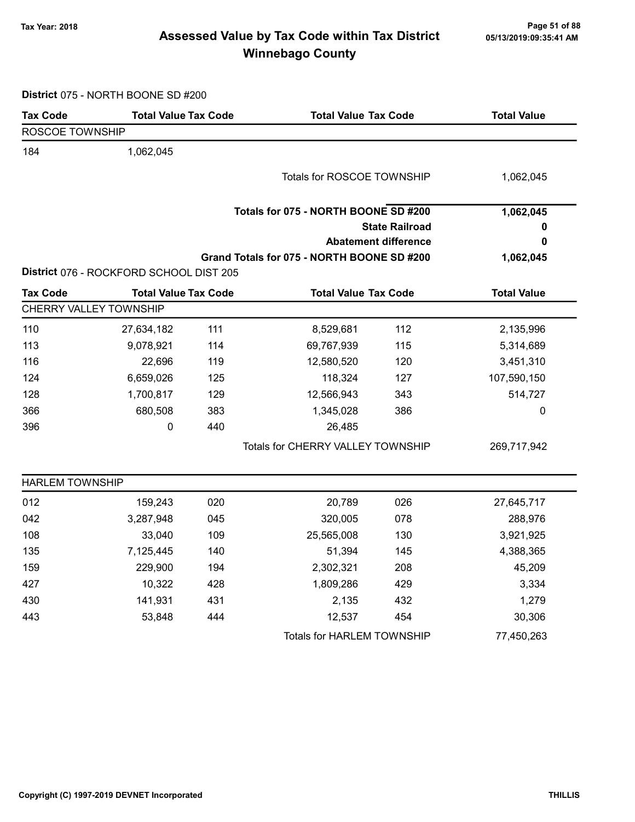## Page 51 of 88 Page 51 of 88<br>Assessed Value by Tax Code within Tax District ه Assessed Value by Tax Code within Tax Winnebago County

District 075 - NORTH BOONE SD #200

| <b>Tax Code</b>        | <b>Total Value Tax Code</b>             |     | <b>Total Value Tax Code</b>                |                             | <b>Total Value</b> |
|------------------------|-----------------------------------------|-----|--------------------------------------------|-----------------------------|--------------------|
| ROSCOE TOWNSHIP        |                                         |     |                                            |                             |                    |
| 184                    | 1,062,045                               |     |                                            |                             |                    |
|                        |                                         |     | Totals for ROSCOE TOWNSHIP                 |                             | 1,062,045          |
|                        |                                         |     |                                            |                             |                    |
|                        |                                         |     | Totals for 075 - NORTH BOONE SD #200       |                             | 1,062,045          |
|                        |                                         |     |                                            | <b>State Railroad</b>       |                    |
|                        |                                         |     |                                            | <b>Abatement difference</b> | 0                  |
|                        |                                         |     | Grand Totals for 075 - NORTH BOONE SD #200 |                             | 1,062,045          |
|                        | District 076 - ROCKFORD SCHOOL DIST 205 |     |                                            |                             |                    |
| <b>Tax Code</b>        | <b>Total Value Tax Code</b>             |     | <b>Total Value Tax Code</b>                |                             | <b>Total Value</b> |
| CHERRY VALLEY TOWNSHIP |                                         |     |                                            |                             |                    |
| 110                    | 27,634,182                              | 111 | 8,529,681                                  | 112                         | 2,135,996          |
| 113                    | 9,078,921                               | 114 | 69,767,939                                 | 115                         | 5,314,689          |
| 116                    | 22,696                                  | 119 | 12,580,520                                 | 120                         | 3,451,310          |
| 124                    | 6,659,026                               | 125 | 118,324                                    | 127                         | 107,590,150        |
| 128                    | 1,700,817                               | 129 | 12,566,943                                 | 343                         | 514,727            |
| 366                    | 680,508                                 | 383 | 1,345,028                                  | 386                         | 0                  |
| 396                    | 0                                       | 440 | 26,485                                     |                             |                    |
|                        |                                         |     | Totals for CHERRY VALLEY TOWNSHIP          |                             | 269,717,942        |
| <b>HARLEM TOWNSHIP</b> |                                         |     |                                            |                             |                    |
| 012                    | 159,243                                 | 020 | 20,789                                     | 026                         | 27,645,717         |
| 042                    | 3,287,948                               | 045 | 320,005                                    | 078                         | 288,976            |
| 108                    | 33,040                                  | 109 | 25,565,008                                 | 130                         | 3,921,925          |
| 135                    | 7,125,445                               | 140 | 51,394                                     | 145                         | 4,388,365          |
| 159                    | 229,900                                 | 194 | 2,302,321                                  | 208                         | 45,209             |
| 427                    | 10,322                                  | 428 | 1,809,286                                  | 429                         | 3,334              |
| 430                    | 141,931                                 | 431 | 2,135                                      | 432                         | 1,279              |
| 443                    | 53,848                                  | 444 | 12,537                                     | 454                         | 30,306             |
|                        |                                         |     | Totals for HARLEM TOWNSHIP                 |                             | 77,450,263         |
|                        |                                         |     |                                            |                             |                    |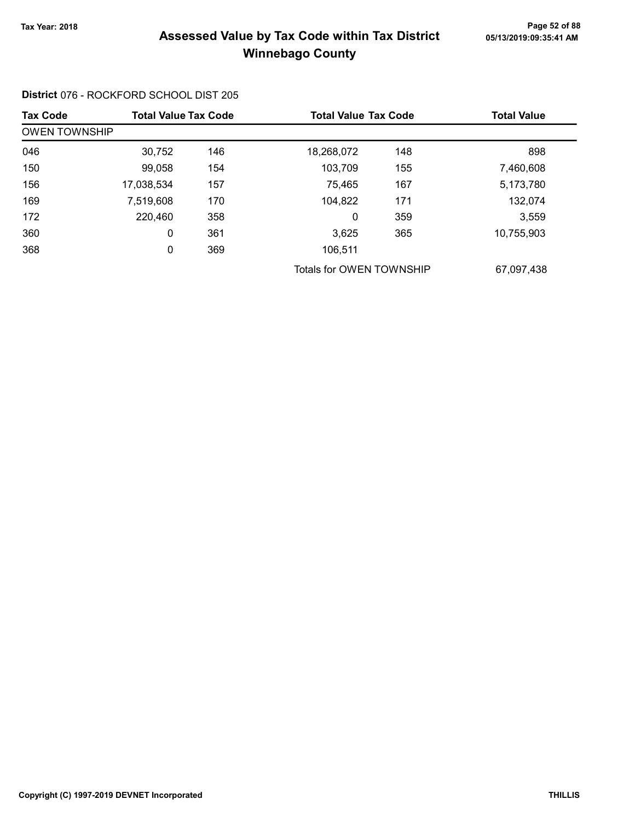## Page 52 of 88 مسمع Page 52 of 88<br>Assessed Value by Tax Code within Tax District مسمع Assessed Value by Tax Code within Tax District Winnebago County

### District 076 - ROCKFORD SCHOOL DIST 205

| <b>Tax Code</b>      | <b>Total Value Tax Code</b> |     | <b>Total Value Tax Code</b> |     | <b>Total Value</b> |
|----------------------|-----------------------------|-----|-----------------------------|-----|--------------------|
| <b>OWEN TOWNSHIP</b> |                             |     |                             |     |                    |
| 046                  | 30,752                      | 146 | 18,268,072                  | 148 | 898                |
| 150                  | 99,058                      | 154 | 103,709                     | 155 | 7,460,608          |
| 156                  | 17,038,534                  | 157 | 75,465                      | 167 | 5,173,780          |
| 169                  | 7,519,608                   | 170 | 104,822                     | 171 | 132,074            |
| 172                  | 220,460                     | 358 | 0                           | 359 | 3,559              |
| 360                  | 0                           | 361 | 3,625                       | 365 | 10,755,903         |
| 368                  | 0                           | 369 | 106,511                     |     |                    |
|                      |                             |     | Totals for OWEN TOWNSHIP    |     | 67,097,438         |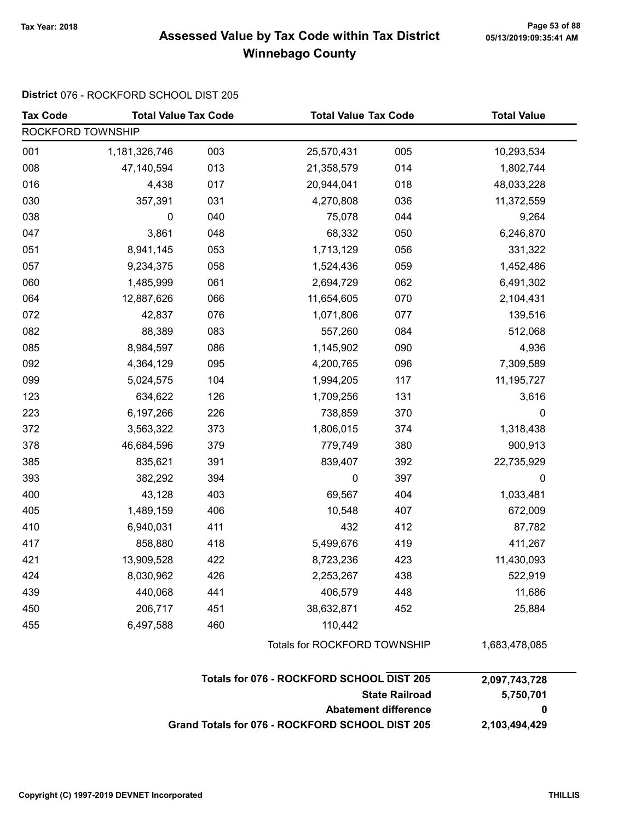### Page 53 of 88 مسمع Page 53 of 88<br>Assessed Value by Tax Code within Tax District مسمع Assessed Value by Tax Code within Tax District Winnebago County

### District 076 - ROCKFORD SCHOOL DIST 205

| <b>Tax Code</b>             | <b>Total Value Tax Code</b> |     | <b>Total Value Tax Code</b>                     |     | <b>Total Value</b> |
|-----------------------------|-----------------------------|-----|-------------------------------------------------|-----|--------------------|
| ROCKFORD TOWNSHIP           |                             |     |                                                 |     |                    |
| 001                         | 1,181,326,746               | 003 | 25,570,431                                      | 005 | 10,293,534         |
| 008                         | 47,140,594                  | 013 | 21,358,579                                      | 014 | 1,802,744          |
| 016                         | 4,438                       | 017 | 20,944,041                                      | 018 | 48,033,228         |
| 030                         | 357,391                     | 031 | 4,270,808                                       | 036 | 11,372,559         |
| 038                         | 0                           | 040 | 75,078                                          | 044 | 9,264              |
| 047                         | 3,861                       | 048 | 68,332                                          | 050 | 6,246,870          |
| 051                         | 8,941,145                   | 053 | 1,713,129                                       | 056 | 331,322            |
| 057                         | 9,234,375                   | 058 | 1,524,436                                       | 059 | 1,452,486          |
| 060                         | 1,485,999                   | 061 | 2,694,729                                       | 062 | 6,491,302          |
| 064                         | 12,887,626                  | 066 | 11,654,605                                      | 070 | 2,104,431          |
| 072                         | 42,837                      | 076 | 1,071,806                                       | 077 | 139,516            |
| 082                         | 88,389                      | 083 | 557,260                                         | 084 | 512,068            |
| 085                         | 8,984,597                   | 086 | 1,145,902                                       | 090 | 4,936              |
| 092                         | 4,364,129                   | 095 | 4,200,765                                       | 096 | 7,309,589          |
| 099                         | 5,024,575                   | 104 | 1,994,205                                       | 117 | 11, 195, 727       |
| 123                         | 634,622                     | 126 | 1,709,256                                       | 131 | 3,616              |
| 223                         | 6,197,266                   | 226 | 738,859                                         | 370 | 0                  |
| 372                         | 3,563,322                   | 373 | 1,806,015                                       | 374 | 1,318,438          |
| 378                         | 46,684,596                  | 379 | 779,749                                         | 380 | 900,913            |
| 385                         | 835,621                     | 391 | 839,407                                         | 392 | 22,735,929         |
| 393                         | 382,292                     | 394 | 0                                               | 397 | $\pmb{0}$          |
| 400                         | 43,128                      | 403 | 69,567                                          | 404 | 1,033,481          |
| 405                         | 1,489,159                   | 406 | 10,548                                          | 407 | 672,009            |
| 410                         | 6,940,031                   | 411 | 432                                             | 412 | 87,782             |
| 417                         | 858,880                     | 418 | 5,499,676                                       | 419 | 411,267            |
| 421                         | 13,909,528                  | 422 | 8,723,236                                       | 423 | 11,430,093         |
| 424                         | 8,030,962                   | 426 | 2,253,267                                       | 438 | 522,919            |
| 439                         | 440,068                     | 441 | 406,579                                         | 448 | 11,686             |
| 450                         | 206,717                     | 451 | 38,632,871                                      | 452 | 25,884             |
| 455                         | 6,497,588                   | 460 | 110,442                                         |     |                    |
|                             |                             |     | Totals for ROCKFORD TOWNSHIP                    |     | 1,683,478,085      |
|                             |                             |     | Totals for 076 - ROCKFORD SCHOOL DIST 205       |     | 2,097,743,728      |
|                             | <b>State Railroad</b>       |     |                                                 |     | 5,750,701          |
| <b>Abatement difference</b> |                             |     |                                                 |     | 0                  |
|                             |                             |     | Grand Totals for 076 - ROCKFORD SCHOOL DIST 205 |     | 2,103,494,429      |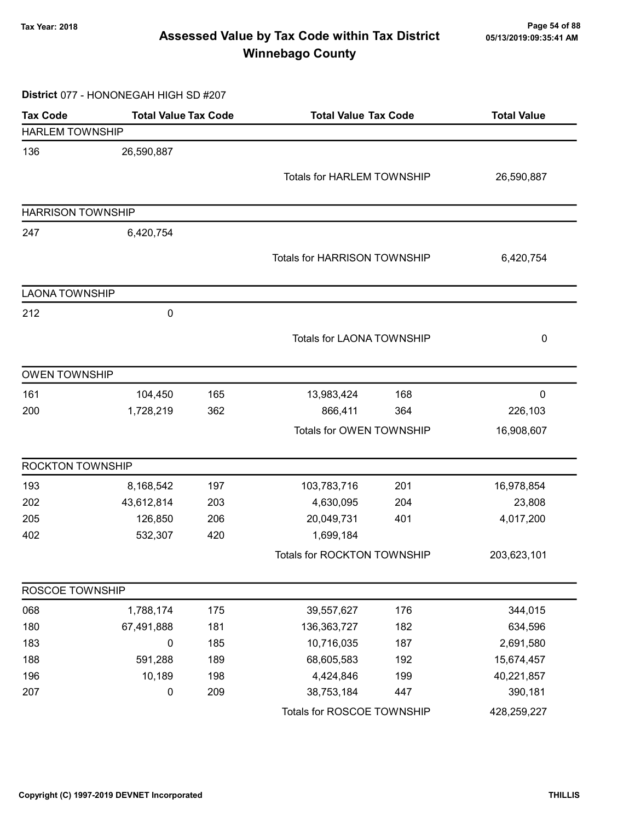## Page 54 of 88 مسمع Page 54 of 88<br>Assessed Value by Tax Code within Tax District مسمع Assessed Value by Tax Code within Tax District Winnebago County

#### District 077 - HONONEGAH HIGH SD #207

| <b>Tax Code</b>          | <b>Total Value Tax Code</b> |     | <b>Total Value Tax Code</b>         |     | <b>Total Value</b> |  |
|--------------------------|-----------------------------|-----|-------------------------------------|-----|--------------------|--|
| <b>HARLEM TOWNSHIP</b>   |                             |     |                                     |     |                    |  |
| 136                      | 26,590,887                  |     |                                     |     |                    |  |
|                          |                             |     | <b>Totals for HARLEM TOWNSHIP</b>   |     | 26,590,887         |  |
|                          |                             |     |                                     |     |                    |  |
| <b>HARRISON TOWNSHIP</b> |                             |     |                                     |     |                    |  |
| 247                      | 6,420,754                   |     |                                     |     |                    |  |
|                          |                             |     | <b>Totals for HARRISON TOWNSHIP</b> |     | 6,420,754          |  |
|                          |                             |     |                                     |     |                    |  |
| <b>LAONA TOWNSHIP</b>    |                             |     |                                     |     |                    |  |
| 212                      | 0                           |     |                                     |     |                    |  |
|                          |                             |     | <b>Totals for LAONA TOWNSHIP</b>    |     | 0                  |  |
|                          |                             |     |                                     |     |                    |  |
| <b>OWEN TOWNSHIP</b>     |                             |     |                                     |     |                    |  |
| 161                      | 104,450                     | 165 | 13,983,424                          | 168 | 0                  |  |
| 200                      | 1,728,219                   | 362 | 866,411                             | 364 | 226,103            |  |
|                          |                             |     | Totals for OWEN TOWNSHIP            |     | 16,908,607         |  |
| <b>ROCKTON TOWNSHIP</b>  |                             |     |                                     |     |                    |  |
| 193                      | 8,168,542                   | 197 | 103,783,716                         | 201 | 16,978,854         |  |
| 202                      | 43,612,814                  | 203 | 4,630,095                           | 204 | 23,808             |  |
| 205                      | 126,850                     | 206 | 20,049,731                          | 401 | 4,017,200          |  |
| 402                      | 532,307                     | 420 | 1,699,184                           |     |                    |  |
|                          |                             |     | Totals for ROCKTON TOWNSHIP         |     | 203,623,101        |  |
| ROSCOE TOWNSHIP          |                             |     |                                     |     |                    |  |
| 068                      | 1,788,174                   | 175 | 39,557,627                          | 176 | 344,015            |  |
| 180                      | 67,491,888                  | 181 | 136, 363, 727                       | 182 | 634,596            |  |
| 183                      | 0                           | 185 | 10,716,035                          | 187 | 2,691,580          |  |
| 188                      | 591,288                     | 189 | 68,605,583                          | 192 | 15,674,457         |  |
| 196                      | 10,189                      | 198 | 4,424,846                           | 199 | 40,221,857         |  |
| 207                      | 0                           | 209 | 38,753,184                          | 447 | 390,181            |  |
|                          |                             |     | Totals for ROSCOE TOWNSHIP          |     | 428,259,227        |  |
|                          |                             |     |                                     |     |                    |  |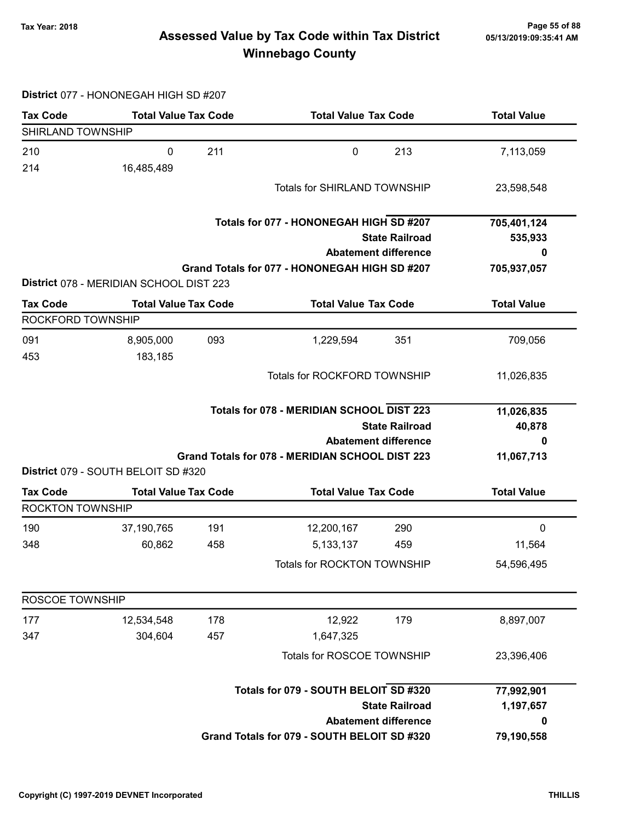## Page 55 of 88 مسمع Page 55 of 88<br>Assessed Value by Tax Code within Tax District مسمع Assessed Value by Tax Code within Tax District Winnebago County

### District 077 - HONONEGAH HIGH SD #207

| <b>Tax Code</b>   | <b>Total Value Tax Code</b>             |     | <b>Total Value Tax Code</b>                      |                             | <b>Total Value</b>   |
|-------------------|-----------------------------------------|-----|--------------------------------------------------|-----------------------------|----------------------|
| SHIRLAND TOWNSHIP |                                         |     |                                                  |                             |                      |
| 210               | 0                                       | 211 | $\mathbf 0$                                      | 213                         | 7,113,059            |
| 214               | 16,485,489                              |     |                                                  |                             |                      |
|                   |                                         |     | <b>Totals for SHIRLAND TOWNSHIP</b>              |                             | 23,598,548           |
|                   |                                         |     |                                                  |                             |                      |
|                   |                                         |     | Totals for 077 - HONONEGAH HIGH SD #207          |                             | 705,401,124          |
|                   |                                         |     |                                                  | <b>State Railroad</b>       | 535,933              |
|                   |                                         |     |                                                  | <b>Abatement difference</b> |                      |
|                   | District 078 - MERIDIAN SCHOOL DIST 223 |     | Grand Totals for 077 - HONONEGAH HIGH SD #207    |                             | 705,937,057          |
|                   |                                         |     |                                                  |                             |                      |
| <b>Tax Code</b>   | <b>Total Value Tax Code</b>             |     | <b>Total Value Tax Code</b>                      |                             | <b>Total Value</b>   |
| ROCKFORD TOWNSHIP |                                         |     |                                                  |                             |                      |
| 091<br>453        | 8,905,000                               | 093 | 1,229,594                                        | 351                         | 709,056              |
|                   | 183,185                                 |     |                                                  |                             |                      |
|                   |                                         |     | <b>Totals for ROCKFORD TOWNSHIP</b>              |                             | 11,026,835           |
|                   |                                         |     | <b>Totals for 078 - MERIDIAN SCHOOL DIST 223</b> |                             |                      |
|                   |                                         |     |                                                  | <b>State Railroad</b>       | 11,026,835<br>40,878 |
|                   |                                         |     |                                                  | <b>Abatement difference</b> | 0                    |
|                   |                                         |     | Grand Totals for 078 - MERIDIAN SCHOOL DIST 223  |                             | 11,067,713           |
|                   | District 079 - SOUTH BELOIT SD #320     |     |                                                  |                             |                      |
| <b>Tax Code</b>   | <b>Total Value Tax Code</b>             |     | <b>Total Value Tax Code</b>                      |                             | <b>Total Value</b>   |
| ROCKTON TOWNSHIP  |                                         |     |                                                  |                             |                      |
| 190               | 37,190,765                              | 191 | 12,200,167                                       | 290                         | 0                    |
| 348               | 60,862                                  | 458 | 5,133,137                                        | 459                         | 11,564               |
|                   |                                         |     | Totals for ROCKTON TOWNSHIP                      |                             | 54,596,495           |
|                   |                                         |     |                                                  |                             |                      |
| ROSCOE TOWNSHIP   |                                         |     |                                                  |                             |                      |
| 177               | 12,534,548                              | 178 | 12,922                                           | 179                         | 8,897,007            |
| 347               | 304,604                                 | 457 | 1,647,325                                        |                             |                      |
|                   |                                         |     | Totals for ROSCOE TOWNSHIP                       |                             | 23,396,406           |
|                   |                                         |     |                                                  |                             |                      |
|                   |                                         |     | Totals for 079 - SOUTH BELOIT SD #320            |                             | 77,992,901           |
|                   |                                         |     |                                                  | <b>State Railroad</b>       | 1,197,657            |
|                   |                                         |     |                                                  | <b>Abatement difference</b> | 0                    |
|                   |                                         |     | Grand Totals for 079 - SOUTH BELOIT SD #320      |                             | 79,190,558           |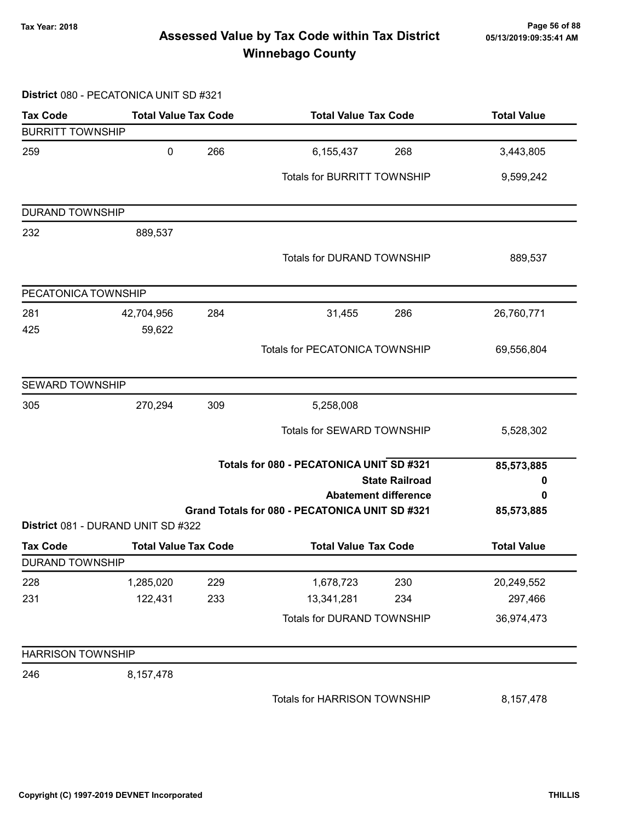## Page 56 of 88 مسمع Page 56 of 88<br>Assessed Value by Tax Code within Tax District مسمع Assessed Value by Tax Code within Tax District Winnebago County

#### District 080 - PECATONICA UNIT SD #321

| <b>Tax Code</b>          | <b>Total Value Tax Code</b>        |            | <b>Total Value Tax Code</b>                                       | <b>Total Value</b>    |
|--------------------------|------------------------------------|------------|-------------------------------------------------------------------|-----------------------|
| <b>BURRITT TOWNSHIP</b>  |                                    |            |                                                                   |                       |
| 259                      | $\pmb{0}$                          | 266        | 6,155,437<br>268                                                  | 3,443,805             |
|                          |                                    |            | Totals for BURRITT TOWNSHIP                                       | 9,599,242             |
| <b>DURAND TOWNSHIP</b>   |                                    |            |                                                                   |                       |
| 232                      | 889,537                            |            |                                                                   |                       |
|                          |                                    |            | <b>Totals for DURAND TOWNSHIP</b>                                 | 889,537               |
| PECATONICA TOWNSHIP      |                                    |            |                                                                   |                       |
| 281                      | 42,704,956                         | 284        | 31,455<br>286                                                     | 26,760,771            |
| 425                      | 59,622                             |            |                                                                   |                       |
|                          |                                    |            | <b>Totals for PECATONICA TOWNSHIP</b>                             | 69,556,804            |
| <b>SEWARD TOWNSHIP</b>   |                                    |            |                                                                   |                       |
| 305                      | 270,294                            | 309        | 5,258,008                                                         |                       |
|                          |                                    |            | Totals for SEWARD TOWNSHIP                                        | 5,528,302             |
|                          |                                    |            | Totals for 080 - PECATONICA UNIT SD #321<br><b>State Railroad</b> | 85,573,885<br>0       |
|                          |                                    |            | <b>Abatement difference</b>                                       | 0                     |
|                          |                                    |            | Grand Totals for 080 - PECATONICA UNIT SD #321                    | 85,573,885            |
|                          | District 081 - DURAND UNIT SD #322 |            |                                                                   |                       |
| <b>Tax Code</b>          | <b>Total Value Tax Code</b>        |            | <b>Total Value Tax Code</b>                                       | <b>Total Value</b>    |
| <b>DURAND TOWNSHIP</b>   |                                    |            |                                                                   |                       |
| 228<br>231               | 1,285,020<br>122,431               | 229<br>233 | 1,678,723<br>230<br>13,341,281<br>234                             | 20,249,552<br>297,466 |
|                          |                                    |            | Totals for DURAND TOWNSHIP                                        | 36,974,473            |
|                          |                                    |            |                                                                   |                       |
| <b>HARRISON TOWNSHIP</b> |                                    |            |                                                                   |                       |
| 246                      | 8,157,478                          |            |                                                                   |                       |
|                          |                                    |            | Totals for HARRISON TOWNSHIP                                      | 8,157,478             |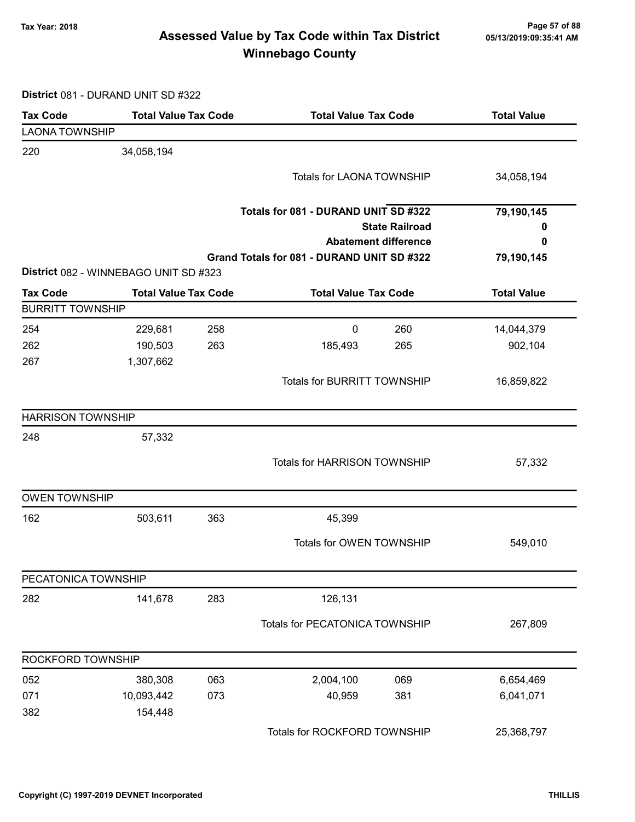## Page 57 of 88 وTax Year: 2018 Page 57 of 88<br>Assessed Value by Tax Code within Tax District ه 65/13/2019:09:35:41 Winnebago County

District 081 - DURAND UNIT SD #322

| <b>Tax Code</b>          | <b>Total Value Tax Code</b>           |     | <b>Total Value Tax Code</b>                |                             | <b>Total Value</b> |
|--------------------------|---------------------------------------|-----|--------------------------------------------|-----------------------------|--------------------|
| <b>LAONA TOWNSHIP</b>    |                                       |     |                                            |                             |                    |
| 220                      | 34,058,194                            |     |                                            |                             |                    |
|                          |                                       |     | <b>Totals for LAONA TOWNSHIP</b>           |                             | 34,058,194         |
|                          |                                       |     | Totals for 081 - DURAND UNIT SD #322       |                             | 79,190,145         |
|                          |                                       |     |                                            | <b>State Railroad</b>       | 0                  |
|                          |                                       |     |                                            | <b>Abatement difference</b> | 0                  |
|                          |                                       |     | Grand Totals for 081 - DURAND UNIT SD #322 |                             | 79,190,145         |
|                          | District 082 - WINNEBAGO UNIT SD #323 |     |                                            |                             |                    |
| <b>Tax Code</b>          | <b>Total Value Tax Code</b>           |     | <b>Total Value Tax Code</b>                |                             | <b>Total Value</b> |
| <b>BURRITT TOWNSHIP</b>  |                                       |     |                                            |                             |                    |
| 254                      | 229,681                               | 258 | $\mathbf 0$                                | 260                         | 14,044,379         |
| 262                      | 190,503                               | 263 | 185,493                                    | 265                         | 902,104            |
| 267                      | 1,307,662                             |     |                                            |                             |                    |
|                          |                                       |     | <b>Totals for BURRITT TOWNSHIP</b>         |                             | 16,859,822         |
| <b>HARRISON TOWNSHIP</b> |                                       |     |                                            |                             |                    |
| 248                      | 57,332                                |     |                                            |                             |                    |
|                          |                                       |     | Totals for HARRISON TOWNSHIP               |                             | 57,332             |
| <b>OWEN TOWNSHIP</b>     |                                       |     |                                            |                             |                    |
| 162                      | 503,611                               | 363 | 45,399                                     |                             |                    |
|                          |                                       |     | Totals for OWEN TOWNSHIP                   |                             | 549,010            |
| PECATONICA TOWNSHIP      |                                       |     |                                            |                             |                    |
| 282                      | 141,678                               | 283 | 126,131                                    |                             |                    |
|                          |                                       |     | Totals for PECATONICA TOWNSHIP             |                             | 267,809            |
| ROCKFORD TOWNSHIP        |                                       |     |                                            |                             |                    |
| 052                      | 380,308                               | 063 | 2,004,100                                  | 069                         | 6,654,469          |
| 071                      | 10,093,442                            | 073 | 40,959                                     | 381                         | 6,041,071          |
| 382                      | 154,448                               |     |                                            |                             |                    |
|                          |                                       |     | Totals for ROCKFORD TOWNSHIP               |                             | 25,368,797         |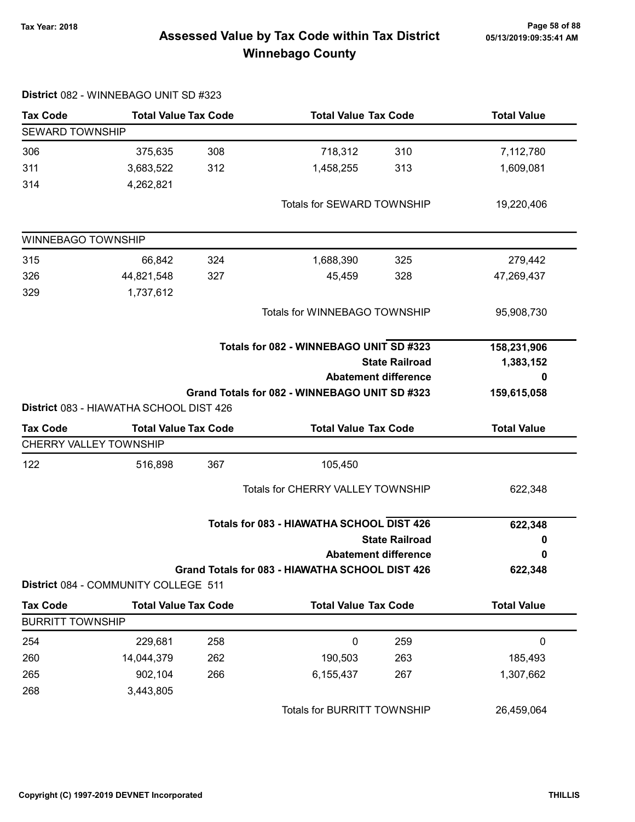## Page 58 of 88 مسمع Page 58 of 88<br>Assessed Value by Tax Code within Tax District مسمع Assessed Value by Tax Code within Tax District Winnebago County

| <b>Tax Code</b>         | <b>Total Value Tax Code</b>             |                                         | <b>Total Value Tax Code</b>                     |                             | <b>Total Value</b> |
|-------------------------|-----------------------------------------|-----------------------------------------|-------------------------------------------------|-----------------------------|--------------------|
| <b>SEWARD TOWNSHIP</b>  |                                         |                                         |                                                 |                             |                    |
| 306                     | 375,635                                 | 308                                     | 718,312                                         | 310                         | 7,112,780          |
| 311                     | 3,683,522                               | 312                                     | 1,458,255                                       | 313                         | 1,609,081          |
| 314                     | 4,262,821                               |                                         |                                                 |                             |                    |
|                         |                                         |                                         | Totals for SEWARD TOWNSHIP                      |                             | 19,220,406         |
| WINNEBAGO TOWNSHIP      |                                         |                                         |                                                 |                             |                    |
| 315                     | 66,842                                  | 324                                     | 1,688,390                                       | 325                         | 279,442            |
| 326                     | 44,821,548                              | 327                                     | 45,459                                          | 328                         | 47,269,437         |
| 329                     | 1,737,612                               |                                         |                                                 |                             |                    |
|                         |                                         |                                         | Totals for WINNEBAGO TOWNSHIP                   |                             | 95,908,730         |
|                         |                                         | Totals for 082 - WINNEBAGO UNIT SD #323 |                                                 |                             | 158,231,906        |
|                         |                                         |                                         |                                                 | <b>State Railroad</b>       | 1,383,152          |
|                         |                                         |                                         |                                                 | <b>Abatement difference</b> | 0                  |
|                         | District 083 - HIAWATHA SCHOOL DIST 426 |                                         | Grand Totals for 082 - WINNEBAGO UNIT SD #323   |                             | 159,615,058        |
| <b>Tax Code</b>         | <b>Total Value Tax Code</b>             |                                         | <b>Total Value Tax Code</b>                     |                             | <b>Total Value</b> |
| CHERRY VALLEY TOWNSHIP  |                                         |                                         |                                                 |                             |                    |
| 122                     | 516,898                                 | 367                                     | 105,450                                         |                             |                    |
|                         |                                         |                                         | Totals for CHERRY VALLEY TOWNSHIP               |                             | 622,348            |
|                         |                                         |                                         | Totals for 083 - HIAWATHA SCHOOL DIST 426       |                             | 622,348            |
|                         |                                         |                                         |                                                 | <b>State Railroad</b>       | 0                  |
|                         |                                         |                                         |                                                 | <b>Abatement difference</b> | 0                  |
|                         | District 084 - COMMUNITY COLLEGE 511    |                                         | Grand Totals for 083 - HIAWATHA SCHOOL DIST 426 |                             | 622,348            |
| <b>Tax Code</b>         | <b>Total Value Tax Code</b>             |                                         | <b>Total Value Tax Code</b>                     |                             | <b>Total Value</b> |
| <b>BURRITT TOWNSHIP</b> |                                         |                                         |                                                 |                             |                    |
| 254                     | 229,681                                 | 258                                     | $\boldsymbol{0}$                                | 259                         | $\pmb{0}$          |
| 260                     | 14,044,379                              | 262                                     | 190,503                                         | 263                         | 185,493            |
| 265                     | 902,104                                 | 266                                     | 6,155,437                                       | 267                         | 1,307,662          |
| 268                     | 3,443,805                               |                                         |                                                 |                             |                    |
|                         |                                         |                                         | Totals for BURRITT TOWNSHIP                     |                             | 26,459,064         |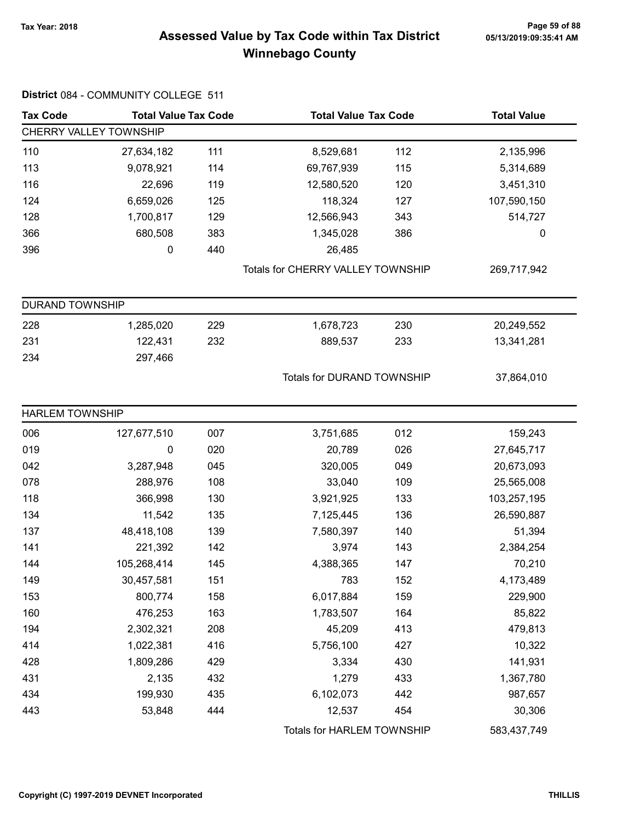## Page 59 of 88 وTax Year: 2018 Page 59 of 88<br>Assessed Value by Tax Code within Tax District ه 65/13/2019:09:35:41 Winnebago County

| <b>Tax Code</b>        | <b>Total Value Tax Code</b> |     | <b>Total Value Tax Code</b>       |     | <b>Total Value</b> |
|------------------------|-----------------------------|-----|-----------------------------------|-----|--------------------|
|                        | CHERRY VALLEY TOWNSHIP      |     |                                   |     |                    |
| 110                    | 27,634,182                  | 111 | 8,529,681                         | 112 | 2,135,996          |
| 113                    | 9,078,921                   | 114 | 69,767,939                        | 115 | 5,314,689          |
| 116                    | 22,696                      | 119 | 12,580,520                        | 120 | 3,451,310          |
| 124                    | 6,659,026                   | 125 | 118,324                           | 127 | 107,590,150        |
| 128                    | 1,700,817                   | 129 | 12,566,943                        | 343 | 514,727            |
| 366                    | 680,508                     | 383 | 1,345,028                         | 386 | $\pmb{0}$          |
| 396                    | 0                           | 440 | 26,485                            |     |                    |
|                        |                             |     | Totals for CHERRY VALLEY TOWNSHIP |     | 269,717,942        |
| <b>DURAND TOWNSHIP</b> |                             |     |                                   |     |                    |
| 228                    | 1,285,020                   | 229 | 1,678,723                         | 230 | 20,249,552         |
| 231                    | 122,431                     | 232 | 889,537                           | 233 | 13,341,281         |
| 234                    | 297,466                     |     |                                   |     |                    |
|                        |                             |     | <b>Totals for DURAND TOWNSHIP</b> |     | 37,864,010         |
| <b>HARLEM TOWNSHIP</b> |                             |     |                                   |     |                    |
| 006                    | 127,677,510                 | 007 | 3,751,685                         | 012 | 159,243            |
| 019                    | 0                           | 020 | 20,789                            | 026 | 27,645,717         |
| 042                    | 3,287,948                   | 045 | 320,005                           | 049 | 20,673,093         |
| 078                    | 288,976                     | 108 | 33,040                            | 109 | 25,565,008         |
| 118                    | 366,998                     | 130 | 3,921,925                         | 133 | 103,257,195        |
| 134                    | 11,542                      | 135 | 7,125,445                         | 136 | 26,590,887         |
| 137                    | 48,418,108                  | 139 | 7,580,397                         | 140 | 51,394             |
| 141                    | 221,392                     | 142 | 3,974                             | 143 | 2,384,254          |
| 144                    | 105,268,414                 | 145 | 4,388,365                         | 147 | 70,210             |
| 149                    | 30,457,581                  | 151 | 783                               | 152 | 4,173,489          |
| 153                    | 800,774                     | 158 | 6,017,884                         | 159 | 229,900            |
| 160                    | 476,253                     | 163 | 1,783,507                         | 164 | 85,822             |
| 194                    | 2,302,321                   | 208 | 45,209                            | 413 | 479,813            |
| 414                    | 1,022,381                   | 416 | 5,756,100                         | 427 | 10,322             |
| 428                    | 1,809,286                   | 429 | 3,334                             | 430 | 141,931            |
| 431                    | 2,135                       | 432 | 1,279                             | 433 | 1,367,780          |
| 434                    | 199,930                     | 435 | 6,102,073                         | 442 | 987,657            |
| 443                    | 53,848                      | 444 | 12,537                            | 454 | 30,306             |
|                        |                             |     | Totals for HARLEM TOWNSHIP        |     | 583,437,749        |

### District 084 - COMMUNITY COLLEGE 511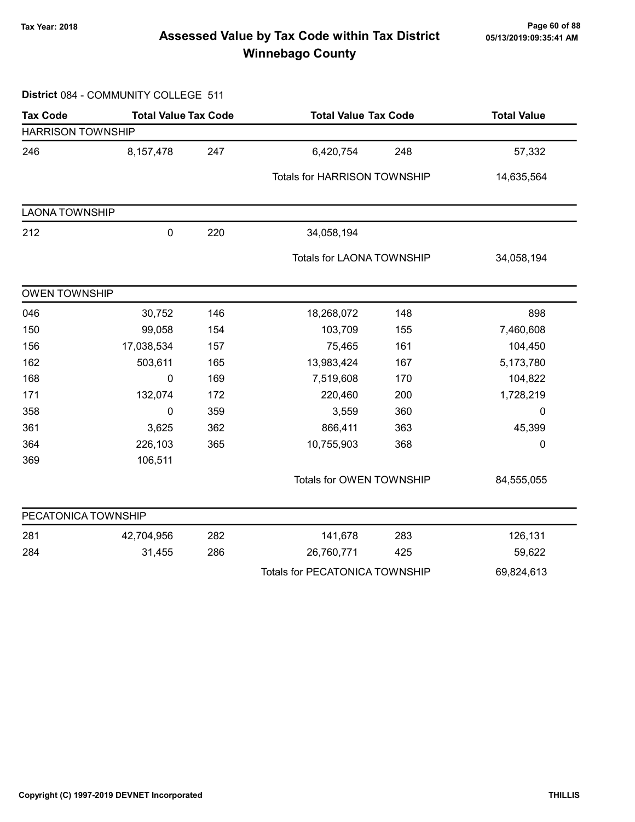## Page 60 of 88 مسمع Page 60 of 88<br>Assessed Value by Tax Code within Tax District مسمع Assessed Value by Tax Code within Tax District Winnebago County

#### District 084 - COMMUNITY COLLEGE 511

| <b>Tax Code</b>          | <b>Total Value Tax Code</b> |     | <b>Total Value Tax Code</b>           |     | <b>Total Value</b> |  |
|--------------------------|-----------------------------|-----|---------------------------------------|-----|--------------------|--|
| <b>HARRISON TOWNSHIP</b> |                             |     |                                       |     |                    |  |
| 246                      | 8,157,478                   | 247 | 6,420,754                             | 248 | 57,332             |  |
|                          |                             |     | Totals for HARRISON TOWNSHIP          |     | 14,635,564         |  |
| <b>LAONA TOWNSHIP</b>    |                             |     |                                       |     |                    |  |
| 212                      | $\pmb{0}$                   | 220 | 34,058,194                            |     |                    |  |
|                          |                             |     | <b>Totals for LAONA TOWNSHIP</b>      |     | 34,058,194         |  |
| <b>OWEN TOWNSHIP</b>     |                             |     |                                       |     |                    |  |
| 046                      | 30,752                      | 146 | 18,268,072                            | 148 | 898                |  |
| 150                      | 99,058                      | 154 | 103,709                               | 155 | 7,460,608          |  |
| 156                      | 17,038,534                  | 157 | 75,465                                | 161 | 104,450            |  |
| 162                      | 503,611                     | 165 | 13,983,424                            | 167 | 5,173,780          |  |
| 168                      | 0                           | 169 | 7,519,608                             | 170 | 104,822            |  |
| 171                      | 132,074                     | 172 | 220,460                               | 200 | 1,728,219          |  |
| 358                      | 0                           | 359 | 3,559                                 | 360 | $\mathbf 0$        |  |
| 361                      | 3,625                       | 362 | 866,411                               | 363 | 45,399             |  |
| 364                      | 226,103                     | 365 | 10,755,903                            | 368 | 0                  |  |
| 369                      | 106,511                     |     |                                       |     |                    |  |
|                          |                             |     | Totals for OWEN TOWNSHIP              |     | 84,555,055         |  |
| PECATONICA TOWNSHIP      |                             |     |                                       |     |                    |  |
| 281                      | 42,704,956                  | 282 | 141,678                               | 283 | 126,131            |  |
| 284                      | 31,455                      | 286 | 26,760,771                            | 425 | 59,622             |  |
|                          |                             |     | <b>Totals for PECATONICA TOWNSHIP</b> |     | 69,824,613         |  |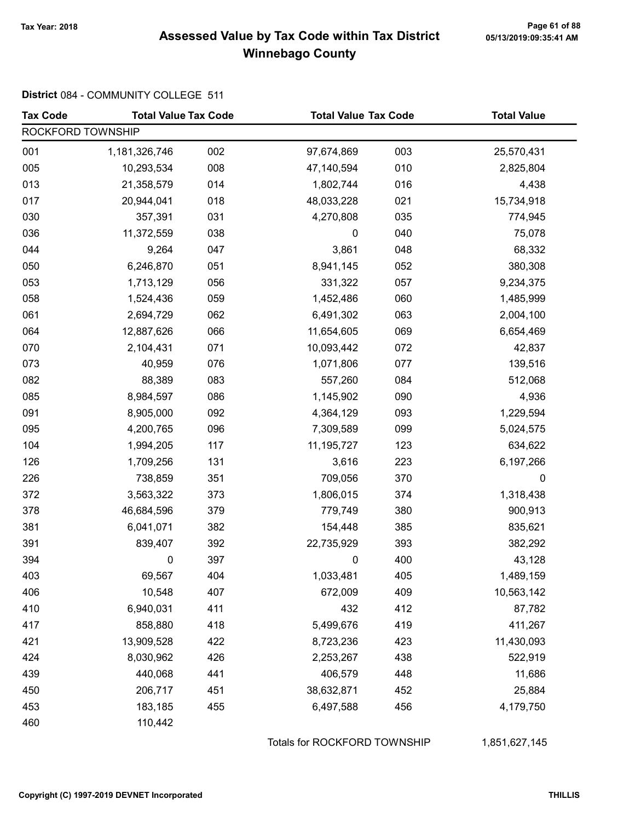## Tax Year: 2018 Page 61 of 88 Assessed Value by Tax Code within Tax District Winnebago County

#### District 084 - COMMUNITY COLLEGE 511

| <b>Tax Code</b>   | <b>Total Value Tax Code</b> |     | <b>Total Value Tax Code</b> |     | <b>Total Value</b> |
|-------------------|-----------------------------|-----|-----------------------------|-----|--------------------|
| ROCKFORD TOWNSHIP |                             |     |                             |     |                    |
| 001               | 1,181,326,746               | 002 | 97,674,869                  | 003 | 25,570,431         |
| 005               | 10,293,534                  | 008 | 47,140,594                  | 010 | 2,825,804          |
| 013               | 21,358,579                  | 014 | 1,802,744                   | 016 | 4,438              |
| 017               | 20,944,041                  | 018 | 48,033,228                  | 021 | 15,734,918         |
| 030               | 357,391                     | 031 | 4,270,808                   | 035 | 774,945            |
| 036               | 11,372,559                  | 038 | 0                           | 040 | 75,078             |
| 044               | 9,264                       | 047 | 3,861                       | 048 | 68,332             |
| 050               | 6,246,870                   | 051 | 8,941,145                   | 052 | 380,308            |
| 053               | 1,713,129                   | 056 | 331,322                     | 057 | 9,234,375          |
| 058               | 1,524,436                   | 059 | 1,452,486                   | 060 | 1,485,999          |
| 061               | 2,694,729                   | 062 | 6,491,302                   | 063 | 2,004,100          |
| 064               | 12,887,626                  | 066 | 11,654,605                  | 069 | 6,654,469          |
| 070               | 2,104,431                   | 071 | 10,093,442                  | 072 | 42,837             |
| 073               | 40,959                      | 076 | 1,071,806                   | 077 | 139,516            |
| 082               | 88,389                      | 083 | 557,260                     | 084 | 512,068            |
| 085               | 8,984,597                   | 086 | 1,145,902                   | 090 | 4,936              |
| 091               | 8,905,000                   | 092 | 4,364,129                   | 093 | 1,229,594          |
| 095               | 4,200,765                   | 096 | 7,309,589                   | 099 | 5,024,575          |
| 104               | 1,994,205                   | 117 | 11,195,727                  | 123 | 634,622            |
| 126               | 1,709,256                   | 131 | 3,616                       | 223 | 6,197,266          |
| 226               | 738,859                     | 351 | 709,056                     | 370 | 0                  |
| 372               | 3,563,322                   | 373 | 1,806,015                   | 374 | 1,318,438          |
| 378               | 46,684,596                  | 379 | 779,749                     | 380 | 900,913            |
| 381               | 6,041,071                   | 382 | 154,448                     | 385 | 835,621            |
| 391               | 839,407                     | 392 | 22,735,929                  | 393 | 382,292            |
| 394               | 0                           | 397 | 0                           | 400 | 43,128             |
| 403               | 69,567                      | 404 | 1,033,481                   | 405 | 1,489,159          |
| 406               | 10,548                      | 407 | 672,009                     | 409 | 10,563,142         |
| 410               | 6,940,031                   | 411 | 432                         | 412 | 87,782             |
| 417               | 858,880                     | 418 | 5,499,676                   | 419 | 411,267            |
| 421               | 13,909,528                  | 422 | 8,723,236                   | 423 | 11,430,093         |
| 424               | 8,030,962                   | 426 | 2,253,267                   | 438 | 522,919            |
| 439               | 440,068                     | 441 | 406,579                     | 448 | 11,686             |
| 450               | 206,717                     | 451 | 38,632,871                  | 452 | 25,884             |
| 453               | 183,185                     | 455 | 6,497,588                   | 456 | 4,179,750          |
| 460               | 110,442                     |     |                             |     |                    |

Totals for ROCKFORD TOWNSHIP 1,851,627,145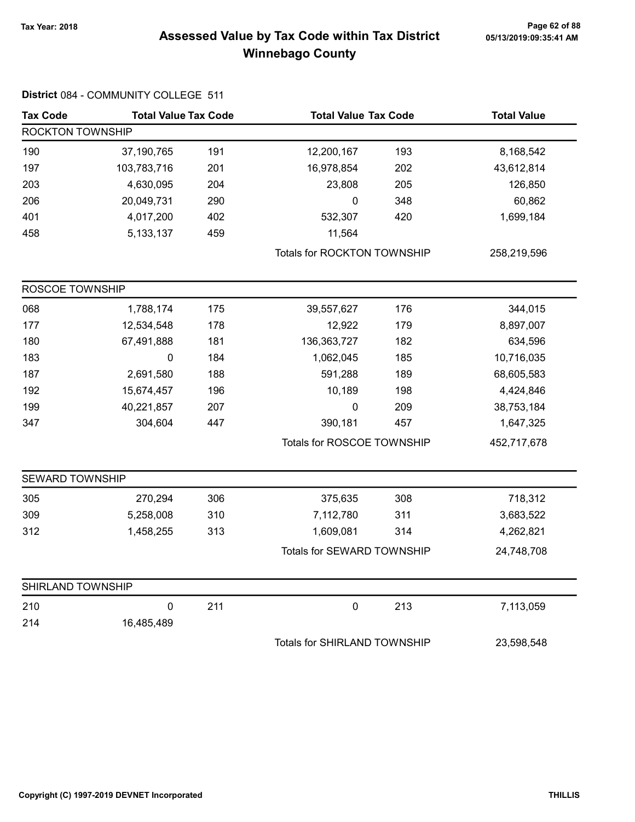## Page 62 of 88 مسمع Page 62 of 88<br>Assessed Value by Tax Code within Tax District مسمع Assessed Value by Tax Code within Tax District Winnebago County

| <b>Tax Code</b>        | <b>Total Value Tax Code</b> |     | <b>Total Value Tax Code</b>         |     | <b>Total Value</b> |  |
|------------------------|-----------------------------|-----|-------------------------------------|-----|--------------------|--|
| ROCKTON TOWNSHIP       |                             |     |                                     |     |                    |  |
| 190                    | 37,190,765                  | 191 | 12,200,167                          | 193 | 8,168,542          |  |
| 197                    | 103,783,716                 | 201 | 16,978,854                          | 202 | 43,612,814         |  |
| 203                    | 4,630,095                   | 204 | 23,808                              | 205 | 126,850            |  |
| 206                    | 20,049,731                  | 290 | 0                                   | 348 | 60,862             |  |
| 401                    | 4,017,200                   | 402 | 532,307                             | 420 | 1,699,184          |  |
| 458                    | 5,133,137                   | 459 | 11,564                              |     |                    |  |
|                        |                             |     | Totals for ROCKTON TOWNSHIP         |     | 258,219,596        |  |
| ROSCOE TOWNSHIP        |                             |     |                                     |     |                    |  |
| 068                    | 1,788,174                   | 175 | 39,557,627                          | 176 | 344,015            |  |
| 177                    | 12,534,548                  | 178 | 12,922                              | 179 | 8,897,007          |  |
| 180                    | 67,491,888                  | 181 | 136, 363, 727                       | 182 | 634,596            |  |
| 183                    | $\pmb{0}$                   | 184 | 1,062,045                           | 185 | 10,716,035         |  |
| 187                    | 2,691,580                   | 188 | 591,288                             | 189 | 68,605,583         |  |
| 192                    | 15,674,457                  | 196 | 10,189                              | 198 | 4,424,846          |  |
| 199                    | 40,221,857                  | 207 | 0                                   | 209 | 38,753,184         |  |
| 347                    | 304,604                     | 447 | 390,181                             | 457 | 1,647,325          |  |
|                        |                             |     | Totals for ROSCOE TOWNSHIP          |     | 452,717,678        |  |
| <b>SEWARD TOWNSHIP</b> |                             |     |                                     |     |                    |  |
| 305                    | 270,294                     | 306 | 375,635                             | 308 | 718,312            |  |
| 309                    | 5,258,008                   | 310 | 7,112,780                           | 311 | 3,683,522          |  |
| 312                    | 1,458,255                   | 313 | 1,609,081                           | 314 | 4,262,821          |  |
|                        |                             |     | Totals for SEWARD TOWNSHIP          |     | 24,748,708         |  |
| SHIRLAND TOWNSHIP      |                             |     |                                     |     |                    |  |
| 210                    | $\pmb{0}$                   | 211 | $\mathbf 0$                         | 213 | 7,113,059          |  |
| 214                    | 16,485,489                  |     |                                     |     |                    |  |
|                        |                             |     | <b>Totals for SHIRLAND TOWNSHIP</b> |     | 23,598,548         |  |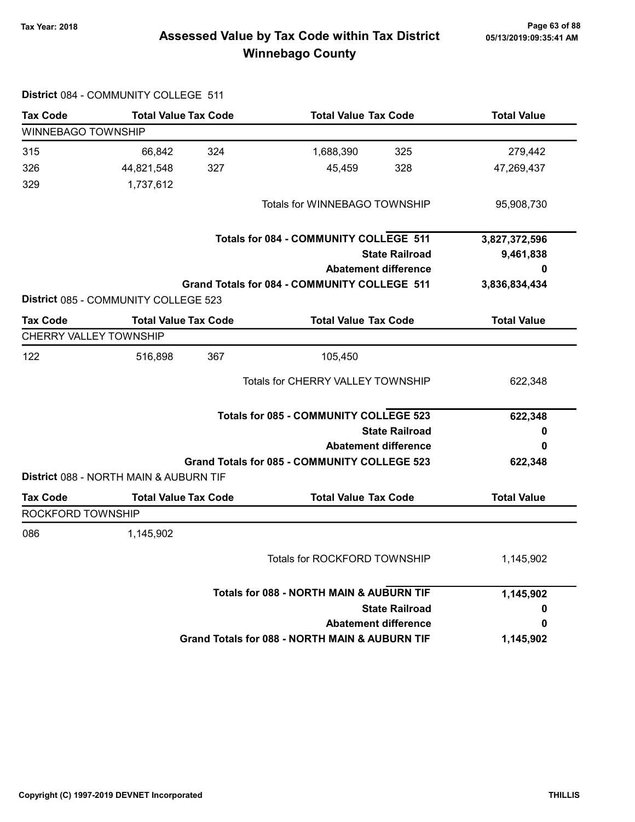## Page 63 of 88 مسمع Page 63 of 88<br>Assessed Value by Tax Code within Tax District مسمع Assessed Value by Tax Code within Tax District Winnebago County

|                           | District 084 - COMMUNITY COLLEGE 511   |                                                |                                                     |                             |                    |
|---------------------------|----------------------------------------|------------------------------------------------|-----------------------------------------------------|-----------------------------|--------------------|
| <b>Tax Code</b>           | <b>Total Value Tax Code</b>            |                                                | <b>Total Value Tax Code</b>                         |                             | <b>Total Value</b> |
| <b>WINNEBAGO TOWNSHIP</b> |                                        |                                                |                                                     |                             |                    |
| 315                       | 66,842                                 | 324                                            | 1,688,390                                           | 325                         | 279,442            |
| 326                       | 44,821,548                             | 327                                            | 45,459                                              | 328                         | 47,269,437         |
| 329                       | 1,737,612                              |                                                |                                                     |                             |                    |
|                           |                                        |                                                | Totals for WINNEBAGO TOWNSHIP                       |                             | 95,908,730         |
|                           |                                        |                                                | <b>Totals for 084 - COMMUNITY COLLEGE 511</b>       |                             | 3,827,372,596      |
|                           |                                        |                                                |                                                     | <b>State Railroad</b>       | 9,461,838          |
|                           |                                        |                                                |                                                     | <b>Abatement difference</b> | 0                  |
|                           | District 085 - COMMUNITY COLLEGE 523   |                                                | Grand Totals for 084 - COMMUNITY COLLEGE 511        |                             | 3,836,834,434      |
| <b>Tax Code</b>           | <b>Total Value Tax Code</b>            |                                                | <b>Total Value Tax Code</b>                         |                             | <b>Total Value</b> |
|                           | <b>CHERRY VALLEY TOWNSHIP</b>          |                                                |                                                     |                             |                    |
| 122                       | 516,898                                | 367                                            | 105,450                                             |                             |                    |
|                           |                                        |                                                | <b>Totals for CHERRY VALLEY TOWNSHIP</b>            |                             | 622,348            |
|                           |                                        |                                                | <b>Totals for 085 - COMMUNITY COLLEGE 523</b>       |                             | 622,348            |
|                           |                                        |                                                |                                                     | <b>State Railroad</b>       | o                  |
|                           |                                        |                                                |                                                     | <b>Abatement difference</b> | 0                  |
|                           | District 088 - NORTH MAIN & AUBURN TIF |                                                | <b>Grand Totals for 085 - COMMUNITY COLLEGE 523</b> |                             | 622,348            |
| <b>Tax Code</b>           | <b>Total Value Tax Code</b>            |                                                | <b>Total Value Tax Code</b>                         |                             | <b>Total Value</b> |
| ROCKFORD TOWNSHIP         |                                        |                                                |                                                     |                             |                    |
| 086                       | 1,145,902                              |                                                |                                                     |                             |                    |
|                           |                                        |                                                | Totals for ROCKFORD TOWNSHIP                        |                             | 1,145,902          |
|                           |                                        |                                                | <b>Totals for 088 - NORTH MAIN &amp; AUBURN TIF</b> |                             | 1,145,902          |
|                           |                                        |                                                |                                                     | <b>State Railroad</b>       | 0                  |
|                           |                                        |                                                |                                                     | <b>Abatement difference</b> | 0<br>1,145,902     |
|                           |                                        | Grand Totals for 088 - NORTH MAIN & AUBURN TIF |                                                     |                             |                    |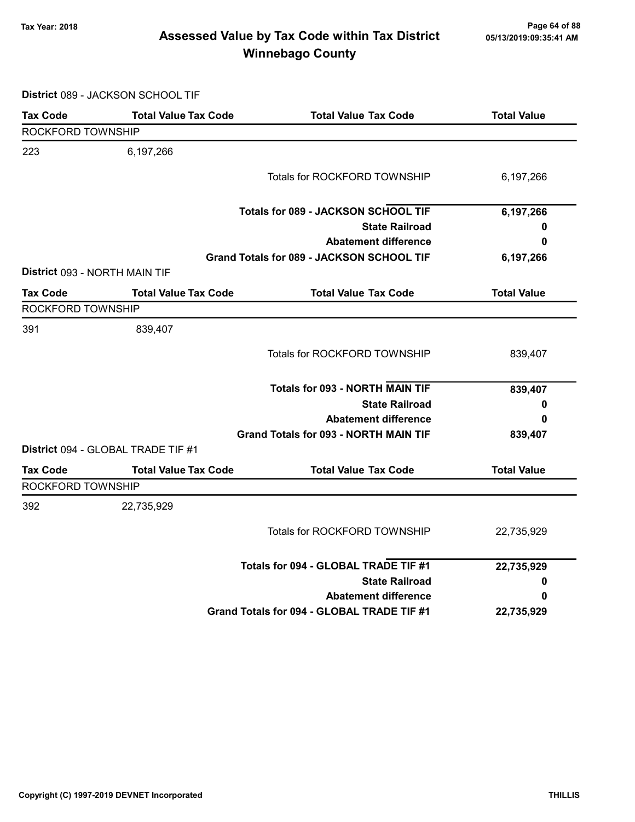## Page 64 of 88 مسمع Page 64 of 88<br>Assessed Value by Tax Code within Tax District مسمع Assessed Value by Tax Code within Tax District Winnebago County

District 089 - JACKSON SCHOOL TIF

| <b>Tax Code</b>               | <b>Total Value Tax Code</b>               | <b>Total Value Tax Code</b>                  | <b>Total Value</b> |
|-------------------------------|-------------------------------------------|----------------------------------------------|--------------------|
| ROCKFORD TOWNSHIP             |                                           |                                              |                    |
| 223                           | 6,197,266                                 |                                              |                    |
|                               |                                           | <b>Totals for ROCKFORD TOWNSHIP</b>          | 6,197,266          |
|                               |                                           | Totals for 089 - JACKSON SCHOOL TIF          | 6,197,266          |
|                               |                                           | <b>State Railroad</b>                        | 0                  |
|                               |                                           | <b>Abatement difference</b>                  | 0                  |
|                               |                                           | Grand Totals for 089 - JACKSON SCHOOL TIF    | 6,197,266          |
| District 093 - NORTH MAIN TIF |                                           |                                              |                    |
| <b>Tax Code</b>               | <b>Total Value Tax Code</b>               | <b>Total Value Tax Code</b>                  | <b>Total Value</b> |
| ROCKFORD TOWNSHIP             |                                           |                                              |                    |
| 391                           | 839,407                                   |                                              |                    |
|                               |                                           | <b>Totals for ROCKFORD TOWNSHIP</b>          | 839,407            |
|                               |                                           | <b>Totals for 093 - NORTH MAIN TIF</b>       | 839,407            |
|                               |                                           | <b>State Railroad</b>                        | 0                  |
|                               |                                           | <b>Abatement difference</b>                  | 0                  |
|                               |                                           | <b>Grand Totals for 093 - NORTH MAIN TIF</b> | 839,407            |
|                               | <b>District 094 - GLOBAL TRADE TIF #1</b> |                                              |                    |
| <b>Tax Code</b>               | <b>Total Value Tax Code</b>               | <b>Total Value Tax Code</b>                  | <b>Total Value</b> |
| ROCKFORD TOWNSHIP             |                                           |                                              |                    |
| 392                           | 22,735,929                                |                                              |                    |
|                               |                                           | Totals for ROCKFORD TOWNSHIP                 | 22,735,929         |
|                               |                                           | Totals for 094 - GLOBAL TRADE TIF #1         | 22,735,929         |
|                               |                                           | <b>State Railroad</b>                        | 0                  |
|                               |                                           | <b>Abatement difference</b>                  | 0                  |
|                               |                                           | Grand Totals for 094 - GLOBAL TRADE TIF #1   | 22,735,929         |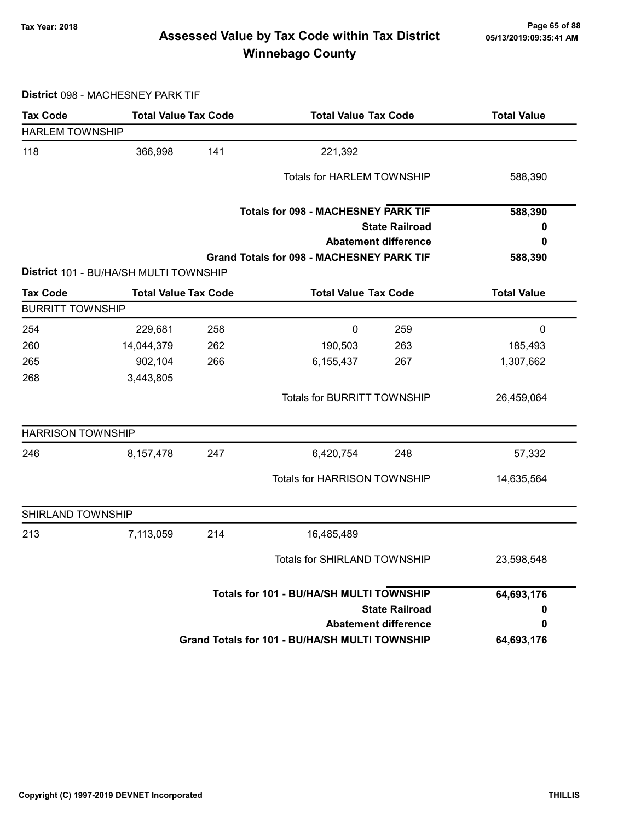## Page 65 of 88 مسمع Page 65 of 88<br>Assessed Value by Tax Code within Tax District مسمع Assessed Value by Tax Code within Tax District Winnebago County

District 098 - MACHESNEY PARK TIF

| <b>Tax Code</b>          |                                        | <b>Total Value Tax Code</b><br><b>Total Value Tax Code</b> |                                                  |                             | <b>Total Value</b> |
|--------------------------|----------------------------------------|------------------------------------------------------------|--------------------------------------------------|-----------------------------|--------------------|
| <b>HARLEM TOWNSHIP</b>   |                                        |                                                            |                                                  |                             |                    |
| 118                      | 366,998                                | 141                                                        | 221,392                                          |                             |                    |
|                          |                                        |                                                            | <b>Totals for HARLEM TOWNSHIP</b>                |                             | 588,390            |
|                          |                                        |                                                            | <b>Totals for 098 - MACHESNEY PARK TIF</b>       |                             | 588,390            |
|                          |                                        |                                                            |                                                  | <b>State Railroad</b>       | 0                  |
|                          |                                        |                                                            |                                                  | <b>Abatement difference</b> | 0                  |
|                          |                                        |                                                            | <b>Grand Totals for 098 - MACHESNEY PARK TIF</b> |                             | 588,390            |
|                          | District 101 - BU/HA/SH MULTI TOWNSHIP |                                                            |                                                  |                             |                    |
| <b>Tax Code</b>          | <b>Total Value Tax Code</b>            |                                                            | <b>Total Value Tax Code</b>                      |                             | <b>Total Value</b> |
| <b>BURRITT TOWNSHIP</b>  |                                        |                                                            |                                                  |                             |                    |
| 254                      | 229,681                                | 258                                                        | $\mathbf 0$                                      | 259                         | $\mathbf 0$        |
| 260                      | 14,044,379                             | 262                                                        | 190,503                                          | 263                         | 185,493            |
| 265                      | 902,104                                | 266                                                        | 6,155,437                                        | 267                         | 1,307,662          |
| 268                      | 3,443,805                              |                                                            |                                                  |                             |                    |
|                          |                                        |                                                            | Totals for BURRITT TOWNSHIP                      |                             | 26,459,064         |
| <b>HARRISON TOWNSHIP</b> |                                        |                                                            |                                                  |                             |                    |
| 246                      | 8,157,478                              | 247                                                        | 6,420,754                                        | 248                         | 57,332             |
|                          |                                        |                                                            | <b>Totals for HARRISON TOWNSHIP</b>              |                             | 14,635,564         |
| SHIRLAND TOWNSHIP        |                                        |                                                            |                                                  |                             |                    |
| 213                      | 7,113,059                              | 214                                                        | 16,485,489                                       |                             |                    |
|                          |                                        |                                                            | Totals for SHIRLAND TOWNSHIP                     |                             | 23,598,548         |
|                          |                                        | Totals for 101 - BU/HA/SH MULTI TOWNSHIP                   |                                                  |                             | 64,693,176         |
|                          |                                        |                                                            |                                                  | <b>State Railroad</b>       | 0                  |
|                          |                                        |                                                            |                                                  | <b>Abatement difference</b> | 0                  |
|                          |                                        |                                                            | Grand Totals for 101 - BU/HA/SH MULTI TOWNSHIP   |                             | 64,693,176         |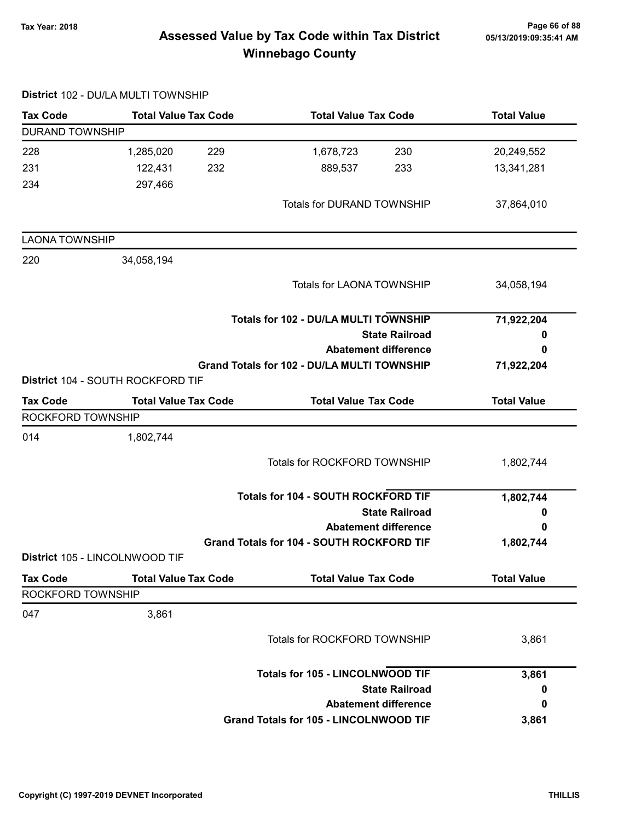## Page 66 of 88 مسمع Page 66 of 88<br>Assessed Value by Tax Code within Tax District مسمع Assessed Value by Tax Code within Tax District Winnebago County

|                        | District 102 - DU/LA MULTI TOWNSHIP |                                                  |                    |
|------------------------|-------------------------------------|--------------------------------------------------|--------------------|
| <b>Tax Code</b>        | <b>Total Value Tax Code</b>         | <b>Total Value Tax Code</b>                      | <b>Total Value</b> |
| <b>DURAND TOWNSHIP</b> |                                     |                                                  |                    |
| 228                    | 1,285,020<br>229                    | 1,678,723<br>230                                 | 20,249,552         |
| 231                    | 122,431<br>232                      | 889,537<br>233                                   | 13,341,281         |
| 234                    | 297,466                             |                                                  |                    |
|                        |                                     | <b>Totals for DURAND TOWNSHIP</b>                | 37,864,010         |
| <b>LAONA TOWNSHIP</b>  |                                     |                                                  |                    |
| 220                    | 34,058,194                          |                                                  |                    |
|                        |                                     | Totals for LAONA TOWNSHIP                        | 34,058,194         |
|                        |                                     | Totals for 102 - DU/LA MULTI TOWNSHIP            | 71,922,204         |
|                        |                                     | <b>State Railroad</b>                            | 0                  |
|                        |                                     | <b>Abatement difference</b>                      | 0                  |
|                        | District 104 - SOUTH ROCKFORD TIF   | Grand Totals for 102 - DU/LA MULTI TOWNSHIP      | 71,922,204         |
| <b>Tax Code</b>        | <b>Total Value Tax Code</b>         | <b>Total Value Tax Code</b>                      | <b>Total Value</b> |
| ROCKFORD TOWNSHIP      |                                     |                                                  |                    |
| 014                    | 1,802,744                           |                                                  |                    |
|                        |                                     | Totals for ROCKFORD TOWNSHIP                     | 1,802,744          |
|                        |                                     | Totals for 104 - SOUTH ROCKFORD TIF              | 1,802,744          |
|                        |                                     | <b>State Railroad</b>                            | 0                  |
|                        |                                     | <b>Abatement difference</b>                      | 0                  |
|                        |                                     | <b>Grand Totals for 104 - SOUTH ROCKFORD TIF</b> | 1,802,744          |
|                        | District 105 - LINCOLNWOOD TIF      |                                                  |                    |
| <b>Tax Code</b>        | <b>Total Value Tax Code</b>         | <b>Total Value Tax Code</b>                      | <b>Total Value</b> |
| ROCKFORD TOWNSHIP      |                                     |                                                  |                    |
| 047                    | 3,861                               |                                                  |                    |
|                        |                                     | <b>Totals for ROCKFORD TOWNSHIP</b>              | 3,861              |
|                        |                                     | <b>Totals for 105 - LINCOLNWOOD TIF</b>          | 3,861              |
|                        |                                     | <b>State Railroad</b>                            | 0                  |
|                        |                                     | <b>Abatement difference</b>                      | 0                  |
|                        |                                     | <b>Grand Totals for 105 - LINCOLNWOOD TIF</b>    | 3,861              |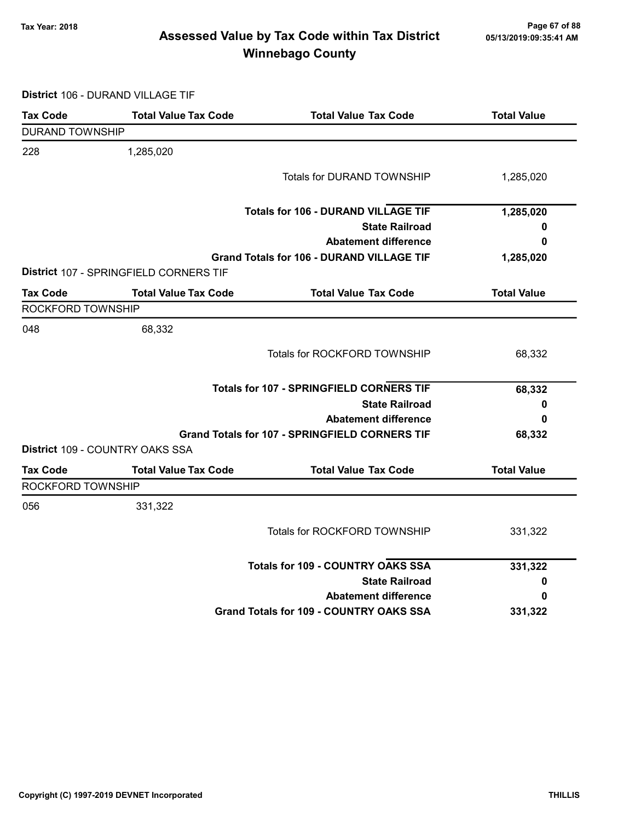## Page 67 of 88 وTax Year: 2018 Page 67 of 88<br>Assessed Value by Tax Code within Tax District ه 65/13/2019:09:35:41 Winnebago County

District 106 - DURAND VILLAGE TIF

| <b>Tax Code</b>        | <b>Total Value Tax Code</b>            | <b>Total Value Tax Code</b>                           | <b>Total Value</b> |
|------------------------|----------------------------------------|-------------------------------------------------------|--------------------|
| <b>DURAND TOWNSHIP</b> |                                        |                                                       |                    |
| 228                    | 1,285,020                              |                                                       |                    |
|                        |                                        | <b>Totals for DURAND TOWNSHIP</b>                     | 1,285,020          |
|                        |                                        | <b>Totals for 106 - DURAND VILLAGE TIF</b>            | 1,285,020          |
|                        |                                        | <b>State Railroad</b>                                 | 0                  |
|                        |                                        | <b>Abatement difference</b>                           | 0                  |
|                        |                                        | <b>Grand Totals for 106 - DURAND VILLAGE TIF</b>      | 1,285,020          |
|                        | District 107 - SPRINGFIELD CORNERS TIF |                                                       |                    |
| <b>Tax Code</b>        | <b>Total Value Tax Code</b>            | <b>Total Value Tax Code</b>                           | <b>Total Value</b> |
| ROCKFORD TOWNSHIP      |                                        |                                                       |                    |
| 048                    | 68,332                                 |                                                       |                    |
|                        |                                        | Totals for ROCKFORD TOWNSHIP                          | 68,332             |
|                        |                                        | <b>Totals for 107 - SPRINGFIELD CORNERS TIF</b>       | 68,332             |
|                        |                                        | <b>State Railroad</b>                                 | 0                  |
|                        |                                        | <b>Abatement difference</b>                           | 0                  |
|                        |                                        | <b>Grand Totals for 107 - SPRINGFIELD CORNERS TIF</b> | 68,332             |
|                        | District 109 - COUNTRY OAKS SSA        |                                                       |                    |
| <b>Tax Code</b>        | <b>Total Value Tax Code</b>            | <b>Total Value Tax Code</b>                           | <b>Total Value</b> |
| ROCKFORD TOWNSHIP      |                                        |                                                       |                    |
| 056                    | 331,322                                |                                                       |                    |
|                        |                                        | Totals for ROCKFORD TOWNSHIP                          | 331,322            |
|                        |                                        | <b>Totals for 109 - COUNTRY OAKS SSA</b>              | 331,322            |
|                        |                                        | <b>State Railroad</b>                                 | 0                  |
|                        |                                        | <b>Abatement difference</b>                           | 0                  |
|                        |                                        | <b>Grand Totals for 109 - COUNTRY OAKS SSA</b>        | 331,322            |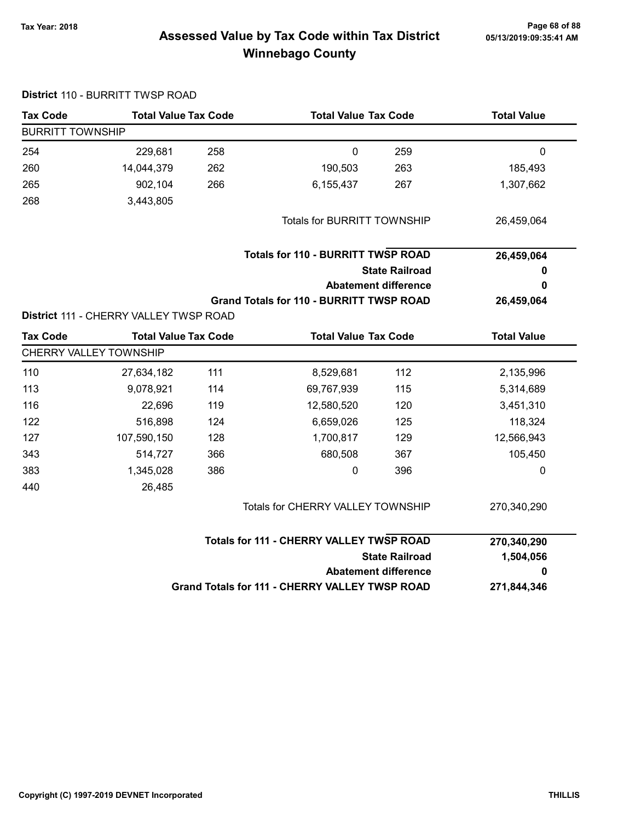District 110 - BURRITT TWSP ROAD

## Tax Year: 2018 Page 68 of 88 Assessed Value by Tax Code within Tax District Winnebago County

| <b>Tax Code</b>         | <b>Total Value Tax Code</b>            |     |                                                 | <b>Total Value Tax Code</b>              |                    |
|-------------------------|----------------------------------------|-----|-------------------------------------------------|------------------------------------------|--------------------|
| <b>BURRITT TOWNSHIP</b> |                                        |     |                                                 |                                          |                    |
| 254                     | 229,681                                | 258 | $\mathbf 0$                                     | 259                                      | $\mathbf 0$        |
| 260                     | 14,044,379                             | 262 | 190,503                                         | 263                                      | 185,493            |
| 265                     | 902,104                                | 266 | 6,155,437                                       | 267                                      | 1,307,662          |
| 268                     | 3,443,805                              |     |                                                 |                                          |                    |
|                         |                                        |     | <b>Totals for BURRITT TOWNSHIP</b>              |                                          | 26,459,064         |
|                         |                                        |     | <b>Totals for 110 - BURRITT TWSP ROAD</b>       |                                          | 26,459,064         |
|                         |                                        |     |                                                 | <b>State Railroad</b>                    | 0                  |
|                         |                                        |     |                                                 | <b>Abatement difference</b>              | 0                  |
|                         |                                        |     | <b>Grand Totals for 110 - BURRITT TWSP ROAD</b> |                                          | 26,459,064         |
|                         | District 111 - CHERRY VALLEY TWSP ROAD |     |                                                 |                                          |                    |
| <b>Tax Code</b>         | <b>Total Value Tax Code</b>            |     | <b>Total Value Tax Code</b>                     |                                          | <b>Total Value</b> |
|                         | CHERRY VALLEY TOWNSHIP                 |     |                                                 |                                          |                    |
| 110                     | 27,634,182                             | 111 | 8,529,681                                       | 112                                      | 2,135,996          |
| 113                     | 9,078,921                              | 114 | 69,767,939                                      | 115                                      | 5,314,689          |
| 116                     | 22,696                                 | 119 | 12,580,520                                      | 120                                      | 3,451,310          |
| 122                     | 516,898                                | 124 | 6,659,026                                       | 125                                      | 118,324            |
| 127                     | 107,590,150                            | 128 | 1,700,817                                       | 129                                      | 12,566,943         |
| 343                     | 514,727                                | 366 | 680,508                                         | 367                                      | 105,450            |
| 383                     | 1,345,028                              | 386 | $\pmb{0}$                                       | 396                                      | $\mathbf 0$        |
| 440                     | 26,485                                 |     |                                                 |                                          |                    |
|                         |                                        |     | Totals for CHERRY VALLEY TOWNSHIP               |                                          | 270,340,290        |
|                         |                                        |     |                                                 | Totals for 111 - CHERRY VALLEY TWSP ROAD |                    |
|                         |                                        |     |                                                 | <b>State Railroad</b>                    | 1,504,056          |
|                         |                                        |     |                                                 | <b>Abatement difference</b>              | 0                  |
|                         |                                        |     | Grand Totals for 111 - CHERRY VALLEY TWSP ROAD  |                                          | 271,844,346        |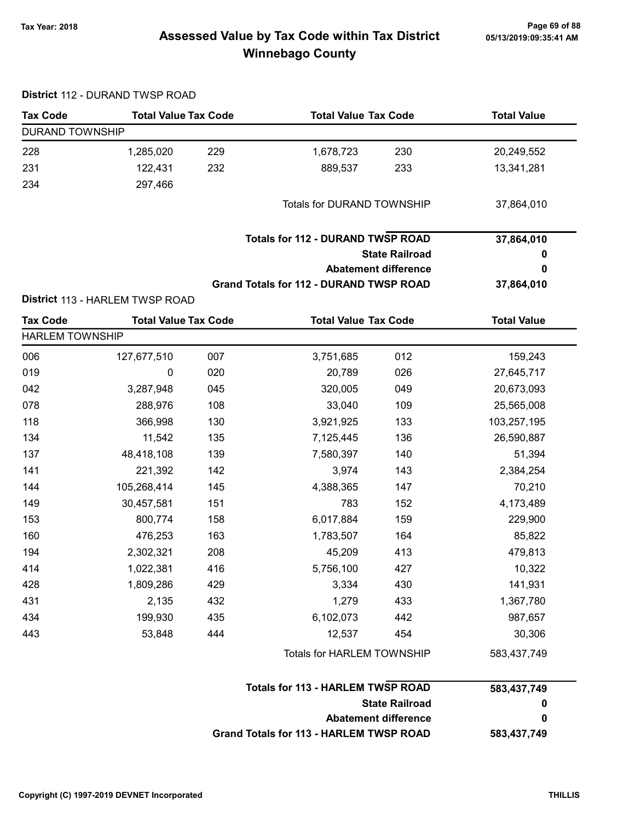# 05/13/2019:09:35:41 AM

## Page 69 of 88 مسمع Page 69 of 88<br>Assessed Value by Tax Code within Tax District مسمع Assessed Value by Tax Code within Tax District Winnebago County

| <b>Tax Code</b>        | <b>Total Value Tax Code</b>     |     | <b>Total Value Tax Code</b>                    |                             | <b>Total Value</b> |
|------------------------|---------------------------------|-----|------------------------------------------------|-----------------------------|--------------------|
| <b>DURAND TOWNSHIP</b> |                                 |     |                                                |                             |                    |
| 228                    | 1,285,020                       | 229 | 1,678,723                                      | 230                         | 20,249,552         |
| 231                    | 122,431                         | 232 | 889,537                                        | 233                         | 13,341,281         |
| 234                    | 297,466                         |     |                                                |                             |                    |
|                        |                                 |     | Totals for DURAND TOWNSHIP                     |                             | 37,864,010         |
|                        |                                 |     | <b>Totals for 112 - DURAND TWSP ROAD</b>       |                             | 37,864,010         |
|                        |                                 |     |                                                | <b>State Railroad</b>       | 0                  |
|                        |                                 |     |                                                | <b>Abatement difference</b> | 0                  |
|                        |                                 |     | <b>Grand Totals for 112 - DURAND TWSP ROAD</b> |                             | 37,864,010         |
|                        | District 113 - HARLEM TWSP ROAD |     |                                                |                             |                    |
| <b>Tax Code</b>        | <b>Total Value Tax Code</b>     |     | <b>Total Value Tax Code</b>                    |                             | <b>Total Value</b> |
| <b>HARLEM TOWNSHIP</b> |                                 |     |                                                |                             |                    |
| 006                    | 127,677,510                     | 007 | 3,751,685                                      | 012                         | 159,243            |
| 019                    | 0                               | 020 | 20,789                                         | 026                         | 27,645,717         |
| 042                    | 3,287,948                       | 045 | 320,005                                        | 049                         | 20,673,093         |
| 078                    | 288,976                         | 108 | 33,040                                         | 109                         | 25,565,008         |
| 118                    | 366,998                         | 130 | 3,921,925                                      | 133                         | 103,257,195        |
| 134                    | 11,542                          | 135 | 7,125,445                                      | 136                         | 26,590,887         |
| 137                    | 48,418,108                      | 139 | 7,580,397                                      | 140                         | 51,394             |
| 141                    | 221,392                         | 142 | 3,974                                          | 143                         | 2,384,254          |
| 144                    | 105,268,414                     | 145 | 4,388,365                                      | 147                         | 70,210             |
| 149                    | 30,457,581                      | 151 | 783                                            | 152                         | 4,173,489          |
| 153                    | 800,774                         | 158 | 6,017,884                                      | 159                         | 229,900            |
| 160                    | 476,253                         | 163 | 1,783,507                                      | 164                         | 85,822             |
| 194                    | 2,302,321                       | 208 | 45,209                                         | 413                         | 479,813            |
| 414                    | 1,022,381                       | 416 | 5,756,100                                      | 427                         | 10,322             |
| 428                    | 1,809,286                       | 429 | 3,334                                          | 430                         | 141,931            |
| 431                    | 2,135                           | 432 | 1,279                                          | 433                         | 1,367,780          |
| 434                    | 199,930                         | 435 | 6,102,073                                      | 442                         | 987,657            |
| 443                    | 53,848                          | 444 | 12,537                                         | 454                         | 30,306             |
|                        |                                 |     | Totals for HARLEM TOWNSHIP                     |                             | 583,437,749        |
|                        |                                 |     | <b>Totals for 113 - HARLEM TWSP ROAD</b>       |                             | 583,437,749        |
|                        |                                 |     |                                                | <b>State Railroad</b>       | 0<br>0             |
|                        |                                 |     |                                                | <b>Abatement difference</b> |                    |

| Abatement difference                           |             |
|------------------------------------------------|-------------|
| <b>Grand Totals for 113 - HARLEM TWSP ROAD</b> | 583,437,749 |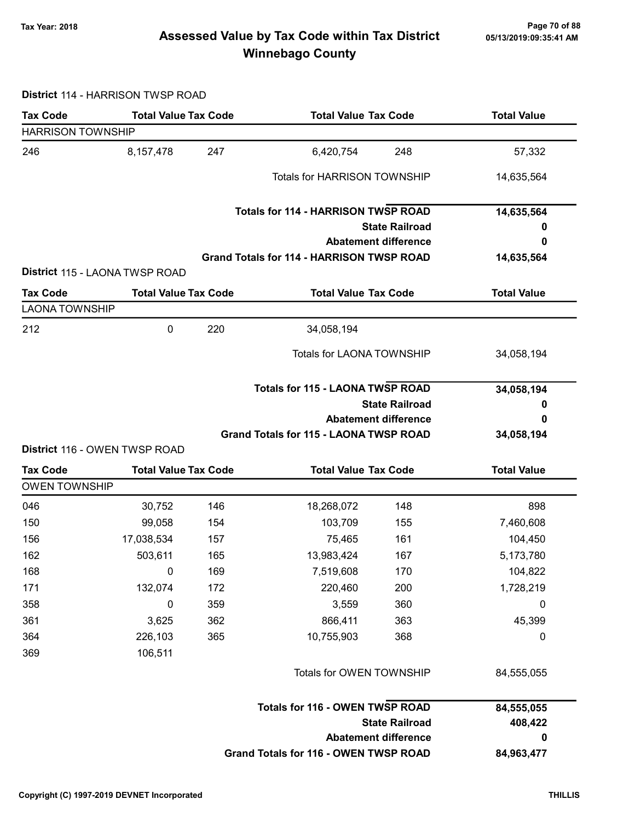## Page 70 of 88 Page 70 of 88<br>Assessed Value by Tax Code within Tax District [15/13/2019:09:35:41 AM] Tax Winnebago County

#### District 114 - HARRISON TWSP ROAD

| <b>Tax Code</b>                         | <b>Total Value Tax Code</b>    |                                       | <b>Total Value Tax Code</b>                      |                             | <b>Total Value</b> |
|-----------------------------------------|--------------------------------|---------------------------------------|--------------------------------------------------|-----------------------------|--------------------|
| <b>HARRISON TOWNSHIP</b>                |                                |                                       |                                                  |                             |                    |
| 246                                     | 8,157,478                      | 247                                   | 6,420,754                                        | 248                         | 57,332             |
|                                         |                                |                                       | <b>Totals for HARRISON TOWNSHIP</b>              |                             | 14,635,564         |
|                                         |                                |                                       | <b>Totals for 114 - HARRISON TWSP ROAD</b>       |                             | 14,635,564         |
|                                         |                                |                                       |                                                  | <b>State Railroad</b>       | o                  |
|                                         |                                |                                       |                                                  | <b>Abatement difference</b> | 0                  |
|                                         | District 115 - LAONA TWSP ROAD |                                       | <b>Grand Totals for 114 - HARRISON TWSP ROAD</b> |                             | 14,635,564         |
| <b>Tax Code</b>                         | <b>Total Value Tax Code</b>    |                                       | <b>Total Value Tax Code</b>                      |                             | <b>Total Value</b> |
| <b>LAONA TOWNSHIP</b>                   |                                |                                       |                                                  |                             |                    |
| 212                                     | 0                              | 220                                   | 34,058,194                                       |                             |                    |
|                                         |                                |                                       | <b>Totals for LAONA TOWNSHIP</b>                 |                             | 34,058,194         |
|                                         |                                |                                       | <b>Totals for 115 - LAONA TWSP ROAD</b>          |                             | 34,058,194         |
|                                         |                                |                                       |                                                  | <b>State Railroad</b>       | 0                  |
|                                         |                                |                                       |                                                  | <b>Abatement difference</b> | 0                  |
|                                         |                                |                                       | <b>Grand Totals for 115 - LAONA TWSP ROAD</b>    |                             | 34,058,194         |
|                                         | District 116 - OWEN TWSP ROAD  |                                       |                                                  |                             |                    |
| <b>Tax Code</b><br><b>OWEN TOWNSHIP</b> | <b>Total Value Tax Code</b>    |                                       | <b>Total Value Tax Code</b>                      |                             | <b>Total Value</b> |
| 046                                     | 30,752                         | 146                                   | 18,268,072                                       | 148                         | 898                |
| 150                                     | 99,058                         | 154                                   | 103,709                                          | 155                         | 7,460,608          |
| 156                                     | 17,038,534                     | 157                                   | 75,465                                           | 161                         | 104,450            |
| 162                                     | 503,611                        | 165                                   | 13,983,424                                       | 167                         | 5,173,780          |
| 168                                     | $\overline{\phantom{0}}$       | 169                                   | 7,519,608                                        | 170                         | 104,822            |
| 171                                     | 132,074                        | 172                                   | 220,460                                          | 200                         | 1,728,219          |
| 358                                     | 0                              | 359                                   | 3,559                                            | 360                         | $\mathbf 0$        |
| 361                                     | 3,625                          | 362                                   | 866,411                                          | 363                         | 45,399             |
| 364                                     | 226,103                        | 365                                   | 10,755,903                                       | 368                         | 0                  |
| 369                                     | 106,511                        |                                       |                                                  |                             |                    |
|                                         |                                |                                       | Totals for OWEN TOWNSHIP                         |                             | 84,555,055         |
|                                         |                                |                                       | <b>Totals for 116 - OWEN TWSP ROAD</b>           |                             | 84,555,055         |
| <b>State Railroad</b>                   |                                |                                       | 408,422                                          |                             |                    |
|                                         |                                |                                       |                                                  | <b>Abatement difference</b> | 0                  |
|                                         |                                | Grand Totals for 116 - OWEN TWSP ROAD | 84,963,477                                       |                             |                    |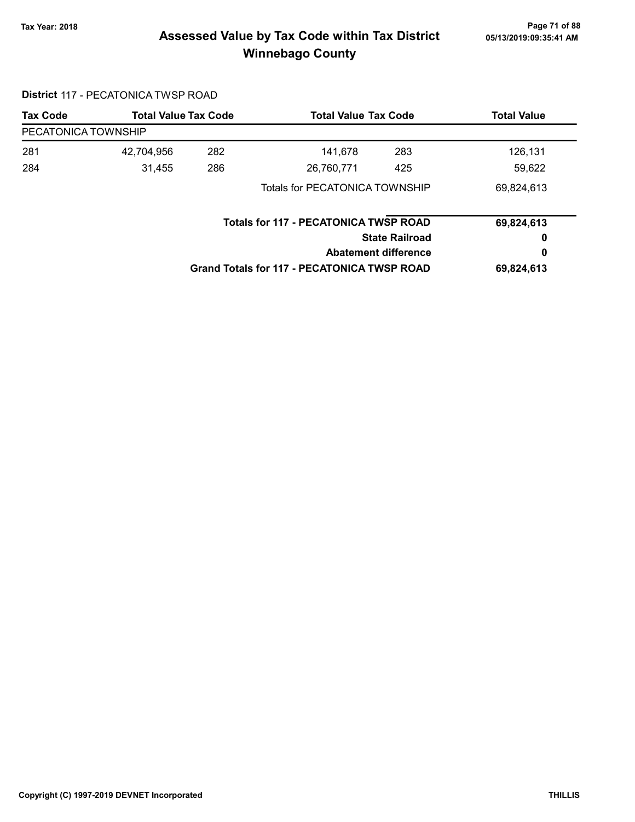## Page 71 of 88 مسلم Page 71 of 88<br>Assessed Value by Tax Code within Tax District مسلم Assessed Value by Tax Code within Tax District Winnebago County

### District 117 - PECATONICA TWSP ROAD

| <b>Tax Code</b>     | <b>Total Value Tax Code</b>    |     | <b>Total Value Tax Code</b>                        |                             | <b>Total Value</b> |
|---------------------|--------------------------------|-----|----------------------------------------------------|-----------------------------|--------------------|
| PECATONICA TOWNSHIP |                                |     |                                                    |                             |                    |
| 281                 | 42,704,956                     | 282 | 141,678                                            | 283                         | 126,131            |
| 284                 | 31,455                         | 286 | 26,760,771                                         | 425                         | 59,622             |
|                     | Totals for PECATONICA TOWNSHIP |     |                                                    | 69,824,613                  |                    |
|                     |                                |     | <b>Totals for 117 - PECATONICA TWSP ROAD</b>       |                             | 69,824,613         |
|                     |                                |     | <b>State Railroad</b>                              |                             | 0                  |
|                     |                                |     |                                                    | <b>Abatement difference</b> |                    |
|                     |                                |     | <b>Grand Totals for 117 - PECATONICA TWSP ROAD</b> |                             | 69,824,613         |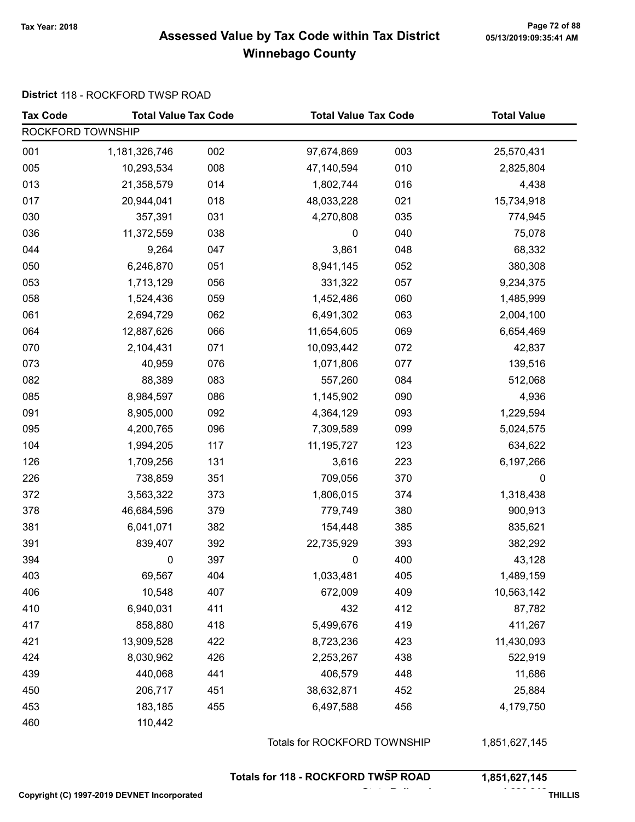### Page 72 of 88 مسمع Page 72 of 88<br>Assessed Value by Tax Code within Tax District مسمع Assessed Value by Tax Code within Tax District Winnebago County

#### District 118 - ROCKFORD TWSP ROAD

| <b>Tax Code</b>   | <b>Total Value Tax Code</b> |     |            | <b>Total Value Tax Code</b>  |            |
|-------------------|-----------------------------|-----|------------|------------------------------|------------|
| ROCKFORD TOWNSHIP |                             |     |            |                              |            |
| 001               | 1,181,326,746               | 002 | 97,674,869 | 003                          | 25,570,431 |
| 005               | 10,293,534                  | 008 | 47,140,594 | 010                          | 2,825,804  |
| 013               | 21,358,579                  | 014 | 1,802,744  | 016                          | 4,438      |
| 017               | 20,944,041                  | 018 | 48,033,228 | 021                          | 15,734,918 |
| 030               | 357,391                     | 031 | 4,270,808  | 035                          | 774,945    |
| 036               | 11,372,559                  | 038 | $\pmb{0}$  | 040                          | 75,078     |
| 044               | 9,264                       | 047 | 3,861      | 048                          | 68,332     |
| 050               | 6,246,870                   | 051 | 8,941,145  | 052                          | 380,308    |
| 053               | 1,713,129                   | 056 | 331,322    | 057                          | 9,234,375  |
| 058               | 1,524,436                   | 059 | 1,452,486  | 060                          | 1,485,999  |
| 061               | 2,694,729                   | 062 | 6,491,302  | 063                          | 2,004,100  |
| 064               | 12,887,626                  | 066 | 11,654,605 | 069                          | 6,654,469  |
| 070               | 2,104,431                   | 071 | 10,093,442 | 072                          | 42,837     |
| 073               | 40,959                      | 076 | 1,071,806  | 077                          | 139,516    |
| 082               | 88,389                      | 083 | 557,260    | 084                          | 512,068    |
| 085               | 8,984,597                   | 086 | 1,145,902  | 090                          | 4,936      |
| 091               | 8,905,000                   | 092 | 4,364,129  | 093                          | 1,229,594  |
| 095               | 4,200,765                   | 096 | 7,309,589  | 099                          | 5,024,575  |
| 104               | 1,994,205                   | 117 | 11,195,727 | 123                          | 634,622    |
| 126               | 1,709,256                   | 131 | 3,616      | 223                          | 6,197,266  |
| 226               | 738,859                     | 351 | 709,056    | 370                          | 0          |
| 372               | 3,563,322                   | 373 | 1,806,015  | 374                          | 1,318,438  |
| 378               | 46,684,596                  | 379 | 779,749    | 380                          | 900,913    |
| 381               | 6,041,071                   | 382 | 154,448    | 385                          | 835,621    |
| 391               | 839,407                     | 392 | 22,735,929 | 393                          | 382,292    |
| 394               | 0                           | 397 | 0          | 400                          | 43,128     |
| 403               | 69,567                      | 404 | 1,033,481  | 405                          | 1,489,159  |
| 406               | 10,548                      | 407 | 672,009    | 409                          | 10,563,142 |
| 410               | 6,940,031                   | 411 | 432        | 412                          | 87,782     |
| 417               | 858,880                     | 418 | 5,499,676  | 419                          | 411,267    |
| 421               | 13,909,528                  | 422 | 8,723,236  | 423                          | 11,430,093 |
| 424               | 8,030,962                   | 426 | 2,253,267  | 438                          | 522,919    |
| 439               | 440,068                     | 441 | 406,579    | 448                          | 11,686     |
| 450               | 206,717                     | 451 | 38,632,871 | 452                          | 25,884     |
| 453               | 183,185                     | 455 | 6,497,588  | 456                          | 4,179,750  |
| 460               | 110,442                     |     |            |                              |            |
|                   |                             |     |            | Totals for ROCKFORD TOWNSHIP |            |

Totals for 118 - ROCKFORD TWSP ROAD 1,851,627,145

State Railroad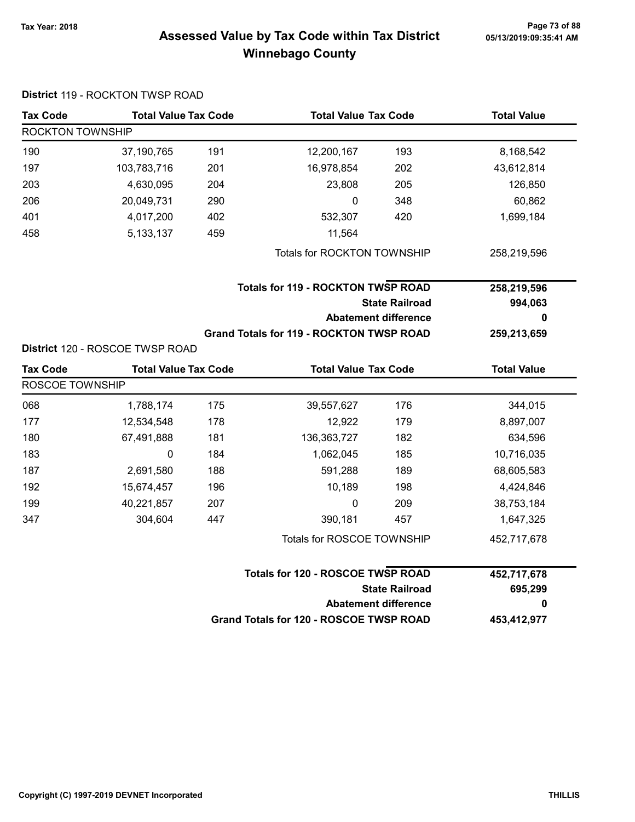### Page 73 of 88 مسلم Page 73 of 88<br>Assessed Value by Tax Code within Tax District مسلم Assessed Value by Tax Code within Tax District Winnebago County

| <b>Tax Code</b>  | <b>Total Value Tax Code</b>     |     | <b>Total Value Tax Code</b>                     |                             | <b>Total Value</b> |
|------------------|---------------------------------|-----|-------------------------------------------------|-----------------------------|--------------------|
| ROCKTON TOWNSHIP |                                 |     |                                                 |                             |                    |
| 190              | 37,190,765                      | 191 | 12,200,167                                      | 193                         | 8,168,542          |
| 197              | 103,783,716                     | 201 | 16,978,854                                      | 202                         | 43,612,814         |
| 203              | 4,630,095                       | 204 | 23,808                                          | 205                         | 126,850            |
| 206              | 20,049,731                      | 290 | 0                                               | 348                         | 60,862             |
| 401              | 4,017,200                       | 402 | 532,307                                         | 420                         | 1,699,184          |
| 458              | 5, 133, 137                     | 459 | 11,564                                          |                             |                    |
|                  |                                 |     | Totals for ROCKTON TOWNSHIP                     |                             | 258,219,596        |
|                  |                                 |     | <b>Totals for 119 - ROCKTON TWSP ROAD</b>       |                             | 258,219,596        |
|                  |                                 |     |                                                 | <b>State Railroad</b>       | 994,063            |
|                  |                                 |     |                                                 | <b>Abatement difference</b> | 0                  |
|                  |                                 |     | <b>Grand Totals for 119 - ROCKTON TWSP ROAD</b> |                             | 259,213,659        |
|                  | District 120 - ROSCOE TWSP ROAD |     |                                                 |                             |                    |
| <b>Tax Code</b>  | <b>Total Value Tax Code</b>     |     | <b>Total Value Tax Code</b>                     |                             | <b>Total Value</b> |
| ROSCOE TOWNSHIP  |                                 |     |                                                 |                             |                    |
| 068              | 1,788,174                       | 175 | 39,557,627                                      | 176                         | 344,015            |
| 177              | 12,534,548                      | 178 | 12,922                                          | 179                         | 8,897,007          |
| 180              | 67,491,888                      | 181 | 136, 363, 727                                   | 182                         | 634,596            |
| 183              | 0                               | 184 | 1,062,045                                       | 185                         | 10,716,035         |
| 187              | 2,691,580                       | 188 | 591,288                                         | 189                         | 68,605,583         |
| 192              | 15,674,457                      | 196 | 10,189                                          | 198                         | 4,424,846          |
| 199              | 40,221,857                      | 207 | 0                                               | 209                         | 38,753,184         |
| 347              | 304,604                         | 447 | 390,181                                         | 457                         | 1,647,325          |
|                  |                                 |     | Totals for ROSCOE TOWNSHIP                      |                             | 452,717,678        |
|                  |                                 |     | <b>Totals for 120 - ROSCOE TWSP ROAD</b>        |                             | 452,717,678        |
|                  |                                 |     |                                                 | <b>State Railroad</b>       | 695,299            |
|                  |                                 |     |                                                 | <b>Abatement difference</b> | 0                  |
|                  |                                 |     | Grand Totals for 120 - ROSCOE TWSP ROAD         |                             | 453,412,977        |

### District 119 - ROCKTON TWSP ROAD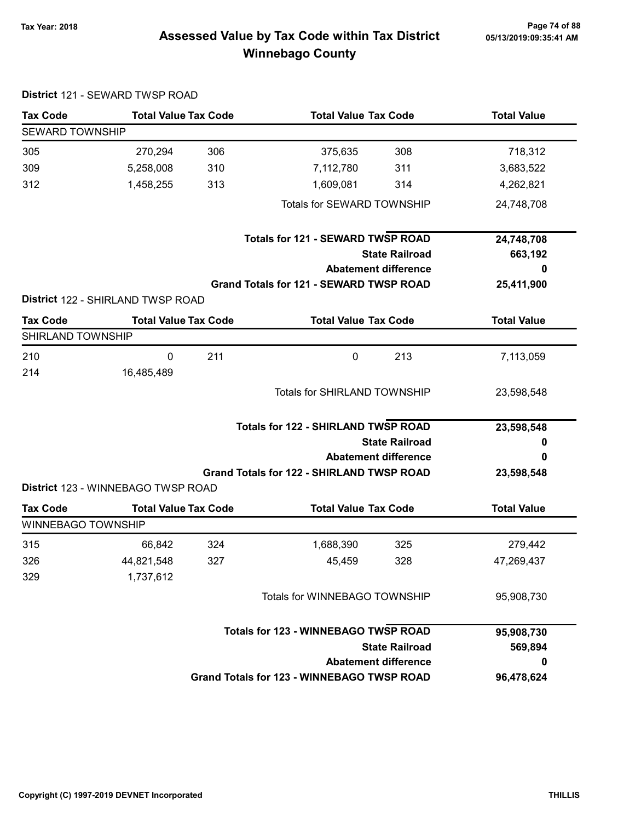District 121 - SEWARD TWSP ROAD

# Page 74 of 88 مع Page 74 of 88<br>Assessed Value by Tax Code within Tax District مع Assessed Value by Tax Code Winnebago County

| <b>Tax Code</b>           | <b>Total Value Tax Code</b>        |     | <b>Total Value Tax Code</b>                       |                       | <b>Total Value</b> |
|---------------------------|------------------------------------|-----|---------------------------------------------------|-----------------------|--------------------|
| <b>SEWARD TOWNSHIP</b>    |                                    |     |                                                   |                       |                    |
| 305                       | 270,294                            | 306 | 375,635                                           | 308                   | 718,312            |
| 309                       | 5,258,008                          | 310 | 7,112,780                                         | 311                   | 3,683,522          |
| 312                       | 1,458,255                          | 313 | 1,609,081                                         | 314                   | 4,262,821          |
|                           |                                    |     | Totals for SEWARD TOWNSHIP                        |                       | 24,748,708         |
|                           |                                    |     | <b>Totals for 121 - SEWARD TWSP ROAD</b>          |                       | 24,748,708         |
|                           |                                    |     |                                                   | <b>State Railroad</b> | 663,192            |
|                           |                                    |     | <b>Abatement difference</b>                       |                       | 0                  |
|                           |                                    |     | Grand Totals for 121 - SEWARD TWSP ROAD           |                       | 25,411,900         |
|                           | District 122 - SHIRLAND TWSP ROAD  |     |                                                   |                       |                    |
| <b>Tax Code</b>           | <b>Total Value Tax Code</b>        |     | <b>Total Value Tax Code</b>                       |                       | <b>Total Value</b> |
| SHIRLAND TOWNSHIP         |                                    |     |                                                   |                       |                    |
| 210                       | $\mathbf 0$                        | 211 | $\mathbf 0$                                       | 213                   | 7,113,059          |
| 214                       | 16,485,489                         |     |                                                   |                       |                    |
|                           |                                    |     | <b>Totals for SHIRLAND TOWNSHIP</b>               |                       | 23,598,548         |
|                           |                                    |     |                                                   |                       |                    |
|                           |                                    |     | <b>Totals for 122 - SHIRLAND TWSP ROAD</b>        |                       | 23,598,548         |
|                           |                                    |     |                                                   | <b>State Railroad</b> | 0                  |
|                           |                                    |     | <b>Abatement difference</b>                       |                       | 0                  |
|                           |                                    |     | <b>Grand Totals for 122 - SHIRLAND TWSP ROAD</b>  |                       | 23,598,548         |
|                           | District 123 - WINNEBAGO TWSP ROAD |     |                                                   |                       |                    |
| <b>Tax Code</b>           | <b>Total Value Tax Code</b>        |     | <b>Total Value Tax Code</b>                       |                       | <b>Total Value</b> |
| <b>WINNEBAGO TOWNSHIP</b> |                                    |     |                                                   |                       |                    |
| 315                       | 66,842                             | 324 | 1,688,390                                         | 325                   | 279,442            |
| 326                       | 44,821,548                         | 327 | 45,459                                            | 328                   | 47,269,437         |
| 329                       | 1,737,612                          |     |                                                   |                       |                    |
|                           |                                    |     | Totals for WINNEBAGO TOWNSHIP                     |                       | 95,908,730         |
|                           |                                    |     | <b>Totals for 123 - WINNEBAGO TWSP ROAD</b>       |                       | 95,908,730         |
|                           |                                    |     |                                                   | <b>State Railroad</b> | 569,894            |
|                           |                                    |     | <b>Abatement difference</b>                       |                       | 0                  |
|                           |                                    |     | <b>Grand Totals for 123 - WINNEBAGO TWSP ROAD</b> |                       | 96,478,624         |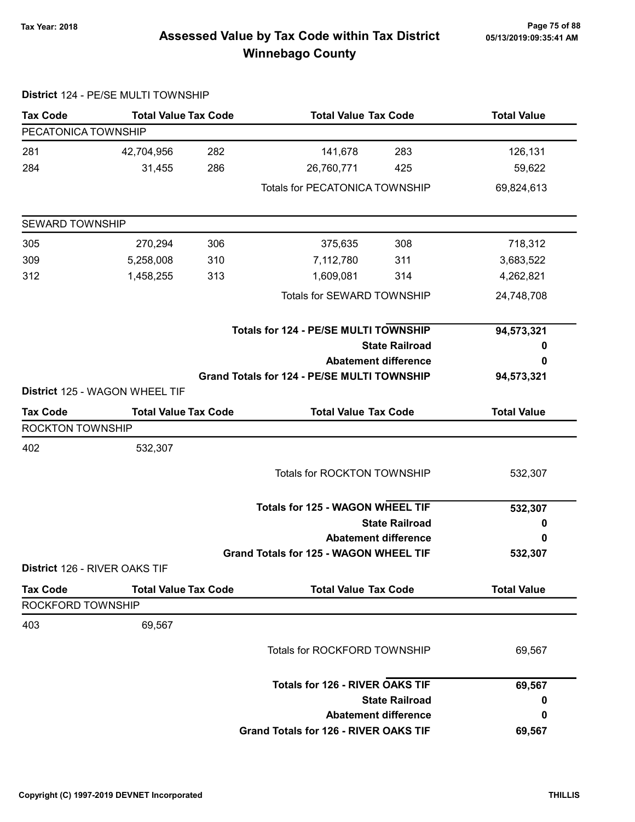# Page 75 of 88 وTax Year: 2018 Page 75 of 88<br>Assessed Value by Tax Code within Tax District ه 65/13/2019:09:35:41 Winnebago County

|                               | District 124 - PE/SE MULTI TOWNSHIP |     |                                              |                             |                    |
|-------------------------------|-------------------------------------|-----|----------------------------------------------|-----------------------------|--------------------|
| <b>Tax Code</b>               | <b>Total Value Tax Code</b>         |     | <b>Total Value Tax Code</b>                  |                             | <b>Total Value</b> |
| PECATONICA TOWNSHIP           |                                     |     |                                              |                             |                    |
| 281                           | 42,704,956                          | 282 | 141,678                                      | 283                         | 126,131            |
| 284                           | 31,455                              | 286 | 26,760,771                                   | 425                         | 59,622             |
|                               |                                     |     | <b>Totals for PECATONICA TOWNSHIP</b>        |                             | 69,824,613         |
| <b>SEWARD TOWNSHIP</b>        |                                     |     |                                              |                             |                    |
| 305                           | 270,294                             | 306 | 375,635                                      | 308                         | 718,312            |
| 309                           | 5,258,008                           | 310 | 7,112,780                                    | 311                         | 3,683,522          |
| 312                           | 1,458,255                           | 313 | 1,609,081                                    | 314                         | 4,262,821          |
|                               |                                     |     | Totals for SEWARD TOWNSHIP                   |                             | 24,748,708         |
|                               |                                     |     | Totals for 124 - PE/SE MULTI TOWNSHIP        |                             | 94,573,321         |
|                               |                                     |     |                                              | <b>State Railroad</b>       | 0                  |
|                               |                                     |     |                                              | <b>Abatement difference</b> | 0                  |
|                               | District 125 - WAGON WHEEL TIF      |     | Grand Totals for 124 - PE/SE MULTI TOWNSHIP  |                             | 94,573,321         |
| <b>Tax Code</b>               | <b>Total Value Tax Code</b>         |     | <b>Total Value Tax Code</b>                  |                             | <b>Total Value</b> |
| ROCKTON TOWNSHIP              |                                     |     |                                              |                             |                    |
| 402                           | 532,307                             |     |                                              |                             |                    |
|                               |                                     |     | <b>Totals for ROCKTON TOWNSHIP</b>           |                             | 532,307            |
|                               |                                     |     | <b>Totals for 125 - WAGON WHEEL TIF</b>      |                             | 532,307            |
|                               |                                     |     |                                              | <b>State Railroad</b>       | 0                  |
|                               |                                     |     |                                              | <b>Abatement difference</b> | 0                  |
|                               |                                     |     | Grand Totals for 125 - WAGON WHEEL TIF       |                             | 532,307            |
| District 126 - RIVER OAKS TIF |                                     |     |                                              |                             |                    |
| <b>Tax Code</b>               | <b>Total Value Tax Code</b>         |     | <b>Total Value Tax Code</b>                  |                             | <b>Total Value</b> |
| ROCKFORD TOWNSHIP             |                                     |     |                                              |                             |                    |
| 403                           | 69,567                              |     |                                              |                             |                    |
|                               |                                     |     | Totals for ROCKFORD TOWNSHIP                 |                             | 69,567             |
|                               |                                     |     | <b>Totals for 126 - RIVER OAKS TIF</b>       |                             | 69,567             |
|                               |                                     |     |                                              | <b>State Railroad</b>       | 0                  |
|                               |                                     |     |                                              | <b>Abatement difference</b> | 0                  |
|                               |                                     |     | <b>Grand Totals for 126 - RIVER OAKS TIF</b> |                             | 69,567             |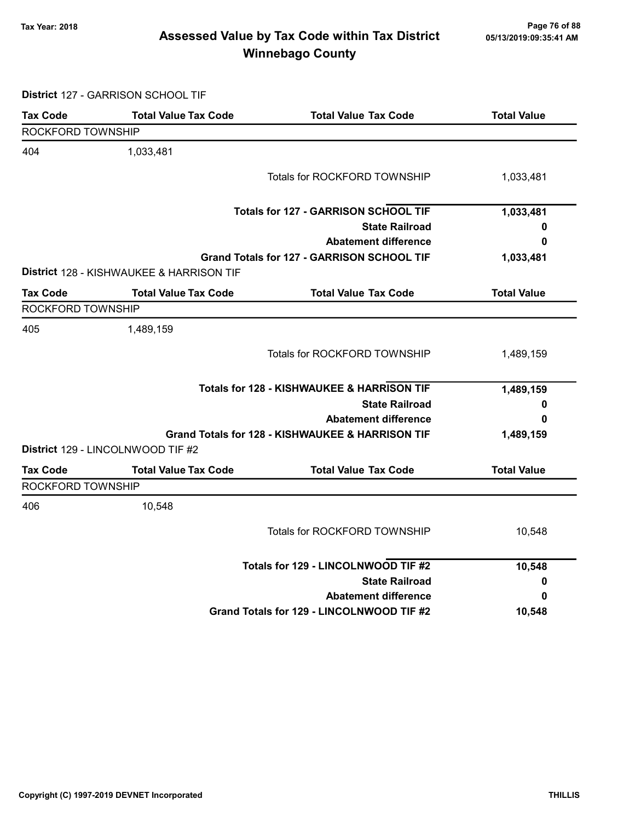# Page 76 of 88 مع Page 76 of 88<br>Assessed Value by Tax Code within Tax District مع Assessed Value by Tax Code Winnebago County

District 127 - GARRISON SCHOOL TIF

| <b>Tax Code</b>   | <b>Total Value Tax Code</b>              | <b>Total Value Tax Code</b>                      | <b>Total Value</b> |
|-------------------|------------------------------------------|--------------------------------------------------|--------------------|
| ROCKFORD TOWNSHIP |                                          |                                                  |                    |
| 404               | 1,033,481                                |                                                  |                    |
|                   |                                          | Totals for ROCKFORD TOWNSHIP                     | 1,033,481          |
|                   |                                          | <b>Totals for 127 - GARRISON SCHOOL TIF</b>      | 1,033,481          |
|                   |                                          | <b>State Railroad</b>                            | 0                  |
|                   |                                          | <b>Abatement difference</b>                      | 0                  |
|                   | District 128 - KISHWAUKEE & HARRISON TIF | Grand Totals for 127 - GARRISON SCHOOL TIF       | 1,033,481          |
| <b>Tax Code</b>   | <b>Total Value Tax Code</b>              | <b>Total Value Tax Code</b>                      | <b>Total Value</b> |
| ROCKFORD TOWNSHIP |                                          |                                                  |                    |
| 405               | 1,489,159                                |                                                  |                    |
|                   |                                          | Totals for ROCKFORD TOWNSHIP                     | 1,489,159          |
|                   |                                          | Totals for 128 - KISHWAUKEE & HARRISON TIF       | 1,489,159          |
|                   |                                          | <b>State Railroad</b>                            | 0                  |
|                   |                                          | <b>Abatement difference</b>                      | 0                  |
|                   | District 129 - LINCOLNWOOD TIF #2        | Grand Totals for 128 - KISHWAUKEE & HARRISON TIF | 1,489,159          |
| <b>Tax Code</b>   | <b>Total Value Tax Code</b>              | <b>Total Value Tax Code</b>                      | <b>Total Value</b> |
| ROCKFORD TOWNSHIP |                                          |                                                  |                    |
| 406               | 10,548                                   |                                                  |                    |
|                   |                                          | Totals for ROCKFORD TOWNSHIP                     | 10,548             |
|                   |                                          | Totals for 129 - LINCOLNWOOD TIF #2              | 10,548             |
|                   |                                          | <b>State Railroad</b>                            | 0                  |
|                   |                                          | <b>Abatement difference</b>                      | 0                  |
|                   |                                          | Grand Totals for 129 - LINCOLNWOOD TIF #2        | 10,548             |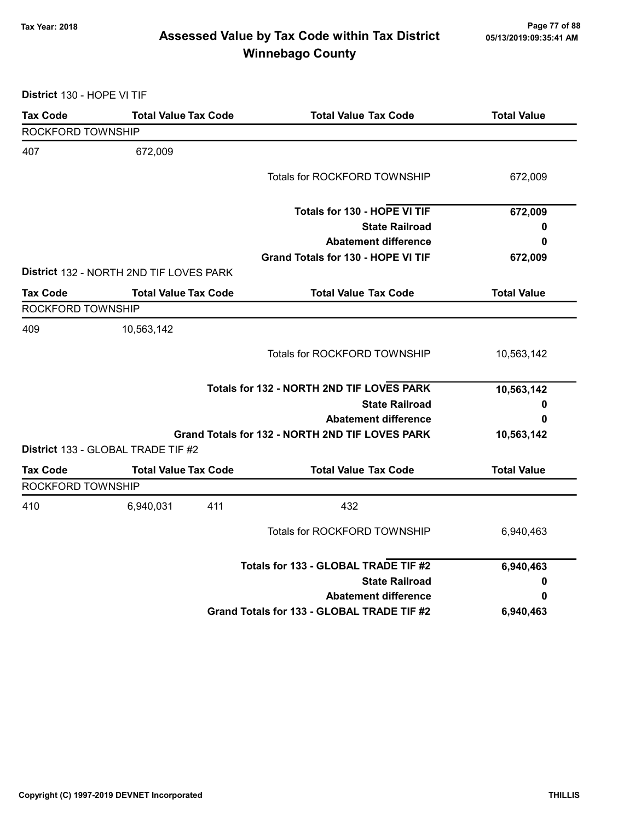# Page 77 of 88 مسلم Page 77 of 88<br>Assessed Value by Tax Code within Tax District مسلم Assessed Value by Tax Code within Tax District Winnebago County

District 130 - HOPE VI TIF

| <b>Tax Code</b>          | <b>Total Value Tax Code</b>             | <b>Total Value Tax Code</b>                     | <b>Total Value</b> |
|--------------------------|-----------------------------------------|-------------------------------------------------|--------------------|
| <b>ROCKFORD TOWNSHIP</b> |                                         |                                                 |                    |
| 407                      | 672,009                                 |                                                 |                    |
|                          |                                         | Totals for ROCKFORD TOWNSHIP                    | 672,009            |
|                          |                                         | Totals for 130 - HOPE VI TIF                    | 672,009            |
|                          |                                         | <b>State Railroad</b>                           | 0                  |
|                          |                                         | <b>Abatement difference</b>                     | 0                  |
|                          |                                         | <b>Grand Totals for 130 - HOPE VI TIF</b>       | 672,009            |
|                          | District 132 - NORTH 2ND TIF LOVES PARK |                                                 |                    |
| <b>Tax Code</b>          | <b>Total Value Tax Code</b>             | <b>Total Value Tax Code</b>                     | <b>Total Value</b> |
| ROCKFORD TOWNSHIP        |                                         |                                                 |                    |
| 409                      | 10,563,142                              |                                                 |                    |
|                          |                                         | Totals for ROCKFORD TOWNSHIP                    | 10,563,142         |
|                          |                                         | Totals for 132 - NORTH 2ND TIF LOVES PARK       | 10,563,142         |
|                          |                                         | <b>State Railroad</b>                           | 0                  |
|                          |                                         | <b>Abatement difference</b>                     | 0                  |
|                          |                                         | Grand Totals for 132 - NORTH 2ND TIF LOVES PARK | 10,563,142         |
|                          | District 133 - GLOBAL TRADE TIF #2      |                                                 |                    |
| <b>Tax Code</b>          | <b>Total Value Tax Code</b>             | <b>Total Value Tax Code</b>                     | <b>Total Value</b> |
| ROCKFORD TOWNSHIP        |                                         |                                                 |                    |
| 410                      | 6,940,031                               | 411<br>432                                      |                    |
|                          |                                         | Totals for ROCKFORD TOWNSHIP                    | 6,940,463          |
|                          |                                         | Totals for 133 - GLOBAL TRADE TIF #2            | 6,940,463          |
|                          |                                         | <b>State Railroad</b>                           | 0                  |
|                          |                                         | <b>Abatement difference</b>                     | 0                  |
|                          |                                         | Grand Totals for 133 - GLOBAL TRADE TIF #2      | 6,940,463          |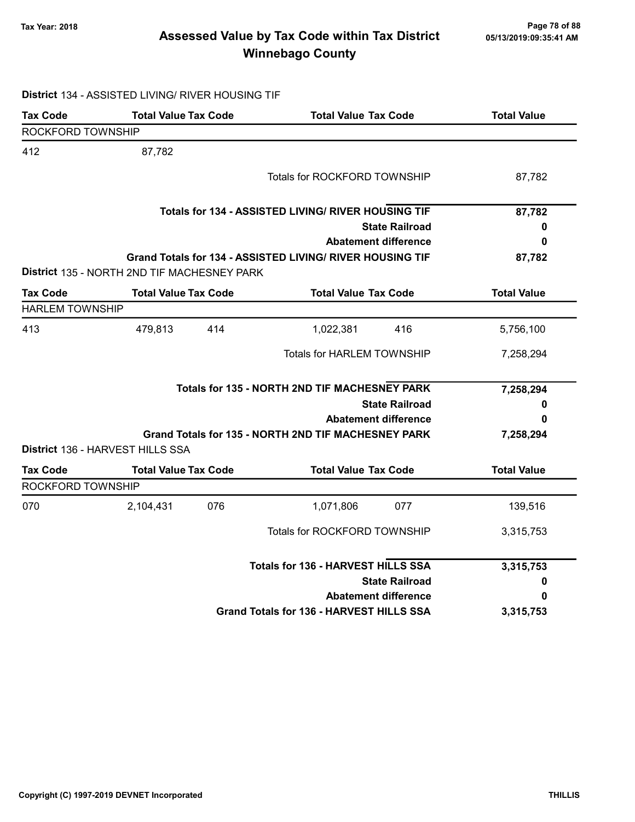# Page 78 of 88 مع Page 78 of 88<br>Assessed Value by Tax Code within Tax District ماکار Assessed Value by Tax Code within Tax District Winnebago County

### District 134 - ASSISTED LIVING/ RIVER HOUSING TIF

| <b>Tax Code</b>        | <b>Total Value Tax Code</b>                 |     | <b>Total Value Tax Code</b>                               | <b>Total Value</b> |
|------------------------|---------------------------------------------|-----|-----------------------------------------------------------|--------------------|
| ROCKFORD TOWNSHIP      |                                             |     |                                                           |                    |
| 412                    | 87,782                                      |     |                                                           |                    |
|                        |                                             |     | <b>Totals for ROCKFORD TOWNSHIP</b>                       | 87,782             |
|                        |                                             |     | Totals for 134 - ASSISTED LIVING/ RIVER HOUSING TIF       | 87,782             |
|                        |                                             |     | <b>State Railroad</b>                                     | 0                  |
|                        |                                             |     | <b>Abatement difference</b>                               | 0                  |
|                        | District 135 - NORTH 2ND TIF MACHESNEY PARK |     | Grand Totals for 134 - ASSISTED LIVING/ RIVER HOUSING TIF | 87,782             |
| <b>Tax Code</b>        | <b>Total Value Tax Code</b>                 |     | <b>Total Value Tax Code</b>                               | <b>Total Value</b> |
| <b>HARLEM TOWNSHIP</b> |                                             |     |                                                           |                    |
| 413                    | 479,813                                     | 414 | 416<br>1,022,381                                          | 5,756,100          |
|                        |                                             |     | Totals for HARLEM TOWNSHIP                                | 7,258,294          |
|                        |                                             |     | Totals for 135 - NORTH 2ND TIF MACHESNEY PARK             | 7,258,294          |
|                        |                                             |     | <b>State Railroad</b>                                     | 0                  |
|                        |                                             |     | <b>Abatement difference</b>                               | 0                  |
|                        | District 136 - HARVEST HILLS SSA            |     | Grand Totals for 135 - NORTH 2ND TIF MACHESNEY PARK       | 7,258,294          |
| <b>Tax Code</b>        | <b>Total Value Tax Code</b>                 |     | <b>Total Value Tax Code</b>                               | <b>Total Value</b> |
| ROCKFORD TOWNSHIP      |                                             |     |                                                           |                    |
| 070                    | 2,104,431                                   | 076 | 077<br>1,071,806                                          | 139,516            |
|                        |                                             |     | <b>Totals for ROCKFORD TOWNSHIP</b>                       | 3,315,753          |
|                        |                                             |     | <b>Totals for 136 - HARVEST HILLS SSA</b>                 | 3,315,753          |
|                        |                                             |     | <b>State Railroad</b>                                     | 0                  |
|                        |                                             |     | <b>Abatement difference</b>                               | 0                  |
|                        |                                             |     | Grand Totals for 136 - HARVEST HILLS SSA                  | 3,315,753          |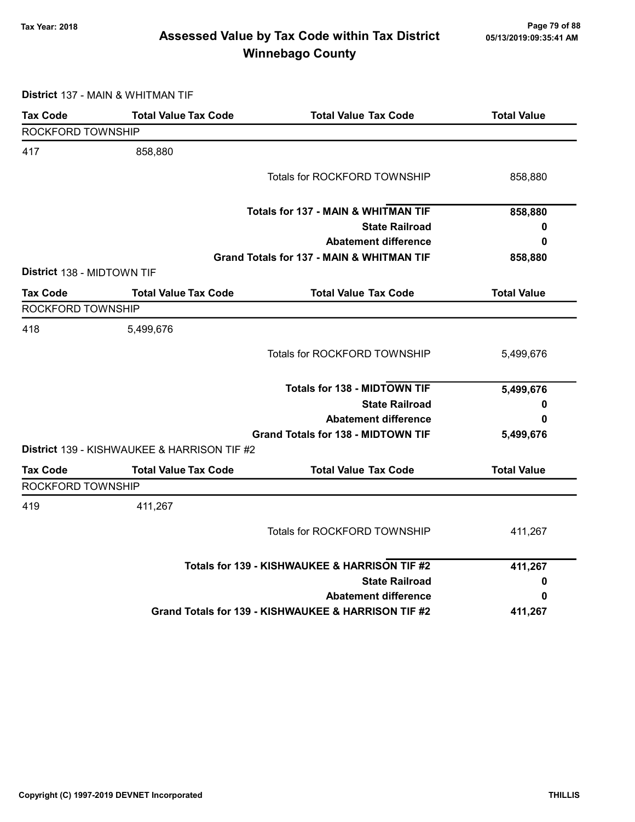# Page 79 of 88 مع Page 79 of 88<br>Assessed Value by Tax Code within Tax District مع Assessed Value by Tax Code Winnebago County

District 137 - MAIN & WHITMAN TIF

| <b>Tax Code</b>            | <b>Total Value Tax Code</b>                 | <b>Total Value Tax Code</b>                         | <b>Total Value</b> |
|----------------------------|---------------------------------------------|-----------------------------------------------------|--------------------|
| ROCKFORD TOWNSHIP          |                                             |                                                     |                    |
| 417                        | 858,880                                     |                                                     |                    |
|                            |                                             | Totals for ROCKFORD TOWNSHIP                        | 858,880            |
|                            |                                             | <b>Totals for 137 - MAIN &amp; WHITMAN TIF</b>      | 858,880            |
|                            |                                             | <b>State Railroad</b>                               | 0                  |
|                            |                                             | <b>Abatement difference</b>                         | 0                  |
|                            |                                             | Grand Totals for 137 - MAIN & WHITMAN TIF           | 858,880            |
| District 138 - MIDTOWN TIF |                                             |                                                     |                    |
| <b>Tax Code</b>            | <b>Total Value Tax Code</b>                 | <b>Total Value Tax Code</b>                         | <b>Total Value</b> |
| ROCKFORD TOWNSHIP          |                                             |                                                     |                    |
| 418                        | 5,499,676                                   |                                                     |                    |
|                            |                                             | Totals for ROCKFORD TOWNSHIP                        | 5,499,676          |
|                            |                                             | <b>Totals for 138 - MIDTOWN TIF</b>                 | 5,499,676          |
|                            |                                             | <b>State Railroad</b>                               | 0                  |
|                            |                                             | <b>Abatement difference</b>                         | 0                  |
|                            |                                             | <b>Grand Totals for 138 - MIDTOWN TIF</b>           | 5,499,676          |
|                            | District 139 - KISHWAUKEE & HARRISON TIF #2 |                                                     |                    |
| <b>Tax Code</b>            | <b>Total Value Tax Code</b>                 | <b>Total Value Tax Code</b>                         | <b>Total Value</b> |
| ROCKFORD TOWNSHIP          |                                             |                                                     |                    |
| 419                        | 411,267                                     |                                                     |                    |
|                            |                                             | Totals for ROCKFORD TOWNSHIP                        | 411,267            |
|                            |                                             | Totals for 139 - KISHWAUKEE & HARRISON TIF #2       | 411,267            |
|                            |                                             | <b>State Railroad</b>                               | 0                  |
|                            |                                             | <b>Abatement difference</b>                         | 0                  |
|                            |                                             | Grand Totals for 139 - KISHWAUKEE & HARRISON TIF #2 | 411,267            |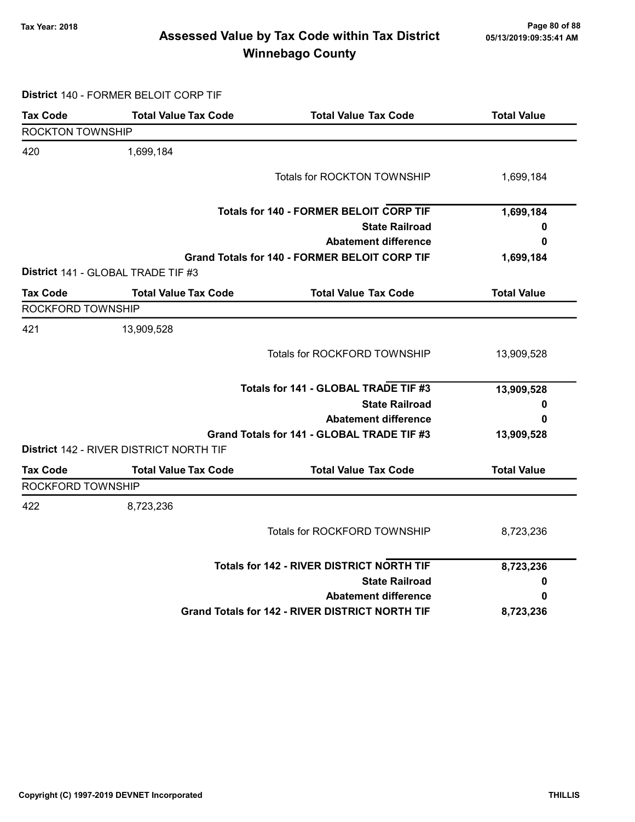# Page 80 of 88 وTax Year: 2018 Page 80 of 88<br>Assessed Value by Tax Code within Tax District ه 65/13/2019:09:35:41 Winnebago County

District 140 - FORMER BELOIT CORP TIF

| <b>Tax Code</b>         | <b>Total Value Tax Code</b>             | <b>Total Value Tax Code</b>                            | <b>Total Value</b> |
|-------------------------|-----------------------------------------|--------------------------------------------------------|--------------------|
| <b>ROCKTON TOWNSHIP</b> |                                         |                                                        |                    |
| 420                     | 1,699,184                               |                                                        |                    |
|                         |                                         | <b>Totals for ROCKTON TOWNSHIP</b>                     | 1,699,184          |
|                         |                                         | <b>Totals for 140 - FORMER BELOIT CORP TIF</b>         | 1,699,184          |
|                         |                                         | <b>State Railroad</b>                                  | 0                  |
|                         |                                         | <b>Abatement difference</b>                            | 0                  |
|                         |                                         | <b>Grand Totals for 140 - FORMER BELOIT CORP TIF</b>   | 1,699,184          |
|                         | District 141 - GLOBAL TRADE TIF #3      |                                                        |                    |
| <b>Tax Code</b>         | <b>Total Value Tax Code</b>             | <b>Total Value Tax Code</b>                            | <b>Total Value</b> |
| ROCKFORD TOWNSHIP       |                                         |                                                        |                    |
| 421                     | 13,909,528                              |                                                        |                    |
|                         |                                         | Totals for ROCKFORD TOWNSHIP                           | 13,909,528         |
|                         |                                         | Totals for 141 - GLOBAL TRADE TIF #3                   | 13,909,528         |
|                         |                                         | <b>State Railroad</b>                                  | 0                  |
|                         |                                         | <b>Abatement difference</b>                            | 0                  |
|                         |                                         | Grand Totals for 141 - GLOBAL TRADE TIF #3             | 13,909,528         |
|                         | District 142 - RIVER DISTRICT NORTH TIF |                                                        |                    |
| <b>Tax Code</b>         | <b>Total Value Tax Code</b>             | <b>Total Value Tax Code</b>                            | <b>Total Value</b> |
| ROCKFORD TOWNSHIP       |                                         |                                                        |                    |
| 422                     | 8,723,236                               |                                                        |                    |
|                         |                                         | Totals for ROCKFORD TOWNSHIP                           | 8,723,236          |
|                         |                                         | <b>Totals for 142 - RIVER DISTRICT NORTH TIF</b>       | 8,723,236          |
|                         |                                         | <b>State Railroad</b>                                  | 0                  |
|                         |                                         | <b>Abatement difference</b>                            | 0                  |
|                         |                                         | <b>Grand Totals for 142 - RIVER DISTRICT NORTH TIF</b> | 8,723,236          |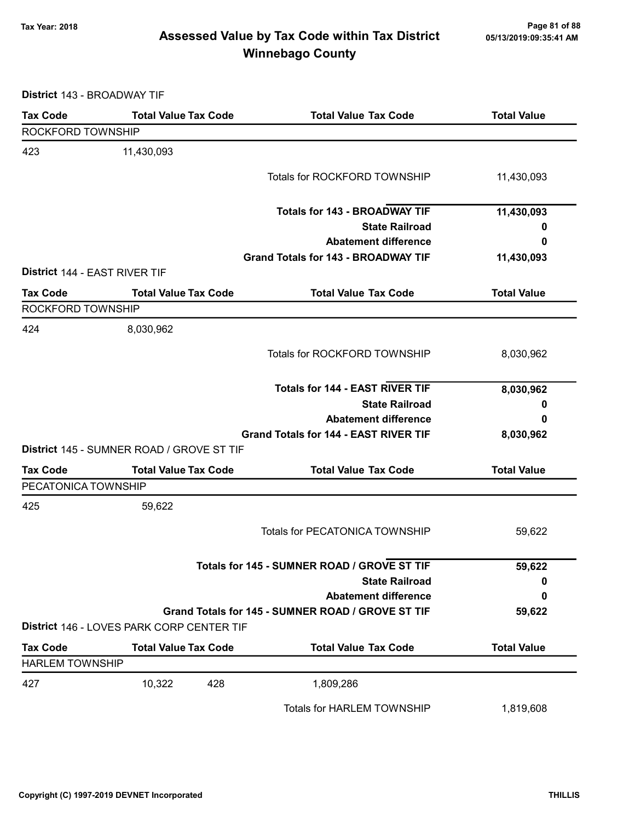# Page 81 of 88 وTax Year: 2018 Page 81 of 88<br>Assessed Value by Tax Code within Tax District ه 65/13/2019:09:35:41 Winnebago County

District 143 - BROADWAY TIF

| <b>Tax Code</b>               | <b>Total Value Tax Code</b>               | <b>Total Value Tax Code</b>                       | <b>Total Value</b> |
|-------------------------------|-------------------------------------------|---------------------------------------------------|--------------------|
| ROCKFORD TOWNSHIP             |                                           |                                                   |                    |
| 423                           | 11,430,093                                |                                                   |                    |
|                               |                                           | Totals for ROCKFORD TOWNSHIP                      | 11,430,093         |
|                               |                                           |                                                   |                    |
|                               |                                           | <b>Totals for 143 - BROADWAY TIF</b>              | 11,430,093         |
|                               |                                           | <b>State Railroad</b>                             | 0                  |
|                               |                                           | <b>Abatement difference</b>                       | 0                  |
|                               |                                           | <b>Grand Totals for 143 - BROADWAY TIF</b>        | 11,430,093         |
| District 144 - EAST RIVER TIF |                                           |                                                   |                    |
| <b>Tax Code</b>               | <b>Total Value Tax Code</b>               | <b>Total Value Tax Code</b>                       | <b>Total Value</b> |
| ROCKFORD TOWNSHIP             |                                           |                                                   |                    |
| 424                           | 8,030,962                                 |                                                   |                    |
|                               |                                           | Totals for ROCKFORD TOWNSHIP                      | 8,030,962          |
|                               |                                           |                                                   |                    |
|                               |                                           | <b>Totals for 144 - EAST RIVER TIF</b>            | 8,030,962          |
|                               |                                           | <b>State Railroad</b>                             | 0                  |
|                               |                                           | <b>Abatement difference</b>                       | 0                  |
|                               |                                           | <b>Grand Totals for 144 - EAST RIVER TIF</b>      | 8,030,962          |
|                               | District 145 - SUMNER ROAD / GROVE ST TIF |                                                   |                    |
| <b>Tax Code</b>               | <b>Total Value Tax Code</b>               | <b>Total Value Tax Code</b>                       | <b>Total Value</b> |
| PECATONICA TOWNSHIP           |                                           |                                                   |                    |
| 425                           | 59,622                                    |                                                   |                    |
|                               |                                           | <b>Totals for PECATONICA TOWNSHIP</b>             | 59,622             |
|                               |                                           |                                                   |                    |
|                               |                                           | Totals for 145 - SUMNER ROAD / GROVE ST TIF       | 59,622             |
|                               |                                           | <b>State Railroad</b>                             | 0                  |
|                               |                                           | <b>Abatement difference</b>                       | 0                  |
|                               |                                           | Grand Totals for 145 - SUMNER ROAD / GROVE ST TIF | 59,622             |
|                               | District 146 - LOVES PARK CORP CENTER TIF |                                                   |                    |
| <b>Tax Code</b>               | <b>Total Value Tax Code</b>               | <b>Total Value Tax Code</b>                       | <b>Total Value</b> |
| <b>HARLEM TOWNSHIP</b>        |                                           |                                                   |                    |
| 427                           | 10,322<br>428                             | 1,809,286                                         |                    |
|                               |                                           | Totals for HARLEM TOWNSHIP                        | 1,819,608          |
|                               |                                           |                                                   |                    |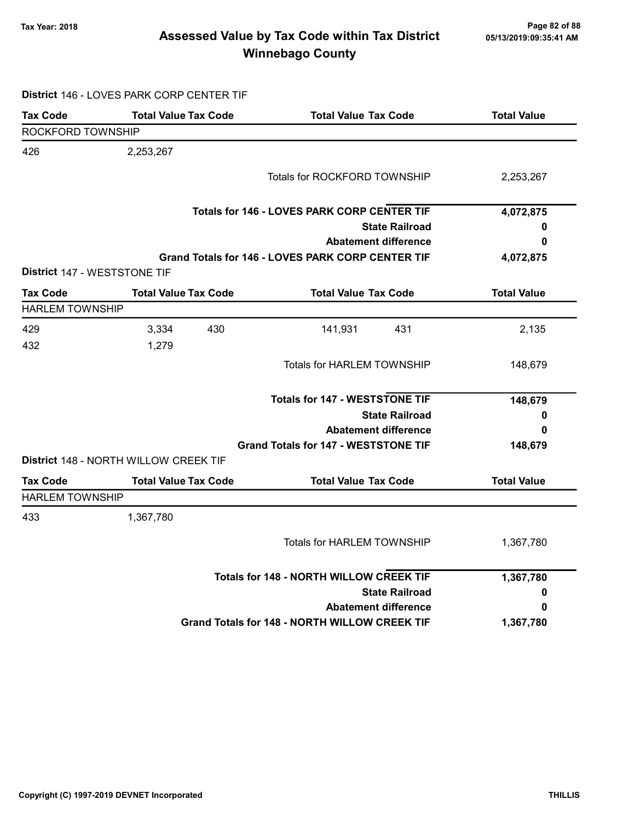# Page 82 of 88 مسمح Page 82 of 88<br>Assessed Value by Tax Code within Tax District مسمع Assessed Value by Tax Code within Tax District Winnebago County

District 146 - LOVES PARK CORP CENTER TIF

| <b>Tax Code</b>              | <b>Total Value Tax Code</b>           | <b>Total Value Tax Code</b>                          | <b>Total Value</b> |
|------------------------------|---------------------------------------|------------------------------------------------------|--------------------|
| ROCKFORD TOWNSHIP            |                                       |                                                      |                    |
| 426                          | 2,253,267                             |                                                      |                    |
|                              |                                       | Totals for ROCKFORD TOWNSHIP                         | 2,253,267          |
|                              |                                       | <b>Totals for 146 - LOVES PARK CORP CENTER TIF</b>   | 4,072,875          |
|                              |                                       | <b>State Railroad</b>                                | 0                  |
|                              |                                       | <b>Abatement difference</b>                          | 0                  |
|                              |                                       | Grand Totals for 146 - LOVES PARK CORP CENTER TIF    | 4,072,875          |
| District 147 - WESTSTONE TIF |                                       |                                                      |                    |
| <b>Tax Code</b>              | <b>Total Value Tax Code</b>           | <b>Total Value Tax Code</b>                          | <b>Total Value</b> |
| <b>HARLEM TOWNSHIP</b>       |                                       |                                                      |                    |
| 429                          | 3,334<br>430                          | 141,931<br>431                                       | 2,135              |
| 432                          | 1,279                                 |                                                      |                    |
|                              |                                       | Totals for HARLEM TOWNSHIP                           | 148,679            |
|                              |                                       |                                                      |                    |
|                              |                                       | <b>Totals for 147 - WESTSTONE TIF</b>                | 148,679            |
|                              |                                       | <b>State Railroad</b>                                | 0                  |
|                              |                                       | <b>Abatement difference</b>                          | 0                  |
|                              |                                       | <b>Grand Totals for 147 - WESTSTONE TIF</b>          | 148,679            |
|                              | District 148 - NORTH WILLOW CREEK TIF |                                                      |                    |
| <b>Tax Code</b>              | <b>Total Value Tax Code</b>           | <b>Total Value Tax Code</b>                          | <b>Total Value</b> |
| <b>HARLEM TOWNSHIP</b>       |                                       |                                                      |                    |
| 433                          | 1,367,780                             |                                                      |                    |
|                              |                                       | <b>Totals for HARLEM TOWNSHIP</b>                    | 1,367,780          |
|                              |                                       | <b>Totals for 148 - NORTH WILLOW CREEK TIF</b>       | 1,367,780          |
|                              |                                       | <b>State Railroad</b>                                | 0                  |
|                              |                                       | <b>Abatement difference</b>                          | 0                  |
|                              |                                       | <b>Grand Totals for 148 - NORTH WILLOW CREEK TIF</b> | 1,367,780          |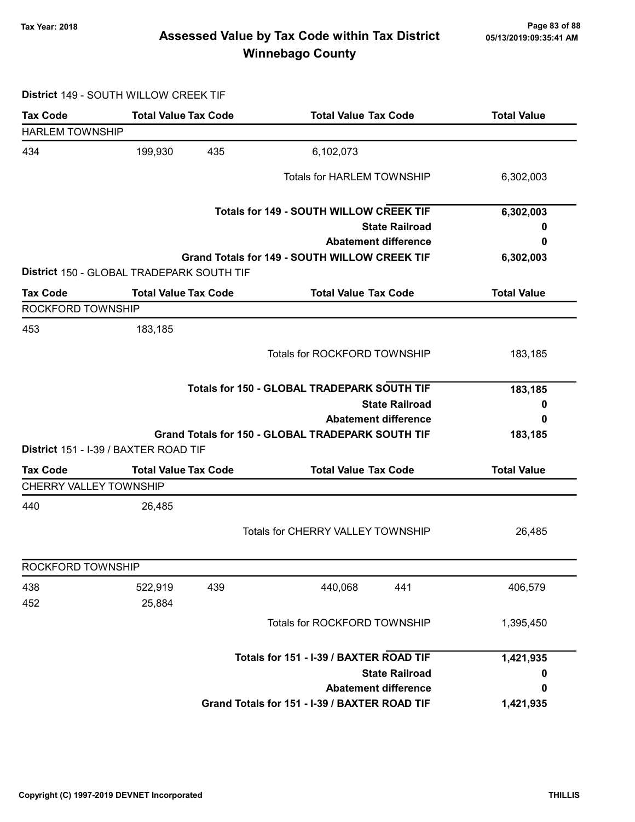# Page 83 of 88 مسمح Page 83 of 88<br>Assessed Value by Tax Code within Tax District مسمد Assessed Value by Tax Code within Tax District Winnebago County

### District 149 - SOUTH WILLOW CREEK TIF

| <b>Tax Code</b>               | <b>Total Value Tax Code</b>               | <b>Total Value Tax Code</b>                          | <b>Total Value</b> |
|-------------------------------|-------------------------------------------|------------------------------------------------------|--------------------|
| <b>HARLEM TOWNSHIP</b>        |                                           |                                                      |                    |
| 434                           | 199,930<br>435                            | 6,102,073                                            |                    |
|                               |                                           | <b>Totals for HARLEM TOWNSHIP</b>                    | 6,302,003          |
|                               |                                           | <b>Totals for 149 - SOUTH WILLOW CREEK TIF</b>       | 6,302,003          |
|                               |                                           | <b>State Railroad</b>                                | o                  |
|                               |                                           | <b>Abatement difference</b>                          | 0                  |
|                               | District 150 - GLOBAL TRADEPARK SOUTH TIF | <b>Grand Totals for 149 - SOUTH WILLOW CREEK TIF</b> | 6,302,003          |
| <b>Tax Code</b>               | <b>Total Value Tax Code</b>               | <b>Total Value Tax Code</b>                          | <b>Total Value</b> |
| ROCKFORD TOWNSHIP             |                                           |                                                      |                    |
| 453                           | 183,185                                   |                                                      |                    |
|                               |                                           | Totals for ROCKFORD TOWNSHIP                         | 183,185            |
|                               |                                           | Totals for 150 - GLOBAL TRADEPARK SOUTH TIF          | 183,185            |
|                               |                                           | <b>State Railroad</b>                                | 0                  |
|                               |                                           | <b>Abatement difference</b>                          | 0                  |
|                               | District 151 - I-39 / BAXTER ROAD TIF     | Grand Totals for 150 - GLOBAL TRADEPARK SOUTH TIF    | 183,185            |
| <b>Tax Code</b>               | <b>Total Value Tax Code</b>               | <b>Total Value Tax Code</b>                          | <b>Total Value</b> |
| <b>CHERRY VALLEY TOWNSHIP</b> |                                           |                                                      |                    |
| 440                           | 26,485                                    |                                                      |                    |
|                               |                                           | <b>Totals for CHERRY VALLEY TOWNSHIP</b>             | 26,485             |
| ROCKFORD TOWNSHIP             |                                           |                                                      |                    |
| 438                           | 439<br>522,919                            | 440,068<br>441                                       | 406,579            |
| 452                           | 25,884                                    |                                                      |                    |
|                               |                                           | Totals for ROCKFORD TOWNSHIP                         | 1,395,450          |
|                               |                                           | Totals for 151 - I-39 / BAXTER ROAD TIF              | 1,421,935          |
|                               |                                           | <b>State Railroad</b>                                | 0                  |
|                               |                                           | <b>Abatement difference</b>                          | 0                  |
|                               |                                           | Grand Totals for 151 - I-39 / BAXTER ROAD TIF        | 1,421,935          |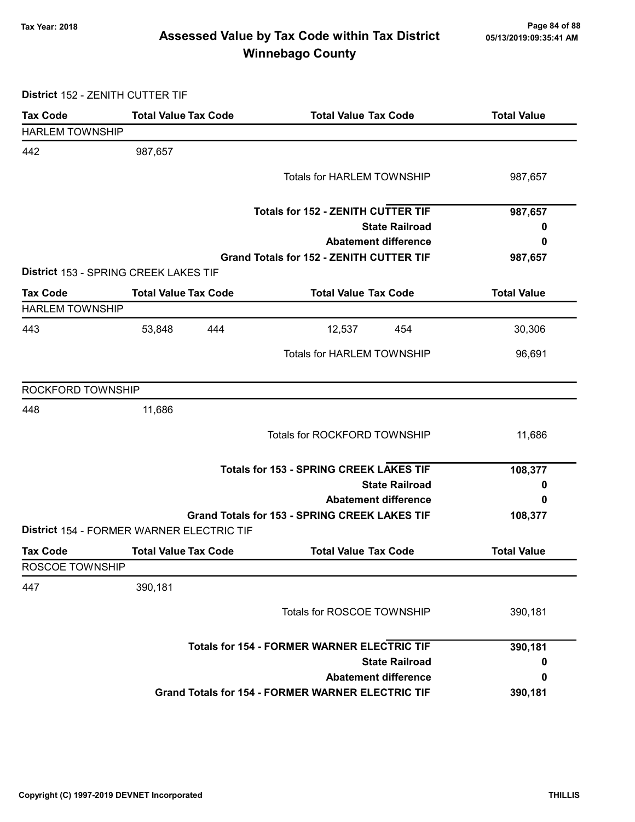# Page 84 of 88 مسمع Page 84 of 88<br>Assessed Value by Tax Code within Tax District مسمع Assessed Value by Tax Code within Tax District Winnebago County

District 152 - ZENITH CUTTER TIF

| <b>Tax Code</b>        | <b>Total Value Tax Code</b>               | <b>Total Value Tax Code</b>                              | <b>Total Value</b> |
|------------------------|-------------------------------------------|----------------------------------------------------------|--------------------|
| <b>HARLEM TOWNSHIP</b> |                                           |                                                          |                    |
| 442                    | 987,657                                   |                                                          |                    |
|                        |                                           | <b>Totals for HARLEM TOWNSHIP</b>                        | 987,657            |
|                        |                                           |                                                          |                    |
|                        |                                           | <b>Totals for 152 - ZENITH CUTTER TIF</b>                | 987,657            |
|                        |                                           | <b>State Railroad</b>                                    | 0                  |
|                        |                                           | <b>Abatement difference</b>                              | 0                  |
|                        |                                           | <b>Grand Totals for 152 - ZENITH CUTTER TIF</b>          | 987,657            |
|                        | District 153 - SPRING CREEK LAKES TIF     |                                                          |                    |
| <b>Tax Code</b>        | <b>Total Value Tax Code</b>               | <b>Total Value Tax Code</b>                              | <b>Total Value</b> |
| <b>HARLEM TOWNSHIP</b> |                                           |                                                          |                    |
| 443                    | 53,848<br>444                             | 12,537<br>454                                            | 30,306             |
|                        |                                           | <b>Totals for HARLEM TOWNSHIP</b>                        | 96,691             |
|                        |                                           |                                                          |                    |
| ROCKFORD TOWNSHIP      |                                           |                                                          |                    |
| 448                    | 11,686                                    |                                                          |                    |
|                        |                                           | Totals for ROCKFORD TOWNSHIP                             | 11,686             |
|                        |                                           |                                                          |                    |
|                        |                                           | <b>Totals for 153 - SPRING CREEK LAKES TIF</b>           | 108,377            |
|                        |                                           | <b>State Railroad</b>                                    | 0                  |
|                        |                                           | <b>Abatement difference</b>                              | 0                  |
|                        | District 154 - FORMER WARNER ELECTRIC TIF | <b>Grand Totals for 153 - SPRING CREEK LAKES TIF</b>     | 108,377            |
| <b>Tax Code</b>        | <b>Total Value Tax Code</b>               | <b>Total Value Tax Code</b>                              | <b>Total Value</b> |
| ROSCOE TOWNSHIP        |                                           |                                                          |                    |
| 447                    | 390,181                                   |                                                          |                    |
|                        |                                           |                                                          |                    |
|                        |                                           | Totals for ROSCOE TOWNSHIP                               | 390,181            |
|                        |                                           | <b>Totals for 154 - FORMER WARNER ELECTRIC TIF</b>       | 390,181            |
|                        |                                           | <b>State Railroad</b>                                    | 0                  |
|                        |                                           | <b>Abatement difference</b>                              | 0                  |
|                        |                                           | <b>Grand Totals for 154 - FORMER WARNER ELECTRIC TIF</b> | 390,181            |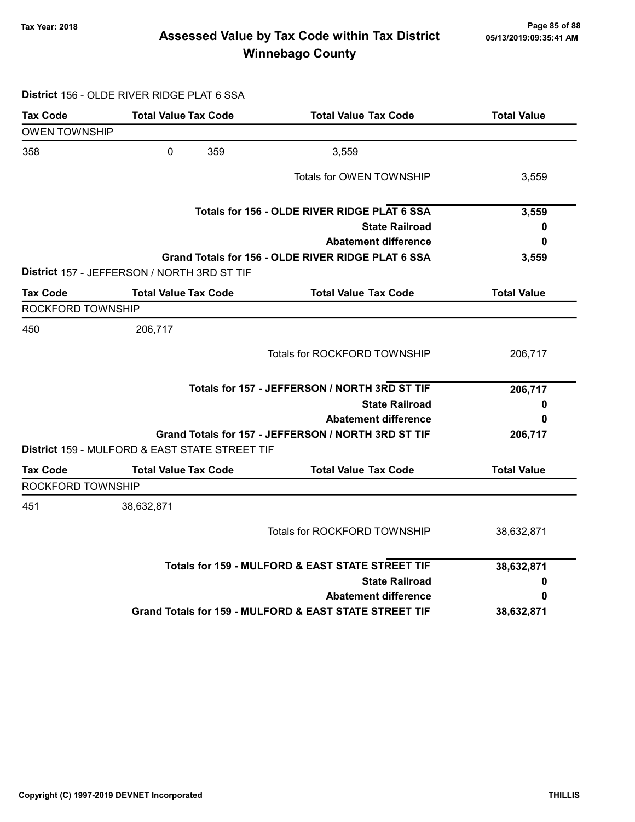# Tax Year: 2018 Page 85 of 88 Assessed Value by Tax Code within Tax District Winnebago County

### District 156 - OLDE RIVER RIDGE PLAT 6 SSA

| Tax Code             | <b>Total Value Tax Code</b>                               | <b>Total Value Tax Code</b>                            | <b>Total Value</b> |
|----------------------|-----------------------------------------------------------|--------------------------------------------------------|--------------------|
| <b>OWEN TOWNSHIP</b> |                                                           |                                                        |                    |
| 358                  | $\mathbf 0$<br>359                                        | 3,559                                                  |                    |
|                      |                                                           | Totals for OWEN TOWNSHIP                               | 3,559              |
|                      |                                                           | Totals for 156 - OLDE RIVER RIDGE PLAT 6 SSA           | 3,559              |
|                      |                                                           | <b>State Railroad</b>                                  | 0                  |
|                      |                                                           | <b>Abatement difference</b>                            | 0                  |
|                      | District 157 - JEFFERSON / NORTH 3RD ST TIF               | Grand Totals for 156 - OLDE RIVER RIDGE PLAT 6 SSA     | 3,559              |
| <b>Tax Code</b>      | <b>Total Value Tax Code</b>                               | <b>Total Value Tax Code</b>                            | <b>Total Value</b> |
| ROCKFORD TOWNSHIP    |                                                           |                                                        |                    |
| 450                  | 206,717                                                   |                                                        |                    |
|                      |                                                           | <b>Totals for ROCKFORD TOWNSHIP</b>                    | 206,717            |
|                      |                                                           | Totals for 157 - JEFFERSON / NORTH 3RD ST TIF          | 206,717            |
|                      |                                                           | <b>State Railroad</b>                                  | 0                  |
|                      |                                                           | <b>Abatement difference</b>                            | 0                  |
|                      | <b>District 159 - MULFORD &amp; EAST STATE STREET TIF</b> | Grand Totals for 157 - JEFFERSON / NORTH 3RD ST TIF    | 206,717            |
| <b>Tax Code</b>      | <b>Total Value Tax Code</b>                               | <b>Total Value Tax Code</b>                            | <b>Total Value</b> |
| ROCKFORD TOWNSHIP    |                                                           |                                                        |                    |
| 451                  | 38,632,871                                                |                                                        |                    |
|                      |                                                           | <b>Totals for ROCKFORD TOWNSHIP</b>                    | 38,632,871         |
|                      |                                                           | Totals for 159 - MULFORD & EAST STATE STREET TIF       | 38,632,871         |
|                      |                                                           | <b>State Railroad</b>                                  | 0                  |
|                      |                                                           | <b>Abatement difference</b>                            | 0                  |
|                      |                                                           | Grand Totals for 159 - MULFORD & EAST STATE STREET TIF | 38,632,871         |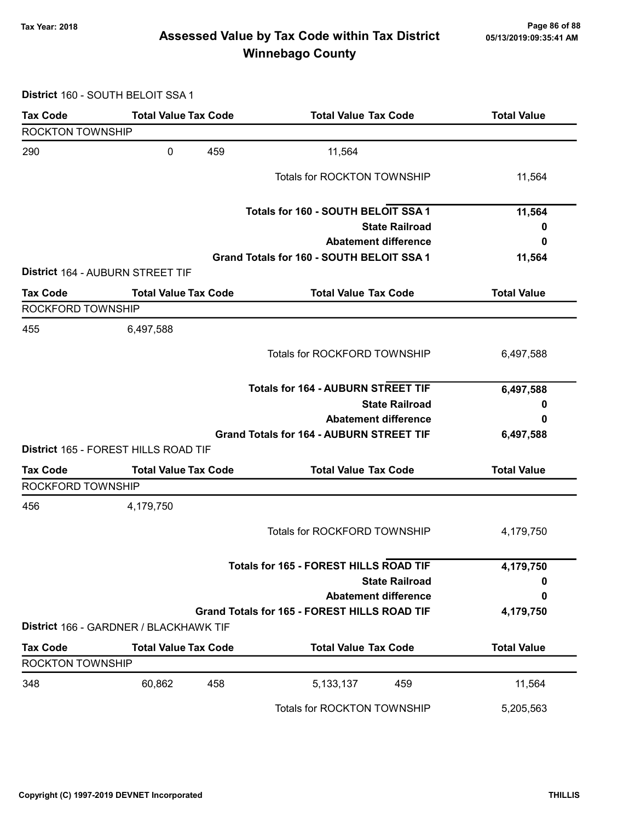# Page 86 of 88 مع Page 86 of 88<br>Assessed Value by Tax Code within Tax District مال Assessed Value by Tax Code within Tax District Winnebago County

District 160 - SOUTH BELOIT SSA 1

| <b>Tax Code</b>         | <b>Total Value Tax Code</b>             |     | <b>Total Value Tax Code</b>                         |                       | <b>Total Value</b> |
|-------------------------|-----------------------------------------|-----|-----------------------------------------------------|-----------------------|--------------------|
| <b>ROCKTON TOWNSHIP</b> |                                         |     |                                                     |                       |                    |
| 290                     | 0                                       | 459 | 11,564                                              |                       |                    |
|                         |                                         |     | <b>Totals for ROCKTON TOWNSHIP</b>                  |                       | 11,564             |
|                         |                                         |     | Totals for 160 - SOUTH BELOIT SSA 1                 |                       | 11,564             |
|                         |                                         |     |                                                     | <b>State Railroad</b> | 0                  |
|                         |                                         |     | <b>Abatement difference</b>                         |                       | 0                  |
|                         |                                         |     | Grand Totals for 160 - SOUTH BELOIT SSA 1           |                       | 11,564             |
|                         | <b>District 164 - AUBURN STREET TIF</b> |     |                                                     |                       |                    |
| <b>Tax Code</b>         | <b>Total Value Tax Code</b>             |     | <b>Total Value Tax Code</b>                         |                       | <b>Total Value</b> |
| ROCKFORD TOWNSHIP       |                                         |     |                                                     |                       |                    |
| 455                     | 6,497,588                               |     |                                                     |                       |                    |
|                         |                                         |     | Totals for ROCKFORD TOWNSHIP                        |                       | 6,497,588          |
|                         |                                         |     | <b>Totals for 164 - AUBURN STREET TIF</b>           |                       | 6,497,588          |
|                         |                                         |     |                                                     | <b>State Railroad</b> | 0                  |
|                         |                                         |     | <b>Abatement difference</b>                         |                       | 0                  |
|                         |                                         |     | <b>Grand Totals for 164 - AUBURN STREET TIF</b>     |                       | 6,497,588          |
|                         | District 165 - FOREST HILLS ROAD TIF    |     |                                                     |                       |                    |
| <b>Tax Code</b>         | <b>Total Value Tax Code</b>             |     | <b>Total Value Tax Code</b>                         |                       | <b>Total Value</b> |
| ROCKFORD TOWNSHIP       |                                         |     |                                                     |                       |                    |
| 456                     | 4,179,750                               |     |                                                     |                       |                    |
|                         |                                         |     | Totals for ROCKFORD TOWNSHIP                        |                       | 4,179,750          |
|                         |                                         |     | <b>Totals for 165 - FOREST HILLS ROAD TIF</b>       |                       | 4,179,750          |
|                         |                                         |     |                                                     | <b>State Railroad</b> | 0                  |
|                         |                                         |     | <b>Abatement difference</b>                         |                       | 0                  |
|                         |                                         |     | <b>Grand Totals for 165 - FOREST HILLS ROAD TIF</b> |                       | 4,179,750          |
|                         | District 166 - GARDNER / BLACKHAWK TIF  |     |                                                     |                       |                    |
| <b>Tax Code</b>         | <b>Total Value Tax Code</b>             |     | <b>Total Value Tax Code</b>                         |                       | <b>Total Value</b> |
| <b>ROCKTON TOWNSHIP</b> |                                         |     |                                                     |                       |                    |
| 348                     | 60,862                                  | 458 | 5, 133, 137                                         | 459                   | 11,564             |
|                         |                                         |     | Totals for ROCKTON TOWNSHIP                         |                       | 5,205,563          |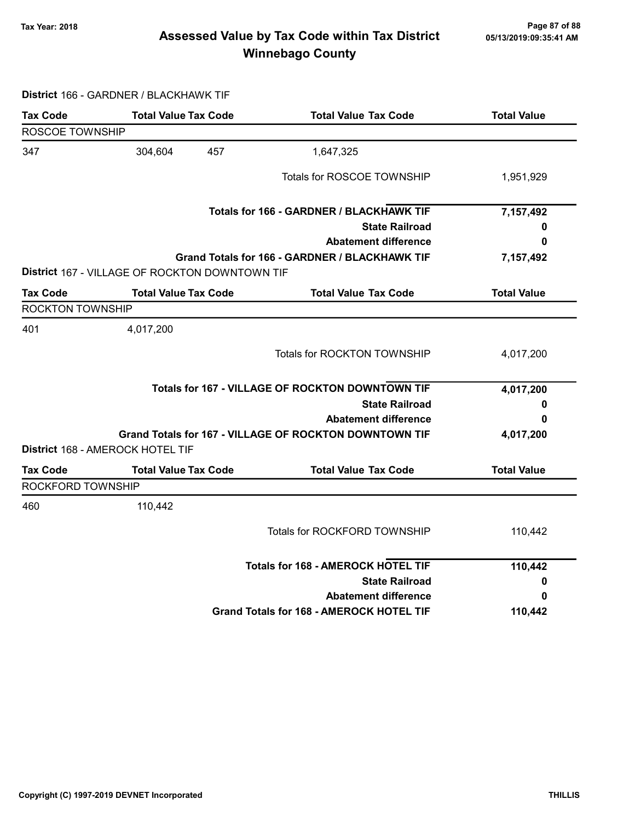# Page 87 of 88 وTax Year: 2018 Page 87 of 88<br>Assessed Value by Tax Code within Tax District ه 65/13/2019:09:35:41 Winnebago County

### District 166 - GARDNER / BLACKHAWK TIF

| ROSCOE TOWNSHIP<br>304,604<br>457<br>1,647,325<br>Totals for ROSCOE TOWNSHIP<br>1,951,929<br>Totals for 166 - GARDNER / BLACKHAWK TIF<br>7,157,492<br><b>State Railroad</b><br>0<br><b>Abatement difference</b><br>0<br>Grand Totals for 166 - GARDNER / BLACKHAWK TIF<br>7,157,492<br><b>District 167 - VILLAGE OF ROCKTON DOWNTOWN TIF</b><br><b>Total Value Tax Code</b><br><b>Total Value Tax Code</b><br><b>Total Value</b><br><b>ROCKTON TOWNSHIP</b><br>4,017,200<br><b>Totals for ROCKTON TOWNSHIP</b><br>4,017,200<br><b>Totals for 167 - VILLAGE OF ROCKTON DOWNTOWN TIF</b><br>4,017,200<br><b>State Railroad</b><br>0<br><b>Abatement difference</b><br>0<br>Grand Totals for 167 - VILLAGE OF ROCKTON DOWNTOWN TIF<br>4,017,200<br>District 168 - AMEROCK HOTEL TIF<br><b>Total Value Tax Code</b><br><b>Total Value Tax Code</b><br><b>Total Value</b><br>ROCKFORD TOWNSHIP<br>110,442<br>Totals for ROCKFORD TOWNSHIP<br>110,442<br><b>Totals for 168 - AMEROCK HOTEL TIF</b><br>110,442<br><b>State Railroad</b><br>0<br><b>Abatement difference</b><br>0<br><b>Grand Totals for 168 - AMEROCK HOTEL TIF</b><br>110,442 | <b>Tax Code</b> | <b>Total Value Tax Code</b> | <b>Total Value Tax Code</b> | <b>Total Value</b> |
|-----------------------------------------------------------------------------------------------------------------------------------------------------------------------------------------------------------------------------------------------------------------------------------------------------------------------------------------------------------------------------------------------------------------------------------------------------------------------------------------------------------------------------------------------------------------------------------------------------------------------------------------------------------------------------------------------------------------------------------------------------------------------------------------------------------------------------------------------------------------------------------------------------------------------------------------------------------------------------------------------------------------------------------------------------------------------------------------------------------------------------------------|-----------------|-----------------------------|-----------------------------|--------------------|
|                                                                                                                                                                                                                                                                                                                                                                                                                                                                                                                                                                                                                                                                                                                                                                                                                                                                                                                                                                                                                                                                                                                                         |                 |                             |                             |                    |
|                                                                                                                                                                                                                                                                                                                                                                                                                                                                                                                                                                                                                                                                                                                                                                                                                                                                                                                                                                                                                                                                                                                                         | 347             |                             |                             |                    |
|                                                                                                                                                                                                                                                                                                                                                                                                                                                                                                                                                                                                                                                                                                                                                                                                                                                                                                                                                                                                                                                                                                                                         |                 |                             |                             |                    |
|                                                                                                                                                                                                                                                                                                                                                                                                                                                                                                                                                                                                                                                                                                                                                                                                                                                                                                                                                                                                                                                                                                                                         |                 |                             |                             |                    |
|                                                                                                                                                                                                                                                                                                                                                                                                                                                                                                                                                                                                                                                                                                                                                                                                                                                                                                                                                                                                                                                                                                                                         |                 |                             |                             |                    |
|                                                                                                                                                                                                                                                                                                                                                                                                                                                                                                                                                                                                                                                                                                                                                                                                                                                                                                                                                                                                                                                                                                                                         |                 |                             |                             |                    |
|                                                                                                                                                                                                                                                                                                                                                                                                                                                                                                                                                                                                                                                                                                                                                                                                                                                                                                                                                                                                                                                                                                                                         |                 |                             |                             |                    |
|                                                                                                                                                                                                                                                                                                                                                                                                                                                                                                                                                                                                                                                                                                                                                                                                                                                                                                                                                                                                                                                                                                                                         |                 |                             |                             |                    |
|                                                                                                                                                                                                                                                                                                                                                                                                                                                                                                                                                                                                                                                                                                                                                                                                                                                                                                                                                                                                                                                                                                                                         | <b>Tax Code</b> |                             |                             |                    |
|                                                                                                                                                                                                                                                                                                                                                                                                                                                                                                                                                                                                                                                                                                                                                                                                                                                                                                                                                                                                                                                                                                                                         |                 |                             |                             |                    |
|                                                                                                                                                                                                                                                                                                                                                                                                                                                                                                                                                                                                                                                                                                                                                                                                                                                                                                                                                                                                                                                                                                                                         | 401             |                             |                             |                    |
|                                                                                                                                                                                                                                                                                                                                                                                                                                                                                                                                                                                                                                                                                                                                                                                                                                                                                                                                                                                                                                                                                                                                         |                 |                             |                             |                    |
|                                                                                                                                                                                                                                                                                                                                                                                                                                                                                                                                                                                                                                                                                                                                                                                                                                                                                                                                                                                                                                                                                                                                         |                 |                             |                             |                    |
|                                                                                                                                                                                                                                                                                                                                                                                                                                                                                                                                                                                                                                                                                                                                                                                                                                                                                                                                                                                                                                                                                                                                         |                 |                             |                             |                    |
|                                                                                                                                                                                                                                                                                                                                                                                                                                                                                                                                                                                                                                                                                                                                                                                                                                                                                                                                                                                                                                                                                                                                         |                 |                             |                             |                    |
|                                                                                                                                                                                                                                                                                                                                                                                                                                                                                                                                                                                                                                                                                                                                                                                                                                                                                                                                                                                                                                                                                                                                         |                 |                             |                             |                    |
|                                                                                                                                                                                                                                                                                                                                                                                                                                                                                                                                                                                                                                                                                                                                                                                                                                                                                                                                                                                                                                                                                                                                         |                 |                             |                             |                    |
|                                                                                                                                                                                                                                                                                                                                                                                                                                                                                                                                                                                                                                                                                                                                                                                                                                                                                                                                                                                                                                                                                                                                         | <b>Tax Code</b> |                             |                             |                    |
|                                                                                                                                                                                                                                                                                                                                                                                                                                                                                                                                                                                                                                                                                                                                                                                                                                                                                                                                                                                                                                                                                                                                         |                 |                             |                             |                    |
|                                                                                                                                                                                                                                                                                                                                                                                                                                                                                                                                                                                                                                                                                                                                                                                                                                                                                                                                                                                                                                                                                                                                         | 460             |                             |                             |                    |
|                                                                                                                                                                                                                                                                                                                                                                                                                                                                                                                                                                                                                                                                                                                                                                                                                                                                                                                                                                                                                                                                                                                                         |                 |                             |                             |                    |
|                                                                                                                                                                                                                                                                                                                                                                                                                                                                                                                                                                                                                                                                                                                                                                                                                                                                                                                                                                                                                                                                                                                                         |                 |                             |                             |                    |
|                                                                                                                                                                                                                                                                                                                                                                                                                                                                                                                                                                                                                                                                                                                                                                                                                                                                                                                                                                                                                                                                                                                                         |                 |                             |                             |                    |
|                                                                                                                                                                                                                                                                                                                                                                                                                                                                                                                                                                                                                                                                                                                                                                                                                                                                                                                                                                                                                                                                                                                                         |                 |                             |                             |                    |
|                                                                                                                                                                                                                                                                                                                                                                                                                                                                                                                                                                                                                                                                                                                                                                                                                                                                                                                                                                                                                                                                                                                                         |                 |                             |                             |                    |